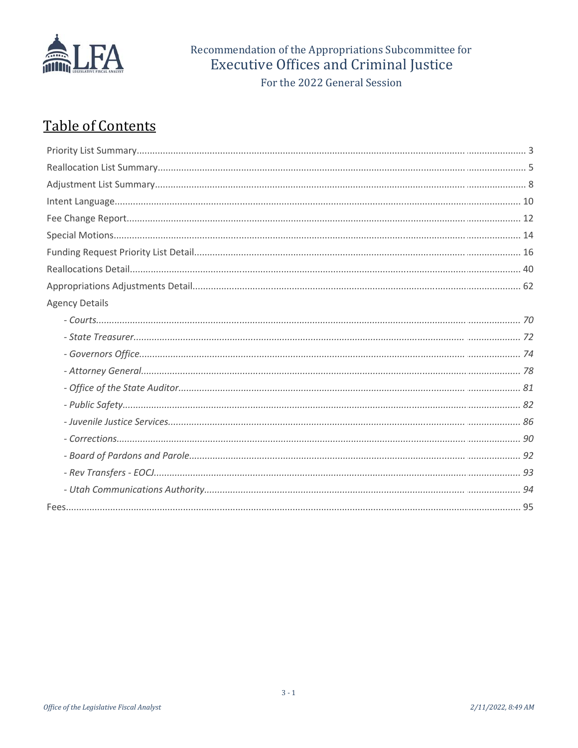

For the 2022 General Session

# **Table of Contents**

| <b>Agency Details</b> |  |
|-----------------------|--|
|                       |  |
|                       |  |
|                       |  |
|                       |  |
|                       |  |
|                       |  |
|                       |  |
|                       |  |
|                       |  |
|                       |  |
|                       |  |
|                       |  |
|                       |  |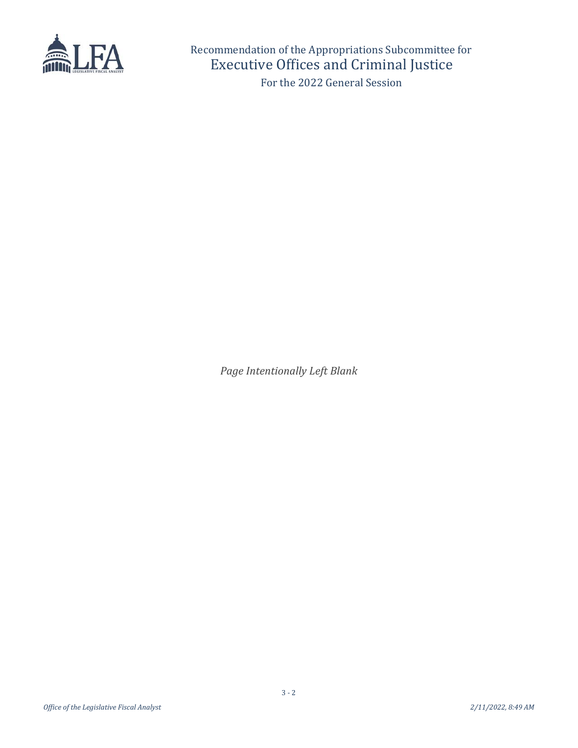

Recommendation of the Appropriations Subcommittee for Executive Offices and Criminal Justice For the 2022 General Session

*Page Intentionally Left Blank*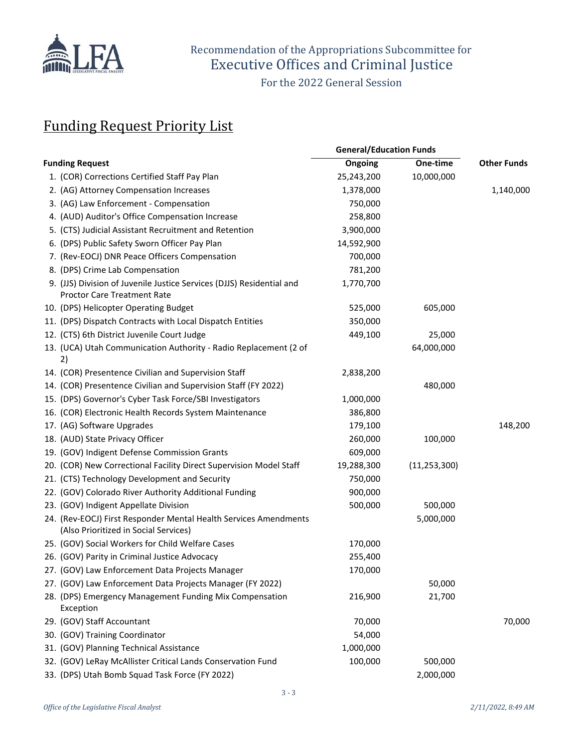

For the 2022 General Session

# Funding Request Priority List

|                                                                                                             | <b>General/Education Funds</b> |                |                    |
|-------------------------------------------------------------------------------------------------------------|--------------------------------|----------------|--------------------|
| <b>Funding Request</b>                                                                                      | Ongoing                        | One-time       | <b>Other Funds</b> |
| 1. (COR) Corrections Certified Staff Pay Plan                                                               | 25,243,200                     | 10,000,000     |                    |
| 2. (AG) Attorney Compensation Increases                                                                     | 1,378,000                      |                | 1,140,000          |
| 3. (AG) Law Enforcement - Compensation                                                                      | 750,000                        |                |                    |
| 4. (AUD) Auditor's Office Compensation Increase                                                             | 258,800                        |                |                    |
| 5. (CTS) Judicial Assistant Recruitment and Retention                                                       | 3,900,000                      |                |                    |
| 6. (DPS) Public Safety Sworn Officer Pay Plan                                                               | 14,592,900                     |                |                    |
| 7. (Rev-EOCJ) DNR Peace Officers Compensation                                                               | 700,000                        |                |                    |
| 8. (DPS) Crime Lab Compensation                                                                             | 781,200                        |                |                    |
| 9. (JJS) Division of Juvenile Justice Services (DJJS) Residential and<br><b>Proctor Care Treatment Rate</b> | 1,770,700                      |                |                    |
| 10. (DPS) Helicopter Operating Budget                                                                       | 525,000                        | 605,000        |                    |
| 11. (DPS) Dispatch Contracts with Local Dispatch Entities                                                   | 350,000                        |                |                    |
| 12. (CTS) 6th District Juvenile Court Judge                                                                 | 449,100                        | 25,000         |                    |
| 13. (UCA) Utah Communication Authority - Radio Replacement (2 of<br>2)                                      |                                | 64,000,000     |                    |
| 14. (COR) Presentence Civilian and Supervision Staff                                                        | 2,838,200                      |                |                    |
| 14. (COR) Presentence Civilian and Supervision Staff (FY 2022)                                              |                                | 480,000        |                    |
| 15. (DPS) Governor's Cyber Task Force/SBI Investigators                                                     | 1,000,000                      |                |                    |
| 16. (COR) Electronic Health Records System Maintenance                                                      | 386,800                        |                |                    |
| 17. (AG) Software Upgrades                                                                                  | 179,100                        |                | 148,200            |
| 18. (AUD) State Privacy Officer                                                                             | 260,000                        | 100,000        |                    |
| 19. (GOV) Indigent Defense Commission Grants                                                                | 609,000                        |                |                    |
| 20. (COR) New Correctional Facility Direct Supervision Model Staff                                          | 19,288,300                     | (11, 253, 300) |                    |
| 21. (CTS) Technology Development and Security                                                               | 750,000                        |                |                    |
| 22. (GOV) Colorado River Authority Additional Funding                                                       | 900,000                        |                |                    |
| 23. (GOV) Indigent Appellate Division                                                                       | 500,000                        | 500,000        |                    |
| 24. (Rev-EOCJ) First Responder Mental Health Services Amendments<br>(Also Prioritized in Social Services)   |                                | 5,000,000      |                    |
| 25. (GOV) Social Workers for Child Welfare Cases                                                            | 170,000                        |                |                    |
| 26. (GOV) Parity in Criminal Justice Advocacy                                                               | 255,400                        |                |                    |
| 27. (GOV) Law Enforcement Data Projects Manager                                                             | 170,000                        |                |                    |
| 27. (GOV) Law Enforcement Data Projects Manager (FY 2022)                                                   |                                | 50,000         |                    |
| 28. (DPS) Emergency Management Funding Mix Compensation<br>Exception                                        | 216,900                        | 21,700         |                    |
| 29. (GOV) Staff Accountant                                                                                  | 70,000                         |                | 70,000             |
| 30. (GOV) Training Coordinator                                                                              | 54,000                         |                |                    |
| 31. (GOV) Planning Technical Assistance                                                                     | 1,000,000                      |                |                    |
| 32. (GOV) LeRay McAllister Critical Lands Conservation Fund                                                 | 100,000                        | 500,000        |                    |
| 33. (DPS) Utah Bomb Squad Task Force (FY 2022)                                                              |                                | 2,000,000      |                    |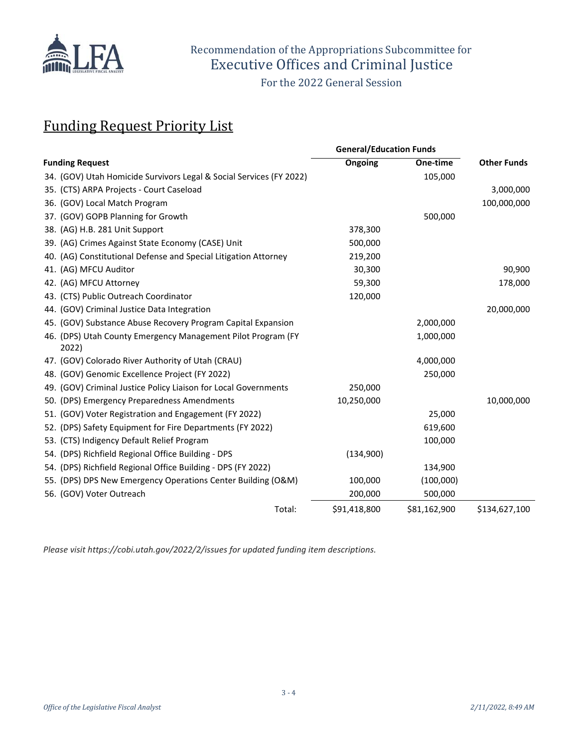

For the 2022 General Session

# Funding Request Priority List

|                                                                        |              | <b>General/Education Funds</b> |                    |  |
|------------------------------------------------------------------------|--------------|--------------------------------|--------------------|--|
| <b>Funding Request</b>                                                 | Ongoing      | One-time                       | <b>Other Funds</b> |  |
| 34. (GOV) Utah Homicide Survivors Legal & Social Services (FY 2022)    |              | 105,000                        |                    |  |
| 35. (CTS) ARPA Projects - Court Caseload                               |              |                                | 3,000,000          |  |
| 36. (GOV) Local Match Program                                          |              |                                | 100,000,000        |  |
| 37. (GOV) GOPB Planning for Growth                                     |              | 500,000                        |                    |  |
| 38. (AG) H.B. 281 Unit Support                                         | 378,300      |                                |                    |  |
| 39. (AG) Crimes Against State Economy (CASE) Unit                      | 500,000      |                                |                    |  |
| 40. (AG) Constitutional Defense and Special Litigation Attorney        | 219,200      |                                |                    |  |
| 41. (AG) MFCU Auditor                                                  | 30,300       |                                | 90,900             |  |
| 42. (AG) MFCU Attorney                                                 | 59,300       |                                | 178,000            |  |
| 43. (CTS) Public Outreach Coordinator                                  | 120,000      |                                |                    |  |
| 44. (GOV) Criminal Justice Data Integration                            |              |                                | 20,000,000         |  |
| 45. (GOV) Substance Abuse Recovery Program Capital Expansion           |              | 2,000,000                      |                    |  |
| 46. (DPS) Utah County Emergency Management Pilot Program (FY)<br>2022) |              | 1,000,000                      |                    |  |
| 47. (GOV) Colorado River Authority of Utah (CRAU)                      |              | 4,000,000                      |                    |  |
| 48. (GOV) Genomic Excellence Project (FY 2022)                         |              | 250,000                        |                    |  |
| 49. (GOV) Criminal Justice Policy Liaison for Local Governments        | 250,000      |                                |                    |  |
| 50. (DPS) Emergency Preparedness Amendments                            | 10,250,000   |                                | 10,000,000         |  |
| 51. (GOV) Voter Registration and Engagement (FY 2022)                  |              | 25,000                         |                    |  |
| 52. (DPS) Safety Equipment for Fire Departments (FY 2022)              |              | 619,600                        |                    |  |
| 53. (CTS) Indigency Default Relief Program                             |              | 100,000                        |                    |  |
| 54. (DPS) Richfield Regional Office Building - DPS                     | (134,900)    |                                |                    |  |
| 54. (DPS) Richfield Regional Office Building - DPS (FY 2022)           |              | 134,900                        |                    |  |
| 55. (DPS) DPS New Emergency Operations Center Building (O&M)           | 100,000      | (100,000)                      |                    |  |
| 56. (GOV) Voter Outreach                                               | 200,000      | 500,000                        |                    |  |
| Total:                                                                 | \$91,418,800 | \$81,162,900                   | \$134,627,100      |  |

*Please visit https://cobi.utah.gov/2022/2/issues for updated funding item descriptions.*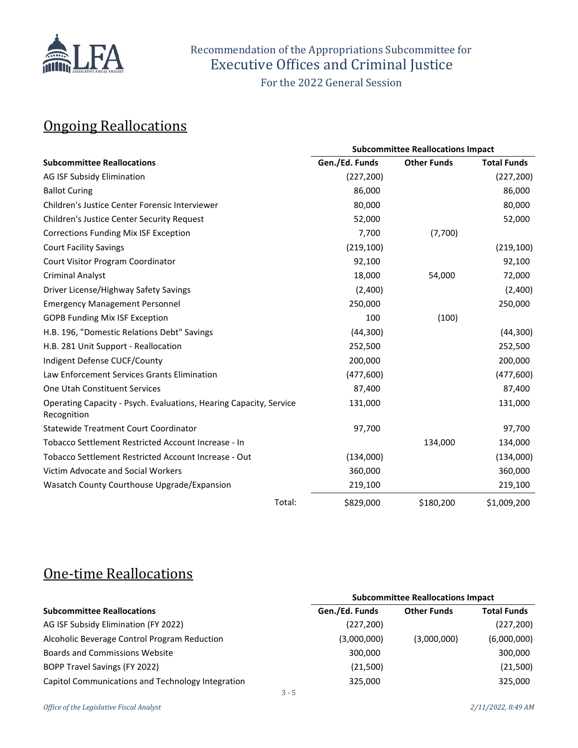

For the 2022 General Session

# Ongoing Reallocations

|                                                                                   | <b>Subcommittee Reallocations Impact</b> |                    |                    |  |
|-----------------------------------------------------------------------------------|------------------------------------------|--------------------|--------------------|--|
| <b>Subcommittee Reallocations</b>                                                 | Gen./Ed. Funds                           | <b>Other Funds</b> | <b>Total Funds</b> |  |
| AG ISF Subsidy Elimination                                                        | (227, 200)                               |                    | (227, 200)         |  |
| <b>Ballot Curing</b>                                                              | 86,000                                   |                    | 86,000             |  |
| Children's Justice Center Forensic Interviewer                                    | 80,000                                   |                    | 80,000             |  |
| Children's Justice Center Security Request                                        | 52,000                                   |                    | 52,000             |  |
| Corrections Funding Mix ISF Exception                                             | 7,700                                    | (7,700)            |                    |  |
| <b>Court Facility Savings</b>                                                     | (219, 100)                               |                    | (219, 100)         |  |
| Court Visitor Program Coordinator                                                 | 92,100                                   |                    | 92,100             |  |
| <b>Criminal Analyst</b>                                                           | 18,000                                   | 54,000             | 72,000             |  |
| Driver License/Highway Safety Savings                                             | (2,400)                                  |                    | (2,400)            |  |
| <b>Emergency Management Personnel</b>                                             | 250,000                                  |                    | 250,000            |  |
| <b>GOPB Funding Mix ISF Exception</b>                                             | 100                                      | (100)              |                    |  |
| H.B. 196, "Domestic Relations Debt" Savings                                       | (44,300)                                 |                    | (44,300)           |  |
| H.B. 281 Unit Support - Reallocation                                              | 252,500                                  |                    | 252,500            |  |
| Indigent Defense CUCF/County                                                      | 200,000                                  |                    | 200,000            |  |
| Law Enforcement Services Grants Elimination                                       | (477,600)                                |                    | (477,600)          |  |
| One Utah Constituent Services                                                     | 87,400                                   |                    | 87,400             |  |
| Operating Capacity - Psych. Evaluations, Hearing Capacity, Service<br>Recognition | 131,000                                  |                    | 131,000            |  |
| <b>Statewide Treatment Court Coordinator</b>                                      | 97,700                                   |                    | 97,700             |  |
| Tobacco Settlement Restricted Account Increase - In                               |                                          | 134,000            | 134,000            |  |
| Tobacco Settlement Restricted Account Increase - Out                              | (134,000)                                |                    | (134,000)          |  |
| Victim Advocate and Social Workers                                                | 360,000                                  |                    | 360,000            |  |
| Wasatch County Courthouse Upgrade/Expansion                                       | 219,100                                  |                    | 219,100            |  |
| Total:                                                                            | \$829,000                                | \$180,200          | \$1,009,200        |  |

# One-time Reallocations

|                                                   | <b>Subcommittee Reallocations Impact</b> |                    |                    |  |
|---------------------------------------------------|------------------------------------------|--------------------|--------------------|--|
| <b>Subcommittee Reallocations</b>                 | Gen./Ed. Funds                           | <b>Other Funds</b> | <b>Total Funds</b> |  |
| AG ISF Subsidy Elimination (FY 2022)              | (227, 200)                               |                    | (227, 200)         |  |
| Alcoholic Beverage Control Program Reduction      | (3,000,000)                              | (3,000,000)        | (6,000,000)        |  |
| <b>Boards and Commissions Website</b>             | 300,000                                  |                    | 300,000            |  |
| BOPP Travel Savings (FY 2022)                     | (21,500)                                 |                    | (21,500)           |  |
| Capitol Communications and Technology Integration | 325,000                                  |                    | 325,000            |  |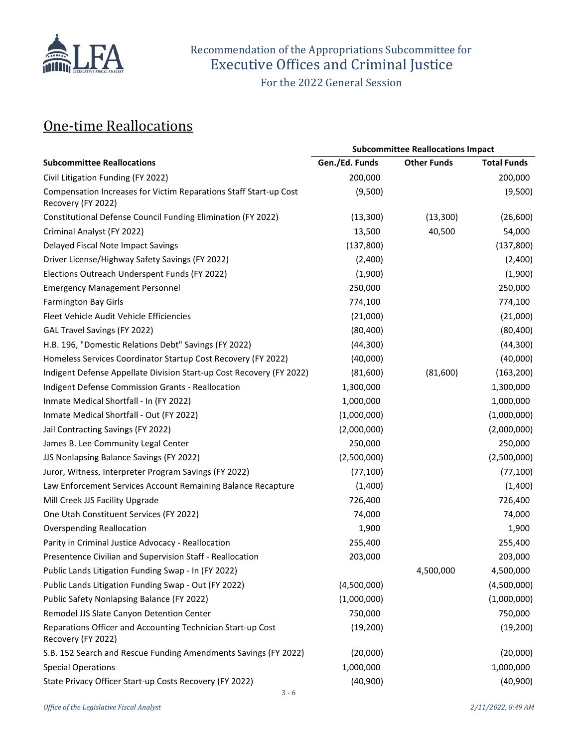

For the 2022 General Session

# One-time Reallocations

|                                                                                         | <b>Subcommittee Reallocations Impact</b> |                    |                    |
|-----------------------------------------------------------------------------------------|------------------------------------------|--------------------|--------------------|
| <b>Subcommittee Reallocations</b>                                                       | Gen./Ed. Funds                           | <b>Other Funds</b> | <b>Total Funds</b> |
| Civil Litigation Funding (FY 2022)                                                      | 200,000                                  |                    | 200,000            |
| Compensation Increases for Victim Reparations Staff Start-up Cost<br>Recovery (FY 2022) | (9,500)                                  |                    | (9,500)            |
| Constitutional Defense Council Funding Elimination (FY 2022)                            | (13,300)                                 | (13,300)           | (26,600)           |
| Criminal Analyst (FY 2022)                                                              | 13,500                                   | 40,500             | 54,000             |
| Delayed Fiscal Note Impact Savings                                                      | (137, 800)                               |                    | (137,800)          |
| Driver License/Highway Safety Savings (FY 2022)                                         | (2,400)                                  |                    | (2,400)            |
| Elections Outreach Underspent Funds (FY 2022)                                           | (1,900)                                  |                    | (1,900)            |
| <b>Emergency Management Personnel</b>                                                   | 250,000                                  |                    | 250,000            |
| Farmington Bay Girls                                                                    | 774,100                                  |                    | 774,100            |
| Fleet Vehicle Audit Vehicle Efficiencies                                                | (21,000)                                 |                    | (21,000)           |
| GAL Travel Savings (FY 2022)                                                            | (80, 400)                                |                    | (80, 400)          |
| H.B. 196, "Domestic Relations Debt" Savings (FY 2022)                                   | (44, 300)                                |                    | (44, 300)          |
| Homeless Services Coordinator Startup Cost Recovery (FY 2022)                           | (40,000)                                 |                    | (40,000)           |
| Indigent Defense Appellate Division Start-up Cost Recovery (FY 2022)                    | (81,600)                                 | (81,600)           | (163, 200)         |
| Indigent Defense Commission Grants - Reallocation                                       | 1,300,000                                |                    | 1,300,000          |
| Inmate Medical Shortfall - In (FY 2022)                                                 | 1,000,000                                |                    | 1,000,000          |
| Inmate Medical Shortfall - Out (FY 2022)                                                | (1,000,000)                              |                    | (1,000,000)        |
| Jail Contracting Savings (FY 2022)                                                      | (2,000,000)                              |                    | (2,000,000)        |
| James B. Lee Community Legal Center                                                     | 250,000                                  |                    | 250,000            |
| JJS Nonlapsing Balance Savings (FY 2022)                                                | (2,500,000)                              |                    | (2,500,000)        |
| Juror, Witness, Interpreter Program Savings (FY 2022)                                   | (77, 100)                                |                    | (77, 100)          |
| Law Enforcement Services Account Remaining Balance Recapture                            | (1,400)                                  |                    | (1,400)            |
| Mill Creek JJS Facility Upgrade                                                         | 726,400                                  |                    | 726,400            |
| One Utah Constituent Services (FY 2022)                                                 | 74,000                                   |                    | 74,000             |
| <b>Overspending Reallocation</b>                                                        | 1,900                                    |                    | 1,900              |
| Parity in Criminal Justice Advocacy - Reallocation                                      | 255,400                                  |                    | 255,400            |
| Presentence Civilian and Supervision Staff - Reallocation                               | 203,000                                  |                    | 203,000            |
| Public Lands Litigation Funding Swap - In (FY 2022)                                     |                                          | 4,500,000          | 4,500,000          |
| Public Lands Litigation Funding Swap - Out (FY 2022)                                    | (4,500,000)                              |                    | (4,500,000)        |
| Public Safety Nonlapsing Balance (FY 2022)                                              | (1,000,000)                              |                    | (1,000,000)        |
| Remodel JJS Slate Canyon Detention Center                                               | 750,000                                  |                    | 750,000            |
| Reparations Officer and Accounting Technician Start-up Cost<br>Recovery (FY 2022)       | (19, 200)                                |                    | (19, 200)          |
| S.B. 152 Search and Rescue Funding Amendments Savings (FY 2022)                         | (20,000)                                 |                    | (20,000)           |
| <b>Special Operations</b>                                                               | 1,000,000                                |                    | 1,000,000          |
| State Privacy Officer Start-up Costs Recovery (FY 2022)                                 | (40,900)                                 |                    | (40, 900)          |
| $3 - 6$                                                                                 |                                          |                    |                    |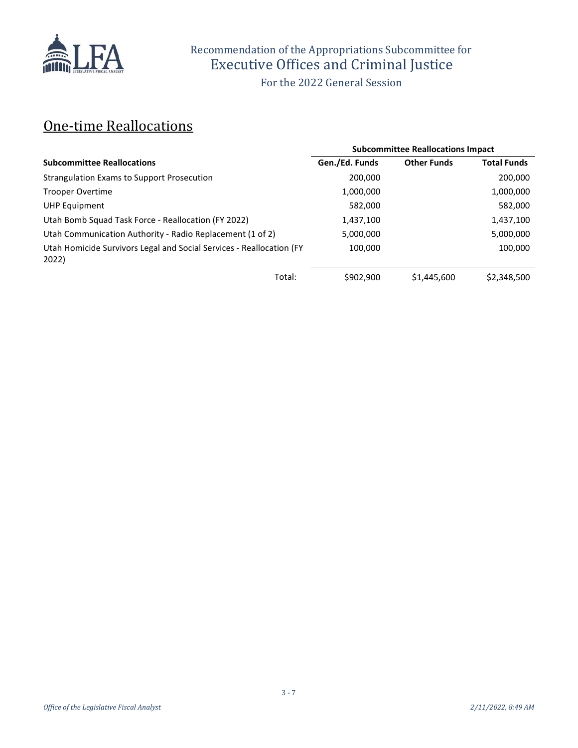

For the 2022 General Session

# One-time Reallocations

|                                                                                | <b>Subcommittee Reallocations Impact</b> |                    |                    |  |
|--------------------------------------------------------------------------------|------------------------------------------|--------------------|--------------------|--|
| <b>Subcommittee Reallocations</b>                                              | Gen./Ed. Funds                           | <b>Other Funds</b> | <b>Total Funds</b> |  |
| <b>Strangulation Exams to Support Prosecution</b>                              | 200,000                                  |                    | 200,000            |  |
| Trooper Overtime                                                               | 1,000,000                                |                    | 1,000,000          |  |
| UHP Equipment                                                                  | 582,000                                  |                    | 582,000            |  |
| Utah Bomb Squad Task Force - Reallocation (FY 2022)                            | 1,437,100                                |                    | 1,437,100          |  |
| Utah Communication Authority - Radio Replacement (1 of 2)                      | 5,000,000                                |                    | 5,000,000          |  |
| Utah Homicide Survivors Legal and Social Services - Reallocation (FY)<br>2022) | 100,000                                  |                    | 100,000            |  |
| Total:                                                                         | \$902,900                                | \$1,445,600        | \$2,348,500        |  |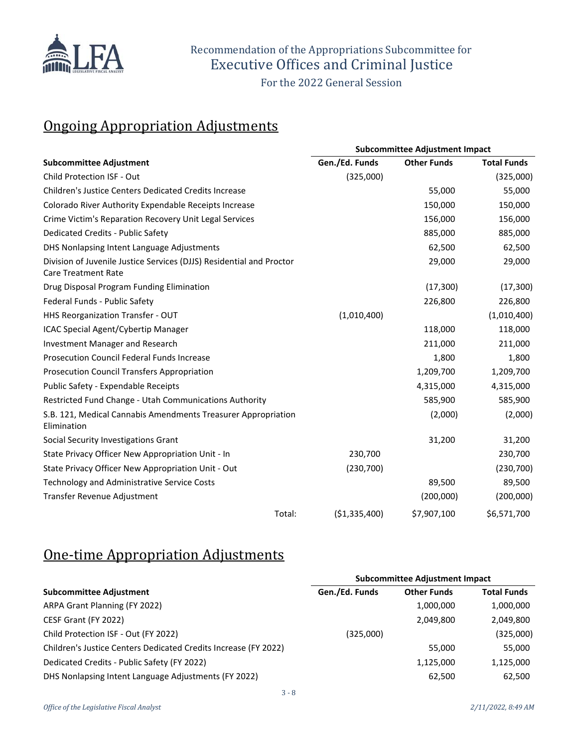

For the 2022 General Session

# Ongoing Appropriation Adjustments

|                                                                                                    |                | <b>Subcommittee Adjustment Impact</b> |                    |
|----------------------------------------------------------------------------------------------------|----------------|---------------------------------------|--------------------|
| <b>Subcommittee Adjustment</b>                                                                     | Gen./Ed. Funds | <b>Other Funds</b>                    | <b>Total Funds</b> |
| <b>Child Protection ISF - Out</b>                                                                  | (325,000)      |                                       | (325,000)          |
| <b>Children's Justice Centers Dedicated Credits Increase</b>                                       |                | 55,000                                | 55,000             |
| Colorado River Authority Expendable Receipts Increase                                              |                | 150,000                               | 150,000            |
| Crime Victim's Reparation Recovery Unit Legal Services                                             |                | 156,000                               | 156,000            |
| Dedicated Credits - Public Safety                                                                  |                | 885,000                               | 885,000            |
| DHS Nonlapsing Intent Language Adjustments                                                         |                | 62,500                                | 62,500             |
| Division of Juvenile Justice Services (DJJS) Residential and Proctor<br><b>Care Treatment Rate</b> |                | 29,000                                | 29,000             |
| Drug Disposal Program Funding Elimination                                                          |                | (17, 300)                             | (17, 300)          |
| Federal Funds - Public Safety                                                                      |                | 226,800                               | 226,800            |
| HHS Reorganization Transfer - OUT                                                                  | (1,010,400)    |                                       | (1,010,400)        |
| ICAC Special Agent/Cybertip Manager                                                                |                | 118,000                               | 118,000            |
| Investment Manager and Research                                                                    |                | 211,000                               | 211,000            |
| <b>Prosecution Council Federal Funds Increase</b>                                                  |                | 1,800                                 | 1,800              |
| <b>Prosecution Council Transfers Appropriation</b>                                                 |                | 1,209,700                             | 1,209,700          |
| Public Safety - Expendable Receipts                                                                |                | 4,315,000                             | 4,315,000          |
| Restricted Fund Change - Utah Communications Authority                                             |                | 585,900                               | 585,900            |
| S.B. 121, Medical Cannabis Amendments Treasurer Appropriation<br>Elimination                       |                | (2,000)                               | (2,000)            |
| Social Security Investigations Grant                                                               |                | 31,200                                | 31,200             |
| State Privacy Officer New Appropriation Unit - In                                                  | 230,700        |                                       | 230,700            |
| State Privacy Officer New Appropriation Unit - Out                                                 | (230, 700)     |                                       | (230, 700)         |
| Technology and Administrative Service Costs                                                        |                | 89,500                                | 89,500             |
| Transfer Revenue Adjustment                                                                        |                | (200,000)                             | (200,000)          |
| Total:                                                                                             | ( \$1,335,400) | \$7,907,100                           | \$6,571,700        |

# One-time Appropriation Adjustments

|                                                                 | <b>Subcommittee Adjustment Impact</b> |                    |                    |  |
|-----------------------------------------------------------------|---------------------------------------|--------------------|--------------------|--|
| <b>Subcommittee Adjustment</b>                                  | Gen./Ed. Funds                        | <b>Other Funds</b> | <b>Total Funds</b> |  |
| ARPA Grant Planning (FY 2022)                                   |                                       | 1,000,000          | 1,000,000          |  |
| CESF Grant (FY 2022)                                            |                                       | 2,049,800          | 2,049,800          |  |
| Child Protection ISF - Out (FY 2022)                            | (325,000)                             |                    | (325,000)          |  |
| Children's Justice Centers Dedicated Credits Increase (FY 2022) |                                       | 55,000             | 55,000             |  |
| Dedicated Credits - Public Safety (FY 2022)                     |                                       | 1,125,000          | 1,125,000          |  |
| DHS Nonlapsing Intent Language Adjustments (FY 2022)            |                                       | 62.500             | 62,500             |  |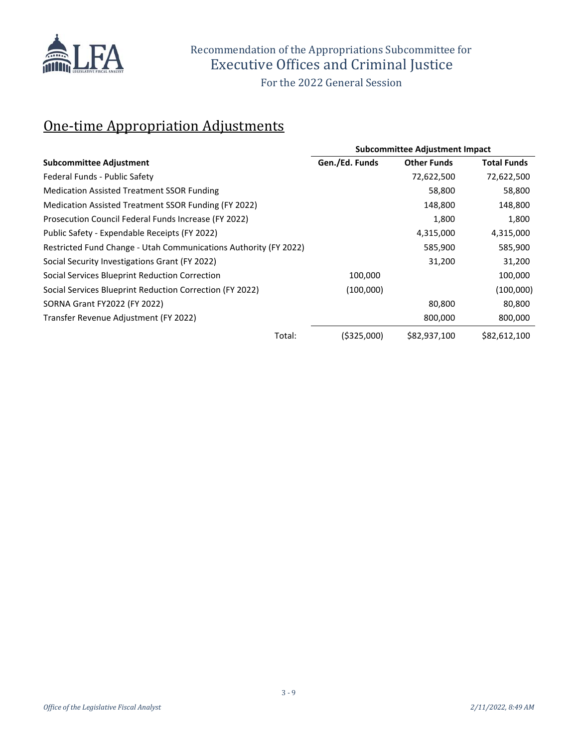

For the 2022 General Session

# One-time Appropriation Adjustments

|                                                                  |                | <b>Subcommittee Adjustment Impact</b> |                    |  |
|------------------------------------------------------------------|----------------|---------------------------------------|--------------------|--|
| <b>Subcommittee Adjustment</b>                                   | Gen./Ed. Funds | <b>Other Funds</b>                    | <b>Total Funds</b> |  |
| Federal Funds - Public Safety                                    |                | 72,622,500                            | 72,622,500         |  |
| <b>Medication Assisted Treatment SSOR Funding</b>                |                | 58,800                                | 58,800             |  |
| Medication Assisted Treatment SSOR Funding (FY 2022)             |                | 148,800                               | 148,800            |  |
| Prosecution Council Federal Funds Increase (FY 2022)             |                | 1,800                                 | 1,800              |  |
| Public Safety - Expendable Receipts (FY 2022)                    |                | 4,315,000                             | 4,315,000          |  |
| Restricted Fund Change - Utah Communications Authority (FY 2022) |                | 585,900                               | 585,900            |  |
| Social Security Investigations Grant (FY 2022)                   |                | 31,200                                | 31,200             |  |
| Social Services Blueprint Reduction Correction                   | 100,000        |                                       | 100,000            |  |
| Social Services Blueprint Reduction Correction (FY 2022)         | (100,000)      |                                       | (100,000)          |  |
| SORNA Grant FY2022 (FY 2022)                                     |                | 80,800                                | 80,800             |  |
| Transfer Revenue Adjustment (FY 2022)                            |                | 800,000                               | 800,000            |  |
| Total:                                                           | ( \$325,000)   | \$82,937,100                          | \$82,612,100       |  |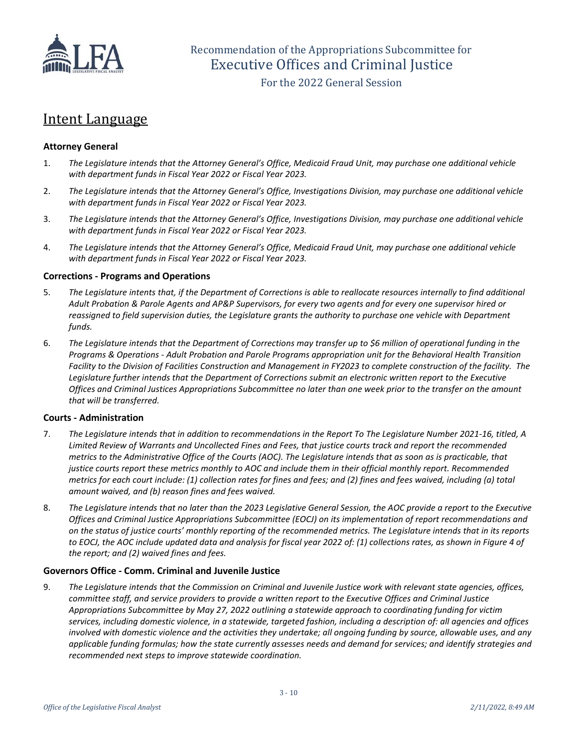

For the 2022 General Session

## Intent Language

#### **Attorney General**

- *The Legislature intends that the Attorney General's Office, Medicaid Fraud Unit, may purchase one additional vehicle with department funds in Fiscal Year 2022 or Fiscal Year 2023.* 1.
- *The Legislature intends that the Attorney General's Office, Investigations Division, may purchase one additional vehicle with department funds in Fiscal Year 2022 or Fiscal Year 2023.* 2.
- *The Legislature intends that the Attorney General's Office, Investigations Division, may purchase one additional vehicle with department funds in Fiscal Year 2022 or Fiscal Year 2023.* 3.
- *The Legislature intends that the Attorney General's Office, Medicaid Fraud Unit, may purchase one additional vehicle with department funds in Fiscal Year 2022 or Fiscal Year 2023.* 4.

#### **Corrections ‐ Programs and Operations**

- *The Legislature intents that, if the Department of Corrections is able to reallocate resources internally to find additional Adult Probation & Parole Agents and AP&P Supervisors, for every two agents and for every one supervisor hired or reassigned to field supervision duties, the Legislature grants the authority to purchase one vehicle with Department funds.* 5.
- *The Legislature intends that the Department of Corrections may transfer up to \$6 million of operational funding in the Programs & Operations ‐ Adult Probation and Parole Programs appropriation unit for the Behavioral Health Transition Facility to the Division of Facilities Construction and Management in FY2023 to complete construction of the facility. The Legislature further intends that the Department of Corrections submit an electronic written report to the Executive Offices and Criminal Justices Appropriations Subcommittee no later than one week prior to the transfer on the amount that will be transferred.* 6.

#### **Courts ‐ Administration**

- *The Legislature intends that in addition to recommendations in the Report To The Legislature Number 2021‐16, titled, A Limited Review of Warrants and Uncollected Fines and Fees, that justice courts track and report the recommended metrics to the Administrative Office of the Courts (AOC). The Legislature intends that as soon as is practicable, that justice courts report these metrics monthly to AOC and include them in their official monthly report. Recommended metrics for each court include: (1) collection rates for fines and fees; and (2) fines and fees waived, including (a) total amount waived, and (b) reason fines and fees waived.* 7.
- *The Legislature intends that no later than the 2023 Legislative General Session, the AOC provide a report to the Executive Offices and Criminal Justice Appropriations Subcommittee (EOCJ) on its implementation of report recommendations and on the status of justice courts' monthly reporting of the recommended metrics. The Legislature intends that in its reports to EOCJ, the AOC include updated data and analysis for fiscal year 2022 of: (1) collections rates, as shown in Figure 4 of the report; and (2) waived fines and fees.* 8.

#### **Governors Office ‐ Comm. Criminal and Juvenile Justice**

*The Legislature intends that the Commission on Criminal and Juvenile Justice work with relevant state agencies, offices, committee staff, and service providers to provide a written report to the Executive Offices and Criminal Justice Appropriations Subcommittee by May 27, 2022 outlining a statewide approach to coordinating funding for victim services, including domestic violence, in a statewide, targeted fashion, including a description of: all agencies and offices involved with domestic violence and the activities they undertake; all ongoing funding by source, allowable uses, and any applicable funding formulas; how the state currently assesses needs and demand for services; and identify strategies and recommended next steps to improve statewide coordination.* 9.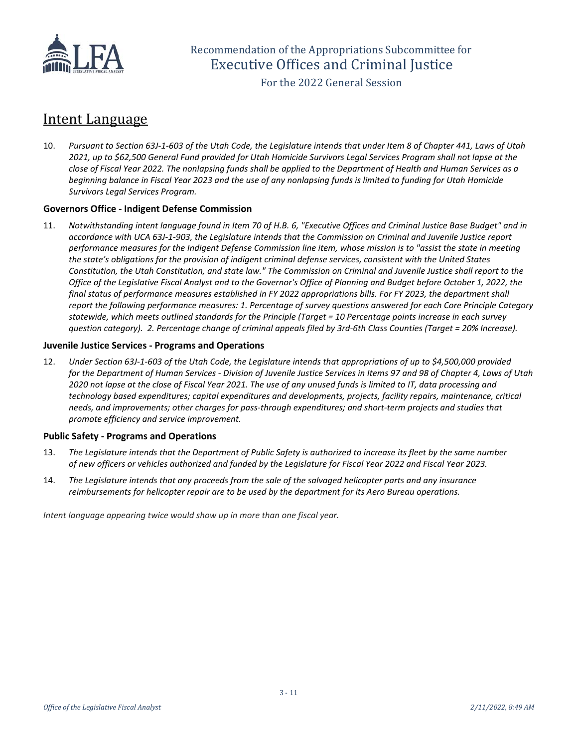

For the 2022 General Session

## Intent Language

*Pursuant to Section 63J‐1‐603 of the Utah Code, the Legislature intends that under Item 8 of Chapter 441, Laws of Utah 2021, up to \$62,500 General Fund provided for Utah Homicide Survivors Legal Services Program shall not lapse at the close of Fiscal Year 2022. The nonlapsing funds shall be applied to the Department of Health and Human Services as a beginning balance in Fiscal Year 2023 and the use of any nonlapsing funds is limited to funding for Utah Homicide Survivors Legal Services Program.* 10.

#### **Governors Office ‐ Indigent Defense Commission**

*Notwithstanding intent language found in Item 70 of H.B. 6, "Executive Offices and Criminal Justice Base Budget" and in accordance with UCA 63J‐1‐903, the Legislature intends that the Commission on Criminal and Juvenile Justice report performance measures for the Indigent Defense Commission line item, whose mission is to "assist the state in meeting the state's obligations for the provision of indigent criminal defense services, consistent with the United States Constitution, the Utah Constitution, and state law." The Commission on Criminal and Juvenile Justice shall report to the Office of the Legislative Fiscal Analyst and to the Governor's Office of Planning and Budget before October 1, 2022, the final status of performance measures established in FY 2022 appropriations bills. For FY 2023, the department shall report the following performance measures: 1. Percentage of survey questions answered for each Core Principle Category statewide, which meets outlined standards for the Principle (Target = 10 Percentage points increase in each survey question category). 2. Percentage change of criminal appeals filed by 3rd‐6th Class Counties (Target = 20% Increase).* 11.

#### **Juvenile Justice Services ‐ Programs and Operations**

*Under Section 63J‐1‐603 of the Utah Code, the Legislature intends that appropriations of up to \$4,500,000 provided for the Department of Human Services ‐ Division of Juvenile Justice Services in Items 97 and 98 of Chapter 4, Laws of Utah 2020 not lapse at the close of Fiscal Year 2021. The use of any unused funds is limited to IT, data processing and technology based expenditures; capital expenditures and developments, projects, facility repairs, maintenance, critical needs, and improvements; other charges for pass‐through expenditures; and short‐term projects and studies that promote efficiency and service improvement.* 12.

#### **Public Safety ‐ Programs and Operations**

- *The Legislature intends that the Department of Public Safety is authorized to increase its fleet by the same number of new officers or vehicles authorized and funded by the Legislature for Fiscal Year 2022 and Fiscal Year 2023.* 13.
- *The Legislature intends that any proceeds from the sale of the salvaged helicopter parts and any insurance reimbursements for helicopter repair are to be used by the department for its Aero Bureau operations.* 14.

*Intent language appearing twice would show up in more than one fiscal year.*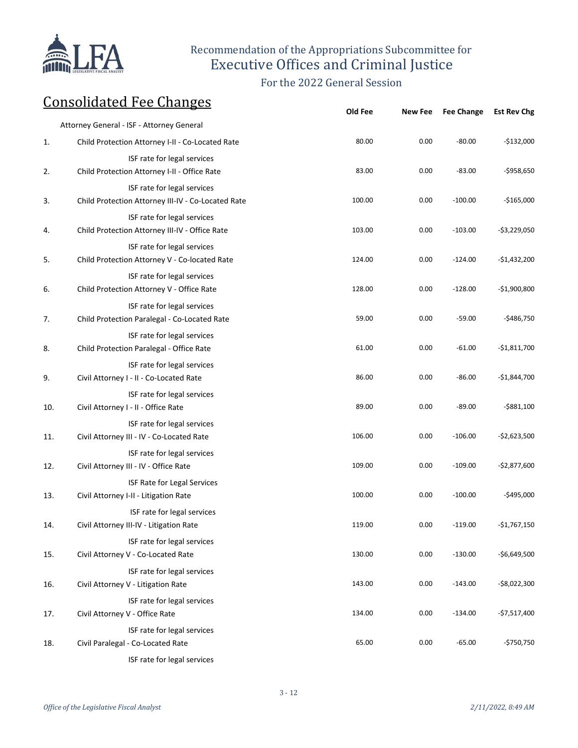

For the 2022 General Session

# **Consolidated Fee Changes** Consolidated Fee Changes Consolidated Fee Changes Consolidated Fee Changes Consolidated Fee Changes Consolidated Fee Changes Consolidated Fee Changes Consolidated Fee Changes Consolidated Fee Cha

|     |                                                                                   | Old Fee | <b>New Fee</b> | <b>Fee Change</b> | <b>EST KEV CNG</b> |
|-----|-----------------------------------------------------------------------------------|---------|----------------|-------------------|--------------------|
|     | Attorney General - ISF - Attorney General                                         |         |                |                   |                    |
| 1.  | Child Protection Attorney I-II - Co-Located Rate                                  | 80.00   | 0.00           | $-80.00$          | $-$132,000$        |
| 2.  | ISF rate for legal services<br>Child Protection Attorney I-II - Office Rate       | 83.00   | 0.00           | $-83.00$          | -\$958,650         |
| 3.  | ISF rate for legal services<br>Child Protection Attorney III-IV - Co-Located Rate | 100.00  | 0.00           | $-100.00$         | $-$165,000$        |
| 4.  | ISF rate for legal services<br>Child Protection Attorney III-IV - Office Rate     | 103.00  | 0.00           | $-103.00$         | $-53,229,050$      |
| 5.  | ISF rate for legal services<br>Child Protection Attorney V - Co-located Rate      | 124.00  | 0.00           | $-124.00$         | -\$1,432,200       |
| 6.  | ISF rate for legal services<br>Child Protection Attorney V - Office Rate          | 128.00  | 0.00           | $-128.00$         | $-$1,900,800$      |
| 7.  | ISF rate for legal services<br>Child Protection Paralegal - Co-Located Rate       | 59.00   | 0.00           | $-59.00$          | $-$486,750$        |
| 8.  | ISF rate for legal services<br>Child Protection Paralegal - Office Rate           | 61.00   | 0.00           | $-61.00$          | $-$1,811,700$      |
| 9.  | ISF rate for legal services<br>Civil Attorney I - II - Co-Located Rate            | 86.00   | 0.00           | $-86.00$          | -\$1,844,700       |
| 10. | ISF rate for legal services<br>Civil Attorney I - II - Office Rate                | 89.00   | 0.00           | $-89.00$          | $-5881,100$        |
| 11. | ISF rate for legal services<br>Civil Attorney III - IV - Co-Located Rate          | 106.00  | 0.00           | $-106.00$         | $-52,623,500$      |
| 12. | ISF rate for legal services<br>Civil Attorney III - IV - Office Rate              | 109.00  | 0.00           | $-109.00$         | $-$2,877,600$      |
| 13. | ISF Rate for Legal Services<br>Civil Attorney I-II - Litigation Rate              | 100.00  | 0.00           | $-100.00$         | $-$495,000$        |
| 14. | ISF rate for legal services<br>Civil Attorney III-IV - Litigation Rate            | 119.00  | 0.00           | $-119.00$         | $-$1,767,150$      |
| 15. | ISF rate for legal services<br>Civil Attorney V - Co-Located Rate                 | 130.00  | 0.00           | $-130.00$         | $-$6,649,500$      |
| 16. | ISF rate for legal services<br>Civil Attorney V - Litigation Rate                 | 143.00  | 0.00           | $-143.00$         | $-58,022,300$      |
| 17. | ISF rate for legal services<br>Civil Attorney V - Office Rate                     | 134.00  | 0.00           | $-134.00$         | $-$7,517,400$      |
| 18. | ISF rate for legal services<br>Civil Paralegal - Co-Located Rate                  | 65.00   | 0.00           | $-65.00$          | $-$750,750$        |
|     | ISF rate for legal services                                                       |         |                |                   |                    |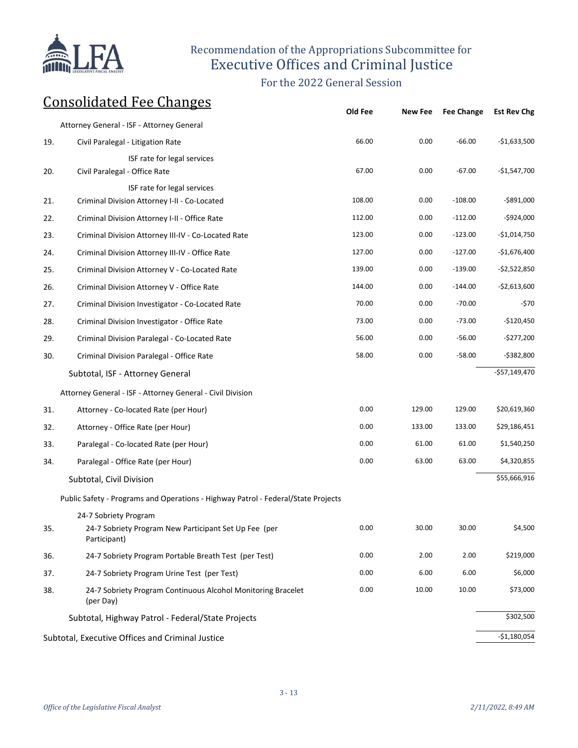

For the 2022 General Session

# **Consolidated Fee Changes** Consolidated Fee Changes

|     |                                                                                   | Old Fee | New Fee | <b>Fee Change</b> | <b>Est Rev Chg</b> |
|-----|-----------------------------------------------------------------------------------|---------|---------|-------------------|--------------------|
|     | Attorney General - ISF - Attorney General                                         |         |         |                   |                    |
| 19. | Civil Paralegal - Litigation Rate                                                 | 66.00   | 0.00    | $-66.00$          | $-$1,633,500$      |
|     | ISF rate for legal services                                                       |         |         |                   |                    |
| 20. | Civil Paralegal - Office Rate                                                     | 67.00   | 0.00    | $-67.00$          | $-$1,547,700$      |
|     | ISF rate for legal services                                                       |         |         |                   |                    |
| 21. | Criminal Division Attorney I-II - Co-Located                                      | 108.00  | 0.00    | $-108.00$         | $-$ \$891,000      |
| 22. | Criminal Division Attorney I-II - Office Rate                                     | 112.00  | 0.00    | $-112.00$         | $-$924,000$        |
| 23. | Criminal Division Attorney III-IV - Co-Located Rate                               | 123.00  | 0.00    | $-123.00$         | $-$1,014,750$      |
| 24. | Criminal Division Attorney III-IV - Office Rate                                   | 127.00  | 0.00    | $-127.00$         | $-$1,676,400$      |
| 25. | Criminal Division Attorney V - Co-Located Rate                                    | 139.00  | 0.00    | $-139.00$         | $-52,522,850$      |
| 26. | Criminal Division Attorney V - Office Rate                                        | 144.00  | 0.00    | $-144.00$         | $-52,613,600$      |
| 27. | Criminal Division Investigator - Co-Located Rate                                  | 70.00   | 0.00    | $-70.00$          | -\$70              |
| 28. | Criminal Division Investigator - Office Rate                                      | 73.00   | 0.00    | $-73.00$          | $-$120,450$        |
| 29. | Criminal Division Paralegal - Co-Located Rate                                     | 56.00   | 0.00    | $-56.00$          | $-5277,200$        |
| 30. | Criminal Division Paralegal - Office Rate                                         | 58.00   | 0.00    | $-58.00$          | $-5382,800$        |
|     | Subtotal, ISF - Attorney General                                                  |         |         |                   | $-$57,149,470$     |
|     | Attorney General - ISF - Attorney General - Civil Division                        |         |         |                   |                    |
| 31. | Attorney - Co-located Rate (per Hour)                                             | 0.00    | 129.00  | 129.00            | \$20,619,360       |
| 32. | Attorney - Office Rate (per Hour)                                                 | 0.00    | 133.00  | 133.00            | \$29,186,451       |
| 33. | Paralegal - Co-located Rate (per Hour)                                            | 0.00    | 61.00   | 61.00             | \$1,540,250        |
| 34. | Paralegal - Office Rate (per Hour)                                                | 0.00    | 63.00   | 63.00             | \$4,320,855        |
|     | Subtotal, Civil Division                                                          |         |         |                   | \$55,666,916       |
|     | Public Safety - Programs and Operations - Highway Patrol - Federal/State Projects |         |         |                   |                    |
|     | 24-7 Sobriety Program                                                             |         |         |                   |                    |
| 35. | 24-7 Sobriety Program New Participant Set Up Fee (per<br>Participant)             | 0.00    | 30.00   | 30.00             | \$4,500            |
| 36. | 24-7 Sobriety Program Portable Breath Test (per Test)                             | 0.00    | 2.00    | 2.00              | \$219,000          |
| 37. | 24-7 Sobriety Program Urine Test (per Test)                                       | 0.00    | 6.00    | 6.00              | \$6,000            |
| 38. | 24-7 Sobriety Program Continuous Alcohol Monitoring Bracelet<br>(per Day)         | 0.00    | 10.00   | 10.00             | \$73,000           |
|     | Subtotal, Highway Patrol - Federal/State Projects                                 |         |         |                   | \$302,500          |
|     | Subtotal, Executive Offices and Criminal Justice                                  |         |         |                   | $-$1,180,054$      |
|     |                                                                                   |         |         |                   |                    |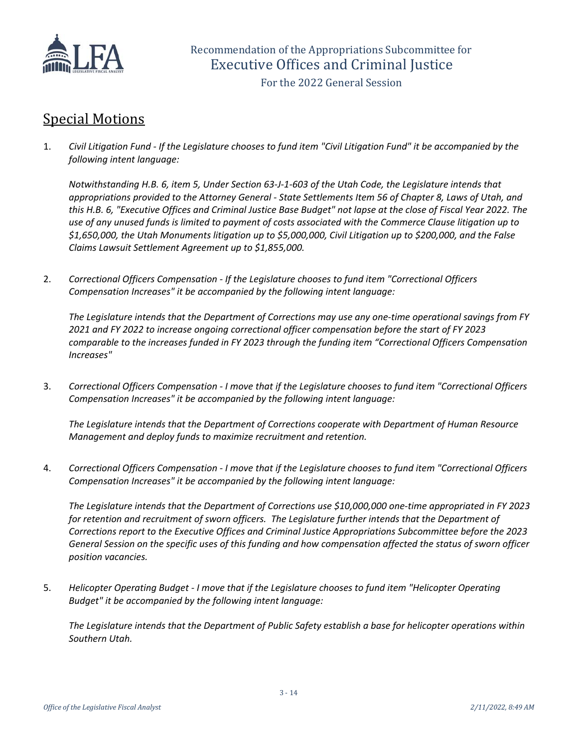

For the 2022 General Session

# Special Motions

*Civil Litigation Fund ‐ If the Legislature chooses to fund item "Civil Litigation Fund" it be accompanied by the following intent language:* 1.

*Notwithstanding H.B. 6, item 5, Under Section 63‐J‐1‐603 of the Utah Code, the Legislature intends that appropriations provided to the Attorney General ‐ State Settlements Item 56 of Chapter 8, Laws of Utah, and this H.B. 6, "Executive Offices and Criminal Justice Base Budget" not lapse at the close of Fiscal Year 2022. The use of any unused funds is limited to payment of costs associated with the Commerce Clause litigation up to \$1,650,000, the Utah Monuments litigation up to \$5,000,000, Civil Litigation up to \$200,000, and the False Claims Lawsuit Settlement Agreement up to \$1,855,000.*

*Correctional Officers Compensation ‐ If the Legislature chooses to fund item "Correctional Officers Compensation Increases" it be accompanied by the following intent language:* 2.

*The Legislature intends that the Department of Corrections may use any one‐time operational savings from FY 2021 and FY 2022 to increase ongoing correctional officer compensation before the start of FY 2023 comparable to the increases funded in FY 2023 through the funding item "Correctional Officers Compensation Increases"*

*Correctional Officers Compensation ‐ I move that if the Legislature chooses to fund item "Correctional Officers Compensation Increases" it be accompanied by the following intent language:* 3.

*The Legislature intends that the Department of Corrections cooperate with Department of Human Resource Management and deploy funds to maximize recruitment and retention.*

*Correctional Officers Compensation ‐ I move that if the Legislature chooses to fund item "Correctional Officers Compensation Increases" it be accompanied by the following intent language:* 4.

*The Legislature intends that the Department of Corrections use \$10,000,000 one‐time appropriated in FY 2023 for retention and recruitment of sworn officers. The Legislature further intends that the Department of Corrections report to the Executive Offices and Criminal Justice Appropriations Subcommittee before the 2023 General Session on the specific uses of this funding and how compensation affected the status of sworn officer position vacancies.* 

*Helicopter Operating Budget ‐ I move that if the Legislature chooses to fund item "Helicopter Operating Budget" it be accompanied by the following intent language:* 5.

*The Legislature intends that the Department of Public Safety establish a base for helicopter operations within Southern Utah.*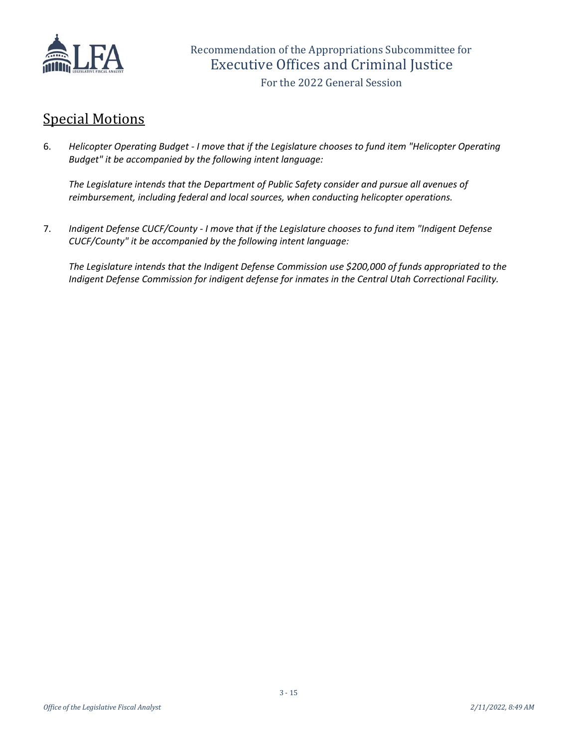

For the 2022 General Session

# Special Motions

*Helicopter Operating Budget ‐ I move that if the Legislature chooses to fund item "Helicopter Operating Budget" it be accompanied by the following intent language:* 6.

*The Legislature intends that the Department of Public Safety consider and pursue all avenues of reimbursement, including federal and local sources, when conducting helicopter operations.* 

*Indigent Defense CUCF/County ‐ I move that if the Legislature chooses to fund item "Indigent Defense CUCF/County" it be accompanied by the following intent language:* 7.

*The Legislature intends that the Indigent Defense Commission use \$200,000 of funds appropriated to the Indigent Defense Commission for indigent defense for inmates in the Central Utah Correctional Facility.*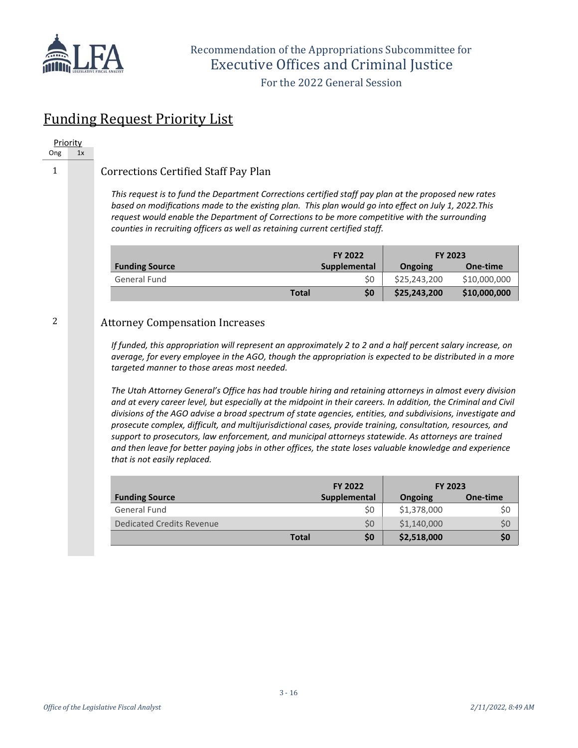

For the 2022 General Session

# Funding Request Priority List

#### 1 Corrections Certified Staff Pay Plan

*This request is to fund the Department Corrections certified staff pay plan at the proposed new rates based on modificaƟons made to the exisƟng plan. This plan would go into effect on July 1, 2022.This request would enable the Department of Corrections to be more competitive with the surrounding counties in recruiting officers as well as retaining current certified staff.*

|                       | <b>FY 2022</b> | <b>FY 2023</b> |              |
|-----------------------|----------------|----------------|--------------|
| <b>Funding Source</b> | Supplemental   | Ongoing        | One-time     |
| General Fund          | Ś0.            | \$25,243,200   | \$10,000,000 |
|                       | \$0<br>Total   | \$25,243,200   | \$10,000,000 |

#### 2 Attorney Compensation Increases

*If funded, this appropriation will represent an approximately 2 to 2 and a half percent salary increase, on average, for every employee in the AGO, though the appropriation is expected to be distributed in a more targeted manner to those areas most needed.*

*The Utah Attorney General's Office has had trouble hiring and retaining attorneys in almost every division and at every career level, but especially at the midpoint in their careers. In addition, the Criminal and Civil divisions of the AGO advise a broad spectrum of state agencies, entities, and subdivisions, investigate and prosecute complex, difficult, and multijurisdictional cases, provide training, consultation, resources, and support to prosecutors, law enforcement, and municipal attorneys statewide. As attorneys are trained and then leave for better paying jobs in other offices, the state loses valuable knowledge and experience that is not easily replaced.*

|                           |              | <b>FY 2022</b> | <b>FY 2023</b> |          |
|---------------------------|--------------|----------------|----------------|----------|
| <b>Funding Source</b>     |              | Supplemental   | Ongoing        | One-time |
| General Fund              |              | \$0            | \$1,378,000    | \$0      |
| Dedicated Credits Revenue |              | \$0            | \$1,140,000    | \$0      |
|                           | <b>Total</b> | \$0            | \$2,518,000    | \$0      |

Ong 1x Priority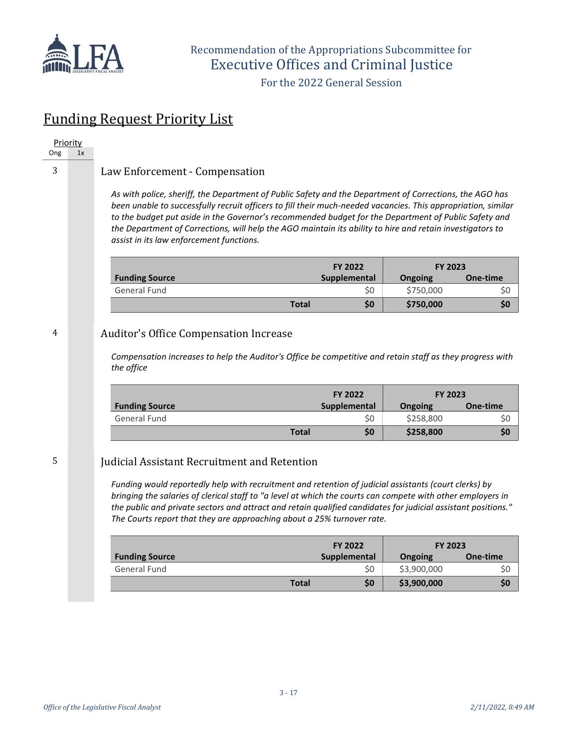

## Recommendation of the Appropriations Subcommittee for Executive Offices and Criminal Justice

For the 2022 General Session

# Funding Request Priority List

#### 3 Law Enforcement - Compensation

*As with police, sheriff, the Department of Public Safety and the Department of Corrections, the AGO has been unable to successfully recruit officers to fill their much‐needed vacancies. This appropriation, similar*  to the budget put aside in the Governor's recommended budget for the Department of Public Safety and *the Department of Corrections, will help the AGO maintain its ability to hire and retain investigators to assist in its law enforcement functions.*

|                       | <b>FY 2022</b> | <b>FY 2023</b> |          |
|-----------------------|----------------|----------------|----------|
| <b>Funding Source</b> | Supplemental   | Ongoing        | One-time |
| General Fund          | SO.            | \$750,000      | \$0      |
|                       | \$0<br>Total   | \$750,000      | \$0      |

#### 4 Auditor's Office Compensation Increase

*Compensation increases to help the Auditor's Office be competitive and retain staff as they progress with the office*

|                       |              | <b>FY 2022</b> | <b>FY 2023</b> |          |
|-----------------------|--------------|----------------|----------------|----------|
| <b>Funding Source</b> |              | Supplemental   | Ongoing        | One-time |
| General Fund          |              | \$0            | \$258,800      | Ś0       |
|                       | <b>Total</b> | \$0            | \$258,800      | \$0      |

#### 5 Judicial Assistant Recruitment and Retention

*Funding would reportedly help with recruitment and retention of judicial assistants (court clerks) by bringing the salaries of clerical staff to "a level at which the courts can compete with other employers in the public and private sectors and attract and retain qualified candidates for judicial assistant positions." The Courts report that they are approaching about a 25% turnover rate.*

|                       | <b>FY 2022</b> |     | <b>FY 2023</b> |          |
|-----------------------|----------------|-----|----------------|----------|
| <b>Funding Source</b> | Supplemental   |     | Ongoing        | One-time |
| General Fund          |                | SO. | \$3,900,000    | \$0      |
|                       | Total          | \$0 | \$3,900,000    | \$0      |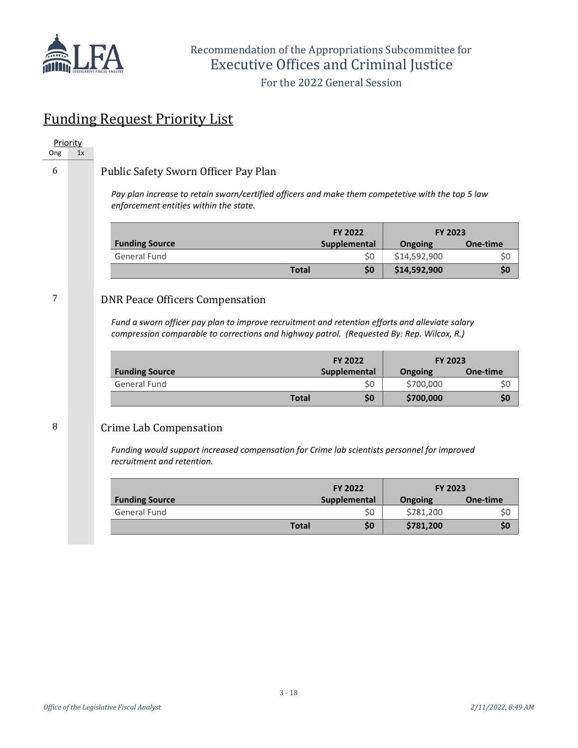

## Recommendation of the Appropriations Subcommittee for Executive Offices and Criminal Justice

For the 2022 General Session

# Funding Request Priority List

#### 6 Public Safety Sworn Officer Pay Plan

*Pay plan increase to retain sworn/certified officers and make them competetive with the top 5 law enforcement entities within the state.*

|                       |              | FY 2022      | <b>FY 2023</b> |          |
|-----------------------|--------------|--------------|----------------|----------|
| <b>Funding Source</b> |              | Supplemental | Ongoing        | One-time |
| General Fund          |              | \$0          | \$14,592,900   |          |
|                       | <b>Total</b> | \$0          | \$14,592,900   | \$0      |

#### 7 DNR Peace Officers Compensation

*Fund a sworn officer pay plan to improve recruitment and retention efforts and alleviate salary compression comparable to corrections and highway patrol. (Requested By: Rep. Wilcox, R.)*

|                       | <b>FY 2022</b>      | <b>FY 2023</b> |          |
|-----------------------|---------------------|----------------|----------|
| <b>Funding Source</b> | Supplemental        | Ongoing        | One-time |
| General Fund          | S0                  | \$700,000      | \$0      |
|                       | \$0<br><b>Total</b> | \$700,000      | \$0      |

#### 8 Crime Lab Compensation

*Funding would support increased compensation for Crime lab scientists personnel for improved recruitment and retention.*

|                       | <b>FY 2022</b>      | FY 2023   |          |
|-----------------------|---------------------|-----------|----------|
| <b>Funding Source</b> | Supplemental        | Ongoing   | One-time |
| General Fund          | \$0                 | \$781,200 | \$0      |
|                       | \$0<br><b>Total</b> | \$781,200 | \$0      |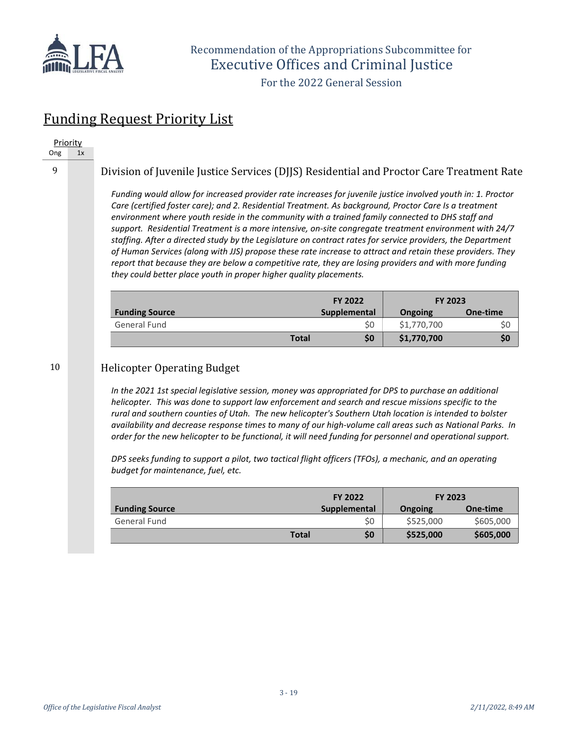

For the 2022 General Session

# Funding Request Priority List

#### Ong 1x Priority

#### 9 Division of Juvenile Justice Services (DJJS) Residential and Proctor Care Treatment Rate

*Funding would allow for increased provider rate increases for juvenile justice involved youth in: 1. Proctor Care (certified foster care); and 2. Residential Treatment. As background, Proctor Care Is a treatment environment where youth reside in the community with a trained family connected to DHS staff and support. Residential Treatment is a more intensive, on‐site congregate treatment environment with 24/7 staffing. After a directed study by the Legislature on contract rates for service providers, the Department of Human Services (along with JJS) propose these rate increase to attract and retain these providers. They report that because they are below a competitive rate, they are losing providers and with more funding they could better place youth in proper higher quality placements.*

|                       |              | <b>FY 2022</b> | <b>FY 2023</b> |          |
|-----------------------|--------------|----------------|----------------|----------|
| <b>Funding Source</b> |              | Supplemental   | Ongoing        | One-time |
| General Fund          |              | \$0            | \$1,770,700    | \$C      |
|                       | <b>Total</b> | \$0            | \$1,770,700    | \$0      |

#### 10 Helicopter Operating Budget

*In the 2021 1st special legislative session, money was appropriated for DPS to purchase an additional helicopter. This was done to support law enforcement and search and rescue missions specific to the rural and southern counties of Utah. The new helicopter's Southern Utah location is intended to bolster availability and decrease response times to many of our high‐volume call areas such as National Parks. In order for the new helicopter to be functional, it will need funding for personnel and operational support.* 

*DPS seeks funding to support a pilot, two tactical flight officers (TFOs), a mechanic, and an operating budget for maintenance, fuel, etc.*

|                       |              | <b>FY 2022</b> | <b>FY 2023</b> |           |
|-----------------------|--------------|----------------|----------------|-----------|
| <b>Funding Source</b> |              | Supplemental   | Ongoing        | One-time  |
| General Fund          |              | \$0            | \$525,000      | \$605,000 |
|                       | <b>Total</b> | \$0            | \$525,000      | \$605,000 |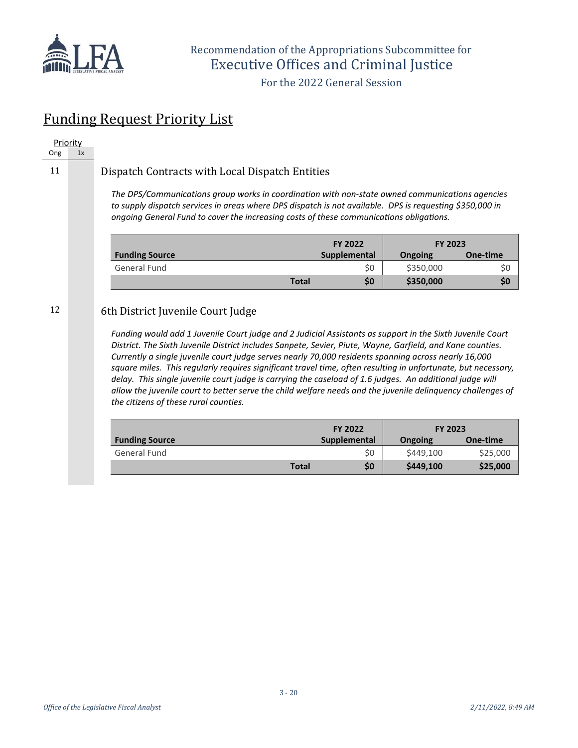

For the 2022 General Session

# Funding Request Priority List

#### Ong 1x **Priority**

## 11 **Dispatch Contracts with Local Dispatch Entities**

*The DPS/Communications group works in coordination with non‐state owned communications agencies to supply dispatch services in areas where DPS dispatch is not available. DPS is requesƟng \$350,000 in*  ongoing General Fund to cover the increasing costs of these communications obligations.

|                       | <b>FY 2022</b>      | <b>FY 2023</b> |          |
|-----------------------|---------------------|----------------|----------|
| <b>Funding Source</b> | Supplemental        | Ongoing        | One-time |
| General Fund          | \$0                 | \$350,000      | \$0      |
|                       | \$0<br><b>Total</b> | \$350,000      | \$0      |

### 12 6th District Juvenile Court Judge

*Funding would add 1 Juvenile Court judge and 2 Judicial Assistants as support in the Sixth Juvenile Court District. The Sixth Juvenile District includes Sanpete, Sevier, Piute, Wayne, Garfield, and Kane counties. Currently a single juvenile court judge serves nearly 70,000 residents spanning across nearly 16,000 square miles. This regularly requires significant travel time, often resulting in unfortunate, but necessary, delay. This single juvenile court judge is carrying the caseload of 1.6 judges. An additional judge will allow the juvenile court to better serve the child welfare needs and the juvenile delinquency challenges of the citizens of these rural counties.*

|                       |              | <b>FY 2022</b> | <b>FY 2023</b> |          |
|-----------------------|--------------|----------------|----------------|----------|
| <b>Funding Source</b> |              | Supplemental   | Ongoing        | One-time |
| General Fund          |              | \$0            | \$449,100      | \$25,000 |
|                       | <b>Total</b> | \$0            | \$449,100      | \$25,000 |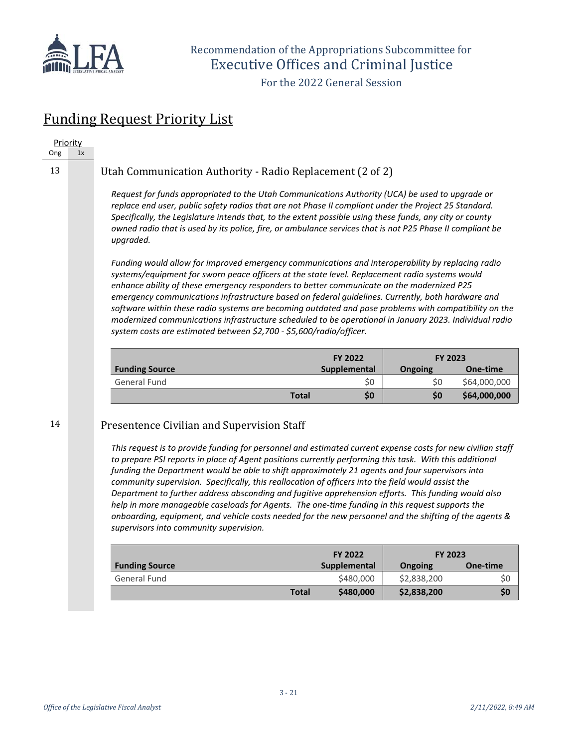

For the 2022 General Session

# Funding Request Priority List

| Ong | Priority<br>1x |                                                                                                                                                                                                                                                                                                                                                                                                                                                                                                                                                                                                                                                                                                                                                                                                                                              |                        |                            |                              |  |  |  |
|-----|----------------|----------------------------------------------------------------------------------------------------------------------------------------------------------------------------------------------------------------------------------------------------------------------------------------------------------------------------------------------------------------------------------------------------------------------------------------------------------------------------------------------------------------------------------------------------------------------------------------------------------------------------------------------------------------------------------------------------------------------------------------------------------------------------------------------------------------------------------------------|------------------------|----------------------------|------------------------------|--|--|--|
| 13  |                | Utah Communication Authority - Radio Replacement (2 of 2)                                                                                                                                                                                                                                                                                                                                                                                                                                                                                                                                                                                                                                                                                                                                                                                    |                        |                            |                              |  |  |  |
|     |                | Request for funds appropriated to the Utah Communications Authority (UCA) be used to upgrade or<br>replace end user, public safety radios that are not Phase II compliant under the Project 25 Standard.<br>Specifically, the Legislature intends that, to the extent possible using these funds, any city or county<br>owned radio that is used by its police, fire, or ambulance services that is not P25 Phase II compliant be<br>upgraded.                                                                                                                                                                                                                                                                                                                                                                                               |                        |                            |                              |  |  |  |
|     |                | Funding would allow for improved emergency communications and interoperability by replacing radio<br>systems/equipment for sworn peace officers at the state level. Replacement radio systems would<br>enhance ability of these emergency responders to better communicate on the modernized P25<br>emergency communications infrastructure based on federal guidelines. Currently, both hardware and<br>software within these radio systems are becoming outdated and pose problems with compatibility on the<br>modernized communications infrastructure scheduled to be operational in January 2023. Individual radio<br>system costs are estimated between \$2,700 - \$5,600/radio/officer.                                                                                                                                              |                        |                            |                              |  |  |  |
|     |                |                                                                                                                                                                                                                                                                                                                                                                                                                                                                                                                                                                                                                                                                                                                                                                                                                                              | <b>FY 2022</b>         | FY 2023                    |                              |  |  |  |
|     |                | <b>Funding Source</b>                                                                                                                                                                                                                                                                                                                                                                                                                                                                                                                                                                                                                                                                                                                                                                                                                        | Supplemental           | Ongoing                    | One-time                     |  |  |  |
|     |                | General Fund<br><b>Total</b>                                                                                                                                                                                                                                                                                                                                                                                                                                                                                                                                                                                                                                                                                                                                                                                                                 | \$0<br>\$0             | \$0<br>\$0                 | \$64,000,000<br>\$64,000,000 |  |  |  |
|     |                |                                                                                                                                                                                                                                                                                                                                                                                                                                                                                                                                                                                                                                                                                                                                                                                                                                              |                        |                            |                              |  |  |  |
| 14  |                | Presentence Civilian and Supervision Staff<br>This request is to provide funding for personnel and estimated current expense costs for new civilian staff<br>to prepare PSI reports in place of Agent positions currently performing this task. With this additional<br>funding the Department would be able to shift approximately 21 agents and four supervisors into<br>community supervision. Specifically, this reallocation of officers into the field would assist the<br>Department to further address absconding and fugitive apprehension efforts. This funding would also<br>help in more manageable caseloads for Agents. The one-time funding in this request supports the<br>onboarding, equipment, and vehicle costs needed for the new personnel and the shifting of the agents &<br>supervisors into community supervision. |                        |                            |                              |  |  |  |
|     |                |                                                                                                                                                                                                                                                                                                                                                                                                                                                                                                                                                                                                                                                                                                                                                                                                                                              | FY 2022                | FY 2023                    |                              |  |  |  |
|     |                | <b>Funding Source</b>                                                                                                                                                                                                                                                                                                                                                                                                                                                                                                                                                                                                                                                                                                                                                                                                                        | Supplemental           | Ongoing                    | One-time                     |  |  |  |
|     |                | General Fund<br><b>Total</b>                                                                                                                                                                                                                                                                                                                                                                                                                                                                                                                                                                                                                                                                                                                                                                                                                 | \$480,000<br>\$480,000 | \$2,838,200<br>\$2,838,200 | \$0<br>\$0                   |  |  |  |
|     |                |                                                                                                                                                                                                                                                                                                                                                                                                                                                                                                                                                                                                                                                                                                                                                                                                                                              |                        |                            |                              |  |  |  |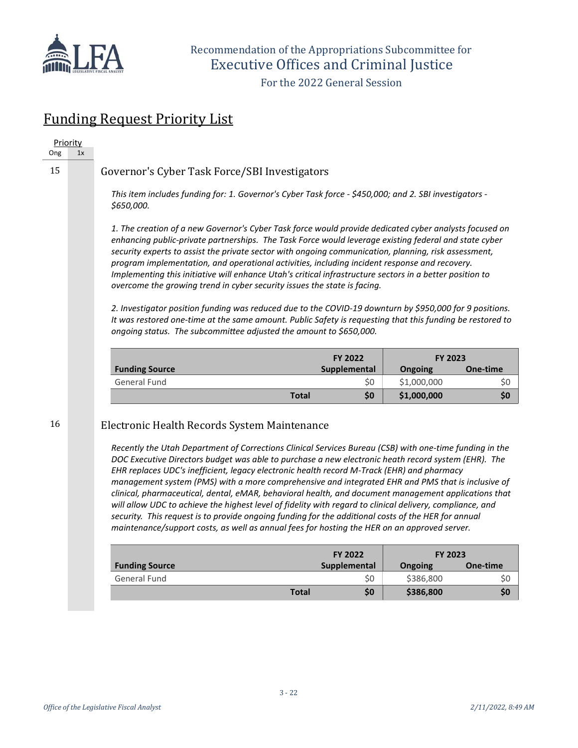

For the 2022 General Session

# Funding Request Priority List

| 15 | Governor's Cyber Task Force/SBI Investigators                                                                                                                                                                                                                                                                                                                                                                                                                                                                                                                                                                                                                                                                                                                                                                                                                                                 |              |                |                        |            |  |
|----|-----------------------------------------------------------------------------------------------------------------------------------------------------------------------------------------------------------------------------------------------------------------------------------------------------------------------------------------------------------------------------------------------------------------------------------------------------------------------------------------------------------------------------------------------------------------------------------------------------------------------------------------------------------------------------------------------------------------------------------------------------------------------------------------------------------------------------------------------------------------------------------------------|--------------|----------------|------------------------|------------|--|
|    | This item includes funding for: 1. Governor's Cyber Task force - \$450,000; and 2. SBI investigators -<br>\$650,000.<br>1. The creation of a new Governor's Cyber Task force would provide dedicated cyber analysts focused on<br>enhancing public-private partnerships. The Task Force would leverage existing federal and state cyber                                                                                                                                                                                                                                                                                                                                                                                                                                                                                                                                                       |              |                |                        |            |  |
|    | security experts to assist the private sector with ongoing communication, planning, risk assessment,<br>program implementation, and operational activities, including incident response and recovery.<br>Implementing this initiative will enhance Utah's critical infrastructure sectors in a better position to<br>overcome the growing trend in cyber security issues the state is facing.                                                                                                                                                                                                                                                                                                                                                                                                                                                                                                 |              |                |                        |            |  |
|    | 2. Investigator position funding was reduced due to the COVID-19 downturn by \$950,000 for 9 positions.<br>It was restored one-time at the same amount. Public Safety is requesting that this funding be restored to<br>ongoing status. The subcommittee adjusted the amount to \$650,000.                                                                                                                                                                                                                                                                                                                                                                                                                                                                                                                                                                                                    |              |                |                        |            |  |
|    |                                                                                                                                                                                                                                                                                                                                                                                                                                                                                                                                                                                                                                                                                                                                                                                                                                                                                               |              | <b>FY 2022</b> | <b>FY 2023</b>         |            |  |
|    | <b>Funding Source</b>                                                                                                                                                                                                                                                                                                                                                                                                                                                                                                                                                                                                                                                                                                                                                                                                                                                                         |              | Supplemental   | Ongoing                | One-time   |  |
|    | <b>General Fund</b>                                                                                                                                                                                                                                                                                                                                                                                                                                                                                                                                                                                                                                                                                                                                                                                                                                                                           |              | \$0            | \$1,000,000            | \$0        |  |
|    |                                                                                                                                                                                                                                                                                                                                                                                                                                                                                                                                                                                                                                                                                                                                                                                                                                                                                               | <b>Total</b> | \$0            | \$1,000,000            | \$0        |  |
| 16 | Electronic Health Records System Maintenance<br>Recently the Utah Department of Corrections Clinical Services Bureau (CSB) with one-time funding in the<br>DOC Executive Directors budget was able to purchase a new electronic heath record system (EHR). The<br>EHR replaces UDC's inefficient, legacy electronic health record M-Track (EHR) and pharmacy<br>management system (PMS) with a more comprehensive and integrated EHR and PMS that is inclusive of<br>clinical, pharmaceutical, dental, eMAR, behavioral health, and document management applications that<br>will allow UDC to achieve the highest level of fidelity with regard to clinical delivery, compliance, and<br>security. This request is to provide ongoing funding for the additional costs of the HER for annual<br>maintenance/support costs, as well as annual fees for hosting the HER on an approved server. |              |                |                        |            |  |
|    |                                                                                                                                                                                                                                                                                                                                                                                                                                                                                                                                                                                                                                                                                                                                                                                                                                                                                               |              | <b>FY 2022</b> | <b>FY 2023</b>         |            |  |
|    | <b>Funding Source</b>                                                                                                                                                                                                                                                                                                                                                                                                                                                                                                                                                                                                                                                                                                                                                                                                                                                                         |              | Supplemental   | <b>Ongoing</b>         | One-time   |  |
|    | General Fund                                                                                                                                                                                                                                                                                                                                                                                                                                                                                                                                                                                                                                                                                                                                                                                                                                                                                  | <b>Total</b> | \$0<br>\$0     | \$386,800<br>\$386,800 | \$0<br>\$0 |  |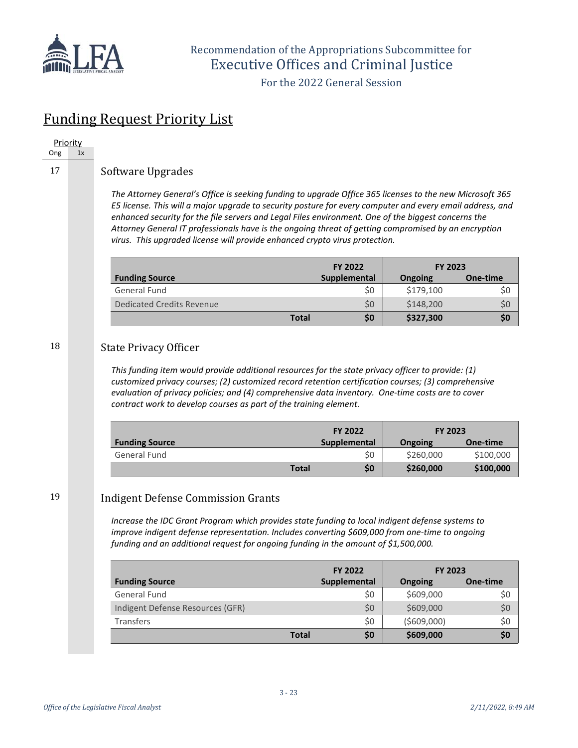

Priority

## Recommendation of the Appropriations Subcommittee for Executive Offices and Criminal Justice

For the 2022 General Session

# Funding Request Priority List

## Ong 1x 17 Software Upgrades *The Attorney General's Office is seeking funding to upgrade Office 365 licenses to the new Microsoft 365 E5 license. This will a major upgrade to security posture for every computer and every email address, and enhanced security for the file servers and Legal Files environment. One of the biggest concerns the Attorney General IT professionals have is the ongoing threat of getting compromised by an encryption virus. This upgraded license will provide enhanced crypto virus protection.* **Supplemental Ongoing One‐time FY 2022 FY 2023 Funding Source** General Fund  $\begin{array}{c|c|c|c|c|c} \mathsf{General}\ \mathsf{Fund} & \mathsf{S} & \mathsf{S} & \mathsf{S} & \mathsf{S} \end{array}$ Dedicated Credits Revenue **1996 128,200 \$0 \$0 \$0 \$148,200 \$0** \$0 \$0 \$0 \$0 \$148.200 \$0 \$0 \$148.200 \$148.200 \$148.200 \$148.200 \$148.200 \$148.200 \$148.200 \$148.200 \$148.200 \$148.200 \$148.200 \$148.200 \$148.200 \$148.200 \$148. **Total \$0 \$327,300 \$0** 18 State Privacy Officer *This funding item would provide additional resources for the state privacy officer to provide: (1) customized privacy courses; (2) customized record retention certification courses; (3) comprehensive evaluation of privacy policies; and (4) comprehensive data inventory. One‐time costs are to cover contract work to develop courses as part of the training element.* **Supplemental Ongoing One‐time FY 2022 FY 2023 Funding Source** General Fund \$260,000 \$100,000 \$100,000 \$100,000 \$100,000 \$100,000 \$100,000 \$100,000 \$100,000 \$100,000 \$100,000 **Total \$0 \$260,000 \$100,000** 19 Indigent Defense Commission Grants *Increase the IDC Grant Program which provides state funding to local indigent defense systems to improve indigent defense representation. Includes converting \$609,000 from one-time to ongoing funding and an additional request for ongoing funding in the amount of \$1,500,000.* **Supplemental Ongoing One‐time FY 2022 FY 2023 Funding Source** General Fund \$609,000 \$0 \$0 Indigent Defense Resources (GFR)  $\lesssim$  609  $\lesssim$  609,000  $\lesssim$  609,000  $\lesssim$  609,000  $\lesssim$  609,000  $\lesssim$  609,000  $\lesssim$  609,000  $\lesssim$  609,000  $\lesssim$  609,000  $\lesssim$  609,000  $\lesssim$  609,000  $\lesssim$  609,000  $\lesssim$  609,0 Transfers (\$609,000) \$0 \$0 **Total \$0 \$609,000 \$0**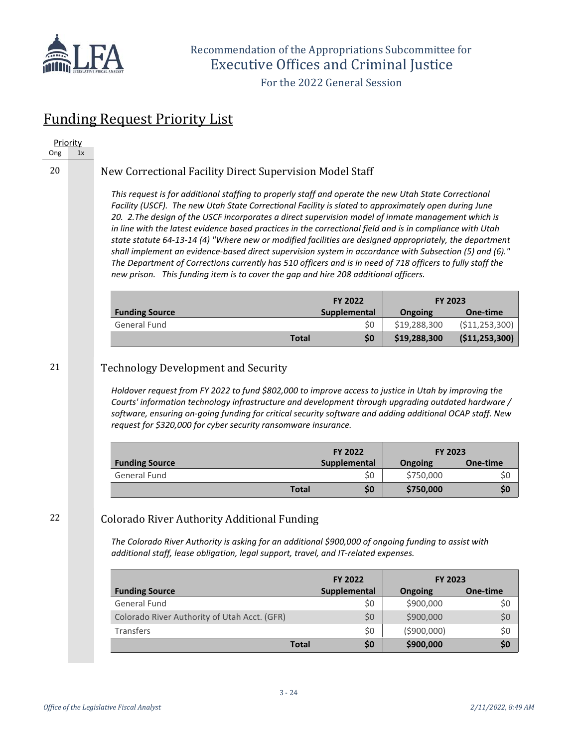

## Recommendation of the Appropriations Subcommittee for Executive Offices and Criminal Justice

For the 2022 General Session

# Funding Request Priority List

#### 20 New Correctional Facility Direct Supervision Model Staff

*This request is for additional staffing to properly staff and operate the new Utah State Correctional*  Facility (USCF). The new Utah State Correctional Facility is slated to approximately open during June *20. 2.The design of the USCF incorporates a direct supervision model of inmate management which is in line with the latest evidence based practices in the correctional field and is in compliance with Utah state statute 64‐13‐14 (4) "Where new or modified facilities are designed appropriately, the department shall implement an evidence‐based direct supervision system in accordance with Subsection (5) and (6)." The Department of Corrections currently has 510 officers and is in need of 718 officers to fully staff the new prison. This funding item is to cover the gap and hire 208 additional officers.*

|                       | <b>FY 2022</b> | <b>FY 2023</b> |                   |
|-----------------------|----------------|----------------|-------------------|
| <b>Funding Source</b> | Supplemental   | Ongoing        | One-time          |
| General Fund          | Ś0             | \$19,288,300   | ( \$11, 253, 300) |
|                       | \$0<br>Total   | \$19,288,300   | (\$11,253,300)    |

#### 21 Technology Development and Security

*Holdover request from FY 2022 to fund \$802,000 to improve access to justice in Utah by improving the Courts' information technology infrastructure and development through upgrading outdated hardware / software, ensuring on‐going funding for critical security software and adding additional OCAP staff. New request for \$320,000 for cyber security ransomware insurance.*

|                       |              | <b>FY 2022</b> | <b>FY 2023</b> |          |
|-----------------------|--------------|----------------|----------------|----------|
| <b>Funding Source</b> |              | Supplemental   | Ongoing        | One-time |
| General Fund          |              | SO.            | \$750,000      | \$0      |
|                       | <b>Total</b> | \$0            | \$750,000      | \$0      |

#### 22 Colorado River Authority Additional Funding

*The Colorado River Authority is asking for an additional \$900,000 of ongoing funding to assist with additional staff, lease obligation, legal support, travel, and IT‐related expenses.*

|                                              | <b>FY 2022</b> | <b>FY 2023</b> |          |
|----------------------------------------------|----------------|----------------|----------|
| <b>Funding Source</b>                        | Supplemental   | Ongoing        | One-time |
| General Fund                                 | \$0            | \$900,000      | \$0      |
| Colorado River Authority of Utah Acct. (GFR) | \$0            | \$900,000      | \$0      |
| <b>Transfers</b>                             | \$0            | ( \$900,000)   | \$0      |
| <b>Total</b>                                 | \$0            | \$900,000      | \$0      |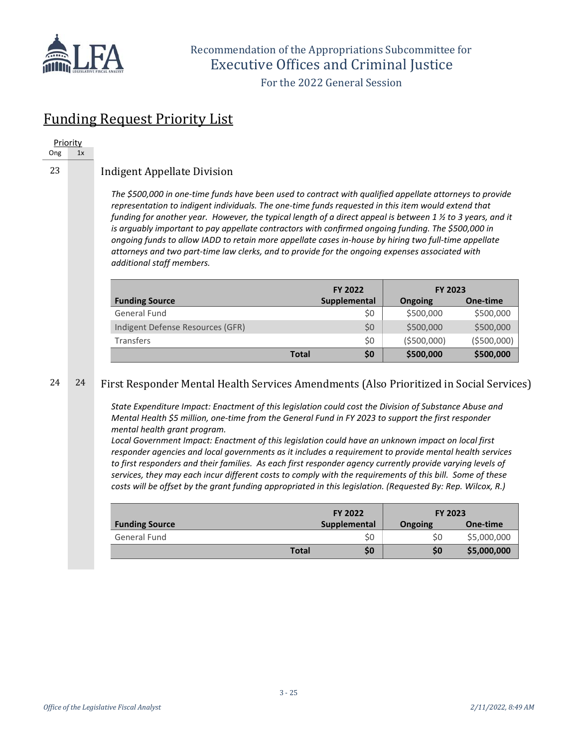

For the 2022 General Session

# Funding Request Priority List

#### $Ong$  1x Priority

23 Indigent Appellate Division

*The \$500,000 in one‐time funds have been used to contract with qualified appellate attorneys to provide representation to indigent individuals. The one‐time funds requested in this item would extend that funding for another year. However, the typical length of a direct appeal is between 1 ½ to 3 years, and it is arguably important to pay appellate contractors with confirmed ongoing funding. The \$500,000 in ongoing funds to allow IADD to retain more appellate cases in‐house by hiring two full‐time appellate attorneys and two part‐time law clerks, and to provide for the ongoing expenses associated with additional staff members.*

|                                  |              | FY 2022      | FY 2023      |              |
|----------------------------------|--------------|--------------|--------------|--------------|
| <b>Funding Source</b>            |              | Supplemental | Ongoing      | One-time     |
| General Fund                     |              | \$0          | \$500,000    | \$500,000    |
| Indigent Defense Resources (GFR) |              | \$0          | \$500,000    | \$500,000    |
| <b>Transfers</b>                 |              | \$0          | ( \$500,000) | ( \$500,000) |
|                                  | <b>Total</b> | \$0          | \$500,000    | \$500,000    |

#### 24 24 First Responder Mental Health Services Amendments (Also Prioritized in Social Services)

*State Expenditure Impact: Enactment of this legislation could cost the Division of Substance Abuse and Mental Health \$5 million, one‐time from the General Fund in FY 2023 to support the first responder mental health grant program.*

*Local Government Impact: Enactment of this legislation could have an unknown impact on local first responder agencies and local governments as it includes a requirement to provide mental health services to first responders and their families. As each first responder agency currently provide varying levels of services, they may each incur different costs to comply with the requirements of this bill. Some of these costs will be offset by the grant funding appropriated in this legislation. (Requested By: Rep. Wilcox, R.)*

|                       |              | <b>FY 2022</b> | <b>FY 2023</b> |             |
|-----------------------|--------------|----------------|----------------|-------------|
| <b>Funding Source</b> |              | Supplemental   | Ongoing        | One-time    |
| General Fund          |              | \$0            | \$0            | \$5,000,000 |
|                       | <b>Total</b> | \$0            | \$0            | \$5,000,000 |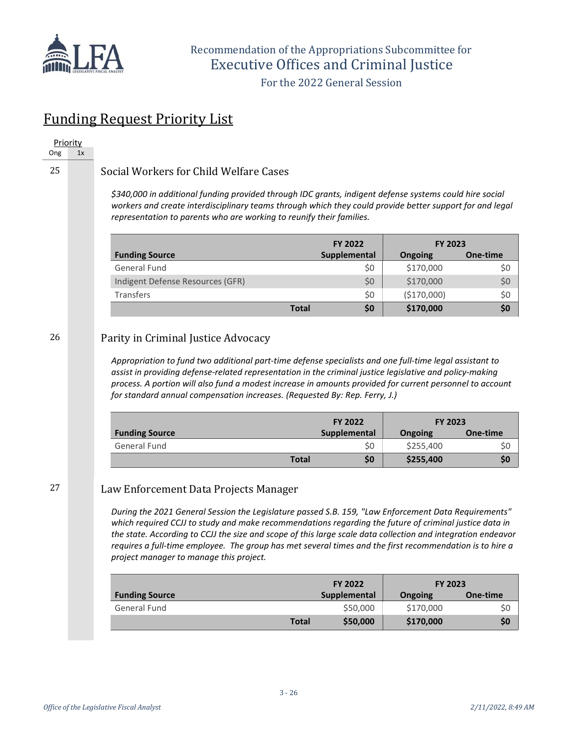

## Recommendation of the Appropriations Subcommittee for Executive Offices and Criminal Justice

For the 2022 General Session

# Funding Request Priority List

#### 25 Social Workers for Child Welfare Cases

*\$340,000 in additional funding provided through IDC grants, indigent defense systems could hire social workers and create interdisciplinary teams through which they could provide better support for and legal representation to parents who are working to reunify their families.*

|                                  | FY 2022      | <b>FY 2023</b> |          |
|----------------------------------|--------------|----------------|----------|
| <b>Funding Source</b>            | Supplemental | Ongoing        | One-time |
| General Fund                     | \$0          | \$170,000      | \$0      |
| Indigent Defense Resources (GFR) | \$0          | \$170,000      | \$0      |
| <b>Transfers</b>                 | \$0          | (\$170,000)    | \$0      |
| Total                            | \$0          | \$170,000      | \$0      |

#### 26 Parity in Criminal Justice Advocacy

*Appropriation to fund two additional part‐time defense specialists and one full‐time legal assistant to assist in providing defense‐related representation in the criminal justice legislative and policy‐making process. A portion will also fund a modest increase in amounts provided for current personnel to account for standard annual compensation increases. (Requested By: Rep. Ferry, J.)*

|                       | <b>FY 2022</b> |           | <b>FY 2023</b> |
|-----------------------|----------------|-----------|----------------|
| <b>Funding Source</b> | Supplemental   | Ongoing   | One-time       |
| General Fund          | SO.            | \$255,400 | S0             |
|                       | Total<br>\$0   | \$255,400 | \$0            |

#### 27 Law Enforcement Data Projects Manager

*During the 2021 General Session the Legislature passed S.B. 159, "Law Enforcement Data Requirements" which required CCJJ to study and make recommendations regarding the future of criminal justice data in the state. According to CCJJ the size and scope of this large scale data collection and integration endeavor requires a full‐time employee. The group has met several times and the first recommendation is to hire a project manager to manage this project.*

|                       | <b>FY 2022</b>           | <b>FY 2023</b> |          |
|-----------------------|--------------------------|----------------|----------|
| <b>Funding Source</b> | Supplemental             | Ongoing        | One-time |
| General Fund          | \$50,000                 | \$170,000      | \$0      |
|                       | \$50,000<br><b>Total</b> | \$170,000      | \$0      |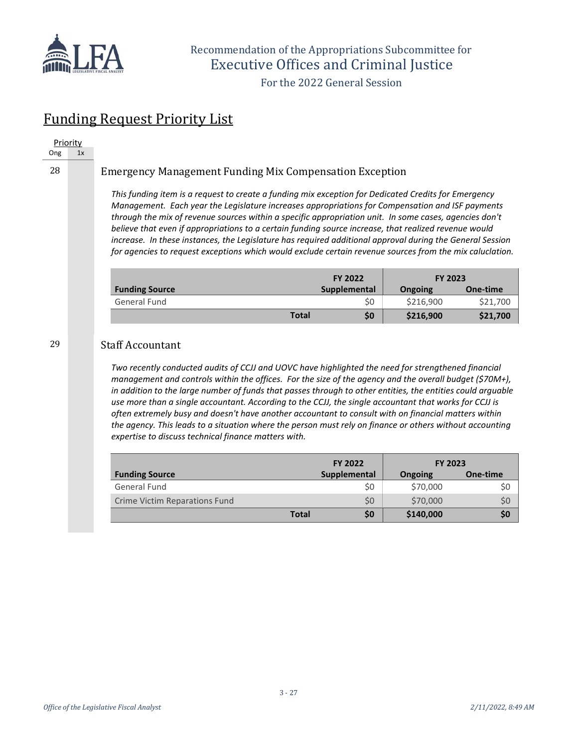

## Recommendation of the Appropriations Subcommittee for Executive Offices and Criminal Justice

For the 2022 General Session

# Funding Request Priority List

#### 28 Emergency Management Funding Mix Compensation Exception

*This funding item is a request to create a funding mix exception for Dedicated Credits for Emergency Management. Each year the Legislature increases appropriations for Compensation and ISF payments through the mix of revenue sources within a specific appropriation unit. In some cases, agencies don't believe that even if appropriations to a certain funding source increase, that realized revenue would increase. In these instances, the Legislature has required additional approval during the General Session for agencies to request exceptions which would exclude certain revenue sources from the mix caluclation.*

|                       |              | FY 2022      | <b>FY 2023</b> |          |
|-----------------------|--------------|--------------|----------------|----------|
| <b>Funding Source</b> |              | Supplemental | Ongoing        | One-time |
| General Fund          |              | \$0          | \$216,900      | \$21,700 |
|                       | <b>Total</b> | \$0          | \$216,900      | \$21,700 |

#### 29 Staff Accountant

*Two recently conducted audits of CCJJ and UOVC have highlighted the need for strengthened financial management and controls within the offices. For the size of the agency and the overall budget (\$70M+), in addition to the large number of funds that passes through to other entities, the entities could arguable use more than a single accountant. According to the CCJJ, the single accountant that works for CCJJ is often extremely busy and doesn't have another accountant to consult with on financial matters within the agency. This leads to a situation where the person must rely on finance or others without accounting expertise to discuss technical finance matters with.*

|                               | <b>FY 2022</b> | <b>FY 2023</b> |          |
|-------------------------------|----------------|----------------|----------|
| <b>Funding Source</b>         | Supplemental   | Ongoing        | One-time |
| General Fund                  | Ś0             | \$70,000       | \$0      |
| Crime Victim Reparations Fund | Ś0             | \$70,000       | \$0      |
| <b>Total</b>                  | \$0            | \$140,000      | \$0      |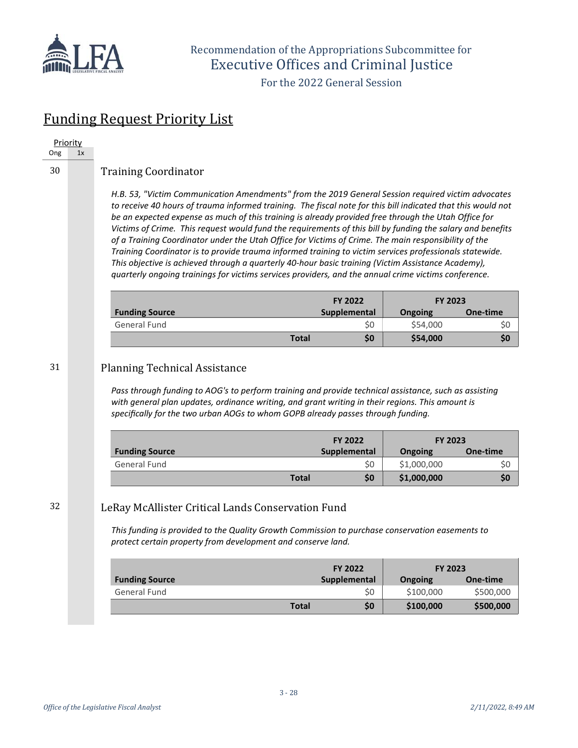

For the 2022 General Session

# Funding Request Priority List

|     | Priority |                                                                                                                                                                                                                                                                                                                                                                                                                                                                                                                                                                                                                                                                                                                                                                                                                                                                           |              |                                |                                  |                        |
|-----|----------|---------------------------------------------------------------------------------------------------------------------------------------------------------------------------------------------------------------------------------------------------------------------------------------------------------------------------------------------------------------------------------------------------------------------------------------------------------------------------------------------------------------------------------------------------------------------------------------------------------------------------------------------------------------------------------------------------------------------------------------------------------------------------------------------------------------------------------------------------------------------------|--------------|--------------------------------|----------------------------------|------------------------|
| Ong | 1x       |                                                                                                                                                                                                                                                                                                                                                                                                                                                                                                                                                                                                                                                                                                                                                                                                                                                                           |              |                                |                                  |                        |
| 30  |          | <b>Training Coordinator</b>                                                                                                                                                                                                                                                                                                                                                                                                                                                                                                                                                                                                                                                                                                                                                                                                                                               |              |                                |                                  |                        |
|     |          | H.B. 53, "Victim Communication Amendments" from the 2019 General Session required victim advocates<br>to receive 40 hours of trauma informed training. The fiscal note for this bill indicated that this would not<br>be an expected expense as much of this training is already provided free through the Utah Office for<br>Victims of Crime. This request would fund the requirements of this bill by funding the salary and benefits<br>of a Training Coordinator under the Utah Office for Victims of Crime. The main responsibility of the<br>Training Coordinator is to provide trauma informed training to victim services professionals statewide.<br>This objective is achieved through a quarterly 40-hour basic training (Victim Assistance Academy),<br>quarterly ongoing trainings for victims services providers, and the annual crime victims conference. |              |                                |                                  |                        |
|     |          |                                                                                                                                                                                                                                                                                                                                                                                                                                                                                                                                                                                                                                                                                                                                                                                                                                                                           |              | FY 2022                        | <b>FY 2023</b>                   |                        |
|     |          | <b>Funding Source</b>                                                                                                                                                                                                                                                                                                                                                                                                                                                                                                                                                                                                                                                                                                                                                                                                                                                     |              | Supplemental                   | Ongoing                          | One-time               |
|     |          | <b>General Fund</b>                                                                                                                                                                                                                                                                                                                                                                                                                                                                                                                                                                                                                                                                                                                                                                                                                                                       |              | \$0                            | \$54,000                         | \$0                    |
|     |          |                                                                                                                                                                                                                                                                                                                                                                                                                                                                                                                                                                                                                                                                                                                                                                                                                                                                           | <b>Total</b> | \$0                            | \$54,000                         | \$0                    |
| 31  |          | <b>Planning Technical Assistance</b>                                                                                                                                                                                                                                                                                                                                                                                                                                                                                                                                                                                                                                                                                                                                                                                                                                      |              |                                |                                  |                        |
|     |          | Pass through funding to AOG's to perform training and provide technical assistance, such as assisting<br>with general plan updates, ordinance writing, and grant writing in their regions. This amount is<br>specifically for the two urban AOGs to whom GOPB already passes through funding.                                                                                                                                                                                                                                                                                                                                                                                                                                                                                                                                                                             |              |                                |                                  |                        |
|     |          | <b>Funding Source</b>                                                                                                                                                                                                                                                                                                                                                                                                                                                                                                                                                                                                                                                                                                                                                                                                                                                     |              | <b>FY 2022</b><br>Supplemental | <b>FY 2023</b><br><b>Ongoing</b> | One-time               |
|     |          | General Fund                                                                                                                                                                                                                                                                                                                                                                                                                                                                                                                                                                                                                                                                                                                                                                                                                                                              |              | \$0                            | \$1,000,000                      | \$0                    |
|     |          |                                                                                                                                                                                                                                                                                                                                                                                                                                                                                                                                                                                                                                                                                                                                                                                                                                                                           | Total        | \$0                            | \$1,000,000                      | \$0                    |
| 32  |          | LeRay McAllister Critical Lands Conservation Fund<br>This funding is provided to the Quality Growth Commission to purchase conservation easements to<br>protect certain property from development and conserve land.                                                                                                                                                                                                                                                                                                                                                                                                                                                                                                                                                                                                                                                      |              |                                |                                  |                        |
|     |          |                                                                                                                                                                                                                                                                                                                                                                                                                                                                                                                                                                                                                                                                                                                                                                                                                                                                           |              | <b>FY 2022</b>                 | <b>FY 2023</b>                   |                        |
|     |          | <b>Funding Source</b>                                                                                                                                                                                                                                                                                                                                                                                                                                                                                                                                                                                                                                                                                                                                                                                                                                                     |              | Supplemental                   | Ongoing                          | One-time               |
|     |          | General Fund                                                                                                                                                                                                                                                                                                                                                                                                                                                                                                                                                                                                                                                                                                                                                                                                                                                              | <b>Total</b> | Ş0<br>\$0                      | \$100,000<br>\$100,000           | \$500,000<br>\$500,000 |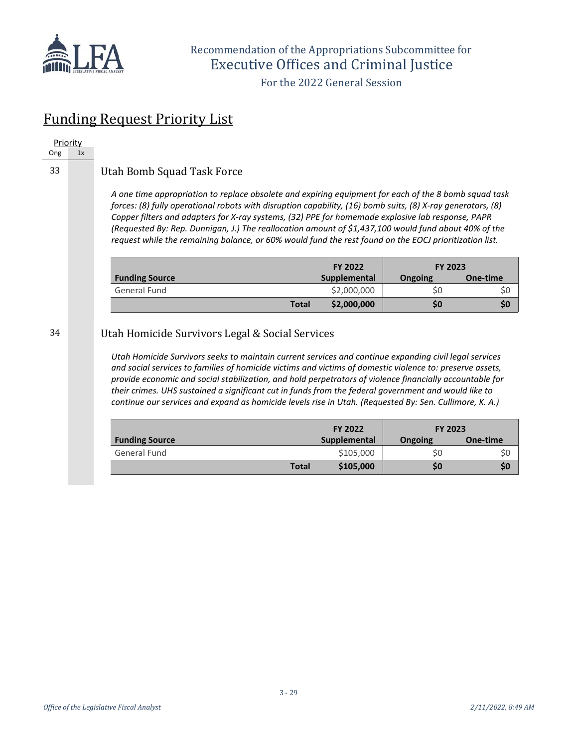

For the 2022 General Session

# Funding Request Priority List

## Ong 1x **Priority** 33 Utah Bomb Squad Task Force *A one time appropriation to replace obsolete and expiring equipment for each of the 8 bomb squad task forces: (8) fully operational robots with disruption capability, (16) bomb suits, (8) X‐ray generators, (8) Copper filters and adapters for X‐ray systems, (32) PPE for homemade explosive lab response, PAPR (Requested By: Rep. Dunnigan, J.) The reallocation amount of \$1,437,100 would fund about 40% of the request while the remaining balance, or 60% would fund the rest found on the EOCJ prioritization list.*

|                       |              | <b>FY 2022</b> | <b>FY 2023</b> |          |
|-----------------------|--------------|----------------|----------------|----------|
| <b>Funding Source</b> |              | Supplemental   | Ongoing        | One-time |
| General Fund          |              | \$2,000,000    | \$0            | \$0      |
|                       | <b>Total</b> | \$2,000,000    | \$0            | \$0      |

#### 34 Utah Homicide Survivors Legal & Social Services

*Utah Homicide Survivors seeks to maintain current services and continue expanding civil legal services and social services to families of homicide victims and victims of domestic violence to: preserve assets, provide economic and social stabilization, and hold perpetrators of violence financially accountable for their crimes. UHS sustained a significant cut in funds from the federal government and would like to continue our services and expand as homicide levels rise in Utah. (Requested By: Sen. Cullimore, K. A.)*

|                       |       | <b>FY 2022</b> | <b>FY 2023</b> |          |
|-----------------------|-------|----------------|----------------|----------|
| <b>Funding Source</b> |       | Supplemental   | Ongoing        | One-time |
| General Fund          |       | \$105,000      | S0             | \$0      |
|                       | Total | \$105,000      | \$0            | \$0      |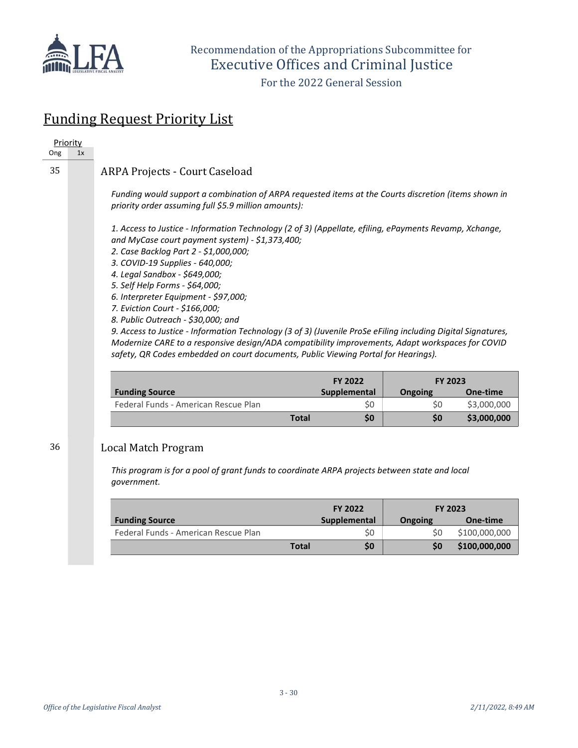

For the 2022 General Session

# Funding Request Priority List

|     | Priority |                                                                                                                                                                                                                                                                                                                                                                                    |                |            |                            |
|-----|----------|------------------------------------------------------------------------------------------------------------------------------------------------------------------------------------------------------------------------------------------------------------------------------------------------------------------------------------------------------------------------------------|----------------|------------|----------------------------|
| Ong | 1x       |                                                                                                                                                                                                                                                                                                                                                                                    |                |            |                            |
| 35  |          | <b>ARPA Projects - Court Caseload</b>                                                                                                                                                                                                                                                                                                                                              |                |            |                            |
|     |          | Funding would support a combination of ARPA requested items at the Courts discretion (items shown in<br>priority order assuming full \$5.9 million amounts):                                                                                                                                                                                                                       |                |            |                            |
|     |          | 1. Access to Justice - Information Technology (2 of 3) (Appellate, efiling, ePayments Revamp, Xchange,<br>and MyCase court payment system) - \$1,373,400;<br>2. Case Backlog Part 2 - \$1,000,000;<br>3. COVID-19 Supplies - 640,000;<br>4. Legal Sandbox - \$649,000;<br>5. Self Help Forms - \$64,000;<br>6. Interpreter Equipment - \$97,000;<br>7. Eviction Court - \$166,000; |                |            |                            |
|     |          | 8. Public Outreach - \$30,000; and<br>9. Access to Justice - Information Technology (3 of 3) (Juvenile ProSe eFiling including Digital Signatures,<br>Modernize CARE to a responsive design/ADA compatibility improvements, Adapt workspaces for COVID<br>safety, QR Codes embedded on court documents, Public Viewing Portal for Hearings).                                       |                |            |                            |
|     |          |                                                                                                                                                                                                                                                                                                                                                                                    |                |            |                            |
|     |          |                                                                                                                                                                                                                                                                                                                                                                                    | <b>FY 2022</b> |            | <b>FY 2023</b>             |
|     |          | <b>Funding Source</b><br>Federal Funds - American Rescue Plan                                                                                                                                                                                                                                                                                                                      | Supplemental   | Ongoing    | One-time                   |
|     |          | <b>Total</b>                                                                                                                                                                                                                                                                                                                                                                       | \$0<br>\$0     | \$0<br>\$0 | \$3,000,000<br>\$3,000,000 |
| 36  |          | Local Match Program<br>This program is for a pool of grant funds to coordinate ARPA projects between state and local<br>government.                                                                                                                                                                                                                                                |                |            |                            |
|     |          |                                                                                                                                                                                                                                                                                                                                                                                    | <b>FY 2022</b> |            | FY 2023                    |
|     |          | <b>Funding Source</b>                                                                                                                                                                                                                                                                                                                                                              | Supplemental   | Ongoing    | One-time                   |
|     |          | Federal Funds - American Rescue Plan                                                                                                                                                                                                                                                                                                                                               | \$0            | \$0        | \$100,000,000              |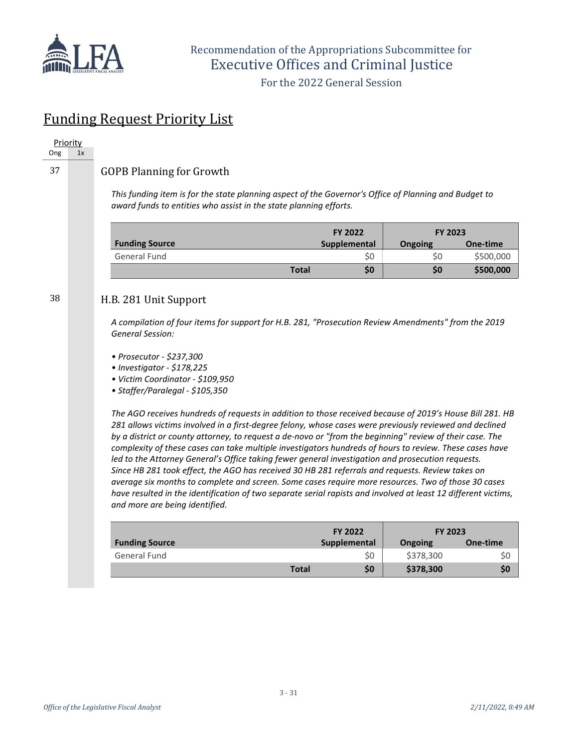

## Recommendation of the Appropriations Subcommittee for Executive Offices and Criminal Justice

For the 2022 General Session

# Funding Request Priority List

## 37 GOPB Planning for Growth

*This funding item is for the state planning aspect of the Governor's Office of Planning and Budget to award funds to entities who assist in the state planning efforts.*

|                       |       | <b>FY 2022</b> | <b>FY 2023</b> |           |
|-----------------------|-------|----------------|----------------|-----------|
| <b>Funding Source</b> |       | Supplemental   | Ongoing        | One-time  |
| General Fund          |       | Ś0             | Ś0             | \$500,000 |
|                       | Total | S0             | \$0            | \$500,000 |

#### 38 H.B. 281 Unit Support

*A compilation of four items for support for H.B. 281, "Prosecution Review Amendments" from the 2019 General Session:*

- *Prosecutor ‐ \$237,300*
- *Investigator ‐ \$178,225*
- *Victim Coordinator ‐ \$109,950*
- *Staffer/Paralegal ‐ \$105,350*

*The AGO receives hundreds of requests in addition to those received because of 2019's House Bill 281. HB 281 allows victims involved in a first‐degree felony, whose cases were previously reviewed and declined by a district or county attorney, to request a de‐novo or "from the beginning" review of their case. The complexity of these cases can take multiple investigators hundreds of hours to review. These cases have led to the Attorney General's Office taking fewer general investigation and prosecution requests. Since HB 281 took effect, the AGO has received 30 HB 281 referrals and requests. Review takes on average six months to complete and screen. Some cases require more resources. Two of those 30 cases have resulted in the identification of two separate serial rapists and involved at least 12 different victims, and more are being identified.*

|                       |       | <b>FY 2022</b> | <b>FY 2023</b> |          |
|-----------------------|-------|----------------|----------------|----------|
| <b>Funding Source</b> |       | Supplemental   | Ongoing        | One-time |
| General Fund          |       | \$0            | \$378,300      |          |
|                       | Total | \$0            | \$378,300      |          |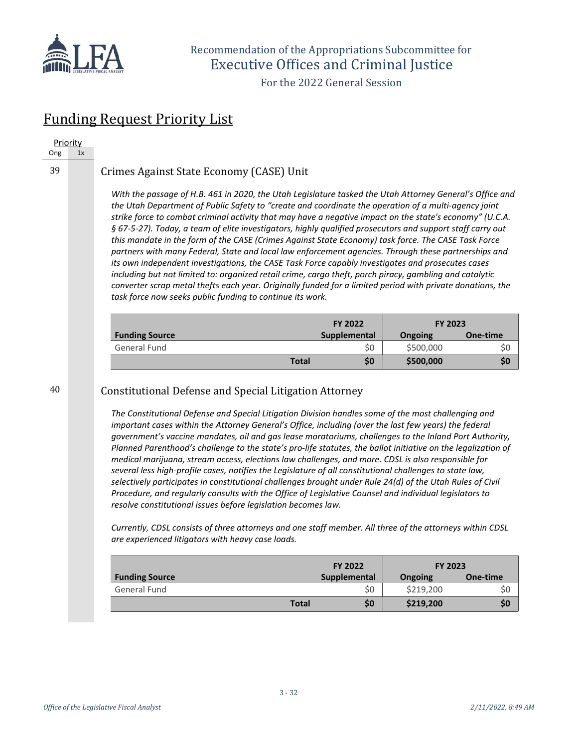

## Recommendation of the Appropriations Subcommittee for Executive Offices and Criminal Justice

For the 2022 General Session

# Funding Request Priority List

39 Crimes Against State Economy (CASE) Unit

With the passage of H.B. 461 in 2020, the Utah Legislature tasked the Utah Attorney General's Office and *the Utah Department of Public Safety to "create and coordinate the operation of a multi‐agency joint strike force to combat criminal activity that may have a negative impact on the state's economy" (U.C.A. § 67‐5‐27). Today, a team of elite investigators, highly qualified prosecutors and support staff carry out this mandate in the form of the CASE (Crimes Against State Economy) task force. The CASE Task Force partners with many Federal, State and local law enforcement agencies. Through these partnerships and its own independent investigations, the CASE Task Force capably investigates and prosecutes cases including but not limited to: organized retail crime, cargo theft, porch piracy, gambling and catalytic converter scrap metal thefts each year. Originally funded for a limited period with private donations, the task force now seeks public funding to continue its work.*

|                       | <b>FY 2022</b> | <b>FY 2023</b> |          |
|-----------------------|----------------|----------------|----------|
| <b>Funding Source</b> | Supplemental   | Ongoing        | One-time |
| General Fund          | \$0            | \$500,000      | SΟ       |
|                       | \$0<br>Total   | \$500,000      | \$0      |

#### 40 Constitutional Defense and Special Litigation Attorney

*The Constitutional Defense and Special Litigation Division handles some of the most challenging and important cases within the Attorney General's Office, including (over the last few years) the federal government's vaccine mandates, oil and gas lease moratoriums, challenges to the Inland Port Authority, Planned Parenthood's challenge to the state's pro‐life statutes, the ballot initiative on the legalization of medical marijuana, stream access, elections law challenges, and more. CDSL is also responsible for several less high‐profile cases, notifies the Legislature of all constitutional challenges to state law, selectively participates in constitutional challenges brought under Rule 24(d) of the Utah Rules of Civil Procedure, and regularly consults with the Office of Legislative Counsel and individual legislators to resolve constitutional issues before legislation becomes law.*

*Currently, CDSL consists of three attorneys and one staff member. All three of the attorneys within CDSL are experienced litigators with heavy case loads.*

|                       |       | <b>FY 2022</b> | <b>FY 2023</b> |          |
|-----------------------|-------|----------------|----------------|----------|
| <b>Funding Source</b> |       | Supplemental   | Ongoing        | One-time |
| General Fund          |       | Ś0             | \$219,200      | \$0      |
|                       | Total | \$0            | \$219,200      | \$0      |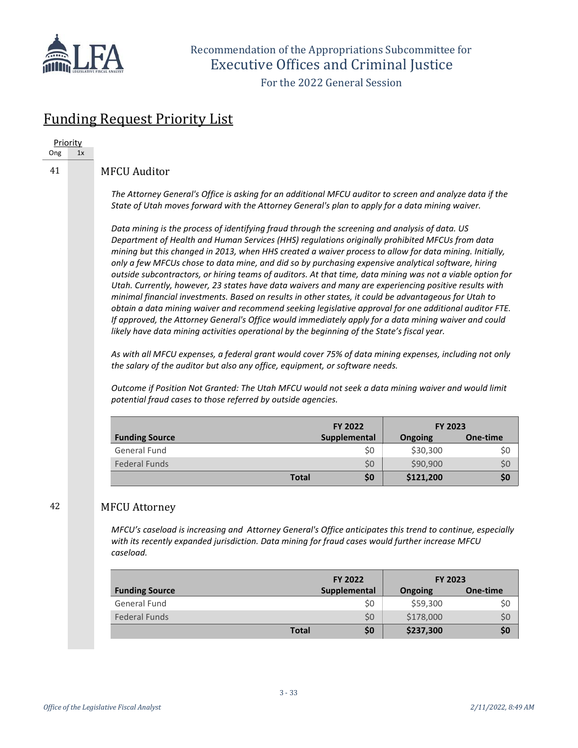

For the 2022 General Session

# Funding Request Priority List

Ong 1x Priority

41 MFCU Auditor

*The Attorney General's Office is asking for an additional MFCU auditor to screen and analyze data if the State of Utah moves forward with the Attorney General's plan to apply for a data mining waiver.*

*Data mining is the process of identifying fraud through the screening and analysis of data. US Department of Health and Human Services (HHS) regulations originally prohibited MFCUs from data mining but this changed in 2013, when HHS created a waiver process to allow for data mining. Initially, only a few MFCUs chose to data mine, and did so by purchasing expensive analytical software, hiring outside subcontractors, or hiring teams of auditors. At that time, data mining was not a viable option for Utah. Currently, however, 23 states have data waivers and many are experiencing positive results with minimal financial investments. Based on results in other states, it could be advantageous for Utah to obtain a data mining waiver and recommend seeking legislative approval for one additional auditor FTE. If approved, the Attorney General's Office would immediately apply for a data mining waiver and could likely have data mining activities operational by the beginning of the State's fiscal year.*

*As with all MFCU expenses, a federal grant would cover 75% of data mining expenses, including not only the salary of the auditor but also any office, equipment, or software needs.*

*Outcome if Position Not Granted: The Utah MFCU would not seek a data mining waiver and would limit potential fraud cases to those referred by outside agencies.*

|                       | <b>FY 2022</b>      | <b>FY 2023</b> |          |
|-----------------------|---------------------|----------------|----------|
| <b>Funding Source</b> | Supplemental        | Ongoing        | One-time |
| General Fund          | \$0                 | \$30,300       | \$0      |
| <b>Federal Funds</b>  | \$0                 | \$90,900       | \$0      |
|                       | \$0<br><b>Total</b> | \$121,200      | \$0      |

#### 42 MFCU Attorney

*MFCU's caseload is increasing and Attorney General's Office anticipates this trend to continue, especially with its recently expanded jurisdiction. Data mining for fraud cases would further increase MFCU caseload.*

|                       | <b>FY 2022</b>      | <b>FY 2023</b> |          |
|-----------------------|---------------------|----------------|----------|
| <b>Funding Source</b> | Supplemental        | Ongoing        | One-time |
| General Fund          | \$0                 | \$59,300       | \$0      |
| <b>Federal Funds</b>  | \$0                 | \$178,000      | \$0      |
|                       | \$0<br><b>Total</b> | \$237,300      | \$0      |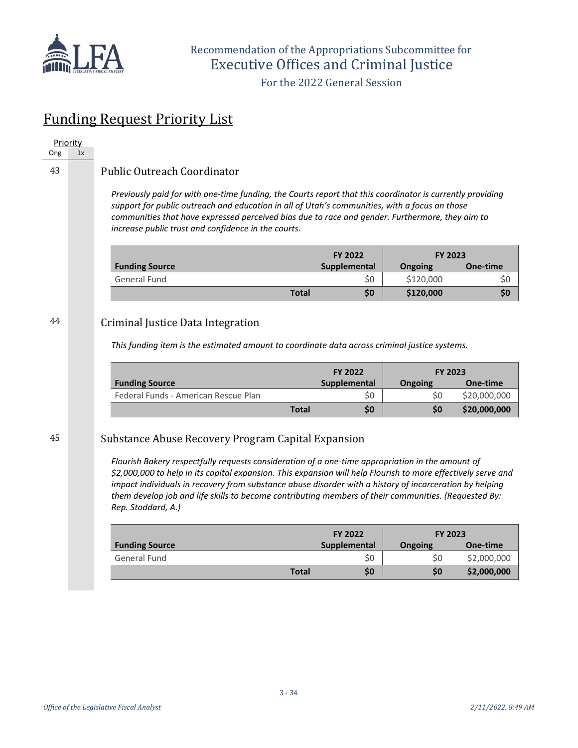

## Recommendation of the Appropriations Subcommittee for Executive Offices and Criminal Justice

For the 2022 General Session

# Funding Request Priority List

#### 43 Public Outreach Coordinator

*Previously paid for with one‐time funding, the Courts report that this coordinator is currently providing support for public outreach and education in all of Utah's communities, with a focus on those communities that have expressed perceived bias due to race and gender. Furthermore, they aim to increase public trust and confidence in the courts.*

|                       | FY 2022      | <b>FY 2023</b> |          |
|-----------------------|--------------|----------------|----------|
| <b>Funding Source</b> | Supplemental | Ongoing        | One-time |
| General Fund          | Ś0           | \$120,000      | \$0      |
|                       | \$0<br>Total | \$120,000      | \$0      |

#### 44 Criminal Justice Data Integration

*This funding item is the estimated amount to coordinate data across criminal justice systems.*

|                                      |              | <b>FY 2022</b> |           | <b>FY 2023</b> |
|--------------------------------------|--------------|----------------|-----------|----------------|
| <b>Funding Source</b>                |              | Supplemental   | Ongoing   | One-time       |
| Federal Funds - American Rescue Plan |              | S0             |           | \$20,000,000   |
|                                      | <b>Total</b> | \$0            | <b>SO</b> | \$20,000,000   |

#### 45 Substance Abuse Recovery Program Capital Expansion

*Flourish Bakery respectfully requests consideration of a one‐time appropriation in the amount of \$2,000,000 to help in its capital expansion. This expansion will help Flourish to more effectively serve and impact individuals in recovery from substance abuse disorder with a history of incarceration by helping them develop job and life skills to become contributing members of their communities. (Requested By: Rep. Stoddard, A.)*

|                       |       | <b>FY 2022</b> | <b>FY 2023</b> |             |
|-----------------------|-------|----------------|----------------|-------------|
| <b>Funding Source</b> |       | Supplemental   | Ongoing        | One-time    |
| General Fund          |       | S0             | Ś0             | \$2,000,000 |
|                       | Total | \$0            | \$0            | \$2,000,000 |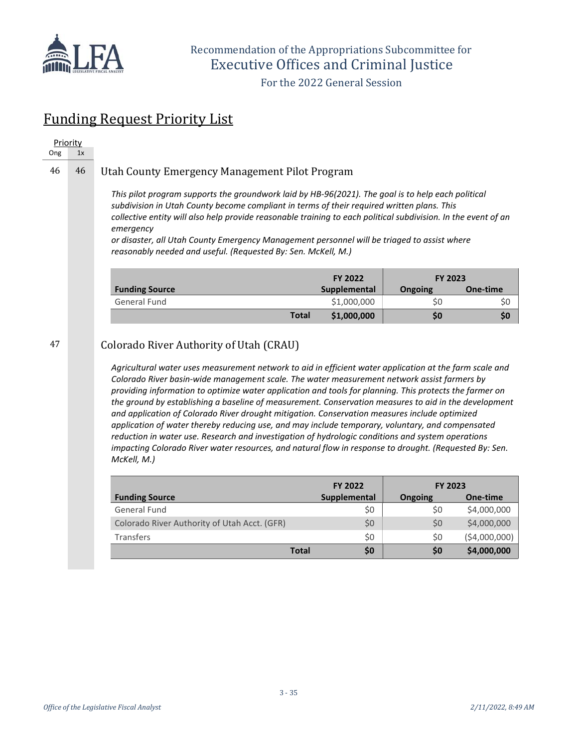

## Recommendation of the Appropriations Subcommittee for Executive Offices and Criminal Justice

For the 2022 General Session

# Funding Request Priority List

### 46 46 Utah County Emergency Management Pilot Program

*This pilot program supports the groundwork laid by HB‐96(2021). The goal is to help each political subdivision in Utah County become compliant in terms of their required written plans. This collective entity will also help provide reasonable training to each political subdivision. In the event of an emergency*

*or disaster, all Utah County Emergency Management personnel will be triaged to assist where reasonably needed and useful. (Requested By: Sen. McKell, M.)*

|                       |              | <b>FY 2022</b> | <b>FY 2023</b> |          |
|-----------------------|--------------|----------------|----------------|----------|
| <b>Funding Source</b> |              | Supplemental   | Ongoing        | One-time |
| General Fund          |              | \$1,000,000    | Ś0             | \$0      |
|                       | <b>Total</b> | \$1,000,000    | \$0            | \$0      |

#### 47 Colorado River Authority of Utah (CRAU)

*Agricultural water uses measurement network to aid in efficient water application at the farm scale and Colorado River basin‐wide management scale. The water measurement network assist farmers by providing information to optimize water application and tools for planning. This protects the farmer on the ground by establishing a baseline of measurement. Conservation measures to aid in the development and application of Colorado River drought mitigation. Conservation measures include optimized application of water thereby reducing use, and may include temporary, voluntary, and compensated reduction in water use. Research and investigation of hydrologic conditions and system operations impacting Colorado River water resources, and natural flow in response to drought. (Requested By: Sen. McKell, M.)*

|                                              | <b>FY 2022</b> | <b>FY 2023</b> |                |
|----------------------------------------------|----------------|----------------|----------------|
| <b>Funding Source</b>                        | Supplemental   | Ongoing        | One-time       |
| General Fund                                 | \$0            | \$0            | \$4,000,000    |
| Colorado River Authority of Utah Acct. (GFR) | \$0            | \$0            | \$4,000,000    |
| Transfers                                    | \$0            | \$0            | ( \$4,000,000) |
| <b>Total</b>                                 | S0             | \$0            | \$4,000,000    |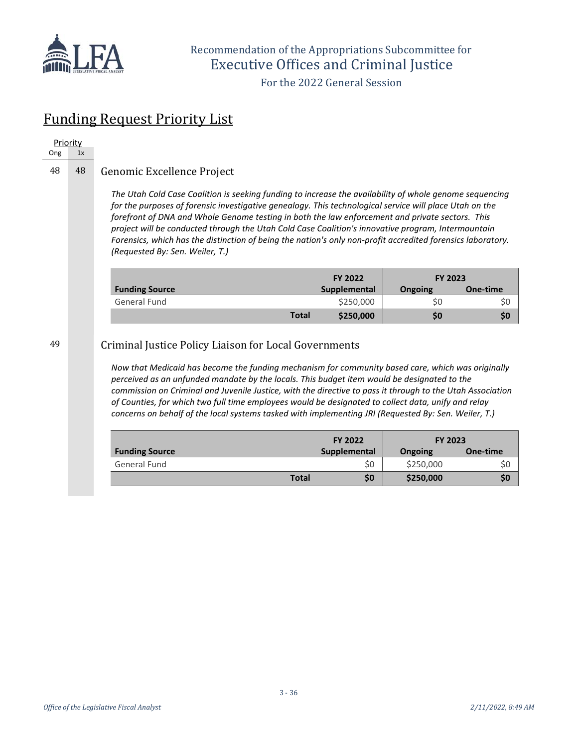

 $\overline{a}$ 

## Recommendation of the Appropriations Subcommittee for Executive Offices and Criminal Justice

For the 2022 General Session

# Funding Request Priority List

| Priority |    |                                                                                                                                                                                                                                                                                                                                                                                                                                                                                                                                                                               |              |              |                |          |
|----------|----|-------------------------------------------------------------------------------------------------------------------------------------------------------------------------------------------------------------------------------------------------------------------------------------------------------------------------------------------------------------------------------------------------------------------------------------------------------------------------------------------------------------------------------------------------------------------------------|--------------|--------------|----------------|----------|
| Ong      | 1x |                                                                                                                                                                                                                                                                                                                                                                                                                                                                                                                                                                               |              |              |                |          |
| 48       | 48 | Genomic Excellence Project                                                                                                                                                                                                                                                                                                                                                                                                                                                                                                                                                    |              |              |                |          |
|          |    | The Utah Cold Case Coalition is seeking funding to increase the availability of whole genome sequencing<br>for the purposes of forensic investigative genealogy. This technological service will place Utah on the<br>forefront of DNA and Whole Genome testing in both the law enforcement and private sectors. This<br>project will be conducted through the Utah Cold Case Coalition's innovative program, Intermountain<br>Forensics, which has the distinction of being the nation's only non-profit accredited forensics laboratory.<br>(Requested By: Sen. Weiler, T.) |              |              |                |          |
|          |    |                                                                                                                                                                                                                                                                                                                                                                                                                                                                                                                                                                               |              | FY 2022      | <b>FY 2023</b> |          |
|          |    | <b>Funding Source</b>                                                                                                                                                                                                                                                                                                                                                                                                                                                                                                                                                         |              | Supplemental | <b>Ongoing</b> | One-time |
|          |    | <b>General Fund</b>                                                                                                                                                                                                                                                                                                                                                                                                                                                                                                                                                           |              | \$250,000    | \$0            | \$0      |
|          |    |                                                                                                                                                                                                                                                                                                                                                                                                                                                                                                                                                                               | <b>Total</b> | \$250,000    | \$0            | \$0      |
| 49       |    | Criminal Justice Policy Liaison for Local Governments<br>Now that Medicaid has become the funding mechanism for community based care, which was originally<br>perceived as an unfunded mandate by the locals. This budget item would be designated to the<br>commission on Criminal and Juvenile Justice, with the directive to pass it through to the Utah Association<br>of Counties, for which two full time employees would be designated to collect data, unify and relay                                                                                                |              |              |                |          |

|                       |              | <b>FY 2022</b> | <b>FY 2023</b> |          |
|-----------------------|--------------|----------------|----------------|----------|
| <b>Funding Source</b> |              | Supplemental   | Ongoing        | One-time |
| General Fund          |              | \$0            | \$250,000      |          |
|                       | <b>Total</b> | \$0            | \$250,000      | S0       |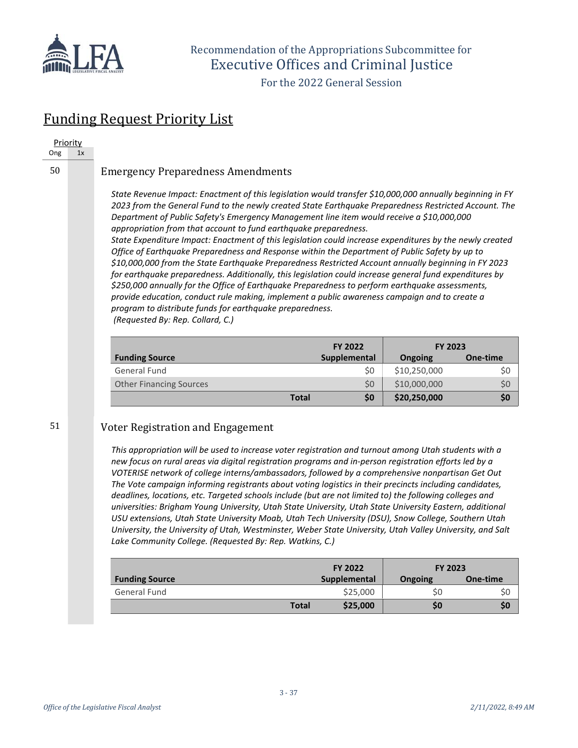

Priority

### Recommendation of the Appropriations Subcommittee for Executive Offices and Criminal Justice

For the 2022 General Session

# Funding Request Priority List

| <b>FILUILLY</b> |    |                                                                                                                                                                                                                                                                                                                                                                                                                                                                                                                                                                                                                                                                                                                                                                                                                                                                                                                                                                                                                                                                                                                         |
|-----------------|----|-------------------------------------------------------------------------------------------------------------------------------------------------------------------------------------------------------------------------------------------------------------------------------------------------------------------------------------------------------------------------------------------------------------------------------------------------------------------------------------------------------------------------------------------------------------------------------------------------------------------------------------------------------------------------------------------------------------------------------------------------------------------------------------------------------------------------------------------------------------------------------------------------------------------------------------------------------------------------------------------------------------------------------------------------------------------------------------------------------------------------|
| Ong             | 1x |                                                                                                                                                                                                                                                                                                                                                                                                                                                                                                                                                                                                                                                                                                                                                                                                                                                                                                                                                                                                                                                                                                                         |
| 50              |    | <b>Emergency Preparedness Amendments</b>                                                                                                                                                                                                                                                                                                                                                                                                                                                                                                                                                                                                                                                                                                                                                                                                                                                                                                                                                                                                                                                                                |
|                 |    | State Revenue Impact: Enactment of this legislation would transfer \$10,000,000 annually beginning in FY<br>2023 from the General Fund to the newly created State Earthquake Preparedness Restricted Account. The<br>Department of Public Safety's Emergency Management line item would receive a \$10,000,000<br>appropriation from that account to fund earthquake preparedness.<br>State Expenditure Impact: Enactment of this legislation could increase expenditures by the newly created<br>Office of Earthquake Preparedness and Response within the Department of Public Safety by up to<br>\$10,000,000 from the State Earthquake Preparedness Restricted Account annually beginning in FY 2023<br>for earthquake preparedness. Additionally, this legislation could increase general fund expenditures by<br>\$250,000 annually for the Office of Earthquake Preparedness to perform earthquake assessments,<br>provide education, conduct rule making, implement a public awareness campaign and to create a<br>program to distribute funds for earthquake preparedness.<br>(Requested By: Rep. Collard, C.) |
|                 |    |                                                                                                                                                                                                                                                                                                                                                                                                                                                                                                                                                                                                                                                                                                                                                                                                                                                                                                                                                                                                                                                                                                                         |

|                                | <b>FY 2023</b><br><b>FY 2022</b> |     |                |          |
|--------------------------------|----------------------------------|-----|----------------|----------|
| <b>Funding Source</b>          | Supplemental                     |     | <b>Ongoing</b> | One-time |
| General Fund                   |                                  | \$0 | \$10,250,000   | \$0      |
| <b>Other Financing Sources</b> |                                  | \$0 | \$10,000,000   | \$0      |
|                                | Total                            | \$0 | \$20,250,000   | \$0      |

#### 51 Voter Registration and Engagement

*This appropriation will be used to increase voter registration and turnout among Utah students with a new focus on rural areas via digital registration programs and in‐person registration efforts led by a VOTERISE network of college interns/ambassadors, followed by a comprehensive nonpartisan Get Out The Vote campaign informing registrants about voting logistics in their precincts including candidates, deadlines, locations, etc. Targeted schools include (but are not limited to) the following colleges and universities: Brigham Young University, Utah State University, Utah State University Eastern, additional USU extensions, Utah State University Moab, Utah Tech University (DSU), Snow College, Southern Utah University, the University of Utah, Westminster, Weber State University, Utah Valley University, and Salt Lake Community College. (Requested By: Rep. Watkins, C.)*

|                       | FY 2022      |              | <b>FY 2023</b> |          |
|-----------------------|--------------|--------------|----------------|----------|
| <b>Funding Source</b> |              | Supplemental | Ongoing        | One-time |
| General Fund          |              | \$25,000     | \$0            |          |
|                       | <b>Total</b> | \$25,000     | \$0            | SC       |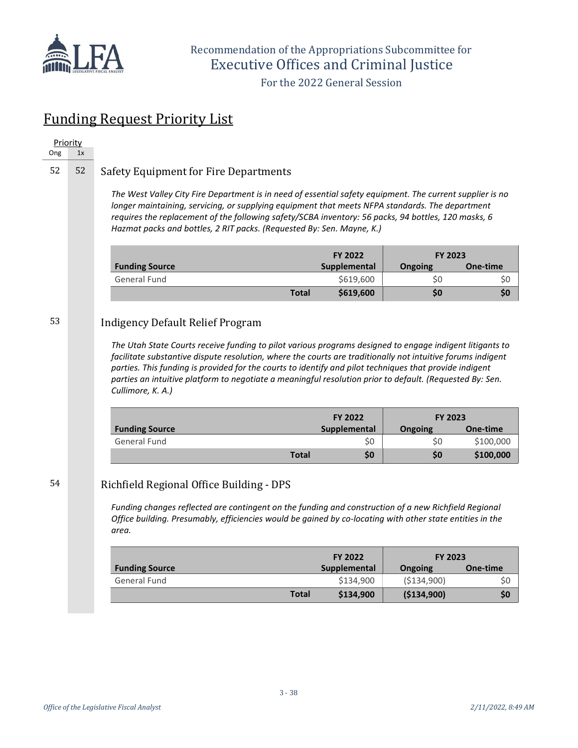

For the 2022 General Session

# Funding Request Priority List

|           | Priority |                                                                                                                                                                                                                                                                                                                                                                                                                                                                     |              |                |                |           |
|-----------|----------|---------------------------------------------------------------------------------------------------------------------------------------------------------------------------------------------------------------------------------------------------------------------------------------------------------------------------------------------------------------------------------------------------------------------------------------------------------------------|--------------|----------------|----------------|-----------|
| Ong<br>52 | 1x<br>52 | Safety Equipment for Fire Departments                                                                                                                                                                                                                                                                                                                                                                                                                               |              |                |                |           |
|           |          | The West Valley City Fire Department is in need of essential safety equipment. The current supplier is no<br>longer maintaining, servicing, or supplying equipment that meets NFPA standards. The department<br>requires the replacement of the following safety/SCBA inventory: 56 packs, 94 bottles, 120 masks, 6<br>Hazmat packs and bottles, 2 RIT packs. (Requested By: Sen. Mayne, K.)                                                                        |              |                |                |           |
|           |          |                                                                                                                                                                                                                                                                                                                                                                                                                                                                     |              | <b>FY 2022</b> | <b>FY 2023</b> |           |
|           |          | <b>Funding Source</b>                                                                                                                                                                                                                                                                                                                                                                                                                                               |              | Supplemental   | Ongoing        | One-time  |
|           |          | General Fund                                                                                                                                                                                                                                                                                                                                                                                                                                                        |              | \$619,600      | \$0            | \$0       |
|           |          |                                                                                                                                                                                                                                                                                                                                                                                                                                                                     | <b>Total</b> | \$619,600      | \$0            | \$0       |
|           |          | The Utah State Courts receive funding to pilot various programs designed to engage indigent litigants to<br>facilitate substantive dispute resolution, where the courts are traditionally not intuitive forums indigent<br>parties. This funding is provided for the courts to identify and pilot techniques that provide indigent<br>parties an intuitive platform to negotiate a meaningful resolution prior to default. (Requested By: Sen.<br>Cullimore, K. A.) |              | <b>FY 2022</b> | FY 2023        |           |
|           |          | <b>Funding Source</b>                                                                                                                                                                                                                                                                                                                                                                                                                                               |              | Supplemental   | Ongoing        | One-time  |
|           |          | <b>General Fund</b>                                                                                                                                                                                                                                                                                                                                                                                                                                                 |              | \$0            | SO.            | \$100,000 |
|           |          |                                                                                                                                                                                                                                                                                                                                                                                                                                                                     | <b>Total</b> | \$0            | \$0            | \$100,000 |
| 54        |          | Richfield Regional Office Building - DPS<br>Funding changes reflected are contingent on the funding and construction of a new Richfield Regional<br>Office building. Presumably, efficiencies would be gained by co-locating with other state entities in the<br>area.                                                                                                                                                                                              |              |                |                |           |
|           |          |                                                                                                                                                                                                                                                                                                                                                                                                                                                                     |              | <b>FY 2022</b> | <b>FY 2023</b> |           |
|           |          | <b>Funding Source</b>                                                                                                                                                                                                                                                                                                                                                                                                                                               |              | Supplemental   | Ongoing        | One-time  |
|           |          | <b>General Fund</b>                                                                                                                                                                                                                                                                                                                                                                                                                                                 |              | \$134,900      | (\$134,900)    | \$0       |
|           |          |                                                                                                                                                                                                                                                                                                                                                                                                                                                                     | <b>Total</b> | \$134,900      | (\$134,900)    | \$0       |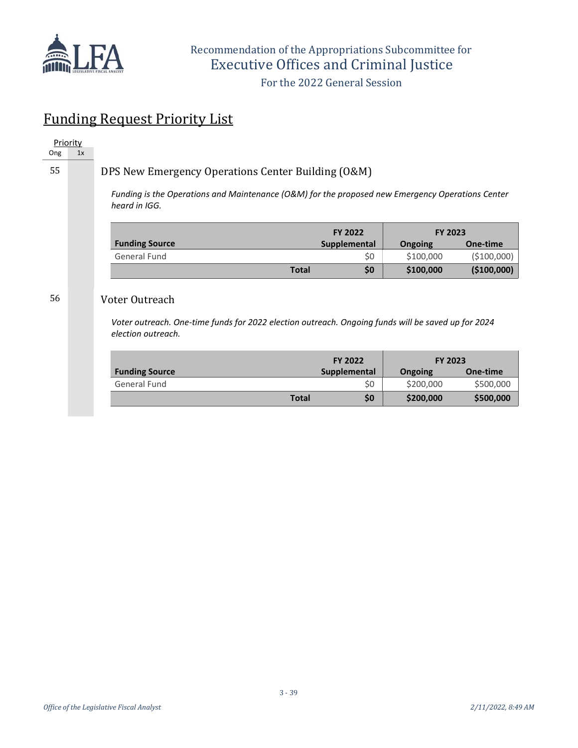

# Funding Request Priority List

|     | Priority |                                                                                                                                            |                |                |              |
|-----|----------|--------------------------------------------------------------------------------------------------------------------------------------------|----------------|----------------|--------------|
| Ong | 1x       |                                                                                                                                            |                |                |              |
| 55  |          | DPS New Emergency Operations Center Building (O&M)                                                                                         |                |                |              |
|     |          | Funding is the Operations and Maintenance (O&M) for the proposed new Emergency Operations Center<br>heard in IGG.                          |                |                |              |
|     |          |                                                                                                                                            | <b>FY 2022</b> | <b>FY 2023</b> |              |
|     |          | <b>Funding Source</b>                                                                                                                      | Supplemental   | <b>Ongoing</b> | One-time     |
|     |          | General Fund                                                                                                                               | \$0            | \$100,000      | ( \$100,000) |
|     |          | <b>Total</b>                                                                                                                               | \$0            | \$100,000      | (\$100,000)  |
| 56  |          | Voter Outreach<br>Voter outreach. One-time funds for 2022 election outreach. Ongoing funds will be saved up for 2024<br>election outreach. |                |                |              |
|     |          |                                                                                                                                            | <b>FY 2022</b> | <b>FY 2023</b> |              |
|     |          | <b>Funding Source</b>                                                                                                                      | Supplemental   | <b>Ongoing</b> | One-time     |

General Fund \$200,000 \$500,000 \$500,000 \$500,000 \$500,000 \$500,000 \$500,000 \$500,000 \$500,000 \$500,000 \$500,000

**Total \$0 \$200,000 \$500,000**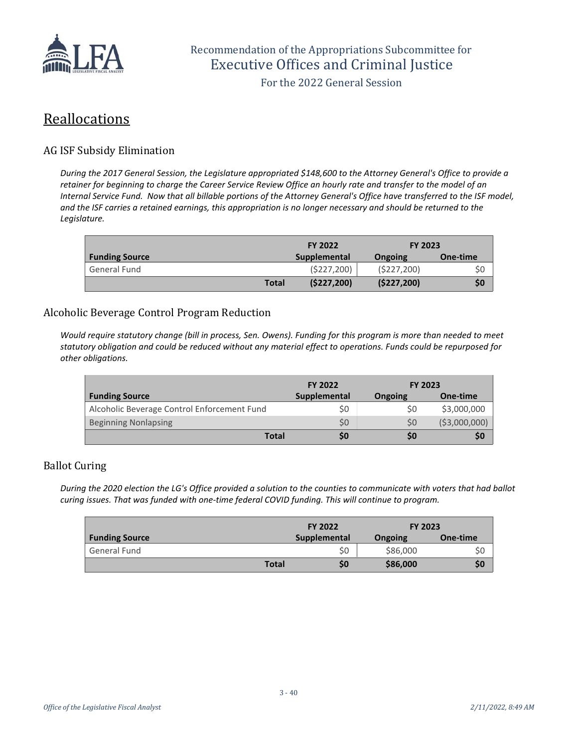

For the 2022 General Session

## Reallocations

### AG ISF Subsidy Elimination

*During the 2017 General Session, the Legislature appropriated \$148,600 to the Attorney General's Office to provide a retainer for beginning to charge the Career Service Review Office an hourly rate and transfer to the model of an Internal Service Fund. Now that all billable portions of the Attorney General's Office have transferred to the ISF model, and the ISF carries a retained earnings, this appropriation is no longer necessary and should be returned to the Legislature.*

|                       |              | <b>FY 2022</b> | <b>FY 2023</b> |          |
|-----------------------|--------------|----------------|----------------|----------|
| <b>Funding Source</b> |              | Supplemental   | Ongoing        | One-time |
| General Fund          |              | (5227, 200)    | (5227, 200)    | Ś0       |
|                       | <b>Total</b> | (\$227,200)    | (\$227,200)    | \$0      |

#### Alcoholic Beverage Control Program Reduction

*Would require statutory change (bill in process, Sen. Owens). Funding for this program is more than needed to meet statutory obligation and could be reduced without any material effect to operations. Funds could be repurposed for other obligations.*

|                                             | <b>FY 2022</b> |         | <b>FY 2023</b> |
|---------------------------------------------|----------------|---------|----------------|
| <b>Funding Source</b>                       | Supplemental   | Ongoing | One-time       |
| Alcoholic Beverage Control Enforcement Fund | \$0            | \$0     | \$3,000,000    |
| <b>Beginning Nonlapsing</b>                 | Ś0             | \$0     | ( \$3,000,000) |
| Total                                       | S0             | \$0     | \$0            |

### Ballot Curing

*During the 2020 election the LG's Office provided a solution to the counties to communicate with voters that had ballot curing issues. That was funded with one‐time federal COVID funding. This will continue to program.*

|                       |              | <b>FY 2022</b><br><b>FY 2023</b> |          |          |
|-----------------------|--------------|----------------------------------|----------|----------|
| <b>Funding Source</b> |              | Supplemental                     | Ongoing  | One-time |
| General Fund          |              | \$0                              | \$86,000 | SΟ       |
|                       | <b>Total</b> | S0                               | \$86,000 | \$C      |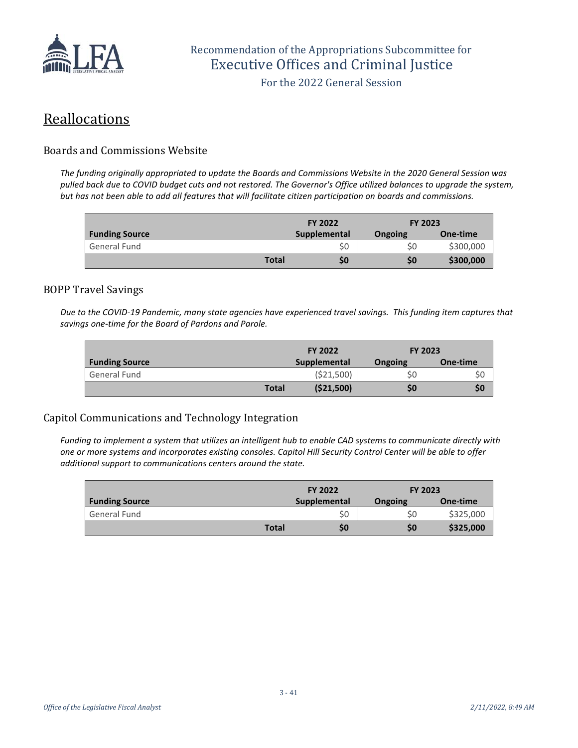

For the 2022 General Session

## Reallocations

### Boards and Commissions Website

*The funding originally appropriated to update the Boards and Commissions Website in the 2020 General Session was pulled back due to COVID budget cuts and not restored. The Governor's Office utilized balances to upgrade the system, but has not been able to add all features that will facilitate citizen participation on boards and commissions.*

|                       |       | <b>FY 2022</b> |         | <b>FY 2023</b> |
|-----------------------|-------|----------------|---------|----------------|
| <b>Funding Source</b> |       | Supplemental   | Ongoing | One-time       |
| General Fund          |       | \$0            | S0      | \$300,000      |
|                       | Total | \$0            | \$0     | \$300,000      |

#### BOPP Travel Savings

*Due to the COVID‐19 Pandemic, many state agencies have experienced travel savings. This funding item captures that savings one‐time for the Board of Pardons and Parole.*

|                       | <b>FY 2022</b> |                   | <b>FY 2023</b> |
|-----------------------|----------------|-------------------|----------------|
| <b>Funding Source</b> | Supplemental   | Ongoing           | One-time       |
| General Fund          |                | ( \$21,500)<br>S0 | ŚС             |
|                       | <b>Total</b>   | (\$21,500)<br>\$0 | \$0            |

### Capitol Communications and Technology Integration

*Funding to implement a system that utilizes an intelligent hub to enable CAD systems to communicate directly with one or more systems and incorporates existing consoles. Capitol Hill Security Control Center will be able to offer additional support to communications centers around the state.*

|                       |              | <b>FY 2022</b> |         | <b>FY 2023</b> |
|-----------------------|--------------|----------------|---------|----------------|
| <b>Funding Source</b> |              | Supplemental   | Ongoing | One-time       |
| General Fund          |              | \$0            | S0      | \$325,000      |
|                       | <b>Total</b> | \$0            | \$0     | \$325,000      |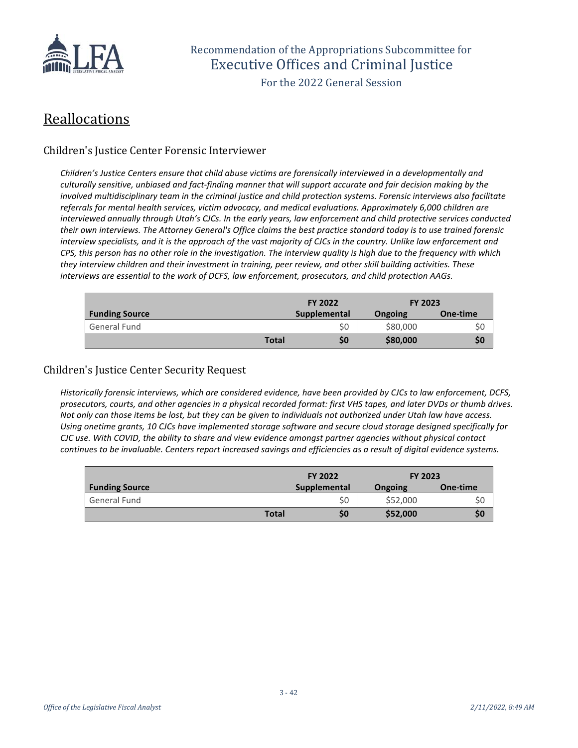

For the 2022 General Session

# Reallocations

#### Children's Justice Center Forensic Interviewer

*Children's Justice Centers ensure that child abuse victims are forensically interviewed in a developmentally and culturally sensitive, unbiased and fact‐finding manner that will support accurate and fair decision making by the involved multidisciplinary team in the criminal justice and child protection systems. Forensic interviews also facilitate referrals for mental health services, victim advocacy, and medical evaluations. Approximately 6,000 children are interviewed annually through Utah's CJCs. In the early years, law enforcement and child protective services conducted their own interviews. The Attorney General's Office claims the best practice standard today is to use trained forensic interview specialists, and it is the approach of the vast majority of CJCs in the country. Unlike law enforcement and CPS, this person has no other role in the investigation. The interview quality is high due to the frequency with which they interview children and their investment in training, peer review, and other skill building activities. These interviews are essential to the work of DCFS, law enforcement, prosecutors, and child protection AAGs.*

|                       |       | <b>FY 2022</b> | <b>FY 2023</b> |          |
|-----------------------|-------|----------------|----------------|----------|
| <b>Funding Source</b> |       | Supplemental   | Ongoing        | One-time |
| General Fund          |       | \$0            | \$80,000       |          |
|                       | Total | S0             | \$80,000       |          |

#### Children's Justice Center Security Request

*Historically forensic interviews, which are considered evidence, have been provided by CJCs to law enforcement, DCFS, prosecutors, courts, and other agencies in a physical recorded format: first VHS tapes, and later DVDs or thumb drives. Not only can those items be lost, but they can be given to individuals not authorized under Utah law have access. Using onetime grants, 10 CJCs have implemented storage software and secure cloud storage designed specifically for CJC use. With COVID, the ability to share and view evidence amongst partner agencies without physical contact continues to be invaluable. Centers report increased savings and efficiencies as a result of digital evidence systems.*

|                       |              | <b>FY 2022</b> | <b>FY 2023</b> |          |
|-----------------------|--------------|----------------|----------------|----------|
| <b>Funding Source</b> |              | Supplemental   | Ongoing        | One-time |
| General Fund          |              | \$0            | \$52,000       | \$C      |
|                       | <b>Total</b> | S0             | \$52,000       | \$0      |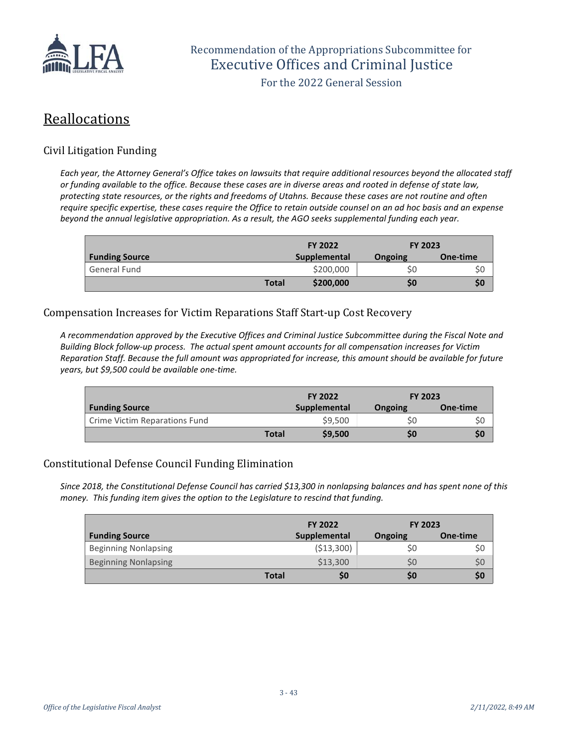

For the 2022 General Session

## Reallocations

### Civil Litigation Funding

*Each year, the Attorney General's Office takes on lawsuits that require additional resources beyond the allocated staff or funding available to the office. Because these cases are in diverse areas and rooted in defense of state law, protecting state resources, or the rights and freedoms of Utahns. Because these cases are not routine and often require specific expertise, these cases require the Office to retain outside counsel on an ad hoc basis and an expense beyond the annual legislative appropriation. As a result, the AGO seeks supplemental funding each year.*

|                       |              | <b>FY 2022</b> | <b>FY 2023</b> |          |
|-----------------------|--------------|----------------|----------------|----------|
| <b>Funding Source</b> |              | Supplemental   | Ongoing        | One-time |
| General Fund          |              | \$200,000      | S0             |          |
|                       | <b>Total</b> | \$200,000      | \$0            | \$C      |

Compensation Increases for Victim Reparations Staff Start-up Cost Recovery

*A recommendation approved by the Executive Offices and Criminal Justice Subcommittee during the Fiscal Note and Building Block follow‐up process. The actual spent amount accounts for all compensation increases for Victim Reparation Staff. Because the full amount was appropriated for increase, this amount should be available for future years, but \$9,500 could be available one‐time.*

|                               |              | <b>FY 2022</b> | <b>FY 2023</b> |          |
|-------------------------------|--------------|----------------|----------------|----------|
| <b>Funding Source</b>         |              | Supplemental   | Ongoing        | One-time |
| Crime Victim Reparations Fund |              | \$9,500        | S0             | SC       |
|                               | <b>Total</b> | \$9,500        | S0             | \$0      |

### Constitutional Defense Council Funding Elimination

*Since 2018, the Constitutional Defense Council has carried \$13,300 in nonlapsing balances and has spent none of this money. This funding item gives the option to the Legislature to rescind that funding.*

|                             | <b>FY 2022</b> |         | <b>FY 2023</b> |
|-----------------------------|----------------|---------|----------------|
| <b>Funding Source</b>       | Supplemental   | Ongoing | One-time       |
| <b>Beginning Nonlapsing</b> | (\$13,300)     | S0      | \$0            |
| <b>Beginning Nonlapsing</b> | \$13,300       | \$0     | \$0            |
|                             | Total<br>S0    | Ş0      | \$0            |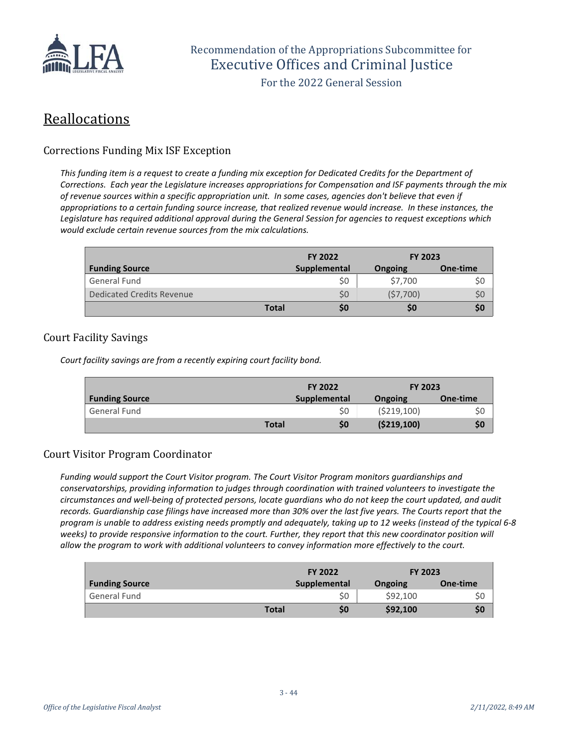

For the 2022 General Session

## Reallocations

### Corrections Funding Mix ISF Exception

*This funding item is a request to create a funding mix exception for Dedicated Credits for the Department of Corrections. Each year the Legislature increases appropriations for Compensation and ISF payments through the mix of revenue sources within a specific appropriation unit. In some cases, agencies don't believe that even if appropriations to a certain funding source increase, that realized revenue would increase. In these instances, the Legislature has required additional approval during the General Session for agencies to request exceptions which would exclude certain revenue sources from the mix calculations.*

|                                  |              | <b>FY 2022</b> | <b>FY 2023</b> |          |
|----------------------------------|--------------|----------------|----------------|----------|
| <b>Funding Source</b>            |              | Supplemental   | Ongoing        | One-time |
| General Fund                     |              | \$0            | \$7,700        | SΟ       |
| <b>Dedicated Credits Revenue</b> |              | \$0            | (57,700)       | S0       |
|                                  | <b>Total</b> | SO             | SΟ             | \$0      |

### Court Facility Savings

*Court facility savings are from a recently expiring court facility bond.*

|                       |       | <b>FY 2022</b> | <b>FY 2023</b> |          |
|-----------------------|-------|----------------|----------------|----------|
| <b>Funding Source</b> |       | Supplemental   | Ongoing        | One-time |
| General Fund          |       | \$0            | (5219, 100)    | SO       |
|                       | Total | \$0            | ( \$219, 100)  | \$0      |

### Court Visitor Program Coordinator

*Funding would support the Court Visitor program. The Court Visitor Program monitors guardianships and conservatorships, providing information to judges through coordination with trained volunteers to investigate the circumstances and well‐being of protected persons, locate guardians who do not keep the court updated, and audit records. Guardianship case filings have increased more than 30% over the last five years. The Courts report that the program is unable to address existing needs promptly and adequately, taking up to 12 weeks (instead of the typical 6‐8 weeks) to provide responsive information to the court. Further, they report that this new coordinator position will allow the program to work with additional volunteers to convey information more effectively to the court.*

|                       |       | <b>FY 2022</b> | <b>FY 2023</b> |          |
|-----------------------|-------|----------------|----------------|----------|
| <b>Funding Source</b> |       | Supplemental   | Ongoing        | One-time |
| General Fund          |       | Ś0             | \$92,100       |          |
|                       | Total | S0             | \$92,100       | \$C      |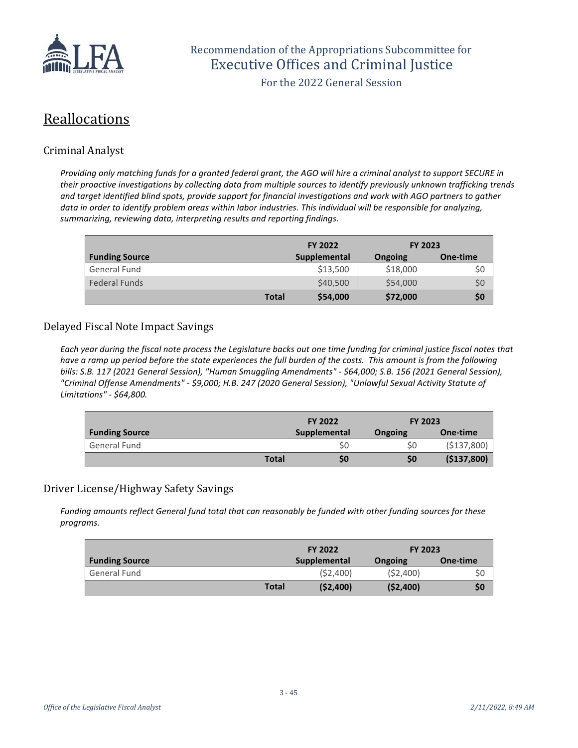

For the 2022 General Session

## Reallocations

### Criminal Analyst

*Providing only matching funds for a granted federal grant, the AGO will hire a criminal analyst to support SECURE in their proactive investigations by collecting data from multiple sources to identify previously unknown trafficking trends and target identified blind spots, provide support for financial investigations and work with AGO partners to gather data in order to identify problem areas within labor industries. This individual will be responsible for analyzing, summarizing, reviewing data, interpreting results and reporting findings.*

|                       |              | <b>FY 2022</b> | <b>FY 2023</b> |          |
|-----------------------|--------------|----------------|----------------|----------|
| <b>Funding Source</b> |              | Supplemental   | Ongoing        | One-time |
| General Fund          |              | \$13,500       | \$18,000       | \$0      |
| <b>Federal Funds</b>  |              | \$40,500       | \$54,000       | \$0      |
|                       | <b>Total</b> | \$54,000       | \$72,000       | \$0      |

### Delayed Fiscal Note Impact Savings

*Each year during the fiscal note process the Legislature backs out one time funding for criminal justice fiscal notes that have a ramp up period before the state experiences the full burden of the costs. This amount is from the following bills: S.B. 117 (2021 General Session), "Human Smuggling Amendments" ‐ \$64,000; S.B. 156 (2021 General Session), "Criminal Offense Amendments" ‐ \$9,000; H.B. 247 (2020 General Session), "Unlawful Sexual Activity Statute of Limitations" ‐ \$64,800.*

|                       |              | <b>FY 2022</b> |           | <b>FY 2023</b> |
|-----------------------|--------------|----------------|-----------|----------------|
| <b>Funding Source</b> |              | Supplemental   | Ongoing   | One-time       |
| General Fund          |              | \$0            | S0        | ( \$137,800)   |
|                       | <b>Total</b> | \$0            | <b>SO</b> | (\$137,800)    |

### Driver License/Highway Safety Savings

*Funding amounts reflect General fund total that can reasonably be funded with other funding sources for these programs.*

|                       |              | <b>FY 2022</b> | <b>FY 2023</b> |          |
|-----------------------|--------------|----------------|----------------|----------|
| <b>Funding Source</b> |              | Supplemental   | Ongoing        | One-time |
| General Fund          |              | (52,400)       | (52,400)       |          |
|                       | <b>Total</b> | (52,400)       | (\$2,400)      | S0       |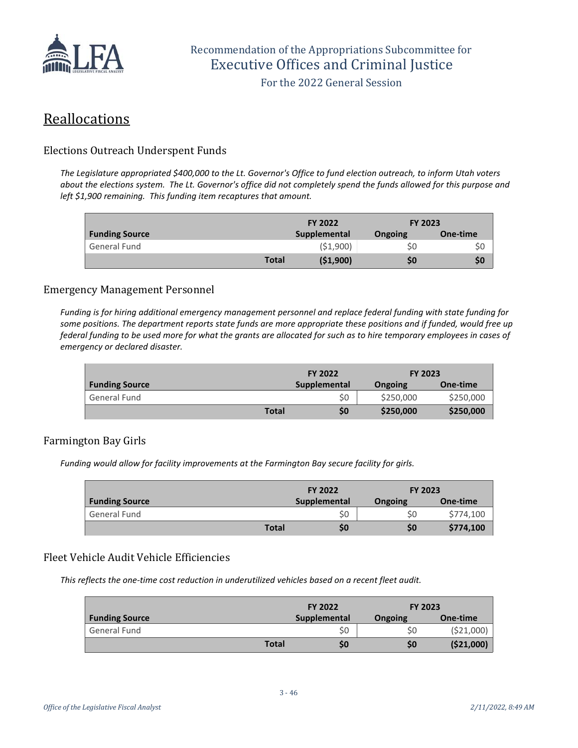

For the 2022 General Session

## Reallocations

### Elections Outreach Underspent Funds

*The Legislature appropriated \$400,000 to the Lt. Governor's Office to fund election outreach, to inform Utah voters about the elections system. The Lt. Governor's office did not completely spend the funds allowed for this purpose and left \$1,900 remaining. This funding item recaptures that amount.*

|                       |              | <b>FY 2022</b> | <b>FY 2023</b> |          |
|-----------------------|--------------|----------------|----------------|----------|
| <b>Funding Source</b> |              | Supplemental   | Ongoing        | One-time |
| General Fund          |              | (51,900)       | S0             |          |
|                       | <b>Total</b> | ( \$1,900)     | \$0            | S0       |

#### Emergency Management Personnel

*Funding is for hiring additional emergency management personnel and replace federal funding with state funding for some positions. The department reports state funds are more appropriate these positions and if funded, would free up federal funding to be used more for what the grants are allocated for such as to hire temporary employees in cases of emergency or declared disaster.*

|                       |       | <b>FY 2022</b> | <b>FY 2023</b> |           |
|-----------------------|-------|----------------|----------------|-----------|
| <b>Funding Source</b> |       | Supplemental   | Ongoing        | One-time  |
| General Fund          |       | \$0            | \$250,000      | \$250,000 |
|                       | Total | S0             | \$250,000      | \$250,000 |

#### Farmington Bay Girls

*Funding would allow for facility improvements at the Farmington Bay secure facility for girls.*

|                       |              | <b>FY 2022</b> | <b>FY 2023</b> |           |
|-----------------------|--------------|----------------|----------------|-----------|
| <b>Funding Source</b> |              | Supplemental   | Ongoing        | One-time  |
| General Fund          |              | \$0            | Ś0             | \$774.100 |
|                       | <b>Total</b> | S0             | \$0            | \$774,100 |

#### Fleet Vehicle Audit Vehicle Efficiencies

*This reflects the one‐time cost reduction in underutilized vehicles based on a recent fleet audit.*

|                       |       | <b>FY 2022</b> |         | <b>FY 2023</b> |
|-----------------------|-------|----------------|---------|----------------|
| <b>Funding Source</b> |       | Supplemental   | Ongoing | One-time       |
| General Fund          |       | Ś0             | \$0     | ( \$21,000)    |
|                       | Total | \$0            | \$0     | ( \$21,000)    |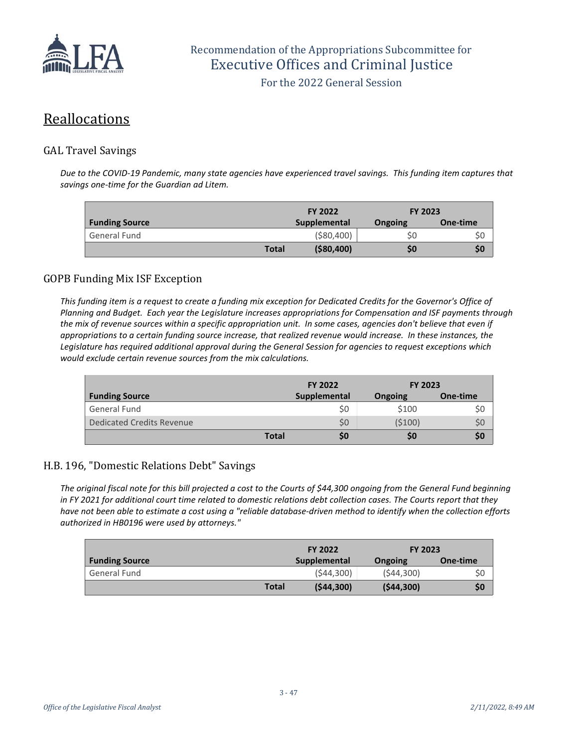

For the 2022 General Session

## Reallocations

#### GAL Travel Savings

*Due to the COVID‐19 Pandemic, many state agencies have experienced travel savings. This funding item captures that savings one‐time for the Guardian ad Litem.*

|                       |              | <b>FY 2022</b> | <b>FY 2023</b> |          |
|-----------------------|--------------|----------------|----------------|----------|
| <b>Funding Source</b> |              | Supplemental   | Ongoing        | One-time |
| General Fund          |              | ( \$80,400)    | S0             |          |
|                       | <b>Total</b> | ( \$80,400)    | \$0            | \$0      |

#### GOPB Funding Mix ISF Exception

*This funding item is a request to create a funding mix exception for Dedicated Credits for the Governor's Office of Planning and Budget. Each year the Legislature increases appropriations for Compensation and ISF payments through the mix of revenue sources within a specific appropriation unit. In some cases, agencies don't believe that even if appropriations to a certain funding source increase, that realized revenue would increase. In these instances, the Legislature has required additional approval during the General Session for agencies to request exceptions which would exclude certain revenue sources from the mix calculations.*

|                           |              | <b>FY 2022</b> | <b>FY 2023</b> |          |
|---------------------------|--------------|----------------|----------------|----------|
| <b>Funding Source</b>     |              | Supplemental   | Ongoing        | One-time |
| <b>General Fund</b>       |              | \$0            | \$100          | \$C      |
| Dedicated Credits Revenue |              | \$0            | (5100)         | \$0      |
|                           | <b>Total</b> | S0             | \$0            | \$0      |

#### H.B. 196, "Domestic Relations Debt" Savings

*The original fiscal note for this bill projected a cost to the Courts of \$44,300 ongoing from the General Fund beginning in FY 2021 for additional court time related to domestic relations debt collection cases. The Courts report that they have not been able to estimate a cost using a "reliable database‐driven method to identify when the collection efforts authorized in HB0196 were used by attorneys."*

|                       |       | <b>FY 2022</b> | <b>FY 2023</b> |          |
|-----------------------|-------|----------------|----------------|----------|
| <b>Funding Source</b> |       | Supplemental   | Ongoing        | One-time |
| General Fund          |       | (544,300)      | (544,300)      | \$0      |
|                       | Total | (544,300)      | (544,300)      | \$0      |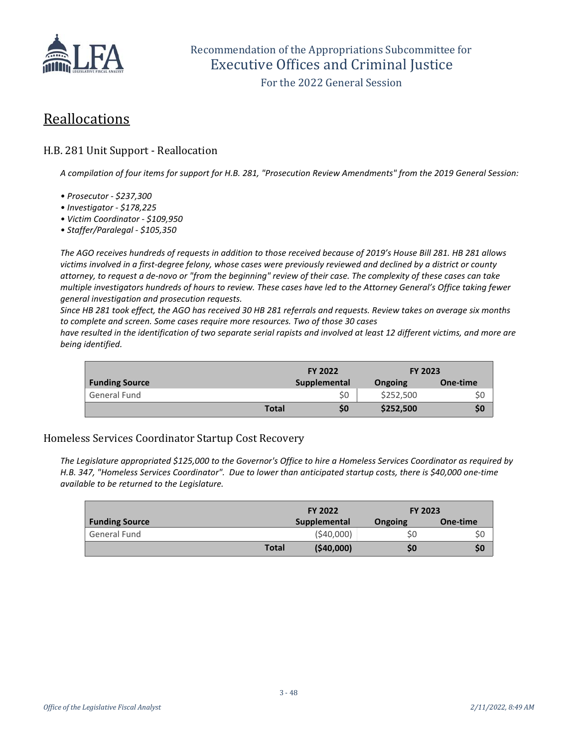

For the 2022 General Session

# Reallocations

### H.B. 281 Unit Support - Reallocation

*A compilation of four items for support for H.B. 281, "Prosecution Review Amendments" from the 2019 General Session:*

- *Prosecutor ‐ \$237,300*
- *Investigator ‐ \$178,225*
- *Victim Coordinator ‐ \$109,950*
- *Staffer/Paralegal ‐ \$105,350*

*The AGO receives hundreds of requests in addition to those received because of 2019's House Bill 281. HB 281 allows victims involved in a first‐degree felony, whose cases were previously reviewed and declined by a district or county attorney, to request a de‐novo or "from the beginning" review of their case. The complexity of these cases can take multiple investigators hundreds of hours to review. These cases have led to the Attorney General's Office taking fewer general investigation and prosecution requests.*

*Since HB 281 took effect, the AGO has received 30 HB 281 referrals and requests. Review takes on average six months to complete and screen. Some cases require more resources. Two of those 30 cases*

*have resulted in the identification of two separate serial rapists and involved at least 12 different victims, and more are being identified.*

|                       |              | <b>FY 2022</b> | <b>FY 2023</b> |          |
|-----------------------|--------------|----------------|----------------|----------|
| <b>Funding Source</b> |              | Supplemental   | Ongoing        | One-time |
| General Fund          |              | Ś0             | \$252,500      |          |
|                       | <b>Total</b> | \$0            | \$252,500      |          |

#### Homeless Services Coordinator Startup Cost Recovery

*The Legislature appropriated \$125,000 to the Governor's Office to hire a Homeless Services Coordinator as required by H.B. 347, "Homeless Services Coordinator". Due to lower than anticipated startup costs, there is \$40,000 one‐time available to be returned to the Legislature.*

|                       |              | <b>FY 2022</b> | <b>FY 2023</b> |          |
|-----------------------|--------------|----------------|----------------|----------|
| <b>Funding Source</b> |              | Supplemental   | Ongoing        | One-time |
| General Fund          |              | (540,000)      | \$0            | S0       |
|                       | <b>Total</b> | (540,000)      | \$0            | \$0      |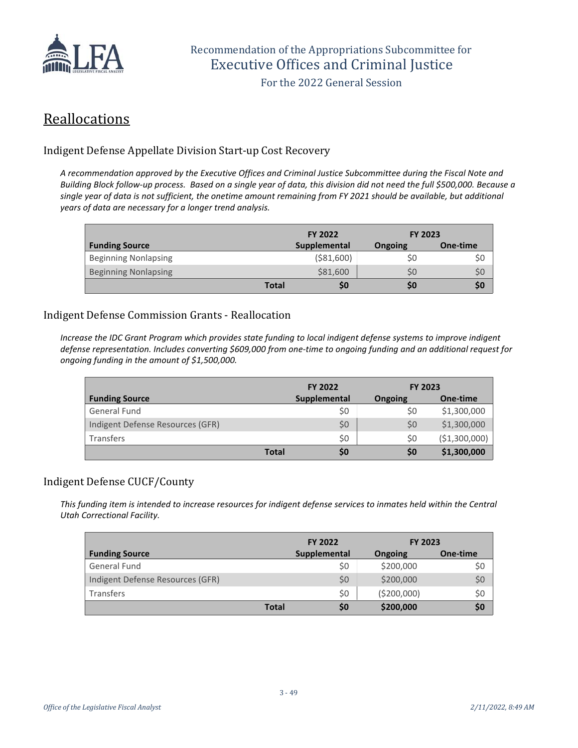

For the 2022 General Session

## Reallocations

#### Indigent Defense Appellate Division Start-up Cost Recovery

*A recommendation approved by the Executive Offices and Criminal Justice Subcommittee during the Fiscal Note and Building Block follow‐up process. Based on a single year of data, this division did not need the full \$500,000. Because a single year of data is not sufficient, the onetime amount remaining from FY 2021 should be available, but additional years of data are necessary for a longer trend analysis.*

|                             |              | <b>FY 2022</b> | <b>FY 2023</b> |          |
|-----------------------------|--------------|----------------|----------------|----------|
| <b>Funding Source</b>       |              | Supplemental   | Ongoing        | One-time |
| <b>Beginning Nonlapsing</b> |              | ( \$81,600)    | \$0            | \$0      |
| <b>Beginning Nonlapsing</b> |              | \$81,600       | \$0            | \$0      |
|                             | <b>Total</b> | S0             | \$0            | \$0      |

#### Indigent Defense Commission Grants - Reallocation

*Increase the IDC Grant Program which provides state funding to local indigent defense systems to improve indigent defense representation. Includes converting \$609,000 from one‐time to ongoing funding and an additional request for ongoing funding in the amount of \$1,500,000.*

|                                  |              | <b>FY 2022</b> |         | <b>FY 2023</b> |
|----------------------------------|--------------|----------------|---------|----------------|
| <b>Funding Source</b>            |              | Supplemental   | Ongoing | One-time       |
| General Fund                     |              | \$0            | \$0     | \$1,300,000    |
| Indigent Defense Resources (GFR) |              | \$0            | \$0     | \$1,300,000    |
| <b>Transfers</b>                 |              | \$0            | \$0     | ( \$1,300,000) |
|                                  | <b>Total</b> | \$0            | \$0     | \$1,300,000    |

### Indigent Defense CUCF/County

*This funding item is intended to increase resources for indigent defense services to inmates held within the Central Utah Correctional Facility.*

|                                  | <b>FY 2022</b> | <b>FY 2023</b> |          |
|----------------------------------|----------------|----------------|----------|
| <b>Funding Source</b>            | Supplemental   | Ongoing        | One-time |
| General Fund                     | \$0            | \$200,000      | \$0      |
| Indigent Defense Resources (GFR) | \$0            | \$200,000      | \$0      |
| <b>Transfers</b>                 | \$0            | ( \$200,000)   | \$0      |
| Total                            | S0             | \$200,000      | \$0      |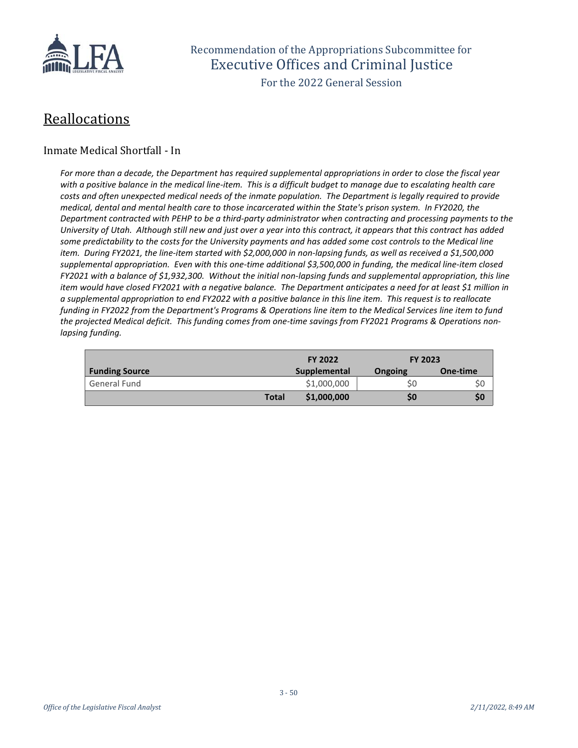

For the 2022 General Session

# Reallocations

#### Inmate Medical Shortfall - In

*For more than a decade, the Department has required supplemental appropriations in order to close the fiscal year with a positive balance in the medical line‐item. This is a difficult budget to manage due to escalating health care costs and often unexpected medical needs of the inmate population. The Department is legally required to provide medical, dental and mental health care to those incarcerated within the State's prison system. In FY2020, the Department contracted with PEHP to be a third‐party administrator when contracting and processing payments to the University of Utah. Although still new and just over a year into this contract, it appears that this contract has added some predictability to the costs for the University payments and has added some cost controls to the Medical line item. During FY2021, the line‐item started with \$2,000,000 in non‐lapsing funds, as well as received a \$1,500,000 supplemental appropriation. Even with this one‐time additional \$3,500,000 in funding, the medical line‐item closed FY2021 with a balance of \$1,932,300. Without the initial non‐lapsing funds and supplemental appropriation, this line item would have closed FY2021 with a negative balance. The Department anticipates a need for at least \$1 million in a supplemental appropriaƟon to end FY2022 with a posiƟve balance in this line item. This request is to reallocate funding in FY2022 from the Department's Programs & Operations line item to the Medical Services line item to fund the projected Medical deficit. This funding comes from one‐time savings from FY2021 Programs & Operations non‐ lapsing funding.*

|                       |              | <b>FY 2022</b> | <b>FY 2023</b> |          |
|-----------------------|--------------|----------------|----------------|----------|
| <b>Funding Source</b> |              | Supplemental   | Ongoing        | One-time |
| General Fund          |              | \$1,000,000    | SΟ             |          |
|                       | <b>Total</b> | \$1,000,000    | \$0            | SC       |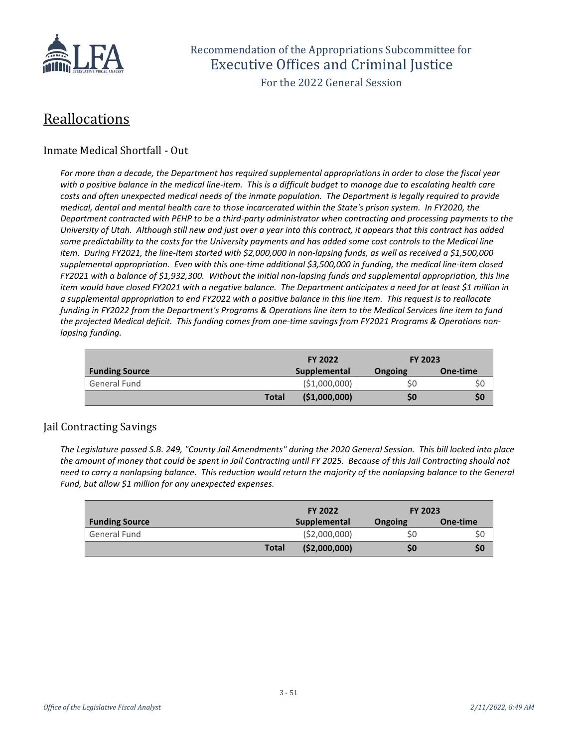

For the 2022 General Session

# Reallocations

### Inmate Medical Shortfall - Out

*For more than a decade, the Department has required supplemental appropriations in order to close the fiscal year with a positive balance in the medical line‐item. This is a difficult budget to manage due to escalating health care costs and often unexpected medical needs of the inmate population. The Department is legally required to provide medical, dental and mental health care to those incarcerated within the State's prison system. In FY2020, the Department contracted with PEHP to be a third‐party administrator when contracting and processing payments to the University of Utah. Although still new and just over a year into this contract, it appears that this contract has added some predictability to the costs for the University payments and has added some cost controls to the Medical line item. During FY2021, the line‐item started with \$2,000,000 in non‐lapsing funds, as well as received a \$1,500,000 supplemental appropriation. Even with this one‐time additional \$3,500,000 in funding, the medical line‐item closed FY2021 with a balance of \$1,932,300. Without the initial non‐lapsing funds and supplemental appropriation, this line item would have closed FY2021 with a negative balance. The Department anticipates a need for at least \$1 million in a supplemental appropriaƟon to end FY2022 with a posiƟve balance in this line item. This request is to reallocate funding in FY2022 from the Department's Programs & Operations line item to the Medical Services line item to fund the projected Medical deficit. This funding comes from one‐time savings from FY2021 Programs & Operations non‐ lapsing funding.*

|                       |              | <b>FY 2022</b> | <b>FY 2023</b> |          |
|-----------------------|--------------|----------------|----------------|----------|
| <b>Funding Source</b> |              | Supplemental   | Ongoing        | One-time |
| General Fund          |              | ( \$1,000,000) | S0             |          |
|                       | <b>Total</b> | (\$1,000,000)  | \$0            | S0       |

### Jail Contracting Savings

*The Legislature passed S.B. 249, "County Jail Amendments" during the 2020 General Session. This bill locked into place the amount of money that could be spent in Jail Contracting until FY 2025. Because of this Jail Contracting should not need to carry a nonlapsing balance. This reduction would return the majority of the nonlapsing balance to the General Fund, but allow \$1 million for any unexpected expenses.*

|                       |              | <b>FY 2022</b> | <b>FY 2023</b> |          |
|-----------------------|--------------|----------------|----------------|----------|
| <b>Funding Source</b> |              | Supplemental   | Ongoing        | One-time |
| General Fund          |              | ( \$2,000,000) | S0             |          |
|                       | <b>Total</b> | ( \$2,000,000) | \$0            |          |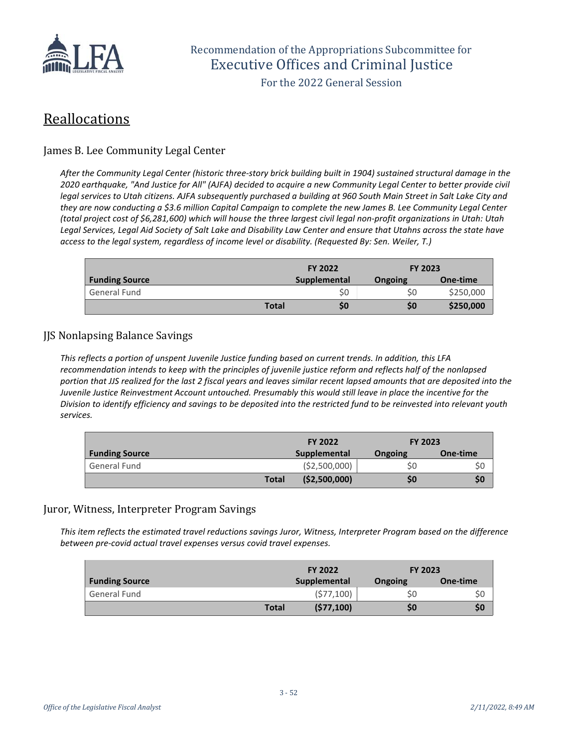

For the 2022 General Session

## Reallocations

### James B. Lee Community Legal Center

*After the Community Legal Center (historic three‐story brick building built in 1904) sustained structural damage in the 2020 earthquake, "And Justice for All" (AJFA) decided to acquire a new Community Legal Center to better provide civil legal services to Utah citizens. AJFA subsequently purchased a building at 960 South Main Street in Salt Lake City and they are now conducting a \$3.6 million Capital Campaign to complete the new James B. Lee Community Legal Center (total project cost of \$6,281,600) which will house the three largest civil legal non‐profit organizations in Utah: Utah Legal Services, Legal Aid Society of Salt Lake and Disability Law Center and ensure that Utahns across the state have access to the legal system, regardless of income level or disability. (Requested By: Sen. Weiler, T.)*

|                       |              | <b>FY 2022</b> | <b>FY 2023</b> |           |
|-----------------------|--------------|----------------|----------------|-----------|
| <b>Funding Source</b> |              | Supplemental   | Ongoing        | One-time  |
| General Fund          |              | \$0            | \$0            | \$250,000 |
|                       | <b>Total</b> | \$0            | \$0            | \$250,000 |

### JJS Nonlapsing Balance Savings

*This reflects a portion of unspent Juvenile Justice funding based on current trends. In addition, this LFA recommendation intends to keep with the principles of juvenile justice reform and reflects half of the nonlapsed portion that JJS realized for the last 2 fiscal years and leaves similar recent lapsed amounts that are deposited into the Juvenile Justice Reinvestment Account untouched. Presumably this would still leave in place the incentive for the Division to identify efficiency and savings to be deposited into the restricted fund to be reinvested into relevant youth services.*

|                       |              | <b>FY 2022</b> | <b>FY 2023</b> |          |
|-----------------------|--------------|----------------|----------------|----------|
| <b>Funding Source</b> |              | Supplemental   | <b>Ongoing</b> | One-time |
| General Fund          |              | ( \$2,500,000) | S0             | \$C      |
|                       | <b>Total</b> | ( \$2,500,000) | \$0            | \$0      |

#### Juror, Witness, Interpreter Program Savings

*This item reflects the estimated travel reductions savings Juror, Witness, Interpreter Program based on the difference between pre‐covid actual travel expenses versus covid travel expenses.*

|                       | <b>FY 2022</b> | <b>FY 2023</b> |          |
|-----------------------|----------------|----------------|----------|
| <b>Funding Source</b> | Supplemental   | <b>Ongoing</b> | One-time |
| General Fund          | (577, 100)     | S0             | \$0      |
| <b>Total</b>          | (577, 100)     | \$0            | \$0      |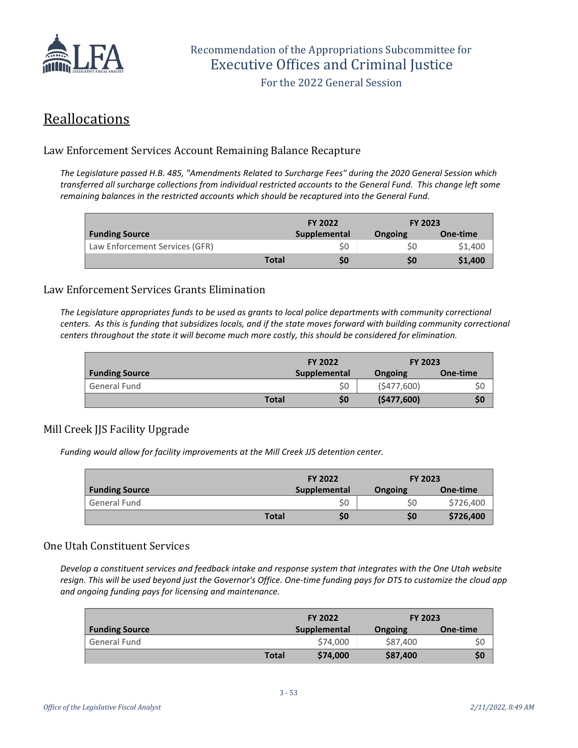

For the 2022 General Session

## Reallocations

#### Law Enforcement Services Account Remaining Balance Recapture

*The Legislature passed H.B. 485, "Amendments Related to Surcharge Fees" during the 2020 General Session which transferred all surcharge collections from individual restricted accounts to the General Fund. This change left some remaining balances in the restricted accounts which should be recaptured into the General Fund.*

|                                |       | <b>FY 2022</b> |         | <b>FY 2023</b> |
|--------------------------------|-------|----------------|---------|----------------|
| <b>Funding Source</b>          |       | Supplemental   | Ongoing | One-time       |
| Law Enforcement Services (GFR) |       | S0             | S0      | \$1,400        |
|                                | Total | \$0            | \$0     | \$1,400        |

#### Law Enforcement Services Grants Elimination

*The Legislature appropriates funds to be used as grants to local police departments with community correctional centers. As this is funding that subsidizes locals, and if the state moves forward with building community correctional centers throughout the state it will become much more costly, this should be considered for elimination.*

|                       |              | <b>FY 2022</b> | <b>FY 2023</b> |          |
|-----------------------|--------------|----------------|----------------|----------|
| <b>Funding Source</b> |              | Supplemental   | Ongoing        | One-time |
| General Fund          |              | \$0            | (5477,600)     |          |
|                       | <b>Total</b> | \$0            | (\$477,600)    | \$0      |

#### Mill Creek JJS Facility Upgrade

*Funding would allow for facility improvements at the Mill Creek JJS detention center.*

|                       |              | <b>FY 2022</b> |         | <b>FY 2023</b> |
|-----------------------|--------------|----------------|---------|----------------|
| <b>Funding Source</b> |              | Supplemental   | Ongoing | One-time       |
| General Fund          |              | \$0            | Ś0      | \$726,400      |
|                       | <b>Total</b> | S0             | \$0     | \$726,400      |

#### One Utah Constituent Services

*Develop a constituent services and feedback intake and response system that integrates with the One Utah website resign. This will be used beyond just the Governor's Office. One‐time funding pays for DTS to customize the cloud app and ongoing funding pays for licensing and maintenance.*

|                       |       | <b>FY 2022</b> | <b>FY 2023</b> |          |
|-----------------------|-------|----------------|----------------|----------|
| <b>Funding Source</b> |       | Supplemental   | Ongoing        | One-time |
| General Fund          |       | \$74,000       | \$87,400       | SΟ       |
|                       | Total | \$74,000       | \$87,400       | \$0      |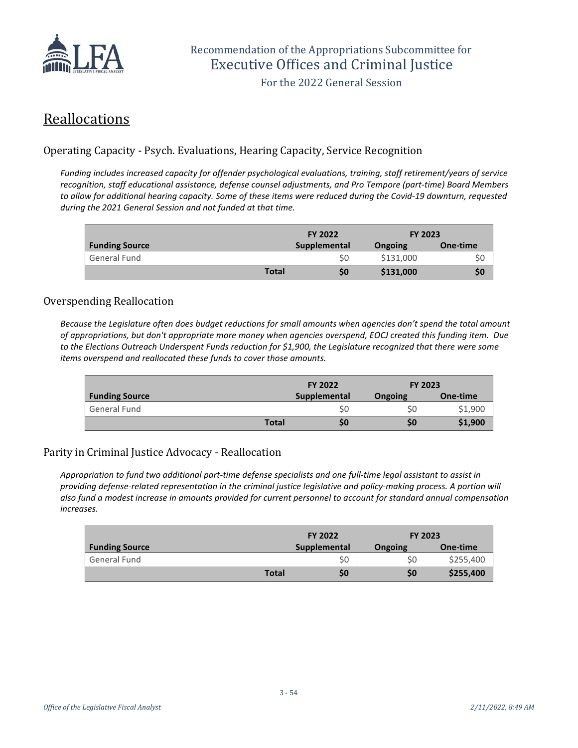

For the 2022 General Session

## Reallocations

### Operating Capacity - Psych. Evaluations, Hearing Capacity, Service Recognition

*Funding includes increased capacity for offender psychological evaluations, training, staff retirement/years of service recognition, staff educational assistance, defense counsel adjustments, and Pro Tempore (part‐time) Board Members to allow for additional hearing capacity. Some of these items were reduced during the Covid‐19 downturn, requested during the 2021 General Session and not funded at that time.*

|                       |              | <b>FY 2022</b> | <b>FY 2023</b> |          |
|-----------------------|--------------|----------------|----------------|----------|
| <b>Funding Source</b> |              | Supplemental   | Ongoing        | One-time |
| General Fund          |              | \$0            | \$131,000      | ŚΟ       |
|                       | <b>Total</b> | S0             | \$131,000      | \$0      |

#### Overspending Reallocation

*Because the Legislature often does budget reductions for small amounts when agencies don't spend the total amount of appropriations, but don't appropriate more money when agencies overspend, EOCJ created this funding item. Due to the Elections Outreach Underspent Funds reduction for \$1,900, the Legislature recognized that there were some items overspend and reallocated these funds to cover those amounts.*

|                       |              | <b>FY 2022</b> |         | <b>FY 2023</b> |
|-----------------------|--------------|----------------|---------|----------------|
| <b>Funding Source</b> |              | Supplemental   | Ongoing | One-time       |
| General Fund          |              | \$0            | S0      | \$1,900        |
|                       | <b>Total</b> | S0             | \$0     | \$1,900        |

### Parity in Criminal Justice Advocacy - Reallocation

*Appropriation to fund two additional part‐time defense specialists and one full‐time legal assistant to assist in providing defense‐related representation in the criminal justice legislative and policy‐making process. A portion will also fund a modest increase in amounts provided for current personnel to account for standard annual compensation increases.*

|                       |              | <b>FY 2022</b> |         | <b>FY 2023</b> |
|-----------------------|--------------|----------------|---------|----------------|
| <b>Funding Source</b> |              | Supplemental   | Ongoing | One-time       |
| General Fund          |              | S0             | S0      | \$255,400      |
|                       | <b>Total</b> | S0             | \$0     | \$255,400      |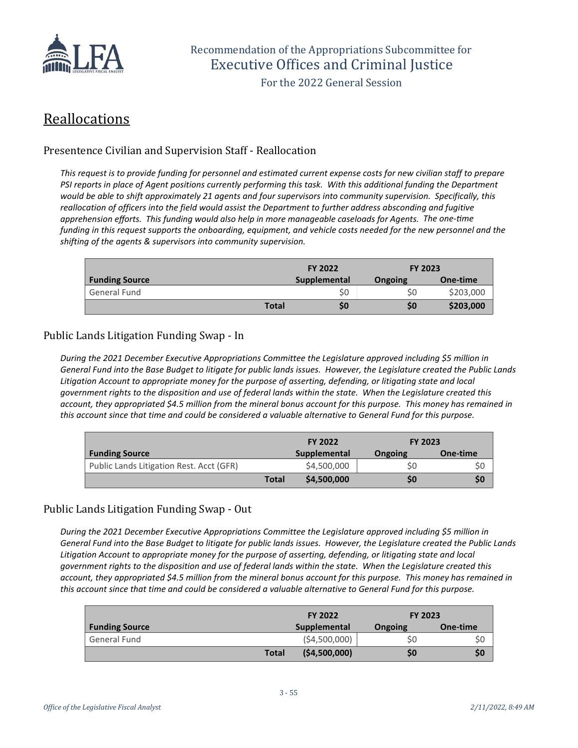

For the 2022 General Session

# Reallocations

#### Presentence Civilian and Supervision Staff - Reallocation

*This request is to provide funding for personnel and estimated current expense costs for new civilian staff to prepare PSI reports in place of Agent positions currently performing this task. With this additional funding the Department would be able to shift approximately 21 agents and four supervisors into community supervision. Specifically, this reallocation of officers into the field would assist the Department to further address absconding and fugitive apprehension efforts. This funding would also help in more manageable caseloads for Agents. The one-time funding in this request supports the onboarding, equipment, and vehicle costs needed for the new personnel and the shifting of the agents & supervisors into community supervision.*

|                       |              | <b>FY 2022</b> | <b>FY 2023</b> |           |
|-----------------------|--------------|----------------|----------------|-----------|
| <b>Funding Source</b> |              | Supplemental   | Ongoing        | One-time  |
| General Fund          |              | \$0            | S0             | \$203,000 |
|                       | <b>Total</b> | S0             | \$0            | \$203,000 |

#### Public Lands Litigation Funding Swap - In

*During the 2021 December Executive Appropriations Committee the Legislature approved including \$5 million in General Fund into the Base Budget to litigate for public lands issues. However, the Legislature created the Public Lands Litigation Account to appropriate money for the purpose of asserting, defending, or litigating state and local government rights to the disposition and use of federal lands within the state. When the Legislature created this account, they appropriated \$4.5 million from the mineral bonus account for this purpose. This money has remained in this account since that time and could be considered a valuable alternative to General Fund for this purpose.*

|                                          |       | <b>FY 2022</b> | <b>FY 2023</b> |          |
|------------------------------------------|-------|----------------|----------------|----------|
| <b>Funding Source</b>                    |       | Supplemental   | Ongoing        | One-time |
| Public Lands Litigation Rest. Acct (GFR) |       | \$4,500,000    | S0             | \$C      |
|                                          | Total | \$4,500,000    | \$0            | \$0      |

### Public Lands Litigation Funding Swap - Out

*During the 2021 December Executive Appropriations Committee the Legislature approved including \$5 million in General Fund into the Base Budget to litigate for public lands issues. However, the Legislature created the Public Lands Litigation Account to appropriate money for the purpose of asserting, defending, or litigating state and local government rights to the disposition and use of federal lands within the state. When the Legislature created this account, they appropriated \$4.5 million from the mineral bonus account for this purpose. This money has remained in this account since that time and could be considered a valuable alternative to General Fund for this purpose.*

|                       |              | <b>FY 2022</b> | <b>FY 2023</b> |          |
|-----------------------|--------------|----------------|----------------|----------|
| <b>Funding Source</b> |              | Supplemental   | Ongoing        | One-time |
| General Fund          |              | (54,500,000)   | S0             | SΟ       |
|                       | <b>Total</b> | (54,500,000)   | \$0            | \$0      |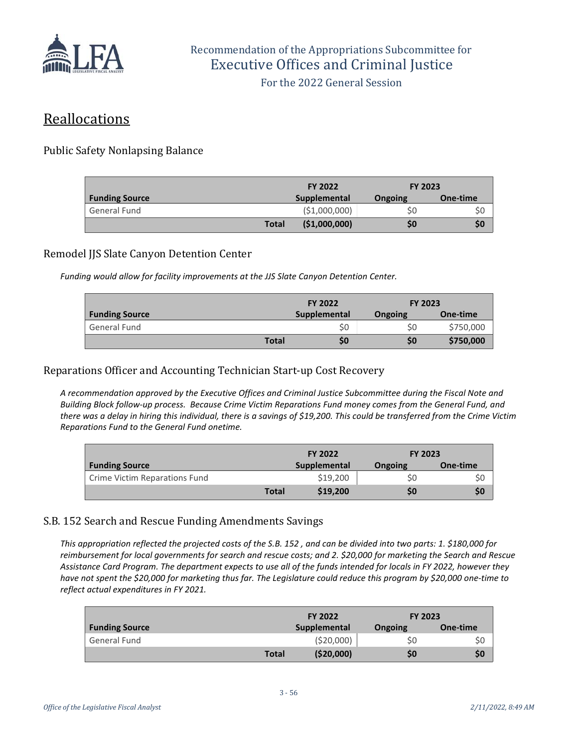

## Reallocations

Public Safety Nonlapsing Balance

|                       |              | <b>FY 2022</b> | <b>FY 2023</b> |          |
|-----------------------|--------------|----------------|----------------|----------|
| <b>Funding Source</b> |              | Supplemental   | Ongoing        | One-time |
| General Fund          |              | ( \$1,000,000) | S0             | \$0      |
|                       | <b>Total</b> | (\$1,000,000)  | \$0            | \$C      |

### Remodel JJS Slate Canyon Detention Center

*Funding would allow for facility improvements at the JJS Slate Canyon Detention Center.*

|                       |              | <b>FY 2022</b> |         | <b>FY 2023</b> |
|-----------------------|--------------|----------------|---------|----------------|
| <b>Funding Source</b> |              | Supplemental   | Ongoing | One-time       |
| General Fund          |              | \$0            | Ś0      | \$750,000      |
|                       | <b>Total</b> | S0             | \$0     | \$750,000      |

#### Reparations Officer and Accounting Technician Start-up Cost Recovery

*A recommendation approved by the Executive Offices and Criminal Justice Subcommittee during the Fiscal Note and Building Block follow‐up process. Because Crime Victim Reparations Fund money comes from the General Fund, and there was a delay in hiring this individual, there is a savings of \$19,200. This could be transferred from the Crime Victim Reparations Fund to the General Fund onetime.*

|                               |              | <b>FY 2022</b> | <b>FY 2023</b> |          |
|-------------------------------|--------------|----------------|----------------|----------|
| <b>Funding Source</b>         |              | Supplemental   | Ongoing        | One-time |
| Crime Victim Reparations Fund |              | \$19,200       | S0             |          |
|                               | <b>Total</b> | \$19,200       | \$0            | SC       |

### S.B. 152 Search and Rescue Funding Amendments Savings

*This appropriation reflected the projected costs of the S.B. 152 , and can be divided into two parts: 1. \$180,000 for reimbursement for local governments for search and rescue costs; and 2. \$20,000 for marketing the Search and Rescue Assistance Card Program. The department expects to use all of the funds intended for locals in FY 2022, however they have not spent the \$20,000 for marketing thus far. The Legislature could reduce this program by \$20,000 one‐time to reflect actual expenditures in FY 2021.*

|                       |              | <b>FY 2022</b> |         | <b>FY 2023</b> |
|-----------------------|--------------|----------------|---------|----------------|
| <b>Funding Source</b> |              | Supplemental   | Ongoing | One-time       |
| General Fund          |              | ( \$20,000)    | S0      | SΟ             |
|                       | <b>Total</b> | ( \$20,000]    | \$0     | \$0            |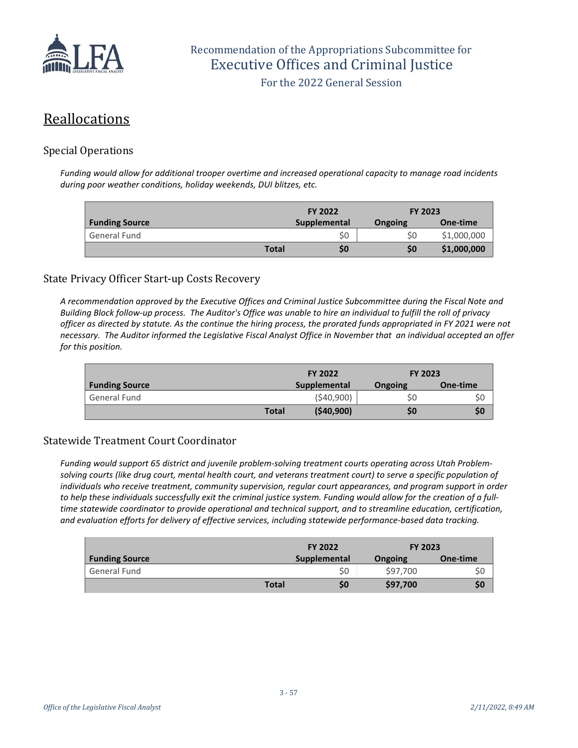

For the 2022 General Session

## Reallocations

### Special Operations

*Funding would allow for additional trooper overtime and increased operational capacity to manage road incidents during poor weather conditions, holiday weekends, DUI blitzes, etc.*

|                       |       | <b>FY 2022</b> |         | <b>FY 2023</b> |
|-----------------------|-------|----------------|---------|----------------|
| <b>Funding Source</b> |       | Supplemental   | Ongoing | One-time       |
| General Fund          |       | \$0            | S0      | \$1,000,000    |
|                       | Total | \$0            | \$0     | \$1,000,000    |

#### State Privacy Officer Start-up Costs Recovery

*A recommendation approved by the Executive Offices and Criminal Justice Subcommittee during the Fiscal Note and Building Block follow‐up process. The Auditor's Office was unable to hire an individual to fulfill the roll of privacy officer as directed by statute. As the continue the hiring process, the prorated funds appropriated in FY 2021 were not necessary. The Auditor informed the Legislative Fiscal Analyst Office in November that an individual accepted an offer for this position.*

|                       |              | <b>FY 2022</b> | <b>FY 2023</b> |          |
|-----------------------|--------------|----------------|----------------|----------|
| <b>Funding Source</b> |              | Supplemental   | Ongoing        | One-time |
| General Fund          |              | (540,900)      | SΟ             |          |
|                       | <b>Total</b> | (540,900)      | \$0            | \$0      |

### Statewide Treatment Court Coordinator

*Funding would support 65 district and juvenile problem‐solving treatment courts operating across Utah Problem‐ solving courts (like drug court, mental health court, and veterans treatment court) to serve a specific population of individuals who receive treatment, community supervision, regular court appearances, and program support in order to help these individuals successfully exit the criminal justice system. Funding would allow for the creation of a full‐ time statewide coordinator to provide operational and technical support, and to streamline education, certification, and evaluation efforts for delivery of effective services, including statewide performance‐based data tracking.*

|                       |       | <b>FY 2022</b> | <b>FY 2023</b> |          |
|-----------------------|-------|----------------|----------------|----------|
| <b>Funding Source</b> |       | Supplemental   | Ongoing        | One-time |
| General Fund          |       | Ś0             | \$97.700       | \$C      |
|                       | Total | S0             | \$97,700       | \$0      |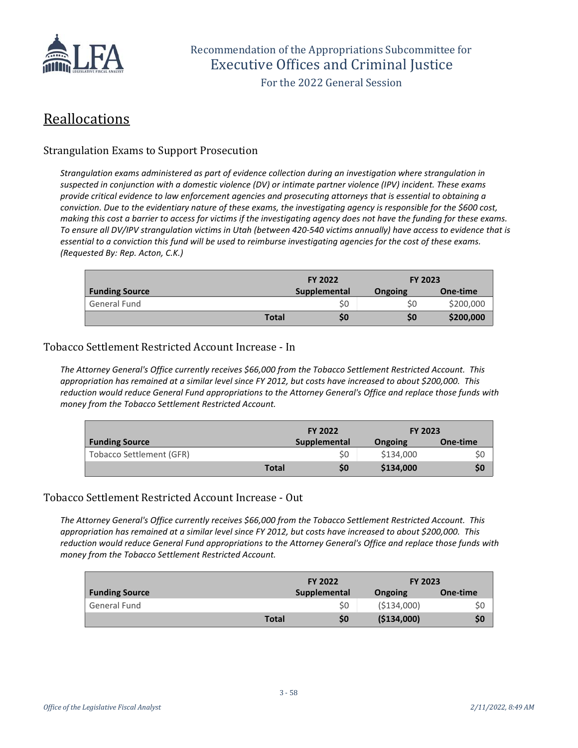

For the 2022 General Session

# Reallocations

#### Strangulation Exams to Support Prosecution

*Strangulation exams administered as part of evidence collection during an investigation where strangulation in suspected in conjunction with a domestic violence (DV) or intimate partner violence (IPV) incident. These exams provide critical evidence to law enforcement agencies and prosecuting attorneys that is essential to obtaining a conviction. Due to the evidentiary nature of these exams, the investigating agency is responsible for the \$600 cost, making this cost a barrier to access for victims if the investigating agency does not have the funding for these exams. To ensure all DV/IPV strangulation victims in Utah (between 420‐540 victims annually) have access to evidence that is essential to a conviction this fund will be used to reimburse investigating agencies for the cost of these exams. (Requested By: Rep. Acton, C.K.)*

|                       |              | <b>FY 2022</b> |         | <b>FY 2023</b> |
|-----------------------|--------------|----------------|---------|----------------|
| <b>Funding Source</b> |              | Supplemental   | Ongoing | One-time       |
| General Fund          |              | \$0            | S0      | \$200,000      |
|                       | <b>Total</b> | \$0            | \$0     | \$200,000      |

#### Tobacco Settlement Restricted Account Increase - In

*The Attorney General's Office currently receives \$66,000 from the Tobacco Settlement Restricted Account. This appropriation has remained at a similar level since FY 2012, but costs have increased to about \$200,000. This reduction would reduce General Fund appropriations to the Attorney General's Office and replace those funds with money from the Tobacco Settlement Restricted Account.*

|                          |              | <b>FY 2022</b> | <b>FY 2023</b> |          |
|--------------------------|--------------|----------------|----------------|----------|
| <b>Funding Source</b>    |              | Supplemental   | Ongoing        | One-time |
| Tobacco Settlement (GFR) |              | \$0            | \$134,000      |          |
|                          | <b>Total</b> | S0             | \$134,000      |          |

#### Tobacco Settlement Restricted Account Increase - Out

*The Attorney General's Office currently receives \$66,000 from the Tobacco Settlement Restricted Account. This appropriation has remained at a similar level since FY 2012, but costs have increased to about \$200,000. This reduction would reduce General Fund appropriations to the Attorney General's Office and replace those funds with money from the Tobacco Settlement Restricted Account.*

|                       |       | <b>FY 2022</b>      | <b>FY 2023</b> |          |
|-----------------------|-------|---------------------|----------------|----------|
| <b>Funding Source</b> |       | <b>Supplemental</b> | Ongoing        | One-time |
| General Fund          |       | \$0                 | ( \$134,000)   | SΟ       |
|                       | Total | \$0                 | ( \$134,000)   | \$0      |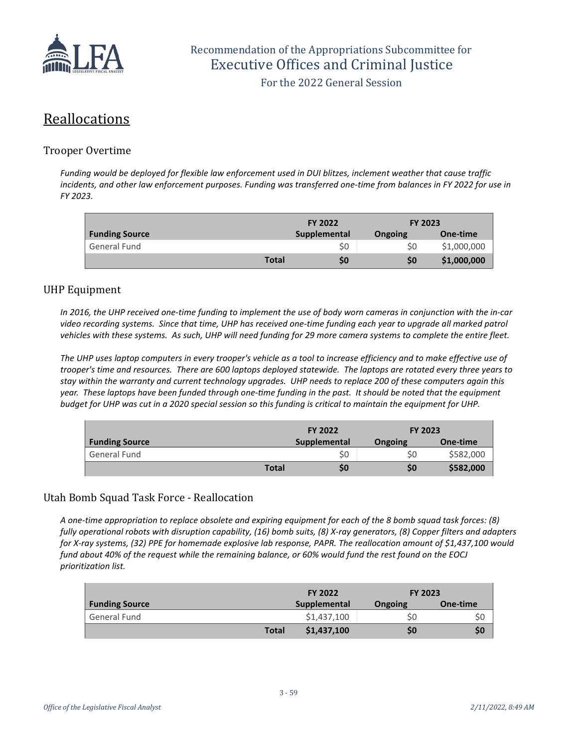

For the 2022 General Session

## Reallocations

### Trooper Overtime

*Funding would be deployed for flexible law enforcement used in DUI blitzes, inclement weather that cause traffic*  incidents, and other law enforcement purposes. Funding was transferred one-time from balances in FY 2022 for use in *FY 2023.*

|                       |              | <b>FY 2022</b> |           | <b>FY 2023</b> |
|-----------------------|--------------|----------------|-----------|----------------|
| <b>Funding Source</b> |              | Supplemental   | Ongoing   | One-time       |
| General Fund          |              | \$0            | S0        | \$1,000,000    |
|                       | <b>Total</b> | \$0            | <b>SO</b> | \$1,000,000    |

#### UHP Equipment

*In 2016, the UHP received one‐time funding to implement the use of body worn cameras in conjunction with the in‐car video recording systems. Since that time, UHP has received one‐time funding each year to upgrade all marked patrol vehicles with these systems. As such, UHP will need funding for 29 more camera systems to complete the entire fleet.* 

*The UHP uses laptop computers in every trooper's vehicle as a tool to increase efficiency and to make effective use of trooper's time and resources. There are 600 laptops deployed statewide. The laptops are rotated every three years to stay within the warranty and current technology upgrades. UHP needs to replace 200 of these computers again this*  year. These laptops have been funded through one-time funding in the past. It should be noted that the equipment *budget for UHP was cut in a 2020 special session so this funding is critical to maintain the equipment for UHP.*

|                       |              | <b>FY 2022</b> |         | <b>FY 2023</b> |
|-----------------------|--------------|----------------|---------|----------------|
| <b>Funding Source</b> |              | Supplemental   | Ongoing | One-time       |
| General Fund          |              | S0             | Ś0      | \$582,000      |
|                       | <b>Total</b> | S0             | \$0     | \$582,000      |

#### Utah Bomb Squad Task Force - Reallocation

*A one‐time appropriation to replace obsolete and expiring equipment for each of the 8 bomb squad task forces: (8) fully operational robots with disruption capability, (16) bomb suits, (8) X‐ray generators, (8) Copper filters and adapters for X‐ray systems, (32) PPE for homemade explosive lab response, PAPR. The reallocation amount of \$1,437,100 would fund about 40% of the request while the remaining balance, or 60% would fund the rest found on the EOCJ prioritization list.*

|                       |              | <b>FY 2022</b> | <b>FY 2023</b> |          |
|-----------------------|--------------|----------------|----------------|----------|
| <b>Funding Source</b> |              | Supplemental   | Ongoing        | One-time |
| General Fund          |              | \$1,437,100    | S0             |          |
|                       | <b>Total</b> | \$1,437,100    | \$0            | SC       |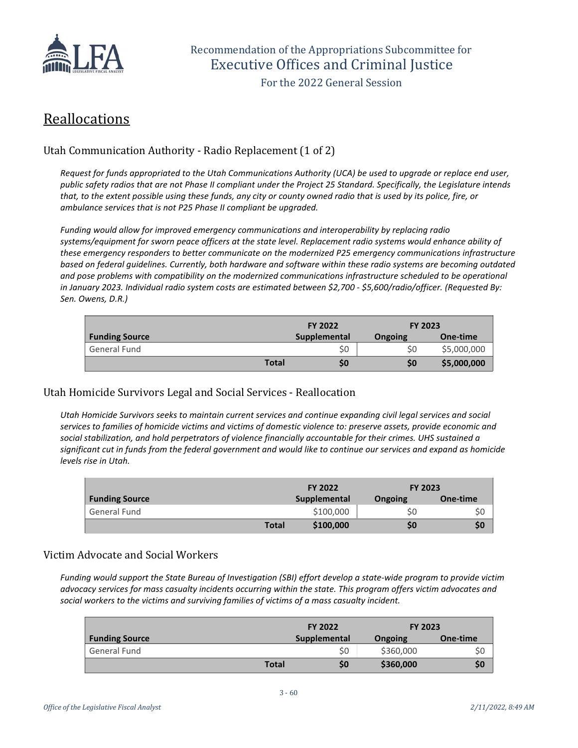

For the 2022 General Session

## Reallocations

### Utah Communication Authority - Radio Replacement (1 of 2)

*Request for funds appropriated to the Utah Communications Authority (UCA) be used to upgrade or replace end user, public safety radios that are not Phase II compliant under the Project 25 Standard. Specifically, the Legislature intends that, to the extent possible using these funds, any city or county owned radio that is used by its police, fire, or ambulance services that is not P25 Phase II compliant be upgraded.*

*Funding would allow for improved emergency communications and interoperability by replacing radio systems/equipment for sworn peace officers at the state level. Replacement radio systems would enhance ability of these emergency responders to better communicate on the modernized P25 emergency communications infrastructure based on federal guidelines. Currently, both hardware and software within these radio systems are becoming outdated and pose problems with compatibility on the modernized communications infrastructure scheduled to be operational in January 2023. Individual radio system costs are estimated between \$2,700 ‐ \$5,600/radio/officer. (Requested By: Sen. Owens, D.R.)*

|                       |              | <b>FY 2022</b> |         | <b>FY 2023</b> |
|-----------------------|--------------|----------------|---------|----------------|
| <b>Funding Source</b> |              | Supplemental   | Ongoing | One-time       |
| General Fund          |              | \$0            | Ś0      | \$5,000,000    |
|                       | <b>Total</b> | \$0            | \$0     | \$5,000,000    |

#### Utah Homicide Survivors Legal and Social Services - Reallocation

*Utah Homicide Survivors seeks to maintain current services and continue expanding civil legal services and social services to families of homicide victims and victims of domestic violence to: preserve assets, provide economic and social stabilization, and hold perpetrators of violence financially accountable for their crimes. UHS sustained a significant cut in funds from the federal government and would like to continue our services and expand as homicide levels rise in Utah.*

|                       |       | <b>FY 2022</b> | <b>FY 2023</b> |          |
|-----------------------|-------|----------------|----------------|----------|
| <b>Funding Source</b> |       | Supplemental   | Ongoing        | One-time |
| General Fund          |       | \$100,000      | S0             | ŚС       |
|                       | Total | \$100,000      | \$0            | \$0      |

### Victim Advocate and Social Workers

*Funding would support the State Bureau of Investigation (SBI) effort develop a state‐wide program to provide victim advocacy services for mass casualty incidents occurring within the state. This program offers victim advocates and social workers to the victims and surviving families of victims of a mass casualty incident.*

|                       |              | <b>FY 2022</b> | <b>FY 2023</b> |          |
|-----------------------|--------------|----------------|----------------|----------|
| <b>Funding Source</b> |              | Supplemental   | Ongoing        | One-time |
| General Fund          |              | \$0            | \$360,000      | \$C      |
|                       | <b>Total</b> | S0             | \$360,000      | \$0      |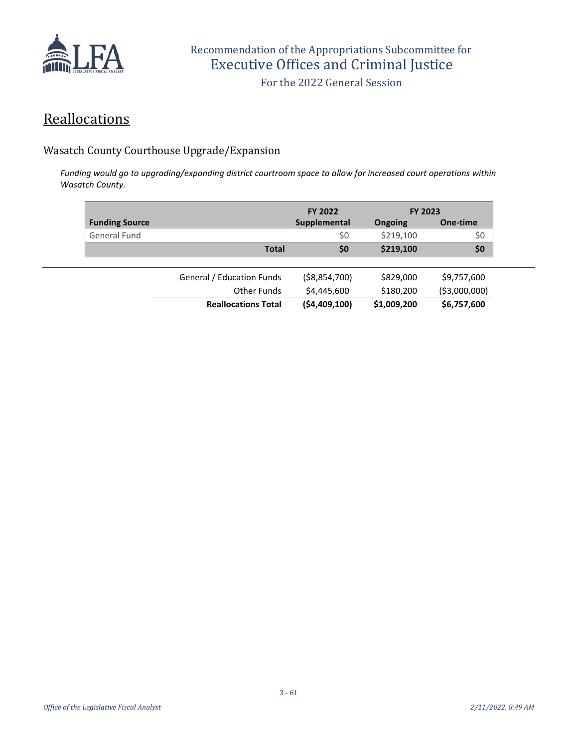

For the 2022 General Session

# **Reallocations**

### Wasatch County Courthouse Upgrade/Expansion

*Funding would go to upgrading/expanding district courtroom space to allow for increased court operations within Wasatch County.*

|                       |                            | <b>FY 2022</b> | FY 2023     |                |
|-----------------------|----------------------------|----------------|-------------|----------------|
| <b>Funding Source</b> |                            | Supplemental   | Ongoing     | One-time       |
| General Fund          |                            | \$0            | \$219,100   | \$0            |
|                       | <b>Total</b>               | \$0            | \$219,100   | \$0            |
|                       | General / Education Funds  | ( \$8,854,700) | \$829,000   | \$9,757,600    |
|                       | Other Funds                | \$4,445,600    | \$180,200   | ( \$3,000,000) |
|                       | <b>Reallocations Total</b> | (54, 409, 100) | \$1,009,200 | \$6,757,600    |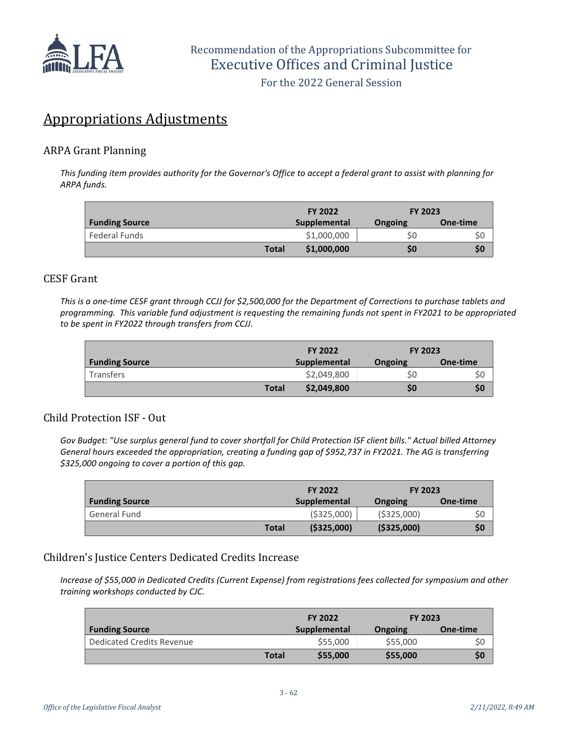

# Appropriations Adjustments

### ARPA Grant Planning

*This funding item provides authority for the Governor's Office to accept a federal grant to assist with planning for ARPA funds.*

|                       |              | <b>FY 2022</b> | <b>FY 2023</b> |          |
|-----------------------|--------------|----------------|----------------|----------|
| <b>Funding Source</b> |              | Supplemental   | Ongoing        | One-time |
| Federal Funds         |              | \$1,000,000    | S0             |          |
|                       | <b>Total</b> | \$1,000,000    | \$0            | \$C      |

#### CESF Grant

*This is a one‐time CESF grant through CCJJ for \$2,500,000 for the Department of Corrections to purchase tablets and programming. This variable fund adjustment is requesting the remaining funds not spent in FY2021 to be appropriated to be spent in FY2022 through transfers from CCJJ.*

|                       |              | <b>FY 2022</b> | <b>FY 2023</b> |          |
|-----------------------|--------------|----------------|----------------|----------|
| <b>Funding Source</b> |              | Supplemental   | Ongoing        | One-time |
| Transfers             |              | \$2,049,800    | \$0            | ŚС       |
|                       | <b>Total</b> | \$2,049,800    | \$0            | \$0      |

### Child Protection ISF - Out

*Gov Budget: "Use surplus general fund to cover shortfall for Child Protection ISF client bills." Actual billed Attorney General hours exceeded the appropriation, creating a funding gap of \$952,737 in FY2021. The AG is transferring \$325,000 ongoing to cover a portion of this gap.*

|                       |       | <b>FY 2022</b> | <b>FY 2023</b> |          |
|-----------------------|-------|----------------|----------------|----------|
| <b>Funding Source</b> |       | Supplemental   | Ongoing        | One-time |
| General Fund          |       | ( \$325,000)   | ( \$325,000)   | SΟ       |
|                       | Total | ( \$325,000)   | ( \$325,000)   | \$0      |

### Children's Justice Centers Dedicated Credits Increase

*Increase of \$55,000 in Dedicated Credits (Current Expense) from registrations fees collected for symposium and other training workshops conducted by CJC.*

|                           |              | <b>FY 2022</b> | <b>FY 2023</b> |          |
|---------------------------|--------------|----------------|----------------|----------|
| <b>Funding Source</b>     |              | Supplemental   | Ongoing        | One-time |
| Dedicated Credits Revenue |              | \$55,000       | \$55,000       | S0       |
|                           | <b>Total</b> | \$55,000       | \$55,000       | \$0      |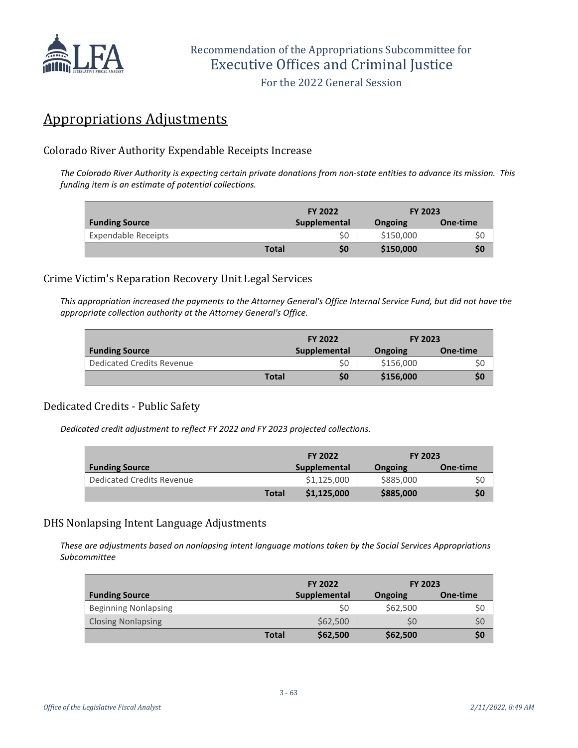

# Appropriations Adjustments

### Colorado River Authority Expendable Receipts Increase

*The Colorado River Authority is expecting certain private donations from non‐state entities to advance its mission. This funding item is an estimate of potential collections.*

|                            |              | <b>FY 2022</b> | <b>FY 2023</b> |          |
|----------------------------|--------------|----------------|----------------|----------|
| <b>Funding Source</b>      |              | Supplemental   | Ongoing        | One-time |
| <b>Expendable Receipts</b> |              | \$0            | \$150,000      |          |
|                            | <b>Total</b> | S0             | \$150,000      | sc       |

#### Crime Victim's Reparation Recovery Unit Legal Services

*This appropriation increased the payments to the Attorney General's Office Internal Service Fund, but did not have the appropriate collection authority at the Attorney General's Office.*

|                           |              | <b>FY 2022</b> | <b>FY 2023</b> |          |
|---------------------------|--------------|----------------|----------------|----------|
| <b>Funding Source</b>     |              | Supplemental   | Ongoing        | One-time |
| Dedicated Credits Revenue |              | \$0            | \$156,000      | ŚС       |
|                           | <b>Total</b> | S0             | \$156,000      | \$C      |

#### Dedicated Credits - Public Safety

*Dedicated credit adjustment to reflect FY 2022 and FY 2023 projected collections.*

|                           |              | <b>FY 2022</b> | <b>FY 2023</b> |          |
|---------------------------|--------------|----------------|----------------|----------|
| <b>Funding Source</b>     |              | Supplemental   | Ongoing        | One-time |
| Dedicated Credits Revenue |              | \$1,125,000    | \$885,000      | S0       |
|                           | <b>Total</b> | \$1,125,000    | \$885,000      | \$0      |

#### DHS Nonlapsing Intent Language Adjustments

*These are adjustments based on nonlapsing intent language motions taken by the Social Services Appropriations Subcommittee*

|                             |              | <b>FY 2022</b> | <b>FY 2023</b> |          |
|-----------------------------|--------------|----------------|----------------|----------|
| <b>Funding Source</b>       |              | Supplemental   | Ongoing        | One-time |
| <b>Beginning Nonlapsing</b> |              | \$0            | \$62,500       | \$0      |
| <b>Closing Nonlapsing</b>   |              | \$62,500       | \$0            | Ś0       |
|                             | <b>Total</b> | \$62,500       | \$62,500       | \$0      |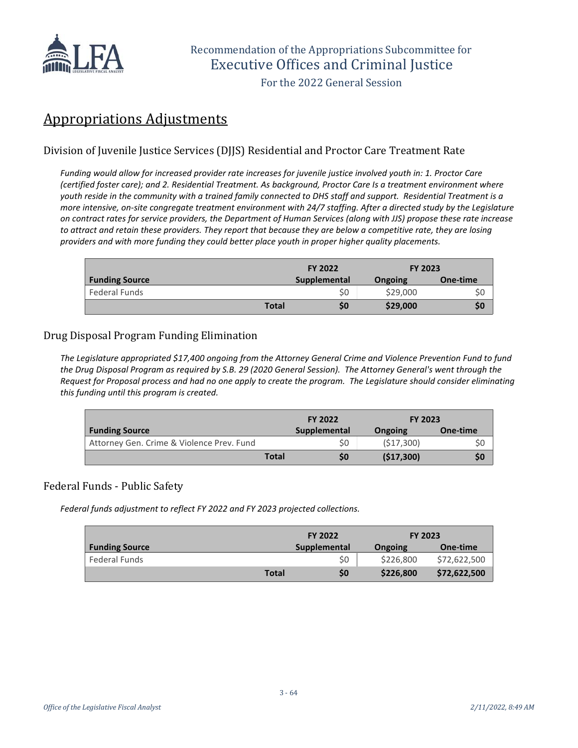

For the 2022 General Session

# Appropriations Adjustments

### Division of Juvenile Justice Services (DJJS) Residential and Proctor Care Treatment Rate

*Funding would allow for increased provider rate increases for juvenile justice involved youth in: 1. Proctor Care (certified foster care); and 2. Residential Treatment. As background, Proctor Care Is a treatment environment where youth reside in the community with a trained family connected to DHS staff and support. Residential Treatment is a more intensive, on‐site congregate treatment environment with 24/7 staffing. After a directed study by the Legislature on contract rates for service providers, the Department of Human Services (along with JJS) propose these rate increase to attract and retain these providers. They report that because they are below a competitive rate, they are losing providers and with more funding they could better place youth in proper higher quality placements.*

|                       |       | <b>FY 2022</b> | <b>FY 2023</b> |          |
|-----------------------|-------|----------------|----------------|----------|
| <b>Funding Source</b> |       | Supplemental   | Ongoing        | One-time |
| Federal Funds         |       | \$0            | \$29,000       | ŚC       |
|                       | Total | S0             | \$29,000       | \$0      |

#### Drug Disposal Program Funding Elimination

*The Legislature appropriated \$17,400 ongoing from the Attorney General Crime and Violence Prevention Fund to fund the Drug Disposal Program as required by S.B. 29 (2020 General Session). The Attorney General's went through the Request for Proposal process and had no one apply to create the program. The Legislature should consider eliminating this funding until this program is created.*

|                                           |       | <b>FY 2022</b> | <b>FY 2023</b> |          |
|-------------------------------------------|-------|----------------|----------------|----------|
| <b>Funding Source</b>                     |       | Supplemental   | Ongoing        | One-time |
| Attorney Gen. Crime & Violence Prev. Fund |       | \$0            | (517,300)      |          |
|                                           | Total | S0             | (517,300)      |          |

#### Federal Funds - Public Safety

*Federal funds adjustment to reflect FY 2022 and FY 2023 projected collections.*

|                       |       | <b>FY 2022</b> |           | <b>FY 2023</b> |
|-----------------------|-------|----------------|-----------|----------------|
| <b>Funding Source</b> |       | Supplemental   | Ongoing   | One-time       |
| Federal Funds         |       | \$0            | \$226,800 | \$72,622,500   |
|                       | Total | \$0            | \$226,800 | \$72,622,500   |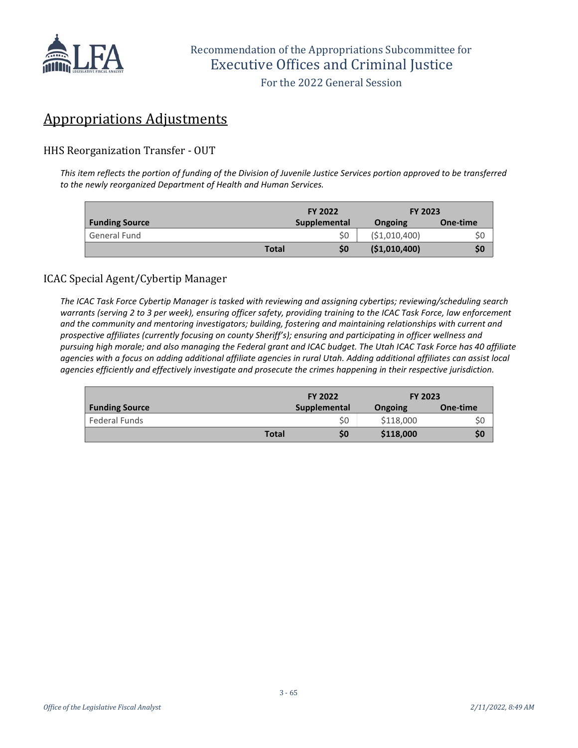

# Appropriations Adjustments

### HHS Reorganization Transfer - OUT

*This item reflects the portion of funding of the Division of Juvenile Justice Services portion approved to be transferred to the newly reorganized Department of Health and Human Services.*

|                       |       | <b>FY 2022</b> | <b>FY 2023</b> |          |
|-----------------------|-------|----------------|----------------|----------|
| <b>Funding Source</b> |       | Supplemental   | Ongoing        | One-time |
| General Fund          |       | Ś0             | ( \$1,010,400) |          |
|                       | Total | \$0            | (\$1,010,400)  | S0       |

### ICAC Special Agent/Cybertip Manager

*The ICAC Task Force Cybertip Manager is tasked with reviewing and assigning cybertips; reviewing/scheduling search warrants (serving 2 to 3 per week), ensuring officer safety, providing training to the ICAC Task Force, law enforcement and the community and mentoring investigators; building, fostering and maintaining relationships with current and prospective affiliates (currently focusing on county Sheriff's); ensuring and participating in officer wellness and pursuing high morale; and also managing the Federal grant and ICAC budget. The Utah ICAC Task Force has 40 affiliate agencies with a focus on adding additional affiliate agencies in rural Utah. Adding additional affiliates can assist local agencies efficiently and effectively investigate and prosecute the crimes happening in their respective jurisdiction.*

|                       |              | <b>FY 2022</b> | <b>FY 2023</b> |          |
|-----------------------|--------------|----------------|----------------|----------|
| <b>Funding Source</b> |              | Supplemental   | Ongoing        | One-time |
| Federal Funds         |              | \$0            | \$118,000      | ŚС       |
|                       | <b>Total</b> | S0             | \$118,000      | SC       |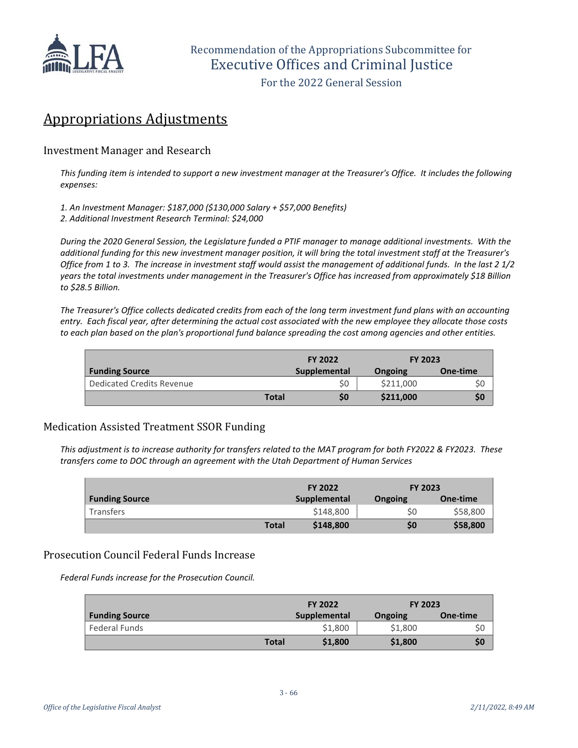

For the 2022 General Session

# Appropriations Adjustments

#### Investment Manager and Research

This funding item is intended to support a new investment manager at the Treasurer's Office. It includes the following *expenses:*

*1. An Investment Manager: \$187,000 (\$130,000 Salary + \$57,000 Benefits)*

*2. Additional Investment Research Terminal: \$24,000*

*During the 2020 General Session, the Legislature funded a PTIF manager to manage additional investments. With the additional funding for this new investment manager position, it will bring the total investment staff at the Treasurer's Office from 1 to 3. The increase in investment staff would assist the management of additional funds. In the last 2 1/2 years the total investments under management in the Treasurer's Office has increased from approximately \$18 Billion to \$28.5 Billion.*

*The Treasurer's Office collects dedicated credits from each of the long term investment fund plans with an accounting entry. Each fiscal year, after determining the actual cost associated with the new employee they allocate those costs to each plan based on the plan's proportional fund balance spreading the cost among agencies and other entities.*

|                           |              | <b>FY 2022</b> | <b>FY 2023</b> |          |
|---------------------------|--------------|----------------|----------------|----------|
| <b>Funding Source</b>     |              | Supplemental   | Ongoing        | One-time |
| Dedicated Credits Revenue |              | \$0            | \$211,000      | \$C      |
|                           | <b>Total</b> | S0             | \$211,000      | \$0      |

#### Medication Assisted Treatment SSOR Funding

*This adjustment is to increase authority for transfers related to the MAT program for both FY2022 & FY2023. These transfers come to DOC through an agreement with the Utah Department of Human Services*

|                       |              | <b>FY 2022</b> | <b>FY 2023</b> |          |
|-----------------------|--------------|----------------|----------------|----------|
| <b>Funding Source</b> |              | Supplemental   | Ongoing        | One-time |
| Transfers             |              | \$148,800      | S0             | \$58,800 |
|                       | <b>Total</b> | \$148,800      | \$0            | \$58,800 |

#### Prosecution Council Federal Funds Increase

*Federal Funds increase for the Prosecution Council.*

|                       |              | <b>FY 2022</b> | <b>FY 2023</b> |          |
|-----------------------|--------------|----------------|----------------|----------|
| <b>Funding Source</b> |              | Supplemental   | Ongoing        | One-time |
| Federal Funds         |              | \$1,800        | \$1,800        | SΟ       |
|                       | <b>Total</b> | \$1,800        | \$1,800        | \$0      |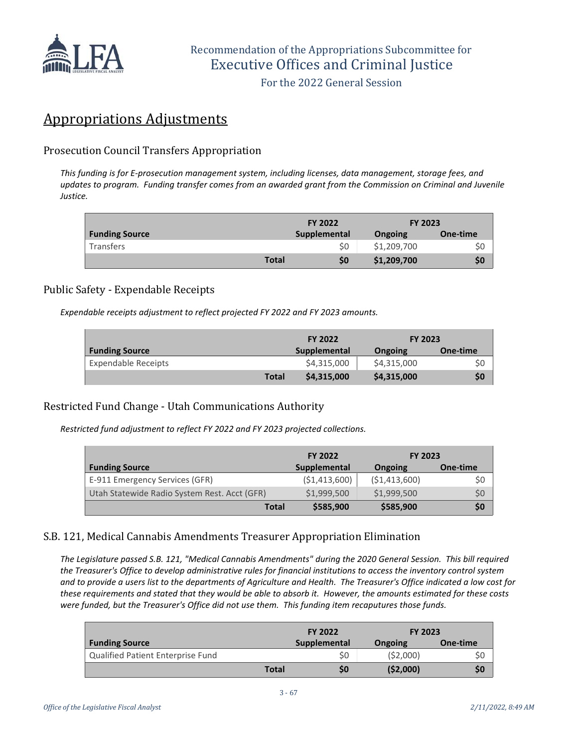

# Appropriations Adjustments

### Prosecution Council Transfers Appropriation

*This funding is for E‐prosecution management system, including licenses, data management, storage fees, and updates to program. Funding transfer comes from an awarded grant from the Commission on Criminal and Juvenile Justice.*

|                       |              | <b>FY 2022</b> | <b>FY 2023</b> |          |
|-----------------------|--------------|----------------|----------------|----------|
| <b>Funding Source</b> |              | Supplemental   | Ongoing        | One-time |
| Transfers             |              | \$0            | \$1,209,700    | SΟ       |
|                       | <b>Total</b> | \$0            | \$1,209,700    | \$0      |

#### Public Safety - Expendable Receipts

*Expendable receipts adjustment to reflect projected FY 2022 and FY 2023 amounts.*

|                            |              | <b>FY 2022</b> | <b>FY 2023</b> |          |
|----------------------------|--------------|----------------|----------------|----------|
| <b>Funding Source</b>      |              | Supplemental   | Ongoing        | One-time |
| <b>Expendable Receipts</b> |              | \$4,315,000    | \$4,315,000    |          |
|                            | <b>Total</b> | \$4,315,000    | \$4,315,000    | \$0      |

#### Restricted Fund Change - Utah Communications Authority

*Restricted fund adjustment to reflect FY 2022 and FY 2023 projected collections.*

|                                              | <b>FY 2022</b> | <b>FY 2023</b> |          |
|----------------------------------------------|----------------|----------------|----------|
| <b>Funding Source</b>                        | Supplemental   | Ongoing        | One-time |
| E-911 Emergency Services (GFR)               | ( \$1,413,600) | ( \$1,413,600) | \$0      |
| Utah Statewide Radio System Rest. Acct (GFR) | \$1,999,500    | \$1,999,500    | \$0      |
| <b>Total</b>                                 | \$585,900      | \$585,900      | \$0      |

#### S.B. 121, Medical Cannabis Amendments Treasurer Appropriation Elimination

*The Legislature passed S.B. 121, "Medical Cannabis Amendments" during the 2020 General Session. This bill required the Treasurer's Office to develop administrative rules for financial institutions to access the inventory control system and to provide a users list to the departments of Agriculture and Health. The Treasurer's Office indicated a low cost for these requirements and stated that they would be able to absorb it. However, the amounts estimated for these costs were funded, but the Treasurer's Office did not use them. This funding item recaputures those funds.*

|                                   |              | <b>FY 2022</b> | <b>FY 2023</b> |          |
|-----------------------------------|--------------|----------------|----------------|----------|
| <b>Funding Source</b>             |              | Supplemental   | Ongoing        | One-time |
| Qualified Patient Enterprise Fund |              | \$0            | (52,000)       | Ś0       |
|                                   | <b>Total</b> | \$0            | ( \$2,000)     | \$0      |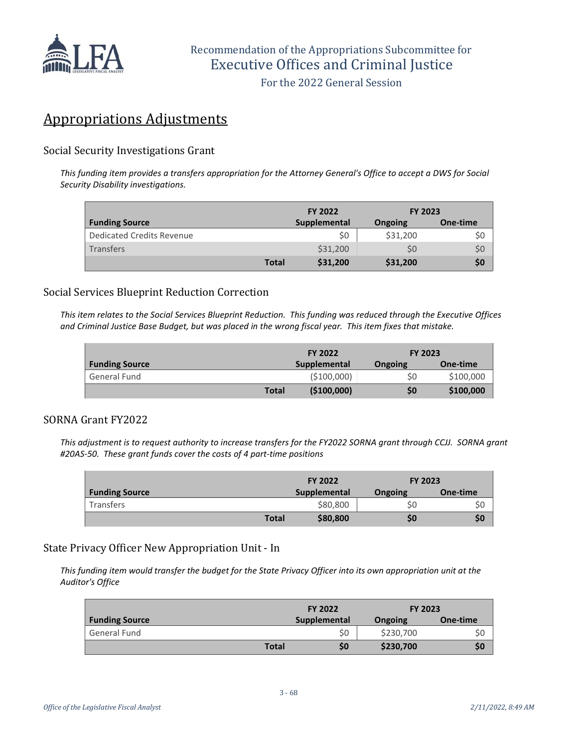

# Appropriations Adjustments

### Social Security Investigations Grant

*This funding item provides a transfers appropriation for the Attorney General's Office to accept a DWS for Social Security Disability investigations.*

|                                  |              | <b>FY 2022</b> | <b>FY 2023</b> |          |
|----------------------------------|--------------|----------------|----------------|----------|
| <b>Funding Source</b>            |              | Supplemental   | Ongoing        | One-time |
| <b>Dedicated Credits Revenue</b> |              | \$0            | \$31,200       | \$0      |
| <b>Transfers</b>                 |              | \$31,200       | S0             | \$0      |
|                                  | <b>Total</b> | \$31,200       | \$31,200       | \$0      |

#### Social Services Blueprint Reduction Correction

*This item relates to the Social Services Blueprint Reduction. This funding was reduced through the Executive Offices and Criminal Justice Base Budget, but was placed in the wrong fiscal year. This item fixes that mistake.*

|                       | <b>FY 2022</b>       |         | <b>FY 2023</b> |
|-----------------------|----------------------|---------|----------------|
| <b>Funding Source</b> | Supplemental         | Ongoing | One-time       |
| General Fund          | ( \$100,000)         | S0      | \$100,000      |
|                       | (\$100,000)<br>Total | \$0     | \$100,000      |

#### SORNA Grant FY2022

*This adjustment is to request authority to increase transfers for the FY2022 SORNA grant through CCJJ. SORNA grant #20AS‐50. These grant funds cover the costs of 4 part‐time positions*

|                       |              | <b>FY 2022</b> | <b>FY 2023</b> |          |
|-----------------------|--------------|----------------|----------------|----------|
| <b>Funding Source</b> |              | Supplemental   | Ongoing        | One-time |
| <b>Transfers</b>      |              | \$80,800       | S0             | ŚС       |
|                       | <b>Total</b> | \$80,800       | \$0            | \$0      |

### State Privacy Officer New Appropriation Unit - In

*This funding item would transfer the budget for the State Privacy Officer into its own appropriation unit at the Auditor's Office*

|                       |              | <b>FY 2022</b> | <b>FY 2023</b> |          |
|-----------------------|--------------|----------------|----------------|----------|
| <b>Funding Source</b> |              | Supplemental   | Ongoing        | One-time |
| General Fund          |              | \$0            | \$230,700      |          |
|                       | <b>Total</b> | S0             | \$230,700      | S0       |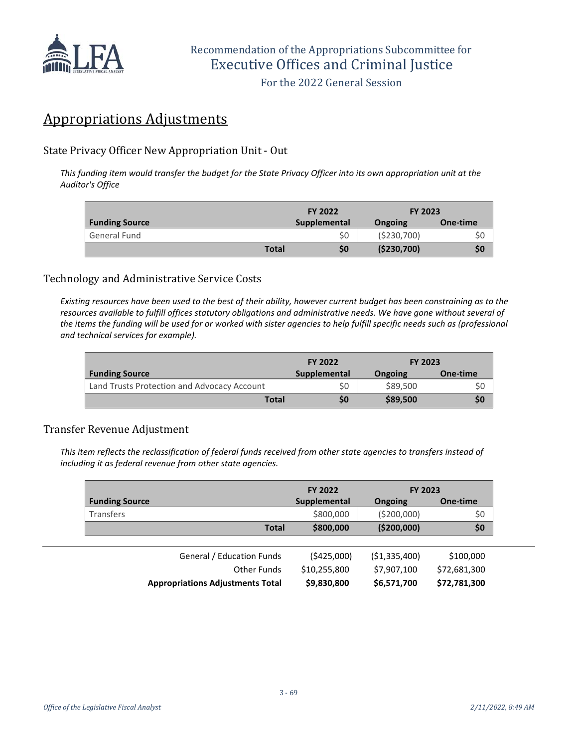

# Appropriations Adjustments

### State Privacy Officer New Appropriation Unit - Out

*This funding item would transfer the budget for the State Privacy Officer into its own appropriation unit at the Auditor's Office*

|                       |              | <b>FY 2022</b> | <b>FY 2023</b> |          |
|-----------------------|--------------|----------------|----------------|----------|
| <b>Funding Source</b> |              | Supplemental   | Ongoing        | One-time |
| General Fund          |              | \$0            | ( \$230, 700)  | SΟ       |
|                       | <b>Total</b> | \$0            | ( \$230, 700)  | \$0      |

### Technology and Administrative Service Costs

*Existing resources have been used to the best of their ability, however current budget has been constraining as to the resources available to fulfill offices statutory obligations and administrative needs. We have gone without several of the items the funding will be used for or worked with sister agencies to help fulfill specific needs such as (professional and technical services for example).*

|                                             | <b>FY 2022</b> | <b>FY 2023</b> |          |
|---------------------------------------------|----------------|----------------|----------|
| <b>Funding Source</b>                       | Supplemental   | Ongoing        | One-time |
| Land Trusts Protection and Advocacy Account | \$0            | \$89,500       | S0       |
| <b>Total</b>                                | \$0            | \$89,500       | \$0      |

### Transfer Revenue Adjustment

*This item reflects the reclassification of federal funds received from other state agencies to transfers instead of including it as federal revenue from other state agencies.*

|                                         | <b>FY 2022</b> | <b>FY 2023</b> |              |
|-----------------------------------------|----------------|----------------|--------------|
| <b>Funding Source</b>                   | Supplemental   | Ongoing        | One-time     |
| <b>Transfers</b>                        | \$800,000      | ( \$200,000)   | \$0          |
| <b>Total</b>                            | \$800,000      | ( \$200,000]   | \$0          |
|                                         |                |                |              |
| General / Education Funds               | (\$425,000)    | ( \$1,335,400) | \$100,000    |
| Other Funds                             | \$10,255,800   | \$7,907,100    | \$72,681,300 |
| <b>Appropriations Adjustments Total</b> | \$9,830,800    | \$6,571,700    | \$72,781,300 |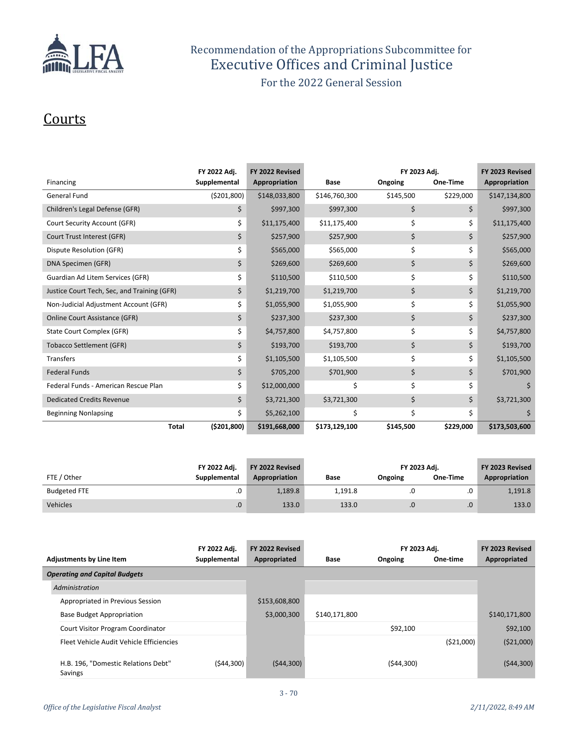

For the 2022 General Session

# **Courts**

|                                             | FY 2022 Adj.  | FY 2022 Revised | FY 2023 Adi.  |           | FY 2023 Revised |               |
|---------------------------------------------|---------------|-----------------|---------------|-----------|-----------------|---------------|
| Financing                                   | Supplemental  | Appropriation   | <b>Base</b>   | Ongoing   | One-Time        | Appropriation |
| <b>General Fund</b>                         | ( \$201, 800) | \$148,033,800   | \$146,760,300 | \$145,500 | \$229,000       | \$147,134,800 |
| Children's Legal Defense (GFR)              | \$            | \$997,300       | \$997,300     | \$        | \$              | \$997,300     |
| Court Security Account (GFR)                | \$            | \$11,175,400    | \$11,175,400  | \$        | \$              | \$11,175,400  |
| Court Trust Interest (GFR)                  | \$            | \$257,900       | \$257,900     | \$        | \$              | \$257,900     |
| Dispute Resolution (GFR)                    | \$            | \$565,000       | \$565,000     | \$        | \$              | \$565,000     |
| DNA Specimen (GFR)                          | \$            | \$269,600       | \$269,600     | \$        | \$              | \$269,600     |
| Guardian Ad Litem Services (GFR)            | \$            | \$110,500       | \$110,500     | \$        | \$              | \$110,500     |
| Justice Court Tech, Sec, and Training (GFR) | \$            | \$1,219,700     | \$1,219,700   | \$        | \$              | \$1,219,700   |
| Non-Judicial Adjustment Account (GFR)       | \$            | \$1,055,900     | \$1,055,900   | \$        | \$              | \$1,055,900   |
| Online Court Assistance (GFR)               | \$            | \$237,300       | \$237,300     | \$        | \$              | \$237,300     |
| State Court Complex (GFR)                   | \$            | \$4,757,800     | \$4,757,800   | \$        | \$              | \$4,757,800   |
| <b>Tobacco Settlement (GFR)</b>             | \$            | \$193,700       | \$193,700     | \$        | \$              | \$193,700     |
| Transfers                                   | \$            | \$1,105,500     | \$1,105,500   | \$        | \$              | \$1,105,500   |
| <b>Federal Funds</b>                        | \$            | \$705,200       | \$701,900     | \$        | \$              | \$701,900     |
| Federal Funds - American Rescue Plan        | \$            | \$12,000,000    | \$            | \$        | Ś.              |               |
| <b>Dedicated Credits Revenue</b>            | \$            | \$3,721,300     | \$3,721,300   | \$        | \$              | \$3,721,300   |
| <b>Beginning Nonlapsing</b>                 | \$            | \$5,262,100     | \$            | \$        | \$              |               |
| Total                                       | ( \$201, 800) | \$191,668,000   | \$173,129,100 | \$145,500 | \$229,000       | \$173,503,600 |

|                     | FY 2022 Adj. | FY 2022 Revised | FY 2023 Adj. |         | FY 2023 Revised |               |
|---------------------|--------------|-----------------|--------------|---------|-----------------|---------------|
| FTE / Other         | Supplemental | Appropriation   | Base         | Ongoing | One-Time        | Appropriation |
| <b>Budgeted FTE</b> |              | 1,189.8         | 1,191.8      |         |                 | 1,191.8       |
| Vehicles            |              | 133.0           | 133.0        |         | .0              | 133.0         |

|                                                | FY 2022 Adj. | FY 2022 Revised |               | FY 2023 Adj. |           | FY 2023 Revised |
|------------------------------------------------|--------------|-----------------|---------------|--------------|-----------|-----------------|
| <b>Adjustments by Line Item</b>                | Supplemental | Appropriated    | <b>Base</b>   | Ongoing      | One-time  | Appropriated    |
| <b>Operating and Capital Budgets</b>           |              |                 |               |              |           |                 |
| Administration                                 |              |                 |               |              |           |                 |
| Appropriated in Previous Session               |              | \$153,608,800   |               |              |           |                 |
| <b>Base Budget Appropriation</b>               |              | \$3,000,300     | \$140,171,800 |              |           | \$140,171,800   |
| Court Visitor Program Coordinator              |              |                 |               | \$92,100     |           | \$92,100        |
| Fleet Vehicle Audit Vehicle Efficiencies       |              |                 |               |              | (521,000) | (521,000)       |
| H.B. 196, "Domestic Relations Debt"<br>Savings | (544,300)    | (544,300)       |               | (544,300)    |           | (544,300)       |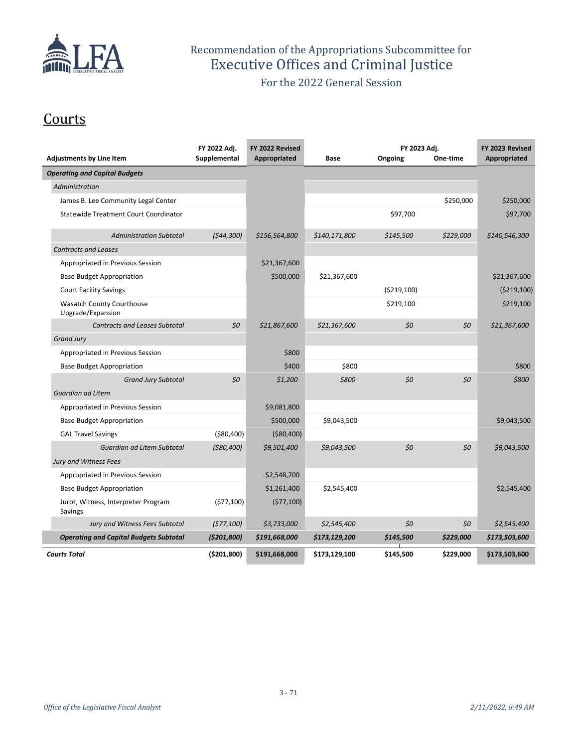

For the 2022 General Session

# **Courts**

|                                                | FY 2022 Adj.  | FY 2022 Revised |               | FY 2023 Adj.  |           | FY 2023 Revised |
|------------------------------------------------|---------------|-----------------|---------------|---------------|-----------|-----------------|
| <b>Adjustments by Line Item</b>                | Supplemental  | Appropriated    | <b>Base</b>   | Ongoing       | One-time  | Appropriated    |
| <b>Operating and Capital Budgets</b>           |               |                 |               |               |           |                 |
| Administration                                 |               |                 |               |               |           |                 |
| James B. Lee Community Legal Center            |               |                 |               |               | \$250,000 | \$250,000       |
| Statewide Treatment Court Coordinator          |               |                 |               | \$97,700      |           | \$97,700        |
| <b>Administration Subtotal</b>                 | (544,300)     | \$156,564,800   | \$140,171,800 | \$145,500     | \$229,000 | \$140,546,300   |
| <b>Contracts and Leases</b>                    |               |                 |               |               |           |                 |
| Appropriated in Previous Session               |               | \$21,367,600    |               |               |           |                 |
| <b>Base Budget Appropriation</b>               |               | \$500,000       | \$21,367,600  |               |           | \$21,367,600    |
| <b>Court Facility Savings</b>                  |               |                 |               | ( \$219, 100) |           | ( \$219, 100)   |
| Wasatch County Courthouse<br>Upgrade/Expansion |               |                 |               | \$219,100     |           | \$219,100       |
| <b>Contracts and Leases Subtotal</b>           | \$0           | \$21,867,600    | \$21,367,600  | 50            | \$0       | \$21,367,600    |
| <b>Grand Jury</b>                              |               |                 |               |               |           |                 |
| Appropriated in Previous Session               |               | \$800           |               |               |           |                 |
| <b>Base Budget Appropriation</b>               |               | \$400           | \$800         |               |           | \$800           |
| <b>Grand Jury Subtotal</b>                     | 50            | \$1,200         | \$800         | 50            | \$0       | \$800           |
| <b>Guardian ad Litem</b>                       |               |                 |               |               |           |                 |
| Appropriated in Previous Session               |               | \$9,081,800     |               |               |           |                 |
| <b>Base Budget Appropriation</b>               |               | \$500,000       | \$9,043,500   |               |           | \$9,043,500     |
| <b>GAL Travel Savings</b>                      | ( \$80,400)   | ( \$80,400)     |               |               |           |                 |
| Guardian ad Litem Subtotal                     | ( \$80,400]   | \$9,501,400     | \$9,043,500   | 50            | \$0       | \$9,043,500     |
| Jury and Witness Fees                          |               |                 |               |               |           |                 |
| Appropriated in Previous Session               |               | \$2,548,700     |               |               |           |                 |
| <b>Base Budget Appropriation</b>               |               | \$1,261,400     | \$2,545,400   |               |           | \$2,545,400     |
| Juror, Witness, Interpreter Program<br>Savings | (577, 100)    | (577, 100)      |               |               |           |                 |
| Jury and Witness Fees Subtotal                 | (577, 100)    | \$3,733,000     | \$2,545,400   | \$0           | \$0       | \$2,545,400     |
| <b>Operating and Capital Budgets Subtotal</b>  | (5201,800)    | \$191,668,000   | \$173,129,100 | \$145,500     | \$229,000 | \$173,503,600   |
| <b>Courts Total</b>                            | ( \$201, 800) | \$191,668,000   | \$173,129,100 | \$145,500     | \$229,000 | \$173,503,600   |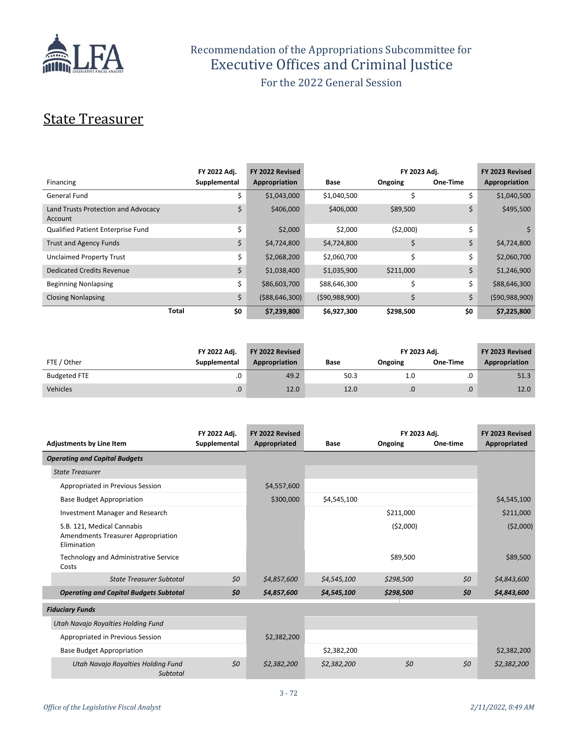

For the 2022 General Session

# State Treasurer

|                                                | FY 2022 Adj. | FY 2022 Revised | FY 2023 Adi.  |           |          | FY 2023 Revised |
|------------------------------------------------|--------------|-----------------|---------------|-----------|----------|-----------------|
| Financing                                      | Supplemental | Appropriation   | Base          | Ongoing   | One-Time | Appropriation   |
| General Fund                                   | \$           | \$1,043,000     | \$1,040,500   | \$        | \$       | \$1,040,500     |
| Land Trusts Protection and Advocacy<br>Account | \$           | \$406,000       | \$406,000     | \$89,500  | \$       | \$495,500       |
| Qualified Patient Enterprise Fund              | \$           | \$2,000         | \$2,000       | (52,000)  | \$       |                 |
| <b>Trust and Agency Funds</b>                  | \$           | \$4,724,800     | \$4,724,800   | \$        | \$       | \$4,724,800     |
| <b>Unclaimed Property Trust</b>                | \$           | \$2,068,200     | \$2,060,700   | \$        | \$       | \$2,060,700     |
| Dedicated Credits Revenue                      | \$           | \$1,038,400     | \$1,035,900   | \$211,000 | \$       | \$1,246,900     |
| <b>Beginning Nonlapsing</b>                    | \$           | \$86,603,700    | \$88,646,300  | \$        | \$       | \$88,646,300    |
| <b>Closing Nonlapsing</b>                      | \$           | ( \$88,646,300) | (590,988,900) | \$        | \$       | ( \$90,988,900) |
|                                                | \$0<br>Total | \$7,239,800     | \$6,927,300   | \$298,500 | \$0      | \$7,225,800     |

|                     | FY 2022 Adj. | FY 2022 Revised | FY 2023 Adj. |         | FY 2023 Revised |               |
|---------------------|--------------|-----------------|--------------|---------|-----------------|---------------|
| FTE / Other         | Supplemental | Appropriation   | Base         | Ongoing | One Time        | Appropriation |
| <b>Budgeted FTE</b> | .O           | 49.2            | 50.3         | 1.0     |                 | 51.3          |
| Vehicles            |              | 12.0            | 12.0         |         | .0              | 12.0          |

|                                                                                 | FY 2022 Adj. | FY 2022 Revised |             | FY 2023 Adj. |          | FY 2023 Revised |
|---------------------------------------------------------------------------------|--------------|-----------------|-------------|--------------|----------|-----------------|
| <b>Adjustments by Line Item</b>                                                 | Supplemental | Appropriated    | Base        | Ongoing      | One-time | Appropriated    |
| <b>Operating and Capital Budgets</b>                                            |              |                 |             |              |          |                 |
| <b>State Treasurer</b>                                                          |              |                 |             |              |          |                 |
| Appropriated in Previous Session                                                |              | \$4,557,600     |             |              |          |                 |
| <b>Base Budget Appropriation</b>                                                |              | \$300,000       | \$4,545,100 |              |          | \$4,545,100     |
| Investment Manager and Research                                                 |              |                 |             | \$211,000    |          | \$211,000       |
| S.B. 121, Medical Cannabis<br>Amendments Treasurer Appropriation<br>Elimination |              |                 |             | (52,000)     |          | (52,000)        |
| Technology and Administrative Service<br>Costs                                  |              |                 |             | \$89,500     |          | \$89,500        |
| <b>State Treasurer Subtotal</b>                                                 | \$0          | \$4,857,600     | \$4,545,100 | \$298,500    | \$0      | \$4,843,600     |
| <b>Operating and Capital Budgets Subtotal</b>                                   | \$0          | \$4,857,600     | \$4,545,100 | \$298,500    | \$0      | \$4,843,600     |
| <b>Fiduciary Funds</b>                                                          |              |                 |             |              |          |                 |
| Utah Navajo Royalties Holding Fund                                              |              |                 |             |              |          |                 |
|                                                                                 |              |                 |             |              |          |                 |

| Appropriated in Previous Session               |    | \$2,382,200 |             |     |    |             |
|------------------------------------------------|----|-------------|-------------|-----|----|-------------|
| <b>Base Budget Appropriation</b>               |    |             | \$2,382,200 |     |    | \$2,382,200 |
| Utah Navajo Royalties Holding Fund<br>Subtotal | 50 | \$2,382,200 | \$2,382,200 | \$0 | 50 | \$2,382,200 |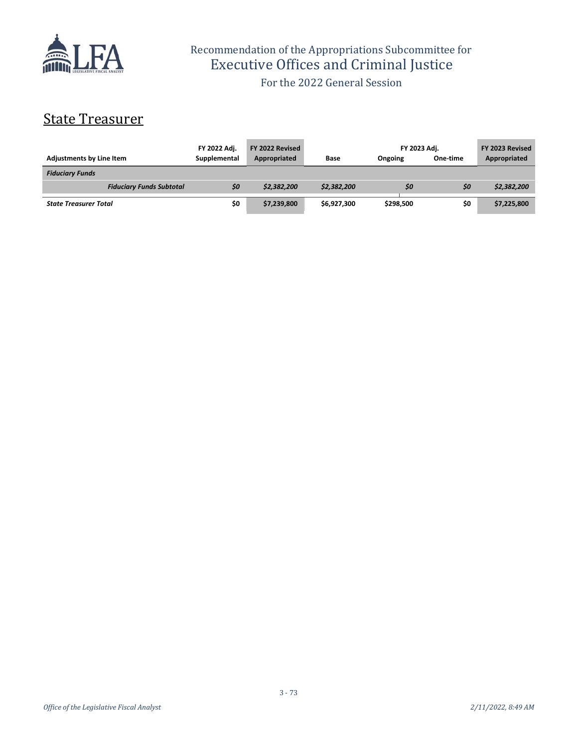

For the 2022 General Session

## State Treasurer

|                                 | FY 2022 Adj. | FY 2022 Revised |             | FY 2023 Adj. |          | FY 2023 Revised |
|---------------------------------|--------------|-----------------|-------------|--------------|----------|-----------------|
| <b>Adjustments by Line Item</b> | Supplemental | Appropriated    | Base        | Ongoing      | One-time | Appropriated    |
| <b>Fiduciary Funds</b>          |              |                 |             |              |          |                 |
| <b>Fiduciary Funds Subtotal</b> | \$0          | \$2,382,200     | \$2,382,200 | \$0          | \$0      | \$2,382,200     |
| <b>State Treasurer Total</b>    | \$0          | \$7,239,800     | \$6,927,300 | \$298,500    | \$0      | \$7,225,800     |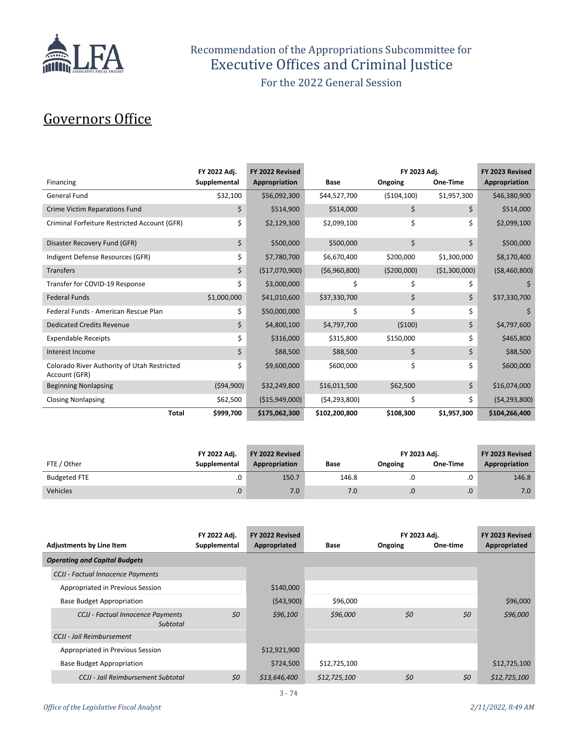

For the 2022 General Session

|                                                              | FY 2022 Adj. | FY 2022 Revised |                | FY 2023 Adi. |               | FY 2023 Revised |
|--------------------------------------------------------------|--------------|-----------------|----------------|--------------|---------------|-----------------|
| Financing                                                    | Supplemental | Appropriation   | Base           | Ongoing      | One-Time      | Appropriation   |
| General Fund                                                 | \$32,100     | \$56,092,300    | \$44,527,700   | (5104, 100)  | \$1,957,300   | \$46,380,900    |
| Crime Victim Reparations Fund                                | \$           | \$514,900       | \$514,000      | \$           | \$            | \$514,000       |
| Criminal Forfeiture Restricted Account (GFR)                 | \$           | \$2,129,300     | \$2,099,100    | \$           | Ś.            | \$2,099,100     |
| Disaster Recovery Fund (GFR)                                 | \$           | \$500,000       | \$500,000      | \$           | Ś.            | \$500,000       |
| Indigent Defense Resources (GFR)                             | \$           | \$7,780,700     | \$6,670,400    | \$200,000    | \$1,300,000   | \$8,170,400     |
| <b>Transfers</b>                                             | \$           | (\$17,070,900)  | (56,960,800)   | ( \$200,000) | (\$1,300,000) | ( \$8,460,800)  |
| Transfer for COVID-19 Response                               | \$           | \$3,000,000     | \$             | \$           | \$            |                 |
| <b>Federal Funds</b>                                         | \$1,000,000  | \$41,010,600    | \$37,330,700   | \$           | Ś.            | \$37,330,700    |
| Federal Funds - American Rescue Plan                         | Ś.           | \$50,000,000    | \$             | \$           | \$            | S               |
| <b>Dedicated Credits Revenue</b>                             | Ś.           | \$4,800,100     | \$4,797,700    | (5100)       | \$            | \$4,797,600     |
| <b>Expendable Receipts</b>                                   | Ś.           | \$316,000       | \$315,800      | \$150,000    | Ś.            | \$465,800       |
| Interest Income                                              | \$           | \$88,500        | \$88,500       | \$           | \$            | \$88,500        |
| Colorado River Authority of Utah Restricted<br>Account (GFR) | Ś.           | \$9,600,000     | \$600,000      | \$           | Ś.            | \$600,000       |
| <b>Beginning Nonlapsing</b>                                  | (594,900)    | \$32,249,800    | \$16,011,500   | \$62,500     | Ś.            | \$16,074,000    |
| <b>Closing Nonlapsing</b>                                    | \$62,500     | ( \$15,949,000) | (54, 293, 800) | \$           | \$            | (54, 293, 800)  |
| <b>Total</b>                                                 | \$999,700    | \$175,062,300   | \$102,200,800  | \$108,300    | \$1,957,300   | \$104,266,400   |

|                     | FY 2022 Adj. | FY 2022 Revised  | FY 2023 Adj. |         | FY 2023 Revised |               |
|---------------------|--------------|------------------|--------------|---------|-----------------|---------------|
| FTE / Other         | Supplemental | Appropriation    | Base         | Ongoing | One Time        | Appropriation |
| <b>Budgeted FTE</b> |              | 150.7            | 146.8        |         |                 | 146.8         |
| <b>Vehicles</b>     | .0           | 7.0 <sub>1</sub> | 7.0          |         | .0              | 7.0           |

|                                                      | FY 2022 Adj. | FY 2022 Revised | FY 2023 Adj. |         |          | FY 2023 Revised |
|------------------------------------------------------|--------------|-----------------|--------------|---------|----------|-----------------|
| <b>Adjustments by Line Item</b>                      | Supplemental | Appropriated    | <b>Base</b>  | Ongoing | One-time | Appropriated    |
| <b>Operating and Capital Budgets</b>                 |              |                 |              |         |          |                 |
| <b>CCJJ</b> - Factual Innocence Payments             |              |                 |              |         |          |                 |
| Appropriated in Previous Session                     |              | \$140,000       |              |         |          |                 |
| <b>Base Budget Appropriation</b>                     |              | (543,900)       | \$96,000     |         |          | \$96,000        |
| <b>CCJJ - Factual Innocence Payments</b><br>Subtotal | \$0          | \$96,100        | \$96,000     | \$0     | \$0      | \$96,000        |
| CCJJ - Jail Reimbursement                            |              |                 |              |         |          |                 |
| Appropriated in Previous Session                     |              | \$12,921,900    |              |         |          |                 |
| <b>Base Budget Appropriation</b>                     |              | \$724,500       | \$12,725,100 |         |          | \$12,725,100    |
| CCJJ - Jail Reimbursement Subtotal                   | \$0          | \$13,646,400    | \$12,725,100 | \$0     | \$0      | \$12,725,100    |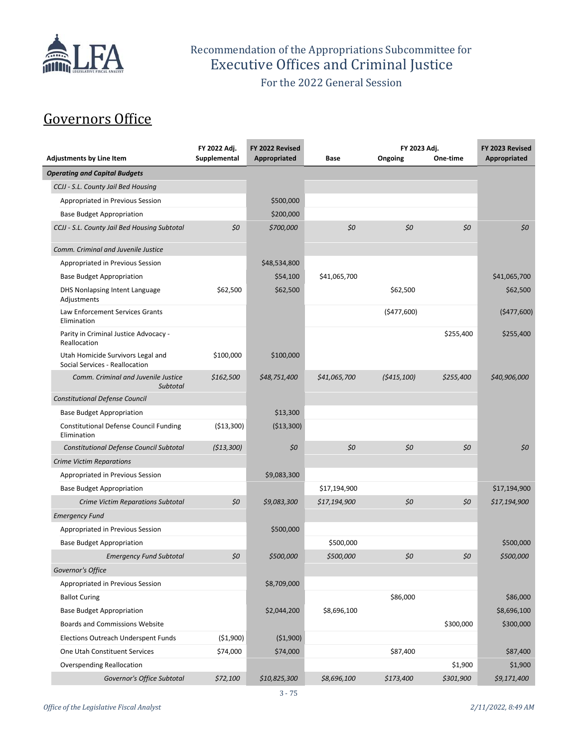

ĺ

## Recommendation of the Appropriations Subcommittee for Executive Offices and Criminal Justice

For the 2022 General Session

| Adjustments by Line Item                                            | FY 2022 Adj.<br>Supplemental | FY 2022 Revised<br>Appropriated | Base         | FY 2023 Adj.<br>Ongoing | One-time  | FY 2023 Revised<br>Appropriated |
|---------------------------------------------------------------------|------------------------------|---------------------------------|--------------|-------------------------|-----------|---------------------------------|
| <b>Operating and Capital Budgets</b>                                |                              |                                 |              |                         |           |                                 |
| CCJJ - S.L. County Jail Bed Housing                                 |                              |                                 |              |                         |           |                                 |
| Appropriated in Previous Session                                    |                              | \$500,000                       |              |                         |           |                                 |
| <b>Base Budget Appropriation</b>                                    |                              | \$200,000                       |              |                         |           |                                 |
| CCJJ - S.L. County Jail Bed Housing Subtotal                        | \$0                          | <i><b>\$700,000</b></i>         | \$0          | \$0                     | \$0       | \$0                             |
| Comm. Criminal and Juvenile Justice                                 |                              |                                 |              |                         |           |                                 |
| Appropriated in Previous Session                                    |                              | \$48,534,800                    |              |                         |           |                                 |
| <b>Base Budget Appropriation</b>                                    |                              | \$54,100                        | \$41,065,700 |                         |           | \$41,065,700                    |
| DHS Nonlapsing Intent Language<br>Adjustments                       | \$62,500                     | \$62,500                        |              | \$62,500                |           | \$62,500                        |
| Law Enforcement Services Grants<br>Elimination                      |                              |                                 |              | (5477,600)              |           | ( \$477,600)                    |
| Parity in Criminal Justice Advocacy -<br>Reallocation               |                              |                                 |              |                         | \$255,400 | \$255,400                       |
| Utah Homicide Survivors Legal and<br>Social Services - Reallocation | \$100,000                    | \$100,000                       |              |                         |           |                                 |
| Comm. Criminal and Juvenile Justice<br>Subtotal                     | \$162,500                    | \$48,751,400                    | \$41,065,700 | (5415, 100)             | \$255,400 | \$40,906,000                    |
| <b>Constitutional Defense Council</b>                               |                              |                                 |              |                         |           |                                 |
| <b>Base Budget Appropriation</b>                                    |                              | \$13,300                        |              |                         |           |                                 |
| <b>Constitutional Defense Council Funding</b><br>Elimination        | ( \$13,300)                  | (\$13,300)                      |              |                         |           |                                 |
| Constitutional Defense Council Subtotal                             | (513, 300)                   | \$0                             | \$0          | \$0                     | \$0       | \$0                             |
| Crime Victim Reparations                                            |                              |                                 |              |                         |           |                                 |
| Appropriated in Previous Session                                    |                              | \$9,083,300                     |              |                         |           |                                 |
| <b>Base Budget Appropriation</b>                                    |                              |                                 | \$17,194,900 |                         |           | \$17,194,900                    |
| Crime Victim Reparations Subtotal                                   | \$0                          | \$9,083,300                     | \$17,194,900 | 50                      | \$0       | \$17,194,900                    |
| <b>Emergency Fund</b>                                               |                              |                                 |              |                         |           |                                 |
| Appropriated in Previous Session                                    |                              | \$500,000                       |              |                         |           |                                 |
| <b>Base Budget Appropriation</b>                                    |                              |                                 | \$500,000    |                         |           | \$500,000                       |
| <b>Emergency Fund Subtotal</b>                                      | \$0                          | \$500,000                       | \$500,000    | \$0                     | \$0       | \$500,000                       |
| Governor's Office                                                   |                              |                                 |              |                         |           |                                 |
| Appropriated in Previous Session                                    |                              | \$8,709,000                     |              |                         |           |                                 |
| <b>Ballot Curing</b>                                                |                              |                                 |              | \$86,000                |           | \$86,000                        |
| <b>Base Budget Appropriation</b>                                    |                              | \$2,044,200                     | \$8,696,100  |                         |           | \$8,696,100                     |
| <b>Boards and Commissions Website</b>                               |                              |                                 |              |                         | \$300,000 | \$300,000                       |
| Elections Outreach Underspent Funds                                 | ( \$1,900)                   | ( \$1,900)                      |              |                         |           |                                 |
| One Utah Constituent Services                                       | \$74,000                     | \$74,000                        |              | \$87,400                |           | \$87,400                        |
| <b>Overspending Reallocation</b>                                    |                              |                                 |              |                         | \$1,900   | \$1,900                         |
| Governor's Office Subtotal                                          | \$72,100                     | \$10,825,300                    | \$8,696,100  | \$173,400               | \$301,900 | \$9,171,400                     |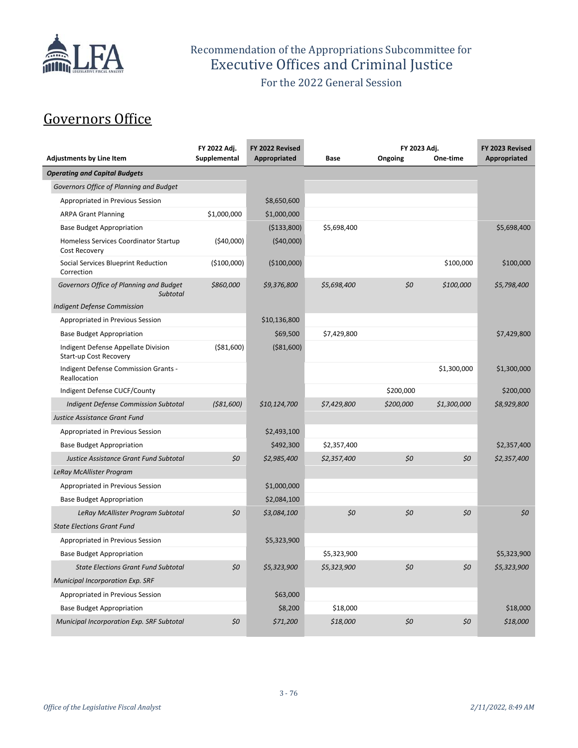

ĺ

## Recommendation of the Appropriations Subcommittee for Executive Offices and Criminal Justice

For the 2022 General Session

|                                                               | FY 2022 Adj. | FY 2022 Revised |             | FY 2023 Adj. |             | FY 2023 Revised |
|---------------------------------------------------------------|--------------|-----------------|-------------|--------------|-------------|-----------------|
| <b>Adjustments by Line Item</b>                               | Supplemental | Appropriated    | <b>Base</b> | Ongoing      | One-time    | Appropriated    |
| <b>Operating and Capital Budgets</b>                          |              |                 |             |              |             |                 |
| Governors Office of Planning and Budget                       |              |                 |             |              |             |                 |
| Appropriated in Previous Session                              |              | \$8,650,600     |             |              |             |                 |
| <b>ARPA Grant Planning</b>                                    | \$1,000,000  | \$1,000,000     |             |              |             |                 |
| <b>Base Budget Appropriation</b>                              |              | ( \$133,800)    | \$5,698,400 |              |             | \$5,698,400     |
| Homeless Services Coordinator Startup<br>Cost Recovery        | (540,000)    | (\$40,000)      |             |              |             |                 |
| Social Services Blueprint Reduction<br>Correction             | ( \$100,000) | (\$100,000)     |             |              | \$100,000   | \$100,000       |
| Governors Office of Planning and Budget<br>Subtotal           | \$860,000    | \$9,376,800     | \$5,698,400 | \$0          | \$100,000   | \$5,798,400     |
| <b>Indigent Defense Commission</b>                            |              |                 |             |              |             |                 |
| Appropriated in Previous Session                              |              | \$10,136,800    |             |              |             |                 |
| <b>Base Budget Appropriation</b>                              |              | \$69,500        | \$7,429,800 |              |             | \$7,429,800     |
| Indigent Defense Appellate Division<br>Start-up Cost Recovery | ( \$81,600)  | ( \$81,600)     |             |              |             |                 |
| Indigent Defense Commission Grants -<br>Reallocation          |              |                 |             |              | \$1,300,000 | \$1,300,000     |
| Indigent Defense CUCF/County                                  |              |                 |             | \$200,000    |             | \$200,000       |
| Indigent Defense Commission Subtotal                          | (581,600)    | \$10,124,700    | \$7,429,800 | \$200,000    | \$1,300,000 | \$8,929,800     |
| Justice Assistance Grant Fund                                 |              |                 |             |              |             |                 |
| Appropriated in Previous Session                              |              | \$2,493,100     |             |              |             |                 |
| <b>Base Budget Appropriation</b>                              |              | \$492,300       | \$2,357,400 |              |             | \$2,357,400     |
| Justice Assistance Grant Fund Subtotal                        | \$0          | \$2,985,400     | \$2,357,400 | \$0          | \$0         | \$2,357,400     |
| LeRay McAllister Program                                      |              |                 |             |              |             |                 |
| Appropriated in Previous Session                              |              | \$1,000,000     |             |              |             |                 |
| <b>Base Budget Appropriation</b>                              |              | \$2,084,100     |             |              |             |                 |
| LeRay McAllister Program Subtotal                             | 50           | \$3,084,100     | \$0         | \$0          | \$0         | \$0             |
| <b>State Elections Grant Fund</b>                             |              |                 |             |              |             |                 |
| Appropriated in Previous Session                              |              | \$5,323,900     |             |              |             |                 |
| <b>Base Budget Appropriation</b>                              |              |                 | \$5,323,900 |              |             | \$5,323,900     |
| <b>State Elections Grant Fund Subtotal</b>                    | \$0          | \$5,323,900     | \$5,323,900 | \$0          | \$0         | \$5,323,900     |
| Municipal Incorporation Exp. SRF                              |              |                 |             |              |             |                 |
| Appropriated in Previous Session                              |              | \$63,000        |             |              |             |                 |
| <b>Base Budget Appropriation</b>                              |              | \$8,200         | \$18,000    |              |             | \$18,000        |
| Municipal Incorporation Exp. SRF Subtotal                     | \$0          | \$71,200        | \$18,000    | \$0          | \$0         | \$18,000        |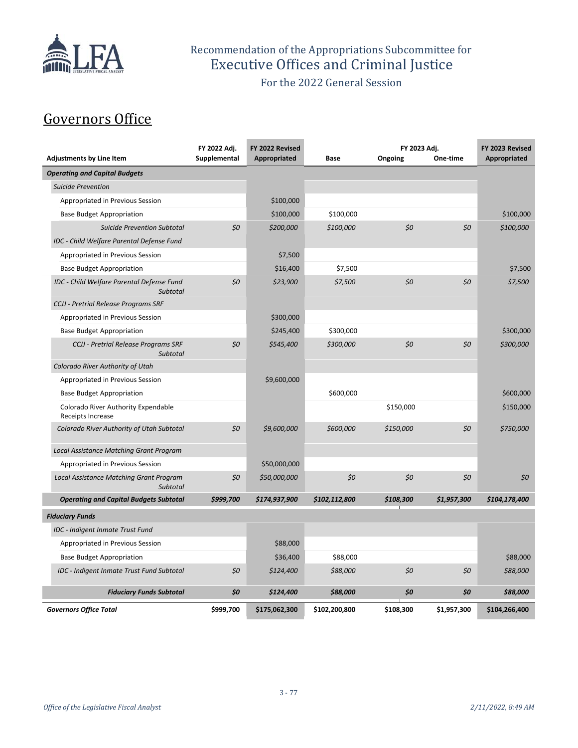

For the 2022 General Session

|                                                          | FY 2022 Adj. | FY 2022 Revised |               | FY 2023 Adj. |             | FY 2023 Revised |
|----------------------------------------------------------|--------------|-----------------|---------------|--------------|-------------|-----------------|
| <b>Adjustments by Line Item</b>                          | Supplemental | Appropriated    | <b>Base</b>   | Ongoing      | One-time    | Appropriated    |
| <b>Operating and Capital Budgets</b>                     |              |                 |               |              |             |                 |
| <b>Suicide Prevention</b>                                |              |                 |               |              |             |                 |
| Appropriated in Previous Session                         |              | \$100,000       |               |              |             |                 |
| <b>Base Budget Appropriation</b>                         |              | \$100,000       | \$100,000     |              |             | \$100,000       |
| <b>Suicide Prevention Subtotal</b>                       | \$0          | \$200,000       | \$100,000     | \$0          | \$0         | \$100,000       |
| IDC - Child Welfare Parental Defense Fund                |              |                 |               |              |             |                 |
| Appropriated in Previous Session                         |              | \$7,500         |               |              |             |                 |
| <b>Base Budget Appropriation</b>                         |              | \$16,400        | \$7,500       |              |             | \$7,500         |
| IDC - Child Welfare Parental Defense Fund<br>Subtotal    | \$0          | \$23,900        | \$7,500       | \$0          | \$0         | \$7,500         |
| CCJJ - Pretrial Release Programs SRF                     |              |                 |               |              |             |                 |
| Appropriated in Previous Session                         |              | \$300,000       |               |              |             |                 |
| <b>Base Budget Appropriation</b>                         |              | \$245,400       | \$300,000     |              |             | \$300,000       |
| CCJJ - Pretrial Release Programs SRF<br>Subtotal         | \$0          | \$545,400       | \$300,000     | \$0          | \$0         | \$300,000       |
| Colorado River Authority of Utah                         |              |                 |               |              |             |                 |
| Appropriated in Previous Session                         |              | \$9,600,000     |               |              |             |                 |
| <b>Base Budget Appropriation</b>                         |              |                 | \$600,000     |              |             | \$600,000       |
| Colorado River Authority Expendable<br>Receipts Increase |              |                 |               | \$150,000    |             | \$150,000       |
| Colorado River Authority of Utah Subtotal                | \$0          | \$9,600,000     | \$600,000     | \$150,000    | \$0         | \$750,000       |
| Local Assistance Matching Grant Program                  |              |                 |               |              |             |                 |
| Appropriated in Previous Session                         |              | \$50,000,000    |               |              |             |                 |
| Local Assistance Matching Grant Program<br>Subtotal      | \$0          | \$50,000,000    | \$0           | \$0          | \$0         | \$0             |
| <b>Operating and Capital Budgets Subtotal</b>            | \$999,700    | \$174,937,900   | \$102,112,800 | \$108,300    | \$1,957,300 | \$104,178,400   |
| <b>Fiduciary Funds</b>                                   |              |                 |               |              |             |                 |
| IDC - Indigent Inmate Trust Fund                         |              |                 |               |              |             |                 |
| Appropriated in Previous Session                         |              | \$88,000        |               |              |             |                 |
| <b>Base Budget Appropriation</b>                         |              | \$36,400        | \$88,000      |              |             | \$88,000        |
| IDC - Indigent Inmate Trust Fund Subtotal                | \$0          | \$124,400       | \$88,000      | \$0          | \$0         | \$88,000        |
| <b>Fiduciary Funds Subtotal</b>                          | \$0          | \$124,400       | \$88,000      | \$0          | \$0         | \$88,000        |
| <b>Governors Office Total</b>                            | \$999,700    | \$175,062,300   | \$102,200,800 | \$108,300    | \$1,957,300 | \$104,266,400   |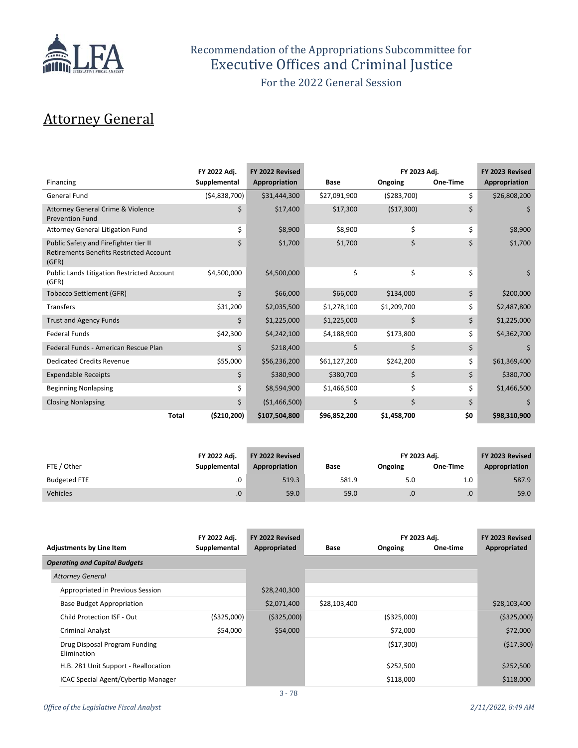

For the 2022 General Session

# Attorney General

|                                                                                                  | FY 2022 Adj.  | FY 2022 Revised |              |             | FY 2023 Adj. | FY 2023 Revised |
|--------------------------------------------------------------------------------------------------|---------------|-----------------|--------------|-------------|--------------|-----------------|
| Financing                                                                                        | Supplemental  | Appropriation   | Base         | Ongoing     | One-Time     | Appropriation   |
| <b>General Fund</b>                                                                              | (54,838,700)  | \$31,444,300    | \$27,091,900 | (5283,700)  | \$           | \$26,808,200    |
| <b>Attorney General Crime &amp; Violence</b><br><b>Prevention Fund</b>                           | \$            | \$17,400        | \$17,300     | (\$17,300)  | \$           | \$              |
| Attorney General Litigation Fund                                                                 | \$            | \$8,900         | \$8,900      | \$          | \$           | \$8,900         |
| Public Safety and Firefighter tier II<br><b>Retirements Benefits Restricted Account</b><br>(GFR) | \$            | \$1,700         | \$1,700      | \$          | \$           | \$1,700         |
| <b>Public Lands Litigation Restricted Account</b><br>(GFR)                                       | \$4,500,000   | \$4,500,000     | \$           | \$          | \$           | \$              |
| <b>Tobacco Settlement (GFR)</b>                                                                  | \$            | \$66,000        | \$66,000     | \$134,000   | \$           | \$200,000       |
| Transfers                                                                                        | \$31,200      | \$2,035,500     | \$1,278,100  | \$1,209,700 | \$           | \$2,487,800     |
| <b>Trust and Agency Funds</b>                                                                    | \$            | \$1,225,000     | \$1,225,000  | \$          | \$           | \$1,225,000     |
| <b>Federal Funds</b>                                                                             | \$42,300      | \$4,242,100     | \$4,188,900  | \$173,800   | Ś.           | \$4,362,700     |
| Federal Funds - American Rescue Plan                                                             | \$            | \$218,400       | \$           | \$          | \$           | \$              |
| <b>Dedicated Credits Revenue</b>                                                                 | \$55,000      | \$56,236,200    | \$61,127,200 | \$242,200   | \$           | \$61,369,400    |
| <b>Expendable Receipts</b>                                                                       | \$            | \$380,900       | \$380,700    | \$          | \$           | \$380,700       |
| <b>Beginning Nonlapsing</b>                                                                      | \$            | \$8,594,900     | \$1,466,500  | \$          | \$           | \$1,466,500     |
| <b>Closing Nonlapsing</b>                                                                        | \$            | (\$1,466,500)   | \$           | \$          | \$           | Ś               |
| <b>Total</b>                                                                                     | ( \$210, 200) | \$107,504,800   | \$96,852,200 | \$1,458,700 | \$0          | \$98,310,900    |

|                     | FY 2022 Adj. | FY 2022 Revised |       | FY 2023 Adj. |                 | FY 2023 Revised |
|---------------------|--------------|-----------------|-------|--------------|-----------------|-----------------|
| FTE / Other         | Supplemental | Appropriation   | Base  | Ongoing      | One-Time        | Appropriation   |
| <b>Budgeted FTE</b> | .0           | 519.3           | 581.9 | 5.0          | 1.0             | 587.9           |
| Vehicles            | .0           | 59.0            | 59.0  | .0           | .0 <sub>1</sub> | 59.0            |

|                                              | FY 2022 Adj. | FY 2022 Revised |              | FY 2023 Adj. |          | FY 2023 Revised |
|----------------------------------------------|--------------|-----------------|--------------|--------------|----------|-----------------|
| <b>Adjustments by Line Item</b>              | Supplemental | Appropriated    | Base         | Ongoing      | One-time | Appropriated    |
| <b>Operating and Capital Budgets</b>         |              |                 |              |              |          |                 |
| <b>Attorney General</b>                      |              |                 |              |              |          |                 |
| Appropriated in Previous Session             |              | \$28,240,300    |              |              |          |                 |
| <b>Base Budget Appropriation</b>             |              | \$2,071,400     | \$28,103,400 |              |          | \$28,103,400    |
| Child Protection ISF - Out                   | ( \$325,000) | ( \$325,000)    |              | ( \$325,000) |          | ( \$325,000)    |
| <b>Criminal Analyst</b>                      | \$54,000     | \$54,000        |              | \$72,000     |          | \$72,000        |
| Drug Disposal Program Funding<br>Elimination |              |                 |              | (517,300)    |          | (\$17,300)      |
| H.B. 281 Unit Support - Reallocation         |              |                 |              | \$252,500    |          | \$252,500       |
| ICAC Special Agent/Cybertip Manager          |              |                 |              | \$118,000    |          | \$118,000       |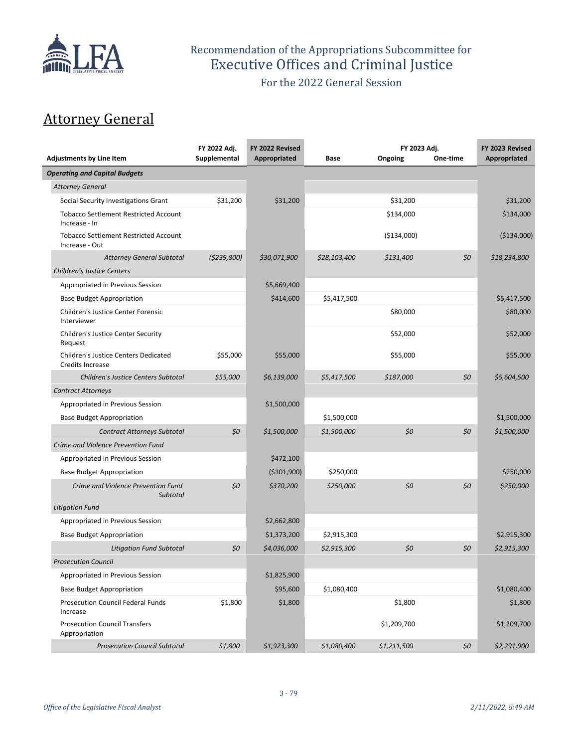

For the 2022 General Session

# Attorney General

| <b>Adjustments by Line Item</b>                                        | FY 2022 Adj.<br>Supplemental | FY 2022 Revised<br>Appropriated | <b>Base</b>  | FY 2023 Adj.<br>Ongoing | One-time | FY 2023 Revised<br>Appropriated |
|------------------------------------------------------------------------|------------------------------|---------------------------------|--------------|-------------------------|----------|---------------------------------|
| <b>Operating and Capital Budgets</b>                                   |                              |                                 |              |                         |          |                                 |
| <b>Attorney General</b>                                                |                              |                                 |              |                         |          |                                 |
| Social Security Investigations Grant                                   | \$31,200                     | \$31,200                        |              | \$31,200                |          | \$31,200                        |
| <b>Tobacco Settlement Restricted Account</b><br>Increase - In          |                              |                                 |              | \$134,000               |          | \$134,000                       |
| <b>Tobacco Settlement Restricted Account</b><br>Increase - Out         |                              |                                 |              | ( \$134,000)            |          | ( \$134,000)                    |
| <b>Attorney General Subtotal</b>                                       | (5239,800)                   | \$30,071,900                    | \$28,103,400 | \$131,400               | \$0      | \$28,234,800                    |
| <b>Children's Justice Centers</b>                                      |                              |                                 |              |                         |          |                                 |
| Appropriated in Previous Session                                       |                              | \$5,669,400                     |              |                         |          |                                 |
| <b>Base Budget Appropriation</b>                                       |                              | \$414,600                       | \$5,417,500  |                         |          | \$5,417,500                     |
| <b>Children's Justice Center Forensic</b><br>Interviewer               |                              |                                 |              | \$80,000                |          | \$80,000                        |
| Children's Justice Center Security<br>Request                          |                              |                                 |              | \$52,000                |          | \$52,000                        |
| <b>Children's Justice Centers Dedicated</b><br><b>Credits Increase</b> | \$55,000                     | \$55,000                        |              | \$55,000                |          | \$55,000                        |
| Children's Justice Centers Subtotal                                    | \$55,000                     | \$6,139,000                     | \$5,417,500  | \$187,000               | \$0      | \$5,604,500                     |
| <b>Contract Attorneys</b>                                              |                              |                                 |              |                         |          |                                 |
| Appropriated in Previous Session                                       |                              | \$1,500,000                     |              |                         |          |                                 |
| <b>Base Budget Appropriation</b>                                       |                              |                                 | \$1,500,000  |                         |          | \$1,500,000                     |
| <b>Contract Attorneys Subtotal</b>                                     | \$0                          | \$1,500,000                     | \$1,500,000  | \$0                     | \$0      | \$1,500,000                     |
| Crime and Violence Prevention Fund                                     |                              |                                 |              |                         |          |                                 |
| Appropriated in Previous Session                                       |                              | \$472,100                       |              |                         |          |                                 |
| <b>Base Budget Appropriation</b>                                       |                              | ( \$101,900)                    | \$250,000    |                         |          | \$250,000                       |
| Crime and Violence Prevention Fund<br>Subtotal                         | \$0                          | \$370,200                       | \$250,000    | 50                      | \$0      | \$250,000                       |
| <b>Litigation Fund</b>                                                 |                              |                                 |              |                         |          |                                 |
| Appropriated in Previous Session                                       |                              | \$2,662,800                     |              |                         |          |                                 |
| <b>Base Budget Appropriation</b>                                       |                              | \$1,373,200                     | \$2,915,300  |                         |          | \$2,915,300                     |
| <b>Litigation Fund Subtotal</b>                                        | \$0                          | \$4,036,000                     | \$2,915,300  | \$0                     | \$0      | \$2,915,300                     |
| <b>Prosecution Council</b>                                             |                              |                                 |              |                         |          |                                 |
| Appropriated in Previous Session                                       |                              | \$1,825,900                     |              |                         |          |                                 |
| <b>Base Budget Appropriation</b>                                       |                              | \$95,600                        | \$1,080,400  |                         |          | \$1,080,400                     |
| <b>Prosecution Council Federal Funds</b><br>Increase                   | \$1,800                      | \$1,800                         |              | \$1,800                 |          | \$1,800                         |
| <b>Prosecution Council Transfers</b><br>Appropriation                  |                              |                                 |              | \$1,209,700             |          | \$1,209,700                     |
| <b>Prosecution Council Subtotal</b>                                    | \$1,800                      | \$1,923,300                     | \$1,080,400  | \$1,211,500             | \$0      | \$2,291,900                     |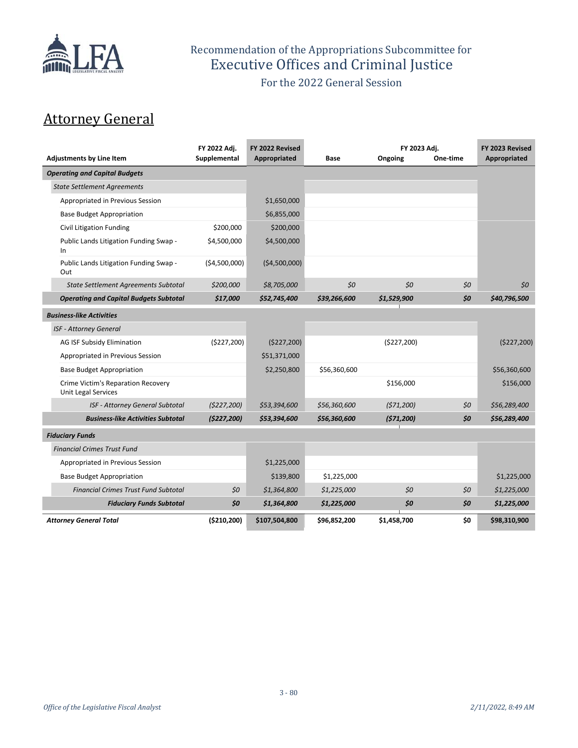

For the 2022 General Session

# Attorney General

|                                                           | FY 2022 Adj.  | FY 2022 Revised |              | FY 2023 Adj. |          | FY 2023 Revised |
|-----------------------------------------------------------|---------------|-----------------|--------------|--------------|----------|-----------------|
| <b>Adjustments by Line Item</b>                           | Supplemental  | Appropriated    | Base         | Ongoing      | One-time | Appropriated    |
| <b>Operating and Capital Budgets</b>                      |               |                 |              |              |          |                 |
| <b>State Settlement Agreements</b>                        |               |                 |              |              |          |                 |
| Appropriated in Previous Session                          |               | \$1,650,000     |              |              |          |                 |
| <b>Base Budget Appropriation</b>                          |               | \$6,855,000     |              |              |          |                 |
| <b>Civil Litigation Funding</b>                           | \$200,000     | \$200,000       |              |              |          |                 |
| Public Lands Litigation Funding Swap -<br>In              | \$4,500,000   | \$4,500,000     |              |              |          |                 |
| Public Lands Litigation Funding Swap -<br>Out             | (54,500,000)  | (54,500,000)    |              |              |          |                 |
| <b>State Settlement Agreements Subtotal</b>               | \$200,000     | \$8,705,000     | 50           | 50           | \$0      | \$0             |
| <b>Operating and Capital Budgets Subtotal</b>             | \$17,000      | \$52,745,400    | \$39,266,600 | \$1,529,900  | \$0      | \$40,796,500    |
| <b>Business-like Activities</b>                           |               |                 |              |              |          |                 |
| ISF - Attorney General                                    |               |                 |              |              |          |                 |
| AG ISF Subsidy Elimination                                | (\$227,200)   | (\$227,200)     |              | (\$227,200)  |          | (\$227,200)     |
| Appropriated in Previous Session                          |               | \$51,371,000    |              |              |          |                 |
| <b>Base Budget Appropriation</b>                          |               | \$2,250,800     | \$56,360,600 |              |          | \$56,360,600    |
| Crime Victim's Reparation Recovery<br>Unit Legal Services |               |                 |              | \$156,000    |          | \$156,000       |
| ISF - Attorney General Subtotal                           | (5227, 200)   | \$53,394,600    | \$56,360,600 | (571, 200)   | \$0      | \$56,289,400    |
| <b>Business-like Activities Subtotal</b>                  | (5227, 200)   | \$53,394,600    | \$56,360,600 | (571, 200)   | \$0      | \$56,289,400    |
| <b>Fiduciary Funds</b>                                    |               |                 |              |              |          |                 |
| <b>Financial Crimes Trust Fund</b>                        |               |                 |              |              |          |                 |
| Appropriated in Previous Session                          |               | \$1,225,000     |              |              |          |                 |
| <b>Base Budget Appropriation</b>                          |               | \$139,800       | \$1,225,000  |              |          | \$1,225,000     |
| <b>Financial Crimes Trust Fund Subtotal</b>               | \$0           | \$1,364,800     | \$1,225,000  | 50           | \$0      | \$1,225,000     |
| <b>Fiduciary Funds Subtotal</b>                           | \$0           | \$1,364,800     | \$1,225,000  | \$0          | \$0      | \$1,225,000     |
| <b>Attorney General Total</b>                             | ( \$210, 200) | \$107,504,800   | \$96,852,200 | \$1,458,700  | \$0      | \$98,310,900    |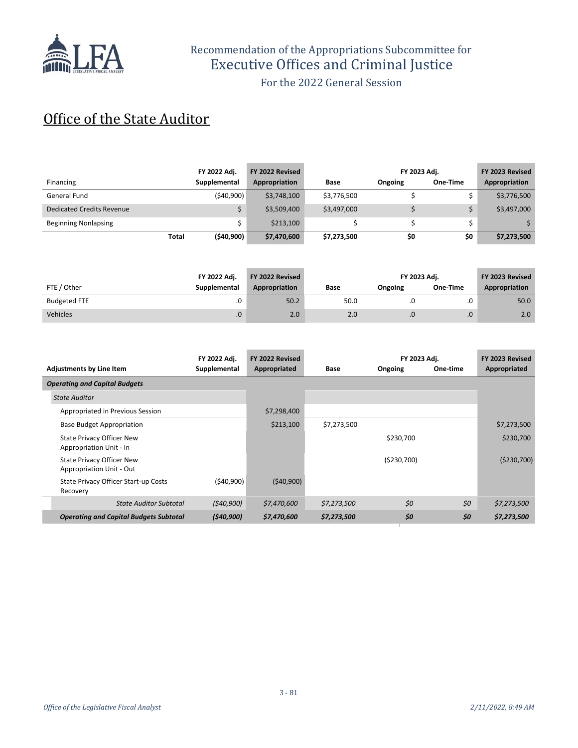

For the 2022 General Session

# Office of the State Auditor

|                             |       | FY 2022 Adj. | FY 2022 Revised |             |         | FY 2023 Adj. | FY 2023 Revised |
|-----------------------------|-------|--------------|-----------------|-------------|---------|--------------|-----------------|
| Financing                   |       | Supplemental | Appropriation   | Base        | Ongoing | One-Time     | Appropriation   |
| General Fund                |       | (540,900)    | \$3,748,100     | \$3,776,500 |         |              | \$3,776,500     |
| Dedicated Credits Revenue   |       |              | \$3,509,400     | \$3,497,000 |         |              | \$3,497,000     |
| <b>Beginning Nonlapsing</b> |       |              | \$213,100       |             |         |              |                 |
|                             | Total | (540,900)    | \$7,470,600     | \$7,273,500 | \$0     | \$0          | \$7,273,500     |

|                     | FY 2022 Adj. | FY 2022 Revised |             | FY 2023 Adj. |          | FY 2023 Revised |
|---------------------|--------------|-----------------|-------------|--------------|----------|-----------------|
| FTE / Other         | Supplemental | Appropriation   | <b>Base</b> | Ongoing      | One Time | Appropriation   |
| <b>Budgeted FTE</b> | .u           | 50.2            | 50.0        | .U           | ٠υ       | 50.0            |
| Vehicles            | .O           | 2.0             | 2.0         | .0           |          | 2.0             |

|                                                              | FY 2022 Adj. | FY 2022 Revised |             | FY 2023 Adj. |          | FY 2023 Revised |
|--------------------------------------------------------------|--------------|-----------------|-------------|--------------|----------|-----------------|
| <b>Adjustments by Line Item</b>                              | Supplemental | Appropriated    | Base        | Ongoing      | One-time | Appropriated    |
| <b>Operating and Capital Budgets</b>                         |              |                 |             |              |          |                 |
| <b>State Auditor</b>                                         |              |                 |             |              |          |                 |
| Appropriated in Previous Session                             |              | \$7,298,400     |             |              |          |                 |
| <b>Base Budget Appropriation</b>                             |              | \$213,100       | \$7,273,500 |              |          | \$7,273,500     |
| <b>State Privacy Officer New</b><br>Appropriation Unit - In  |              |                 |             | \$230,700    |          | \$230,700       |
| <b>State Privacy Officer New</b><br>Appropriation Unit - Out |              |                 |             | ( \$230,700) |          | ( \$230,700)    |
| State Privacy Officer Start-up Costs<br>Recovery             | (540,900)    | (540,900)       |             |              |          |                 |
| <b>State Auditor Subtotal</b>                                | (540, 900)   | \$7,470,600     | \$7,273,500 | 50           | \$0      | \$7,273,500     |
| <b>Operating and Capital Budgets Subtotal</b>                | (\$40,900)   | \$7,470,600     | \$7,273,500 | \$0          | \$0      | \$7,273,500     |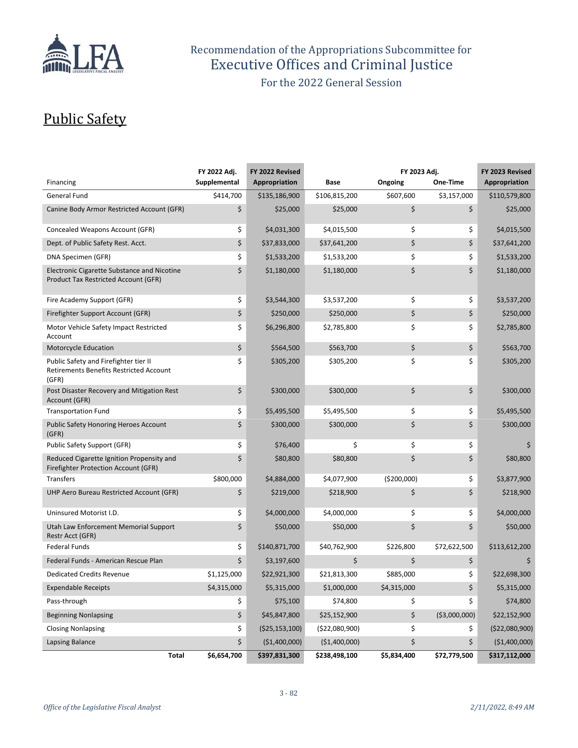

For the 2022 General Session

## Public Safety

| Financing                                                                                        | FY 2022 Adj.<br>Supplemental | FY 2022 Revised<br>Appropriation | Base           | FY 2023 Adj.<br>Ongoing | One-Time       | FY 2023 Revised<br>Appropriation |
|--------------------------------------------------------------------------------------------------|------------------------------|----------------------------------|----------------|-------------------------|----------------|----------------------------------|
| General Fund                                                                                     | \$414,700                    | \$135,186,900                    | \$106,815,200  | \$607,600               | \$3,157,000    | \$110,579,800                    |
| Canine Body Armor Restricted Account (GFR)                                                       | \$                           | \$25,000                         | \$25,000       | \$                      | \$             | \$25,000                         |
| Concealed Weapons Account (GFR)                                                                  | \$                           | \$4,031,300                      | \$4,015,500    | \$                      | \$             | \$4,015,500                      |
| Dept. of Public Safety Rest. Acct.                                                               | \$                           | \$37,833,000                     | \$37,641,200   | \$                      | \$             | \$37,641,200                     |
| DNA Specimen (GFR)                                                                               | \$                           | \$1,533,200                      | \$1,533,200    | \$                      | \$             | \$1,533,200                      |
| Electronic Cigarette Substance and Nicotine<br>Product Tax Restricted Account (GFR)              | \$                           | \$1,180,000                      | \$1,180,000    | \$                      | \$             | \$1,180,000                      |
| Fire Academy Support (GFR)                                                                       | \$                           | \$3,544,300                      | \$3,537,200    | \$                      | \$             | \$3,537,200                      |
| Firefighter Support Account (GFR)                                                                | \$                           | \$250,000                        | \$250,000      | \$                      | \$             | \$250,000                        |
| Motor Vehicle Safety Impact Restricted<br>Account                                                | \$                           | \$6,296,800                      | \$2,785,800    | \$                      | \$             | \$2,785,800                      |
| Motorcycle Education                                                                             | \$                           | \$564,500                        | \$563,700      | \$                      | \$             | \$563,700                        |
| Public Safety and Firefighter tier II<br><b>Retirements Benefits Restricted Account</b><br>(GFR) | \$                           | \$305,200                        | \$305,200      | \$                      | \$             | \$305,200                        |
| Post Disaster Recovery and Mitigation Rest<br>Account (GFR)                                      | \$                           | \$300,000                        | \$300,000      | \$                      | \$             | \$300,000                        |
| <b>Transportation Fund</b>                                                                       | \$                           | \$5,495,500                      | \$5,495,500    | \$                      | \$             | \$5,495,500                      |
| <b>Public Safety Honoring Heroes Account</b><br>(GFR)                                            | \$                           | \$300,000                        | \$300,000      | \$                      | \$             | \$300,000                        |
| Public Safety Support (GFR)                                                                      | \$                           | \$76,400                         | \$             | \$                      | \$             |                                  |
| Reduced Cigarette Ignition Propensity and<br>Firefighter Protection Account (GFR)                | \$                           | \$80,800                         | \$80,800       | \$                      | \$             | \$80,800                         |
| Transfers                                                                                        | \$800,000                    | \$4,884,000                      | \$4,077,900    | ( \$200,000)            | \$             | \$3,877,900                      |
| UHP Aero Bureau Restricted Account (GFR)                                                         | \$                           | \$219,000                        | \$218,900      | \$                      | \$             | \$218,900                        |
| Uninsured Motorist I.D.                                                                          | \$                           | \$4,000,000                      | \$4,000,000    | \$                      | \$             | \$4,000,000                      |
| Utah Law Enforcement Memorial Support<br>Restr Acct (GFR)                                        | \$                           | \$50,000                         | \$50,000       | \$                      | \$             | \$50,000                         |
| <b>Federal Funds</b>                                                                             | \$                           | \$140,871,700                    | \$40,762,900   | \$226,800               | \$72,622,500   | \$113,612,200                    |
| Federal Funds - American Rescue Plan                                                             | \$                           | \$3,197,600                      | \$             | \$                      | \$             | \$                               |
| <b>Dedicated Credits Revenue</b>                                                                 | \$1,125,000                  | \$22,921,300                     | \$21,813,300   | \$885,000               | \$             | \$22,698,300                     |
| <b>Expendable Receipts</b>                                                                       | \$4,315,000                  | \$5,315,000                      | \$1,000,000    | \$4,315,000             | \$             | \$5,315,000                      |
| Pass-through                                                                                     | \$                           | \$75,100                         | \$74,800       | \$                      | \$.            | \$74,800                         |
| <b>Beginning Nonlapsing</b>                                                                      | \$                           | \$45,847,800                     | \$25,152,900   | \$                      | ( \$3,000,000) | \$22,152,900                     |
| <b>Closing Nonlapsing</b>                                                                        | \$                           | ( \$25, 153, 100)                | (\$22,080,900) | \$                      | \$             | (\$22,080,900)                   |
| Lapsing Balance                                                                                  | \$                           | (\$1,400,000)                    | (\$1,400,000)  | \$                      | \$             | (\$1,400,000)                    |
| <b>Total</b>                                                                                     | \$6,654,700                  | \$397,831,300                    | \$238,498,100  | \$5,834,400             | \$72,779,500   | \$317,112,000                    |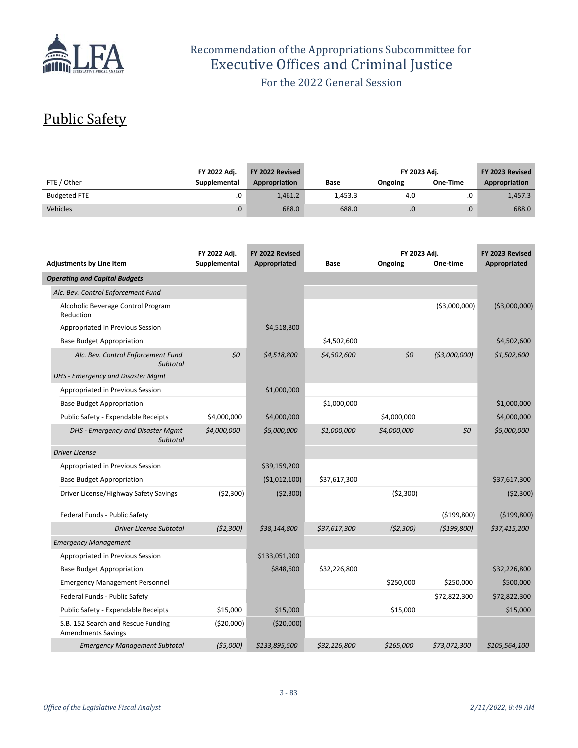

For the 2022 General Session

## Public Safety

|                     | FY 2022 Adj.    | FY 2022 Revised |         | FY 2023 Adj. |          |               |
|---------------------|-----------------|-----------------|---------|--------------|----------|---------------|
| FTE / Other         | Supplemental    | Appropriation   | Base    | Ongoing      | One-Time | Appropriation |
| <b>Budgeted FTE</b> | .0              | 1,461.2         | 1,453.3 | 4.0          | .0       | 1,457.3       |
| Vehicles            | .0 <sub>1</sub> | 688.0           | 688.0   | .0           | .0       | 688.0         |

| <b>Adjustments by Line Item</b>                                 | FY 2022 Adj.<br>Supplemental | FY 2022 Revised<br>Appropriated | Base         | FY 2023 Adj.<br>Ongoing | One-time       | FY 2023 Revised<br>Appropriated |
|-----------------------------------------------------------------|------------------------------|---------------------------------|--------------|-------------------------|----------------|---------------------------------|
| <b>Operating and Capital Budgets</b>                            |                              |                                 |              |                         |                |                                 |
| Alc. Bev. Control Enforcement Fund                              |                              |                                 |              |                         |                |                                 |
| Alcoholic Beverage Control Program<br>Reduction                 |                              |                                 |              |                         | ( \$3,000,000) | ( \$3,000,000)                  |
| Appropriated in Previous Session                                |                              | \$4,518,800                     |              |                         |                |                                 |
| <b>Base Budget Appropriation</b>                                |                              |                                 | \$4,502,600  |                         |                | \$4,502,600                     |
| Alc. Bev. Control Enforcement Fund<br>Subtotal                  | \$0                          | \$4,518,800                     | \$4,502,600  | \$0                     | ( \$3,000,000) | \$1,502,600                     |
| DHS - Emergency and Disaster Mamt                               |                              |                                 |              |                         |                |                                 |
| Appropriated in Previous Session                                |                              | \$1,000,000                     |              |                         |                |                                 |
| <b>Base Budget Appropriation</b>                                |                              |                                 | \$1,000,000  |                         |                | \$1,000,000                     |
| Public Safety - Expendable Receipts                             | \$4,000,000                  | \$4,000,000                     |              | \$4,000,000             |                | \$4,000,000                     |
| DHS - Emergency and Disaster Mamt<br>Subtotal                   | \$4,000,000                  | \$5,000,000                     | \$1,000,000  | \$4,000,000             | \$0            | \$5,000,000                     |
| <b>Driver License</b>                                           |                              |                                 |              |                         |                |                                 |
| Appropriated in Previous Session                                |                              | \$39,159,200                    |              |                         |                |                                 |
| <b>Base Budget Appropriation</b>                                |                              | (51,012,100)                    | \$37,617,300 |                         |                | \$37,617,300                    |
| Driver License/Highway Safety Savings                           | (52,300)                     | ( \$2,300)                      |              | (52,300)                |                | (52,300)                        |
| Federal Funds - Public Safety                                   |                              |                                 |              |                         | ( \$199, 800)  | ( \$199, 800)                   |
| <b>Driver License Subtotal</b>                                  | (52, 300)                    | \$38,144,800                    | \$37,617,300 | (52,300)                | (5199,800)     | \$37,415,200                    |
| <b>Emergency Management</b>                                     |                              |                                 |              |                         |                |                                 |
| Appropriated in Previous Session                                |                              | \$133,051,900                   |              |                         |                |                                 |
| <b>Base Budget Appropriation</b>                                |                              | \$848,600                       | \$32,226,800 |                         |                | \$32,226,800                    |
| <b>Emergency Management Personnel</b>                           |                              |                                 |              | \$250,000               | \$250,000      | \$500,000                       |
| Federal Funds - Public Safety                                   |                              |                                 |              |                         | \$72,822,300   | \$72,822,300                    |
| Public Safety - Expendable Receipts                             | \$15,000                     | \$15,000                        |              | \$15,000                |                | \$15,000                        |
| S.B. 152 Search and Rescue Funding<br><b>Amendments Savings</b> | (520,000)                    | (\$20,000)                      |              |                         |                |                                 |
| <b>Emergency Management Subtotal</b>                            | (55,000)                     | \$133,895,500                   | \$32,226,800 | \$265,000               | \$73,072,300   | \$105,564,100                   |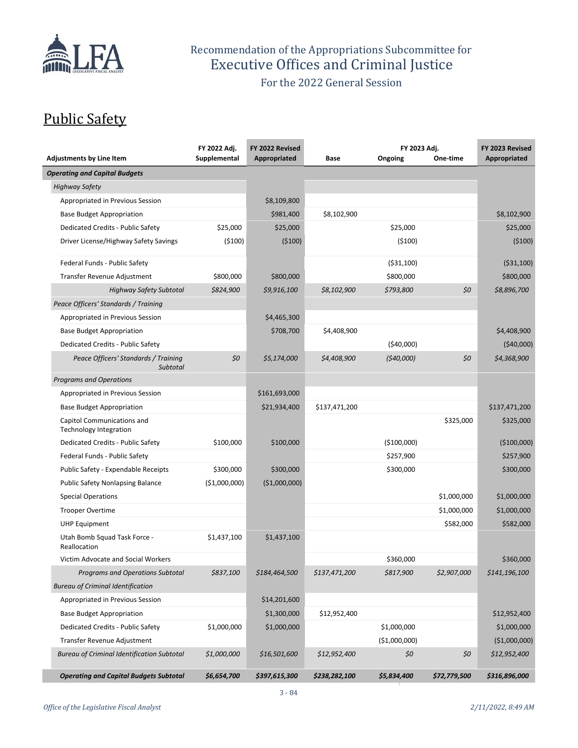

For the 2022 General Session

# Public Safety

ĺ

| <b>Adjustments by Line Item</b>                             | FY 2022 Adj.<br>Supplemental | FY 2022 Revised<br>Appropriated | Base          | FY 2023 Adj.<br>Ongoing | One-time     | FY 2023 Revised<br>Appropriated |
|-------------------------------------------------------------|------------------------------|---------------------------------|---------------|-------------------------|--------------|---------------------------------|
| <b>Operating and Capital Budgets</b>                        |                              |                                 |               |                         |              |                                 |
| <b>Highway Safety</b>                                       |                              |                                 |               |                         |              |                                 |
| Appropriated in Previous Session                            |                              | \$8,109,800                     |               |                         |              |                                 |
| <b>Base Budget Appropriation</b>                            |                              | \$981,400                       | \$8,102,900   |                         |              | \$8,102,900                     |
| Dedicated Credits - Public Safety                           | \$25,000                     | \$25,000                        |               | \$25,000                |              | \$25,000                        |
| Driver License/Highway Safety Savings                       | (5100)                       | ( \$100)                        |               | (5100)                  |              | ( \$100)                        |
| Federal Funds - Public Safety                               |                              |                                 |               | ( \$31,100)             |              | ( \$31,100)                     |
| Transfer Revenue Adjustment                                 | \$800,000                    | \$800,000                       |               | \$800,000               |              | \$800,000                       |
| <b>Highway Safety Subtotal</b>                              | \$824,900                    | \$9,916,100                     | \$8,102,900   | \$793,800               | \$0          | \$8,896,700                     |
| Peace Officers' Standards / Training                        |                              |                                 |               |                         |              |                                 |
| Appropriated in Previous Session                            |                              | \$4,465,300                     |               |                         |              |                                 |
| <b>Base Budget Appropriation</b>                            |                              | \$708,700                       | \$4,408,900   |                         |              | \$4,408,900                     |
| Dedicated Credits - Public Safety                           |                              |                                 |               | (540,000)               |              | (\$40,000)                      |
| Peace Officers' Standards / Training<br>Subtotal            | 50                           | \$5,174,000                     | \$4,408,900   | (540,000)               | \$0          | \$4,368,900                     |
| <b>Programs and Operations</b>                              |                              |                                 |               |                         |              |                                 |
| Appropriated in Previous Session                            |                              | \$161,693,000                   |               |                         |              |                                 |
| <b>Base Budget Appropriation</b>                            |                              | \$21,934,400                    | \$137,471,200 |                         |              | \$137,471,200                   |
| Capitol Communications and<br><b>Technology Integration</b> |                              |                                 |               |                         | \$325,000    | \$325,000                       |
| Dedicated Credits - Public Safety                           | \$100,000                    | \$100,000                       |               | (\$100,000)             |              | (\$100,000)                     |
| Federal Funds - Public Safety                               |                              |                                 |               | \$257,900               |              | \$257,900                       |
| Public Safety - Expendable Receipts                         | \$300,000                    | \$300,000                       |               | \$300,000               |              | \$300,000                       |
| <b>Public Safety Nonlapsing Balance</b>                     | ( \$1,000,000)               | (\$1,000,000)                   |               |                         |              |                                 |
| <b>Special Operations</b>                                   |                              |                                 |               |                         | \$1,000,000  | \$1,000,000                     |
| <b>Trooper Overtime</b>                                     |                              |                                 |               |                         | \$1,000,000  | \$1,000,000                     |
| <b>UHP Equipment</b>                                        |                              |                                 |               |                         | \$582,000    | \$582,000                       |
| Utah Bomb Squad Task Force -<br>Reallocation                | \$1,437,100                  | \$1,437,100                     |               |                         |              |                                 |
| Victim Advocate and Social Workers                          |                              |                                 |               | \$360,000               |              | \$360,000                       |
| <b>Programs and Operations Subtotal</b>                     | \$837,100                    | \$184,464,500                   | \$137,471,200 | \$817,900               | \$2,907,000  | \$141,196,100                   |
| <b>Bureau of Criminal Identification</b>                    |                              |                                 |               |                         |              |                                 |
| Appropriated in Previous Session                            |                              | \$14,201,600                    |               |                         |              |                                 |
| <b>Base Budget Appropriation</b>                            |                              | \$1,300,000                     | \$12,952,400  |                         |              | \$12,952,400                    |
| Dedicated Credits - Public Safety                           | \$1,000,000                  | \$1,000,000                     |               | \$1,000,000             |              | \$1,000,000                     |
| Transfer Revenue Adjustment                                 |                              |                                 |               | (\$1,000,000)           |              | (\$1,000,000)                   |
| <b>Bureau of Criminal Identification Subtotal</b>           | \$1,000,000                  | \$16,501,600                    | \$12,952,400  | \$0                     | \$0          | \$12,952,400                    |
| <b>Operating and Capital Budgets Subtotal</b>               | \$6,654,700                  | \$397,615,300                   | \$238,282,100 | \$5,834,400             | \$72,779,500 | \$316,896,000                   |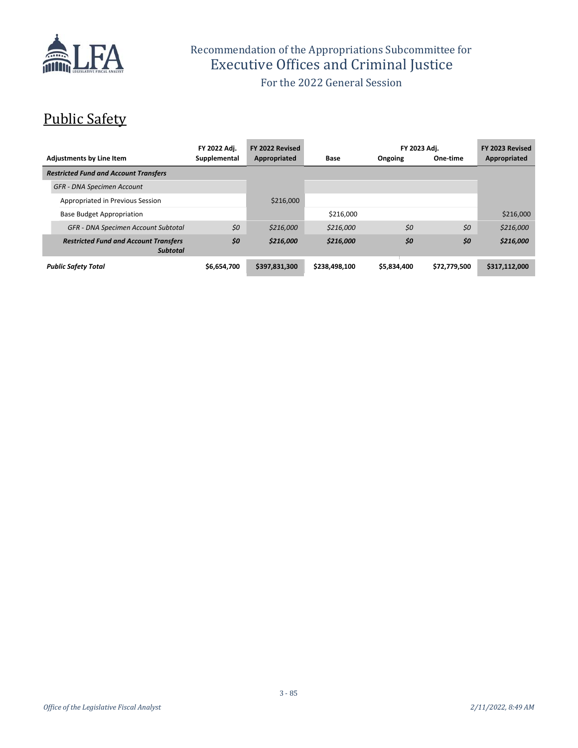

For the 2022 General Session

# Public Safety

|                                                          | FY 2022 Adj. | FY 2022 Revised |               | FY 2023 Adi. |              | FY 2023 Revised |
|----------------------------------------------------------|--------------|-----------------|---------------|--------------|--------------|-----------------|
| <b>Adjustments by Line Item</b>                          | Supplemental | Appropriated    | <b>Base</b>   | Ongoing      | One-time     | Appropriated    |
| <b>Restricted Fund and Account Transfers</b>             |              |                 |               |              |              |                 |
| GFR - DNA Specimen Account                               |              |                 |               |              |              |                 |
| Appropriated in Previous Session                         |              | \$216,000       |               |              |              |                 |
| <b>Base Budget Appropriation</b>                         |              |                 | \$216,000     |              |              | \$216,000       |
| GFR - DNA Specimen Account Subtotal                      | \$0          | \$216,000       | \$216,000     | \$0          | \$0          | \$216,000       |
| <b>Restricted Fund and Account Transfers</b><br>Subtotal | \$0          | \$216,000       | \$216,000     | \$0          | \$0          | \$216,000       |
| <b>Public Safety Total</b>                               | \$6,654,700  | \$397.831.300   | \$238,498,100 | \$5,834,400  | \$72,779,500 | \$317,112,000   |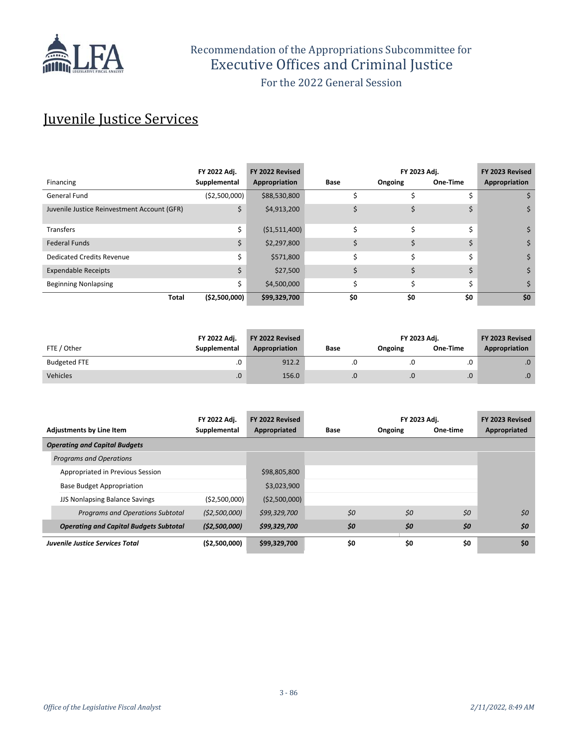

For the 2022 General Session

|                                             | FY 2022 Adj.   | FY 2022 Revised |      |         | FY 2023 Adj. | FY 2023 Revised |
|---------------------------------------------|----------------|-----------------|------|---------|--------------|-----------------|
| Financing                                   | Supplemental   | Appropriation   | Base | Ongoing | One-Time     | Appropriation   |
| General Fund                                | ( \$2,500,000) | \$88,530,800    |      |         |              |                 |
| Juvenile Justice Reinvestment Account (GFR) | \$             | \$4,913,200     |      |         |              |                 |
| Transfers                                   | Ś.             | ( \$1,511,400)  |      |         |              |                 |
| <b>Federal Funds</b>                        | Ś.             | \$2,297,800     |      |         |              |                 |
| <b>Dedicated Credits Revenue</b>            | Ś.             | \$571,800       |      |         |              |                 |
| <b>Expendable Receipts</b>                  | Ś.             | \$27,500        |      |         |              |                 |
| <b>Beginning Nonlapsing</b>                 |                | \$4,500,000     |      |         |              |                 |
| <b>Total</b>                                | ( \$2,500,000] | \$99,329,700    | \$0  | \$0     | \$0          | \$0             |

|                     | FY 2022 Adj.    | FY 2022 Revised |      | FY 2023 Adj. |                 | FY 2023 Revised |
|---------------------|-----------------|-----------------|------|--------------|-----------------|-----------------|
| FTE / Other         | Supplemental    | Appropriation   | Base | Ongoing      | One-Time        | Appropriation   |
| <b>Budgeted FTE</b> | .0              | 912.2           | .u   | ٠.           | ٠.              |                 |
| Vehicles            | .0 <sub>1</sub> | 156.0           | .U   | .U           | .0 <sub>1</sub> |                 |

|                                               | FY 2022 Adj.   | FY 2022 Revised |      | FY 2023 Adi. |          | FY 2023 Revised |
|-----------------------------------------------|----------------|-----------------|------|--------------|----------|-----------------|
| <b>Adjustments by Line Item</b>               | Supplemental   | Appropriated    | Base | Ongoing      | One-time | Appropriated    |
| <b>Operating and Capital Budgets</b>          |                |                 |      |              |          |                 |
| <b>Programs and Operations</b>                |                |                 |      |              |          |                 |
| Appropriated in Previous Session              |                | \$98,805,800    |      |              |          |                 |
| <b>Base Budget Appropriation</b>              |                | \$3,023,900     |      |              |          |                 |
| <b>JJS Nonlapsing Balance Savings</b>         | (52,500,000)   | (52,500,000)    |      |              |          |                 |
| <b>Programs and Operations Subtotal</b>       | (52,500,000)   | \$99,329,700    | \$0  | \$0          | \$0      | \$0             |
| <b>Operating and Capital Budgets Subtotal</b> | (52,500,000)   | \$99,329,700    | \$0  | \$0          | \$0      | \$0             |
| Juvenile Justice Services Total               | ( \$2,500,000) | \$99,329,700    | \$0  | \$0          | \$0      | \$0             |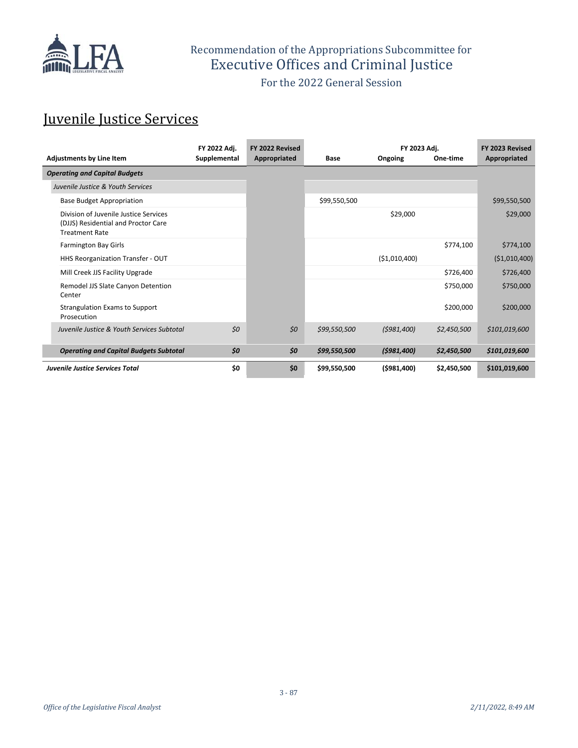

For the 2022 General Session

|                                                                                                       | FY 2022 Adj. | FY 2022 Revised |              | FY 2023 Adj.   |             | FY 2023 Revised |
|-------------------------------------------------------------------------------------------------------|--------------|-----------------|--------------|----------------|-------------|-----------------|
| <b>Adjustments by Line Item</b>                                                                       | Supplemental | Appropriated    | <b>Base</b>  | Ongoing        | One-time    | Appropriated    |
| <b>Operating and Capital Budgets</b>                                                                  |              |                 |              |                |             |                 |
| Juvenile Justice & Youth Services                                                                     |              |                 |              |                |             |                 |
| <b>Base Budget Appropriation</b>                                                                      |              |                 | \$99,550,500 |                |             | \$99,550,500    |
| Division of Juvenile Justice Services<br>(DJJS) Residential and Proctor Care<br><b>Treatment Rate</b> |              |                 |              | \$29,000       |             | \$29,000        |
| <b>Farmington Bay Girls</b>                                                                           |              |                 |              |                | \$774,100   | \$774,100       |
| HHS Reorganization Transfer - OUT                                                                     |              |                 |              | ( \$1,010,400) |             | (\$1,010,400)   |
| Mill Creek JJS Facility Upgrade                                                                       |              |                 |              |                | \$726,400   | \$726,400       |
| Remodel JJS Slate Canyon Detention<br>Center                                                          |              |                 |              |                | \$750,000   | \$750,000       |
| Strangulation Exams to Support<br>Prosecution                                                         |              |                 |              |                | \$200,000   | \$200,000       |
| Juvenile Justice & Youth Services Subtotal                                                            | \$0          | \$0             | \$99,550,500 | (5981, 400)    | \$2,450,500 | \$101,019,600   |
| <b>Operating and Capital Budgets Subtotal</b>                                                         | \$0          | \$0             | \$99,550,500 | (5981, 400)    | \$2,450,500 | \$101,019,600   |
| <b>Juvenile Justice Services Total</b>                                                                | \$0          | \$0             | \$99,550,500 | (5981,400)     | \$2,450,500 | \$101,019,600   |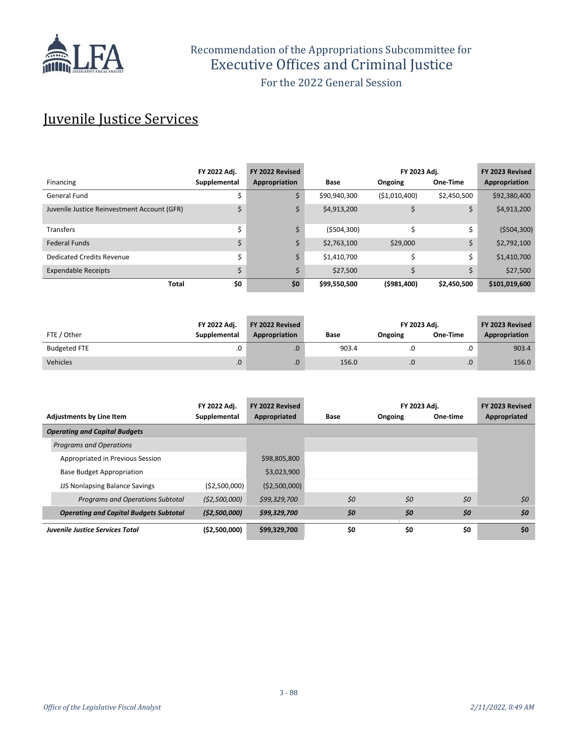

For the 2022 General Session

|                                             | FY 2022 Adj. | FY 2022 Revised |              | FY 2023 Adi.   |             | FY 2023 Revised |
|---------------------------------------------|--------------|-----------------|--------------|----------------|-------------|-----------------|
| Financing                                   | Supplemental | Appropriation   | <b>Base</b>  | Ongoing        | One-Time    | Appropriation   |
| General Fund                                |              |                 | \$90,940,300 | ( \$1,010,400) | \$2,450,500 | \$92,380,400    |
| Juvenile Justice Reinvestment Account (GFR) |              |                 | \$4,913,200  |                |             | \$4,913,200     |
| <b>Transfers</b>                            |              |                 | (5504, 300)  | ۸              |             | (5504,300)      |
| Federal Funds                               |              |                 | \$2,763,100  | \$29,000       | Ś           | \$2,792,100     |
| Dedicated Credits Revenue                   |              |                 | \$1,410,700  |                | ċ           | \$1,410,700     |
| <b>Expendable Receipts</b>                  | Ś            |                 | \$27,500     |                |             | \$27,500        |
| <b>Total</b>                                | \$0          | \$0             | \$99,550,500 | (5981,400)     | \$2,450,500 | \$101,019,600   |

|                     | FY 2022 Adj.    | FY 2022 Revised |       | FY 2023 Adj. |          | FY 2023 Revised |
|---------------------|-----------------|-----------------|-------|--------------|----------|-----------------|
| FTE / Other         | Supplemental    | Appropriation   | Base  | Ongoing      | One-Time | Appropriation   |
| <b>Budgeted FTE</b> |                 | .u              | 903.4 | .u           |          | 903.4           |
| Vehicles            | .0 <sub>1</sub> | .U              | 156.0 | .0           | .0       | 156.0           |

|                                               | FY 2022 Adj.   | FY 2022 Revised |             | FY 2023 Adi. |          | FY 2023 Revised |
|-----------------------------------------------|----------------|-----------------|-------------|--------------|----------|-----------------|
| <b>Adjustments by Line Item</b>               | Supplemental   | Appropriated    | <b>Base</b> | Ongoing      | One-time | Appropriated    |
| <b>Operating and Capital Budgets</b>          |                |                 |             |              |          |                 |
| <b>Programs and Operations</b>                |                |                 |             |              |          |                 |
| Appropriated in Previous Session              |                | \$98,805,800    |             |              |          |                 |
| <b>Base Budget Appropriation</b>              |                | \$3,023,900     |             |              |          |                 |
| JJS Nonlapsing Balance Savings                | ( \$2,500,000) | (\$2,500,000)   |             |              |          |                 |
| <b>Programs and Operations Subtotal</b>       | (52,500,000)   | \$99,329,700    | \$0         | \$0          | \$0      | \$0             |
| <b>Operating and Capital Budgets Subtotal</b> | (52,500,000)   | \$99,329,700    | \$0         | \$0          | \$0      | \$0             |
| Juvenile Justice Services Total               | ( \$2,500,000) | \$99,329,700    | \$0         | \$0          | \$0      | \$0             |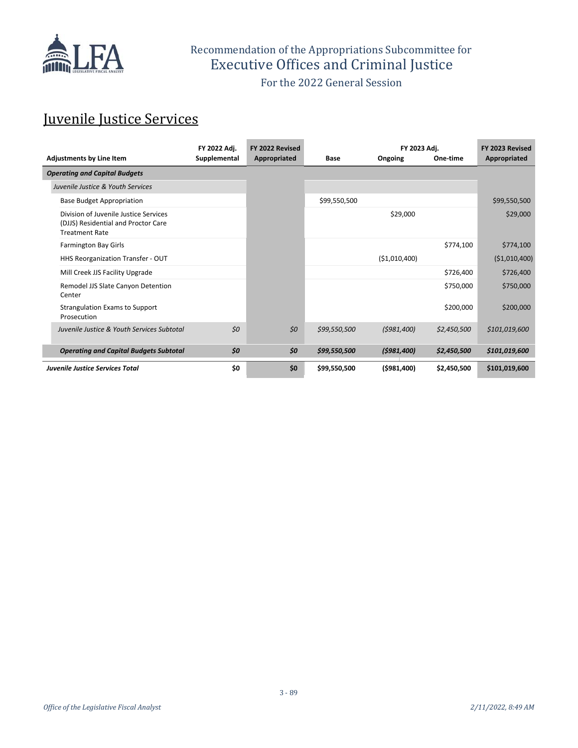

For the 2022 General Session

|                                                                                                       | FY 2022 Adj. | FY 2022 Revised |              | FY 2023 Adj.   |             | FY 2023 Revised |
|-------------------------------------------------------------------------------------------------------|--------------|-----------------|--------------|----------------|-------------|-----------------|
| <b>Adjustments by Line Item</b>                                                                       | Supplemental | Appropriated    | <b>Base</b>  | Ongoing        | One-time    | Appropriated    |
| <b>Operating and Capital Budgets</b>                                                                  |              |                 |              |                |             |                 |
| Juvenile Justice & Youth Services                                                                     |              |                 |              |                |             |                 |
| <b>Base Budget Appropriation</b>                                                                      |              |                 | \$99,550,500 |                |             | \$99,550,500    |
| Division of Juvenile Justice Services<br>(DJJS) Residential and Proctor Care<br><b>Treatment Rate</b> |              |                 |              | \$29,000       |             | \$29,000        |
| <b>Farmington Bay Girls</b>                                                                           |              |                 |              |                | \$774,100   | \$774,100       |
| HHS Reorganization Transfer - OUT                                                                     |              |                 |              | ( \$1,010,400) |             | (\$1,010,400)   |
| Mill Creek JJS Facility Upgrade                                                                       |              |                 |              |                | \$726,400   | \$726,400       |
| Remodel JJS Slate Canyon Detention<br>Center                                                          |              |                 |              |                | \$750,000   | \$750,000       |
| <b>Strangulation Exams to Support</b><br>Prosecution                                                  |              |                 |              |                | \$200,000   | \$200,000       |
| Juvenile Justice & Youth Services Subtotal                                                            | 50           | \$0             | \$99,550,500 | (5981, 400)    | \$2,450,500 | \$101,019,600   |
| <b>Operating and Capital Budgets Subtotal</b>                                                         | \$0          | \$0             | \$99,550,500 | (5981, 400)    | \$2,450,500 | \$101,019,600   |
| <b>Juvenile Justice Services Total</b>                                                                | \$0          | \$0             | \$99,550,500 | (5981,400)     | \$2,450,500 | \$101,019,600   |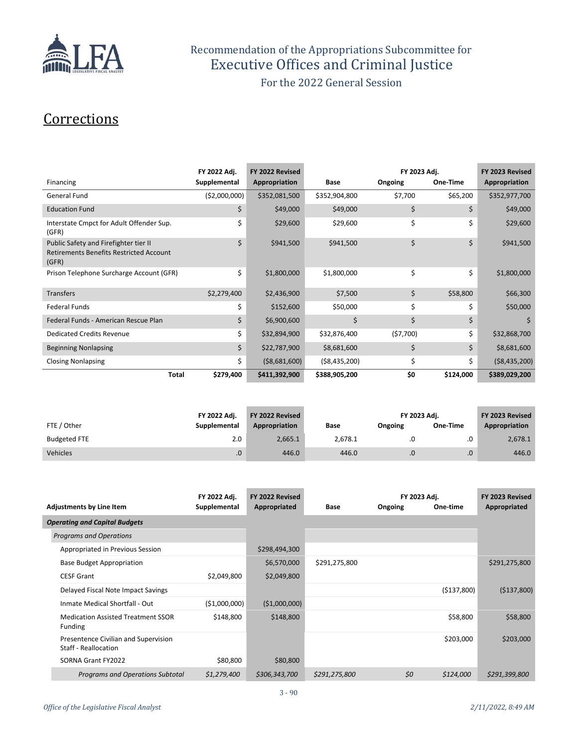

For the 2022 General Session

## **Corrections**

|                                                                                                  | FY 2022 Adj.   | FY 2022 Revised |                | FY 2023 Adj. |           | FY 2023 Revised |
|--------------------------------------------------------------------------------------------------|----------------|-----------------|----------------|--------------|-----------|-----------------|
| Financing                                                                                        | Supplemental   | Appropriation   | Base           | Ongoing      | One-Time  | Appropriation   |
| General Fund                                                                                     | ( \$2,000,000) | \$352,081,500   | \$352,904,800  | \$7,700      | \$65,200  | \$352,977,700   |
| <b>Education Fund</b>                                                                            | \$             | \$49,000        | \$49,000       | \$           | \$        | \$49,000        |
| Interstate Cmpct for Adult Offender Sup.<br>(GFR)                                                | \$             | \$29,600        | \$29,600       | \$           | Ś.        | \$29,600        |
| Public Safety and Firefighter tier II<br><b>Retirements Benefits Restricted Account</b><br>(GFR) | Ś.             | \$941,500       | \$941,500      | \$           | \$        | \$941,500       |
| Prison Telephone Surcharge Account (GFR)                                                         | \$             | \$1,800,000     | \$1,800,000    | \$           | \$.       | \$1,800,000     |
| <b>Transfers</b>                                                                                 | \$2,279,400    | \$2,436,900     | \$7,500        | \$           | \$58,800  | \$66,300        |
| <b>Federal Funds</b>                                                                             | Ś.             | \$152,600       | \$50,000       | \$           | Ś.        | \$50,000        |
| Federal Funds - American Rescue Plan                                                             | \$             | \$6,900,600     | \$             | \$           | \$        | Ś               |
| <b>Dedicated Credits Revenue</b>                                                                 | \$             | \$32,894,900    | \$32,876,400   | (57,700)     | Ś.        | \$32,868,700    |
| <b>Beginning Nonlapsing</b>                                                                      | \$             | \$22,787,900    | \$8,681,600    | \$           | \$        | \$8,681,600     |
| <b>Closing Nonlapsing</b>                                                                        | \$             | ( \$8,681,600)  | ( \$8,435,200) | \$           | \$        | ( \$8,435,200)  |
| <b>Total</b>                                                                                     | \$279,400      | \$411,392,900   | \$388,905,200  | \$0          | \$124,000 | \$389,029,200   |

|                     | FY 2022 Adj.    | FY 2022 Revised |         | FY 2023 Adj. |                 | FY 2023 Revised |
|---------------------|-----------------|-----------------|---------|--------------|-----------------|-----------------|
| FTE / Other         | Supplemental    | Appropriation   | Base    | Ongoing      | One Time        | Appropriation   |
| <b>Budgeted FTE</b> | 2.0             | 2,665.1         | 2,678.1 | .0           | .0 <sub>1</sub> | 2,678.1         |
| Vehicles            | .0 <sub>1</sub> | 446.0           | 446.0   |              | .0 <sub>1</sub> | 446.0           |

| <b>Adjustments by Line Item</b>                                     | FY 2022 Adj.<br>Supplemental | FY 2022 Revised<br>Appropriated | <b>Base</b>   | FY 2023 Adj.<br>Ongoing | One-time     | FY 2023 Revised<br>Appropriated |
|---------------------------------------------------------------------|------------------------------|---------------------------------|---------------|-------------------------|--------------|---------------------------------|
| <b>Operating and Capital Budgets</b>                                |                              |                                 |               |                         |              |                                 |
| <b>Programs and Operations</b>                                      |                              |                                 |               |                         |              |                                 |
| Appropriated in Previous Session                                    |                              | \$298,494,300                   |               |                         |              |                                 |
| <b>Base Budget Appropriation</b>                                    |                              | \$6,570,000                     | \$291,275,800 |                         |              | \$291,275,800                   |
| <b>CESF Grant</b>                                                   | \$2,049,800                  | \$2,049,800                     |               |                         |              |                                 |
| Delayed Fiscal Note Impact Savings                                  |                              |                                 |               |                         | ( \$137,800) | (\$137,800)                     |
| Inmate Medical Shortfall - Out                                      | ( \$1,000,000)               | ( \$1,000,000)                  |               |                         |              |                                 |
| <b>Medication Assisted Treatment SSOR</b><br>Funding                | \$148,800                    | \$148,800                       |               |                         | \$58,800     | \$58,800                        |
| Presentence Civilian and Supervision<br><b>Staff - Reallocation</b> |                              |                                 |               |                         | \$203,000    | \$203,000                       |
| SORNA Grant FY2022                                                  | \$80,800                     | \$80,800                        |               |                         |              |                                 |
| <b>Programs and Operations Subtotal</b>                             | \$1,279,400                  | \$306,343,700                   | \$291,275,800 | 50                      | \$124,000    | \$291,399,800                   |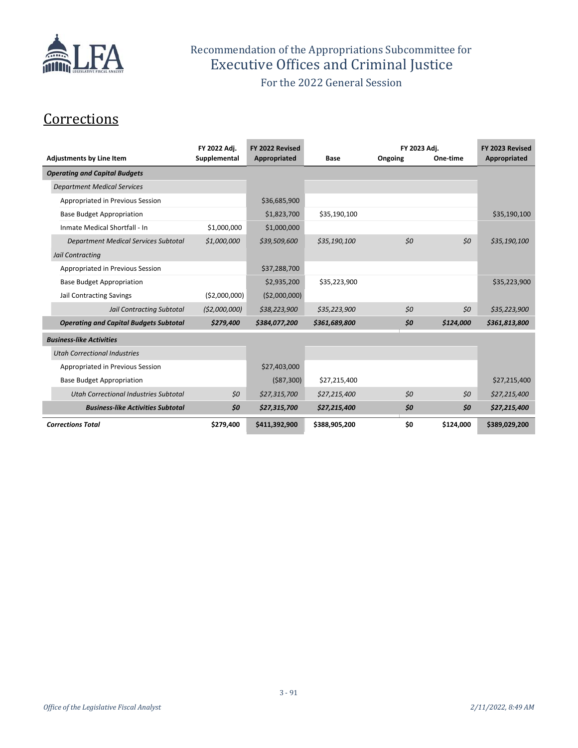

For the 2022 General Session

## **Corrections**

|                                               |                           | FY 2022 Adj.   | FY 2022 Revised |               | FY 2023 Adj. |           | FY 2023 Revised |
|-----------------------------------------------|---------------------------|----------------|-----------------|---------------|--------------|-----------|-----------------|
| <b>Adjustments by Line Item</b>               |                           | Supplemental   | Appropriated    | <b>Base</b>   | Ongoing      | One-time  | Appropriated    |
| <b>Operating and Capital Budgets</b>          |                           |                |                 |               |              |           |                 |
| <b>Department Medical Services</b>            |                           |                |                 |               |              |           |                 |
| Appropriated in Previous Session              |                           |                | \$36,685,900    |               |              |           |                 |
| <b>Base Budget Appropriation</b>              |                           |                | \$1,823,700     | \$35,190,100  |              |           | \$35,190,100    |
| Inmate Medical Shortfall - In                 |                           | \$1,000,000    | \$1,000,000     |               |              |           |                 |
| Department Medical Services Subtotal          |                           | \$1,000,000    | \$39,509,600    | \$35,190,100  | 50           | \$0       | \$35,190,100    |
| Jail Contracting                              |                           |                |                 |               |              |           |                 |
| Appropriated in Previous Session              |                           |                | \$37,288,700    |               |              |           |                 |
| <b>Base Budget Appropriation</b>              |                           |                | \$2,935,200     | \$35,223,900  |              |           | \$35,223,900    |
| <b>Jail Contracting Savings</b>               |                           | ( \$2,000,000) | ( \$2,000,000)  |               |              |           |                 |
|                                               | Jail Contracting Subtotal | (52,000,000)   | \$38,223,900    | \$35,223,900  | \$0          | \$0       | \$35,223,900    |
| <b>Operating and Capital Budgets Subtotal</b> |                           | \$279,400      | \$384,077,200   | \$361,689,800 | \$0          | \$124,000 | \$361,813,800   |
| <b>Business-like Activities</b>               |                           |                |                 |               |              |           |                 |
| <b>Utah Correctional Industries</b>           |                           |                |                 |               |              |           |                 |
| Appropriated in Previous Session              |                           |                | \$27,403,000    |               |              |           |                 |
| <b>Base Budget Appropriation</b>              |                           |                | ( \$87, 300)    | \$27,215,400  |              |           | \$27,215,400    |
| <b>Utah Correctional Industries Subtotal</b>  |                           | 50             | \$27,315,700    | \$27,215,400  | 50           | \$0       | \$27,215,400    |
| <b>Business-like Activities Subtotal</b>      |                           | \$0            | \$27,315,700    | \$27,215,400  | \$0          | \$0       | \$27,215,400    |
| <b>Corrections Total</b>                      |                           | \$279,400      | \$411,392,900   | \$388,905,200 | \$0          | \$124,000 | \$389,029,200   |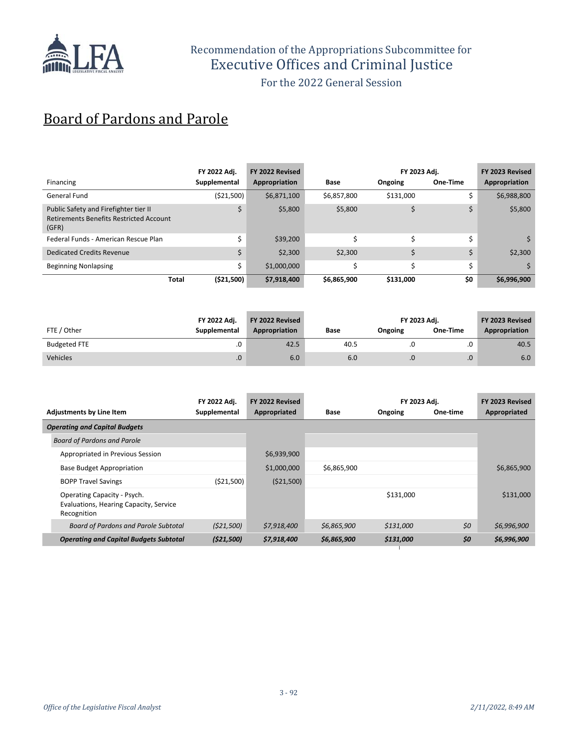

For the 2022 General Session

# Board of Pardons and Parole

| Financing                                                                                        | FY 2022 Adj.<br>Supplemental | FY 2022 Revised<br>Appropriation | Base        | Ongoing   | FY 2023 Adi.<br>One-Time | FY 2023 Revised<br>Appropriation |
|--------------------------------------------------------------------------------------------------|------------------------------|----------------------------------|-------------|-----------|--------------------------|----------------------------------|
| General Fund                                                                                     | (521,500)                    | \$6,871,100                      | \$6,857,800 | \$131,000 |                          | \$6,988,800                      |
| Public Safety and Firefighter tier II<br><b>Retirements Benefits Restricted Account</b><br>(GFR) |                              | \$5,800                          | \$5,800     |           |                          | \$5,800                          |
| Federal Funds - American Rescue Plan                                                             |                              | \$39,200                         |             |           |                          |                                  |
| Dedicated Credits Revenue                                                                        |                              | \$2,300                          | \$2,300     | \$        |                          | \$2,300                          |
| <b>Beginning Nonlapsing</b>                                                                      | Ś                            | \$1,000,000                      |             | ÷         |                          |                                  |
| <b>Total</b>                                                                                     | (521,500)                    | \$7,918,400                      | \$6,865,900 | \$131,000 | \$0                      | \$6,996,900                      |

|                     | FY 2022 Adj.    | FY 2022 Revised |      | FY 2023 Adj. |          | FY 2023 Revised |
|---------------------|-----------------|-----------------|------|--------------|----------|-----------------|
| FTE / Other         | Supplemental    | Appropriation   | Base | Ongoing      | One Time | Appropriation   |
| <b>Budgeted FTE</b> | ٠υ              | 42.5            | 40.5 | .υ           | ٠υ       | 40.5            |
| Vehicles            | .0 <sub>1</sub> | 6.0             | 6.0  | .0           | .0       | 6.0             |

|                                                                                      | FY 2022 Adj. | FY 2022 Revised |             | FY 2023 Adj. |          | FY 2023 Revised |
|--------------------------------------------------------------------------------------|--------------|-----------------|-------------|--------------|----------|-----------------|
| <b>Adjustments by Line Item</b>                                                      | Supplemental | Appropriated    | Base        | Ongoing      | One-time | Appropriated    |
| <b>Operating and Capital Budgets</b>                                                 |              |                 |             |              |          |                 |
| <b>Board of Pardons and Parole</b>                                                   |              |                 |             |              |          |                 |
| Appropriated in Previous Session                                                     |              | \$6,939,900     |             |              |          |                 |
| <b>Base Budget Appropriation</b>                                                     |              | \$1,000,000     | \$6,865,900 |              |          | \$6,865,900     |
| <b>BOPP Travel Savings</b>                                                           | ( \$21,500)  | ( \$21,500)     |             |              |          |                 |
| Operating Capacity - Psych.<br>Evaluations, Hearing Capacity, Service<br>Recognition |              |                 |             | \$131,000    |          | \$131,000       |
| <b>Board of Pardons and Parole Subtotal</b>                                          | (521,500)    | \$7,918,400     | \$6,865,900 | \$131,000    | \$0      | \$6,996,900     |
| <b>Operating and Capital Budgets Subtotal</b>                                        | (521,500)    | \$7,918,400     | \$6,865,900 | \$131,000    | \$0      | \$6,996,900     |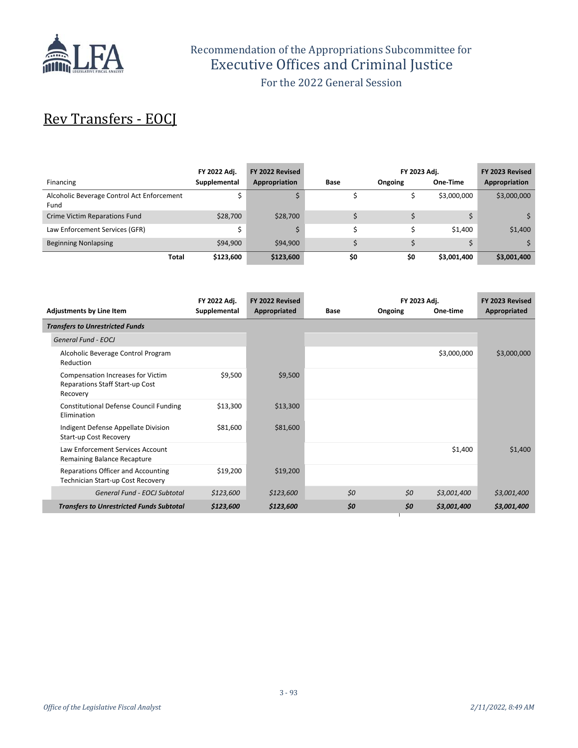

For the 2022 General Session

# Rev Transfers - EOCJ

|                                                    | FY 2022 Adj. | FY 2022 Revised |             |         | FY 2023 Adj. | FY 2023 Revised |
|----------------------------------------------------|--------------|-----------------|-------------|---------|--------------|-----------------|
| Financing                                          | Supplemental | Appropriation   | <b>Base</b> | Ongoing | One-Time     | Appropriation   |
| Alcoholic Beverage Control Act Enforcement<br>Fund |              |                 |             |         | \$3,000,000  | \$3,000,000     |
| <b>Crime Victim Reparations Fund</b>               | \$28,700     | \$28,700        |             |         |              |                 |
| Law Enforcement Services (GFR)                     |              |                 |             |         | \$1.400      | \$1,400         |
| <b>Beginning Nonlapsing</b>                        | \$94,900     | \$94,900        |             |         |              |                 |
| Total                                              | \$123,600    | \$123,600       | \$0         | \$0     | \$3,001,400  | \$3,001,400     |

|                                                                                         | FY 2022 Adj. | FY 2022 Revised |             |         | FY 2023 Adj. | FY 2023 Revised |
|-----------------------------------------------------------------------------------------|--------------|-----------------|-------------|---------|--------------|-----------------|
| <b>Adjustments by Line Item</b>                                                         | Supplemental | Appropriated    | <b>Base</b> | Ongoing | One-time     | Appropriated    |
| <b>Transfers to Unrestricted Funds</b>                                                  |              |                 |             |         |              |                 |
| General Fund - EOCJ                                                                     |              |                 |             |         |              |                 |
| Alcoholic Beverage Control Program<br>Reduction                                         |              |                 |             |         | \$3,000,000  | \$3,000,000     |
| <b>Compensation Increases for Victim</b><br>Reparations Staff Start-up Cost<br>Recovery | \$9,500      | \$9,500         |             |         |              |                 |
| <b>Constitutional Defense Council Funding</b><br>Elimination                            | \$13,300     | \$13,300        |             |         |              |                 |
| Indigent Defense Appellate Division<br>Start-up Cost Recovery                           | \$81,600     | \$81,600        |             |         |              |                 |
| Law Enforcement Services Account<br>Remaining Balance Recapture                         |              |                 |             |         | \$1,400      | \$1,400         |
| Reparations Officer and Accounting<br>Technician Start-up Cost Recovery                 | \$19,200     | \$19,200        |             |         |              |                 |
| General Fund - EOCJ Subtotal                                                            | \$123,600    | \$123,600       | \$0         | \$0     | \$3,001,400  | \$3,001,400     |
| <b>Transfers to Unrestricted Funds Subtotal</b>                                         | \$123,600    | \$123,600       | \$0         | \$0     | \$3,001,400  | \$3,001,400     |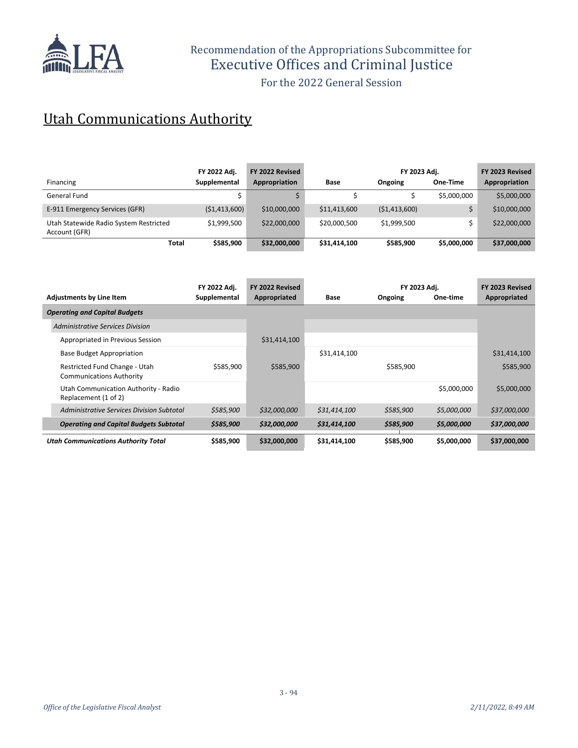

For the 2022 General Session

## Utah Communications Authority

|                                                         | FY 2022 Adj.   | FY 2022 Revised |              | FY 2023 Adi.   |             | FY 2023 Revised |
|---------------------------------------------------------|----------------|-----------------|--------------|----------------|-------------|-----------------|
| Financing                                               | Supplemental   | Appropriation   | <b>Base</b>  | Ongoing        | One-Time    | Appropriation   |
| General Fund                                            |                |                 |              |                | \$5,000,000 | \$5,000,000     |
| E-911 Emergency Services (GFR)                          | (51, 413, 600) | \$10,000,000    | \$11,413,600 | (51, 413, 600) |             | \$10,000,000    |
| Utah Statewide Radio System Restricted<br>Account (GFR) | \$1.999.500    | \$22,000,000    | \$20,000,500 | \$1,999,500    |             | \$22,000,000    |
| Total                                                   | \$585,900      | \$32,000,000    | \$31,414,100 | \$585,900      | \$5,000,000 | \$37,000,000    |

|                                                                  | FY 2022 Adj. | FY 2022 Revised |              | FY 2023 Adj. |             | FY 2023 Revised |
|------------------------------------------------------------------|--------------|-----------------|--------------|--------------|-------------|-----------------|
| <b>Adjustments by Line Item</b>                                  | Supplemental | Appropriated    | Base         | Ongoing      | One-time    | Appropriated    |
| <b>Operating and Capital Budgets</b>                             |              |                 |              |              |             |                 |
| Administrative Services Division                                 |              |                 |              |              |             |                 |
| Appropriated in Previous Session                                 |              | \$31,414,100    |              |              |             |                 |
| <b>Base Budget Appropriation</b>                                 |              |                 | \$31,414,100 |              |             | \$31,414,100    |
| Restricted Fund Change - Utah<br><b>Communications Authority</b> | \$585,900    | \$585,900       |              | \$585,900    |             | \$585,900       |
| Utah Communication Authority - Radio<br>Replacement (1 of 2)     |              |                 |              |              | \$5,000,000 | \$5,000,000     |
| Administrative Services Division Subtotal                        | \$585,900    | \$32,000,000    | \$31,414,100 | \$585,900    | \$5,000,000 | \$37,000,000    |
| <b>Operating and Capital Budgets Subtotal</b>                    | \$585,900    | \$32,000,000    | \$31,414,100 | \$585,900    | \$5,000,000 | \$37,000,000    |
| <b>Utah Communications Authority Total</b>                       | \$585,900    | \$32,000,000    | \$31,414,100 | \$585.900    | \$5,000,000 | \$37,000,000    |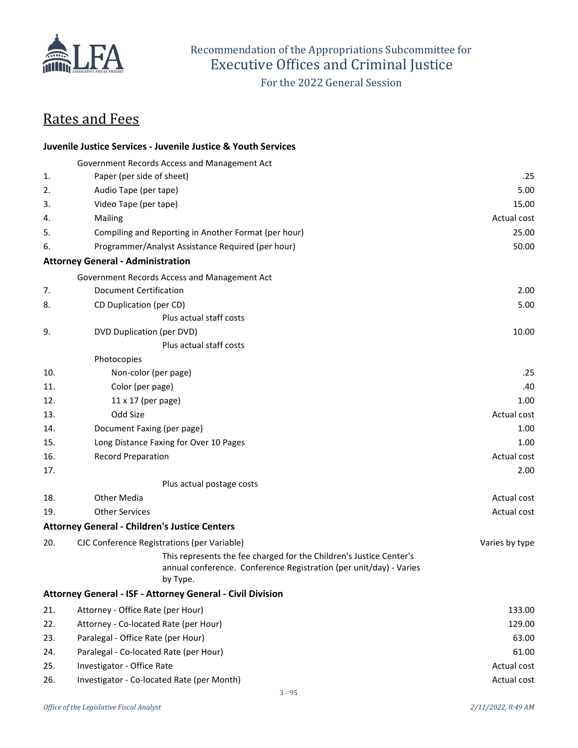

For the 2022 General Session

| Government Records Access and Management Act<br>.25<br>1.<br>Paper (per side of sheet)<br>2.<br>5.00<br>Audio Tape (per tape)<br>15.00<br>3.<br>Video Tape (per tape)<br>Actual cost<br>Mailing<br>4.<br>Compiling and Reporting in Another Format (per hour)<br>25.00<br>5.<br>Programmer/Analyst Assistance Required (per hour)<br>50.00<br>6.<br><b>Attorney General - Administration</b><br>Government Records Access and Management Act<br><b>Document Certification</b><br>2.00<br>7.<br>CD Duplication (per CD)<br>5.00<br>8.<br>Plus actual staff costs<br>DVD Duplication (per DVD)<br>10.00<br>Plus actual staff costs<br>Photocopies<br>10.<br>Non-color (per page)<br>.25<br>11.<br>Color (per page)<br>.40<br>11 x 17 (per page)<br>1.00<br>12.<br>Odd Size<br>13.<br>Actual cost<br>14.<br>Document Faxing (per page)<br>1.00<br>Long Distance Faxing for Over 10 Pages<br>15.<br>1.00<br><b>Record Preparation</b><br>16.<br>Actual cost<br>17.<br>2.00<br>Plus actual postage costs<br><b>Other Media</b><br>18.<br>Actual cost<br><b>Other Services</b><br>Actual cost<br>19.<br><b>Attorney General - Children's Justice Centers</b><br>CJC Conference Registrations (per Variable)<br>20.<br>Varies by type<br>This represents the fee charged for the Children's Justice Center's<br>annual conference. Conference Registration (per unit/day) - Varies<br>by Type.<br>Attorney General - ISF - Attorney General - Civil Division<br>21.<br>Attorney - Office Rate (per Hour)<br>133.00<br>22.<br>Attorney - Co-located Rate (per Hour)<br>129.00<br>Paralegal - Office Rate (per Hour)<br>63.00<br>23.<br>24.<br>Paralegal - Co-located Rate (per Hour)<br>61.00<br>25.<br>Investigator - Office Rate<br>Actual cost |     | <b>Juvenile Justice Services - Juvenile Justice &amp; Youth Services</b> |             |
|-------------------------------------------------------------------------------------------------------------------------------------------------------------------------------------------------------------------------------------------------------------------------------------------------------------------------------------------------------------------------------------------------------------------------------------------------------------------------------------------------------------------------------------------------------------------------------------------------------------------------------------------------------------------------------------------------------------------------------------------------------------------------------------------------------------------------------------------------------------------------------------------------------------------------------------------------------------------------------------------------------------------------------------------------------------------------------------------------------------------------------------------------------------------------------------------------------------------------------------------------------------------------------------------------------------------------------------------------------------------------------------------------------------------------------------------------------------------------------------------------------------------------------------------------------------------------------------------------------------------------------------------------------------------------------------------------------------------------------------------|-----|--------------------------------------------------------------------------|-------------|
|                                                                                                                                                                                                                                                                                                                                                                                                                                                                                                                                                                                                                                                                                                                                                                                                                                                                                                                                                                                                                                                                                                                                                                                                                                                                                                                                                                                                                                                                                                                                                                                                                                                                                                                                           |     |                                                                          |             |
|                                                                                                                                                                                                                                                                                                                                                                                                                                                                                                                                                                                                                                                                                                                                                                                                                                                                                                                                                                                                                                                                                                                                                                                                                                                                                                                                                                                                                                                                                                                                                                                                                                                                                                                                           |     |                                                                          |             |
|                                                                                                                                                                                                                                                                                                                                                                                                                                                                                                                                                                                                                                                                                                                                                                                                                                                                                                                                                                                                                                                                                                                                                                                                                                                                                                                                                                                                                                                                                                                                                                                                                                                                                                                                           |     |                                                                          |             |
|                                                                                                                                                                                                                                                                                                                                                                                                                                                                                                                                                                                                                                                                                                                                                                                                                                                                                                                                                                                                                                                                                                                                                                                                                                                                                                                                                                                                                                                                                                                                                                                                                                                                                                                                           |     |                                                                          |             |
|                                                                                                                                                                                                                                                                                                                                                                                                                                                                                                                                                                                                                                                                                                                                                                                                                                                                                                                                                                                                                                                                                                                                                                                                                                                                                                                                                                                                                                                                                                                                                                                                                                                                                                                                           |     |                                                                          |             |
|                                                                                                                                                                                                                                                                                                                                                                                                                                                                                                                                                                                                                                                                                                                                                                                                                                                                                                                                                                                                                                                                                                                                                                                                                                                                                                                                                                                                                                                                                                                                                                                                                                                                                                                                           |     |                                                                          |             |
|                                                                                                                                                                                                                                                                                                                                                                                                                                                                                                                                                                                                                                                                                                                                                                                                                                                                                                                                                                                                                                                                                                                                                                                                                                                                                                                                                                                                                                                                                                                                                                                                                                                                                                                                           |     |                                                                          |             |
|                                                                                                                                                                                                                                                                                                                                                                                                                                                                                                                                                                                                                                                                                                                                                                                                                                                                                                                                                                                                                                                                                                                                                                                                                                                                                                                                                                                                                                                                                                                                                                                                                                                                                                                                           |     |                                                                          |             |
|                                                                                                                                                                                                                                                                                                                                                                                                                                                                                                                                                                                                                                                                                                                                                                                                                                                                                                                                                                                                                                                                                                                                                                                                                                                                                                                                                                                                                                                                                                                                                                                                                                                                                                                                           |     |                                                                          |             |
|                                                                                                                                                                                                                                                                                                                                                                                                                                                                                                                                                                                                                                                                                                                                                                                                                                                                                                                                                                                                                                                                                                                                                                                                                                                                                                                                                                                                                                                                                                                                                                                                                                                                                                                                           |     |                                                                          |             |
|                                                                                                                                                                                                                                                                                                                                                                                                                                                                                                                                                                                                                                                                                                                                                                                                                                                                                                                                                                                                                                                                                                                                                                                                                                                                                                                                                                                                                                                                                                                                                                                                                                                                                                                                           |     |                                                                          |             |
|                                                                                                                                                                                                                                                                                                                                                                                                                                                                                                                                                                                                                                                                                                                                                                                                                                                                                                                                                                                                                                                                                                                                                                                                                                                                                                                                                                                                                                                                                                                                                                                                                                                                                                                                           |     |                                                                          |             |
|                                                                                                                                                                                                                                                                                                                                                                                                                                                                                                                                                                                                                                                                                                                                                                                                                                                                                                                                                                                                                                                                                                                                                                                                                                                                                                                                                                                                                                                                                                                                                                                                                                                                                                                                           | 9.  |                                                                          |             |
|                                                                                                                                                                                                                                                                                                                                                                                                                                                                                                                                                                                                                                                                                                                                                                                                                                                                                                                                                                                                                                                                                                                                                                                                                                                                                                                                                                                                                                                                                                                                                                                                                                                                                                                                           |     |                                                                          |             |
|                                                                                                                                                                                                                                                                                                                                                                                                                                                                                                                                                                                                                                                                                                                                                                                                                                                                                                                                                                                                                                                                                                                                                                                                                                                                                                                                                                                                                                                                                                                                                                                                                                                                                                                                           |     |                                                                          |             |
|                                                                                                                                                                                                                                                                                                                                                                                                                                                                                                                                                                                                                                                                                                                                                                                                                                                                                                                                                                                                                                                                                                                                                                                                                                                                                                                                                                                                                                                                                                                                                                                                                                                                                                                                           |     |                                                                          |             |
|                                                                                                                                                                                                                                                                                                                                                                                                                                                                                                                                                                                                                                                                                                                                                                                                                                                                                                                                                                                                                                                                                                                                                                                                                                                                                                                                                                                                                                                                                                                                                                                                                                                                                                                                           |     |                                                                          |             |
|                                                                                                                                                                                                                                                                                                                                                                                                                                                                                                                                                                                                                                                                                                                                                                                                                                                                                                                                                                                                                                                                                                                                                                                                                                                                                                                                                                                                                                                                                                                                                                                                                                                                                                                                           |     |                                                                          |             |
|                                                                                                                                                                                                                                                                                                                                                                                                                                                                                                                                                                                                                                                                                                                                                                                                                                                                                                                                                                                                                                                                                                                                                                                                                                                                                                                                                                                                                                                                                                                                                                                                                                                                                                                                           |     |                                                                          |             |
|                                                                                                                                                                                                                                                                                                                                                                                                                                                                                                                                                                                                                                                                                                                                                                                                                                                                                                                                                                                                                                                                                                                                                                                                                                                                                                                                                                                                                                                                                                                                                                                                                                                                                                                                           |     |                                                                          |             |
|                                                                                                                                                                                                                                                                                                                                                                                                                                                                                                                                                                                                                                                                                                                                                                                                                                                                                                                                                                                                                                                                                                                                                                                                                                                                                                                                                                                                                                                                                                                                                                                                                                                                                                                                           |     |                                                                          |             |
|                                                                                                                                                                                                                                                                                                                                                                                                                                                                                                                                                                                                                                                                                                                                                                                                                                                                                                                                                                                                                                                                                                                                                                                                                                                                                                                                                                                                                                                                                                                                                                                                                                                                                                                                           |     |                                                                          |             |
|                                                                                                                                                                                                                                                                                                                                                                                                                                                                                                                                                                                                                                                                                                                                                                                                                                                                                                                                                                                                                                                                                                                                                                                                                                                                                                                                                                                                                                                                                                                                                                                                                                                                                                                                           |     |                                                                          |             |
|                                                                                                                                                                                                                                                                                                                                                                                                                                                                                                                                                                                                                                                                                                                                                                                                                                                                                                                                                                                                                                                                                                                                                                                                                                                                                                                                                                                                                                                                                                                                                                                                                                                                                                                                           |     |                                                                          |             |
|                                                                                                                                                                                                                                                                                                                                                                                                                                                                                                                                                                                                                                                                                                                                                                                                                                                                                                                                                                                                                                                                                                                                                                                                                                                                                                                                                                                                                                                                                                                                                                                                                                                                                                                                           |     |                                                                          |             |
|                                                                                                                                                                                                                                                                                                                                                                                                                                                                                                                                                                                                                                                                                                                                                                                                                                                                                                                                                                                                                                                                                                                                                                                                                                                                                                                                                                                                                                                                                                                                                                                                                                                                                                                                           |     |                                                                          |             |
|                                                                                                                                                                                                                                                                                                                                                                                                                                                                                                                                                                                                                                                                                                                                                                                                                                                                                                                                                                                                                                                                                                                                                                                                                                                                                                                                                                                                                                                                                                                                                                                                                                                                                                                                           |     |                                                                          |             |
|                                                                                                                                                                                                                                                                                                                                                                                                                                                                                                                                                                                                                                                                                                                                                                                                                                                                                                                                                                                                                                                                                                                                                                                                                                                                                                                                                                                                                                                                                                                                                                                                                                                                                                                                           |     |                                                                          |             |
|                                                                                                                                                                                                                                                                                                                                                                                                                                                                                                                                                                                                                                                                                                                                                                                                                                                                                                                                                                                                                                                                                                                                                                                                                                                                                                                                                                                                                                                                                                                                                                                                                                                                                                                                           |     |                                                                          |             |
|                                                                                                                                                                                                                                                                                                                                                                                                                                                                                                                                                                                                                                                                                                                                                                                                                                                                                                                                                                                                                                                                                                                                                                                                                                                                                                                                                                                                                                                                                                                                                                                                                                                                                                                                           |     |                                                                          |             |
|                                                                                                                                                                                                                                                                                                                                                                                                                                                                                                                                                                                                                                                                                                                                                                                                                                                                                                                                                                                                                                                                                                                                                                                                                                                                                                                                                                                                                                                                                                                                                                                                                                                                                                                                           |     |                                                                          |             |
|                                                                                                                                                                                                                                                                                                                                                                                                                                                                                                                                                                                                                                                                                                                                                                                                                                                                                                                                                                                                                                                                                                                                                                                                                                                                                                                                                                                                                                                                                                                                                                                                                                                                                                                                           |     |                                                                          |             |
|                                                                                                                                                                                                                                                                                                                                                                                                                                                                                                                                                                                                                                                                                                                                                                                                                                                                                                                                                                                                                                                                                                                                                                                                                                                                                                                                                                                                                                                                                                                                                                                                                                                                                                                                           |     |                                                                          |             |
|                                                                                                                                                                                                                                                                                                                                                                                                                                                                                                                                                                                                                                                                                                                                                                                                                                                                                                                                                                                                                                                                                                                                                                                                                                                                                                                                                                                                                                                                                                                                                                                                                                                                                                                                           |     |                                                                          |             |
|                                                                                                                                                                                                                                                                                                                                                                                                                                                                                                                                                                                                                                                                                                                                                                                                                                                                                                                                                                                                                                                                                                                                                                                                                                                                                                                                                                                                                                                                                                                                                                                                                                                                                                                                           |     |                                                                          |             |
|                                                                                                                                                                                                                                                                                                                                                                                                                                                                                                                                                                                                                                                                                                                                                                                                                                                                                                                                                                                                                                                                                                                                                                                                                                                                                                                                                                                                                                                                                                                                                                                                                                                                                                                                           | 26. | Investigator - Co-located Rate (per Month)                               | Actual cost |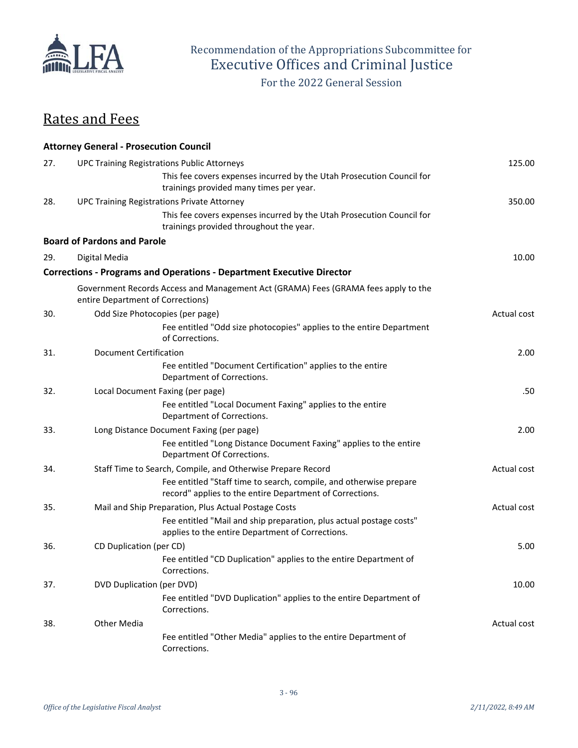

For the 2022 General Session

|     | <b>Attorney General - Prosecution Council</b>                                                                                  |             |
|-----|--------------------------------------------------------------------------------------------------------------------------------|-------------|
| 27. | <b>UPC Training Registrations Public Attorneys</b>                                                                             | 125.00      |
|     | This fee covers expenses incurred by the Utah Prosecution Council for<br>trainings provided many times per year.               |             |
| 28. | <b>UPC Training Registrations Private Attorney</b>                                                                             | 350.00      |
|     | This fee covers expenses incurred by the Utah Prosecution Council for<br>trainings provided throughout the year.               |             |
|     | <b>Board of Pardons and Parole</b>                                                                                             |             |
| 29. | Digital Media                                                                                                                  | 10.00       |
|     | <b>Corrections - Programs and Operations - Department Executive Director</b>                                                   |             |
|     | Government Records Access and Management Act (GRAMA) Fees (GRAMA fees apply to the<br>entire Department of Corrections)        |             |
| 30. | Odd Size Photocopies (per page)                                                                                                | Actual cost |
|     | Fee entitled "Odd size photocopies" applies to the entire Department<br>of Corrections.                                        |             |
| 31. | Document Certification                                                                                                         | 2.00        |
|     | Fee entitled "Document Certification" applies to the entire<br>Department of Corrections.                                      |             |
| 32. | Local Document Faxing (per page)                                                                                               | .50         |
|     | Fee entitled "Local Document Faxing" applies to the entire<br>Department of Corrections.                                       |             |
| 33. | Long Distance Document Faxing (per page)                                                                                       | 2.00        |
|     | Fee entitled "Long Distance Document Faxing" applies to the entire<br>Department Of Corrections.                               |             |
| 34. | Staff Time to Search, Compile, and Otherwise Prepare Record                                                                    | Actual cost |
|     | Fee entitled "Staff time to search, compile, and otherwise prepare<br>record" applies to the entire Department of Corrections. |             |
| 35. | Mail and Ship Preparation, Plus Actual Postage Costs                                                                           | Actual cost |
|     | Fee entitled "Mail and ship preparation, plus actual postage costs"<br>applies to the entire Department of Corrections.        |             |
| 36. | CD Duplication (per CD)                                                                                                        | 5.00        |
|     | Fee entitled "CD Duplication" applies to the entire Department of<br>Corrections.                                              |             |
| 37. | DVD Duplication (per DVD)                                                                                                      | 10.00       |
|     | Fee entitled "DVD Duplication" applies to the entire Department of<br>Corrections.                                             |             |
| 38. | Other Media                                                                                                                    | Actual cost |
|     | Fee entitled "Other Media" applies to the entire Department of<br>Corrections.                                                 |             |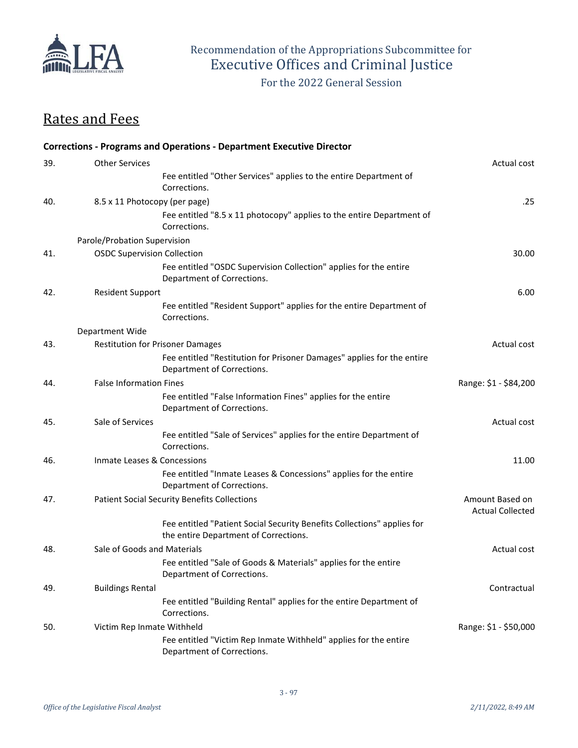

For the 2022 General Session

|     | <b>Corrections - Programs and Operations - Department Executive Director</b>                                     |                                            |
|-----|------------------------------------------------------------------------------------------------------------------|--------------------------------------------|
| 39. | <b>Other Services</b>                                                                                            | Actual cost                                |
|     | Fee entitled "Other Services" applies to the entire Department of                                                |                                            |
|     | Corrections.                                                                                                     |                                            |
| 40. | 8.5 x 11 Photocopy (per page)                                                                                    | .25                                        |
|     | Fee entitled "8.5 x 11 photocopy" applies to the entire Department of<br>Corrections.                            |                                            |
|     | Parole/Probation Supervision                                                                                     |                                            |
| 41. | <b>OSDC Supervision Collection</b>                                                                               | 30.00                                      |
|     | Fee entitled "OSDC Supervision Collection" applies for the entire<br>Department of Corrections.                  |                                            |
| 42. | <b>Resident Support</b>                                                                                          | 6.00                                       |
|     | Fee entitled "Resident Support" applies for the entire Department of<br>Corrections.                             |                                            |
|     | Department Wide                                                                                                  |                                            |
| 43. | <b>Restitution for Prisoner Damages</b>                                                                          | Actual cost                                |
|     | Fee entitled "Restitution for Prisoner Damages" applies for the entire<br>Department of Corrections.             |                                            |
| 44. | <b>False Information Fines</b>                                                                                   | Range: \$1 - \$84,200                      |
|     | Fee entitled "False Information Fines" applies for the entire<br>Department of Corrections.                      |                                            |
| 45. | Sale of Services                                                                                                 | Actual cost                                |
|     | Fee entitled "Sale of Services" applies for the entire Department of<br>Corrections.                             |                                            |
| 46. | Inmate Leases & Concessions                                                                                      | 11.00                                      |
|     | Fee entitled "Inmate Leases & Concessions" applies for the entire<br>Department of Corrections.                  |                                            |
| 47. | <b>Patient Social Security Benefits Collections</b>                                                              | Amount Based on<br><b>Actual Collected</b> |
|     | Fee entitled "Patient Social Security Benefits Collections" applies for<br>the entire Department of Corrections. |                                            |
| 48. | Sale of Goods and Materials                                                                                      | Actual cost                                |
|     | Fee entitled "Sale of Goods & Materials" applies for the entire<br>Department of Corrections.                    |                                            |
| 49. | <b>Buildings Rental</b>                                                                                          | Contractual                                |
|     | Fee entitled "Building Rental" applies for the entire Department of<br>Corrections.                              |                                            |
| 50. | Victim Rep Inmate Withheld                                                                                       | Range: \$1 - \$50,000                      |
|     | Fee entitled "Victim Rep Inmate Withheld" applies for the entire<br>Department of Corrections.                   |                                            |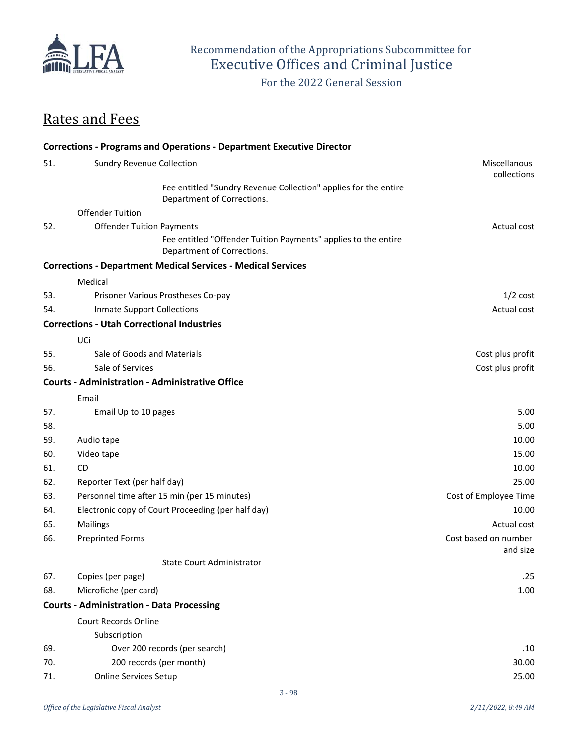

For the 2022 General Session

|     | <b>Corrections - Programs and Operations - Department Executive Director</b>                  |                             |
|-----|-----------------------------------------------------------------------------------------------|-----------------------------|
| 51. | <b>Sundry Revenue Collection</b>                                                              | Miscellanous<br>collections |
|     | Fee entitled "Sundry Revenue Collection" applies for the entire<br>Department of Corrections. |                             |
|     | <b>Offender Tuition</b>                                                                       |                             |
| 52. | <b>Offender Tuition Payments</b>                                                              | Actual cost                 |
|     | Fee entitled "Offender Tuition Payments" applies to the entire<br>Department of Corrections.  |                             |
|     | <b>Corrections - Department Medical Services - Medical Services</b>                           |                             |
|     | Medical                                                                                       |                             |
| 53. | Prisoner Various Prostheses Co-pay                                                            | $1/2$ cost                  |
| 54. | <b>Inmate Support Collections</b>                                                             | Actual cost                 |
|     | <b>Corrections - Utah Correctional Industries</b>                                             |                             |
|     | UCi                                                                                           |                             |
| 55. | Sale of Goods and Materials                                                                   | Cost plus profit            |
| 56. | Sale of Services                                                                              | Cost plus profit            |
|     | <b>Courts - Administration - Administrative Office</b>                                        |                             |
|     | Email                                                                                         |                             |
| 57. | Email Up to 10 pages                                                                          | 5.00                        |
| 58. |                                                                                               | 5.00                        |
| 59. | Audio tape                                                                                    | 10.00                       |
| 60. | Video tape                                                                                    | 15.00                       |
| 61. | <b>CD</b>                                                                                     | 10.00                       |
| 62. | Reporter Text (per half day)                                                                  | 25.00                       |
| 63. | Personnel time after 15 min (per 15 minutes)                                                  | Cost of Employee Time       |
| 64. | Electronic copy of Court Proceeding (per half day)                                            | 10.00                       |
| 65. | Mailings                                                                                      | Actual cost                 |
| 66. | <b>Preprinted Forms</b>                                                                       | Cost based on number        |
|     | <b>State Court Administrator</b>                                                              | and size                    |
| 67. | Copies (per page)                                                                             | .25                         |
| 68. | Microfiche (per card)                                                                         | 1.00                        |
|     | <b>Courts - Administration - Data Processing</b>                                              |                             |
|     | Court Records Online                                                                          |                             |
|     | Subscription                                                                                  |                             |
| 69. | Over 200 records (per search)                                                                 | .10                         |
| 70. | 200 records (per month)                                                                       | 30.00                       |
| 71. | <b>Online Services Setup</b>                                                                  | 25.00                       |
|     |                                                                                               |                             |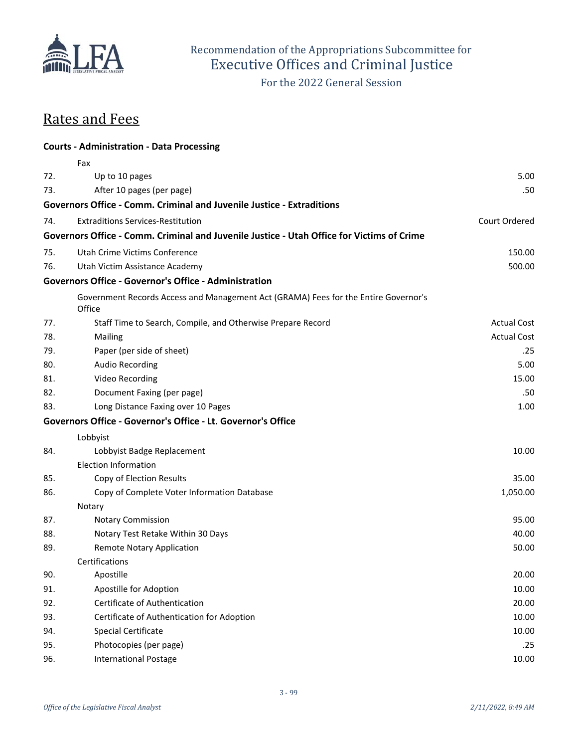

For the 2022 General Session

|     | <b>Courts - Administration - Data Processing</b>                                              |                    |
|-----|-----------------------------------------------------------------------------------------------|--------------------|
|     | Fax                                                                                           |                    |
| 72. | Up to 10 pages                                                                                | 5.00               |
| 73. | After 10 pages (per page)                                                                     | .50                |
|     | <b>Governors Office - Comm. Criminal and Juvenile Justice - Extraditions</b>                  |                    |
| 74. | <b>Extraditions Services-Restitution</b>                                                      | Court Ordered      |
|     | Governors Office - Comm. Criminal and Juvenile Justice - Utah Office for Victims of Crime     |                    |
| 75. | Utah Crime Victims Conference                                                                 | 150.00             |
| 76. | Utah Victim Assistance Academy                                                                | 500.00             |
|     | <b>Governors Office - Governor's Office - Administration</b>                                  |                    |
|     | Government Records Access and Management Act (GRAMA) Fees for the Entire Governor's<br>Office |                    |
| 77. | Staff Time to Search, Compile, and Otherwise Prepare Record                                   | <b>Actual Cost</b> |
| 78. | Mailing                                                                                       | <b>Actual Cost</b> |
| 79. | Paper (per side of sheet)                                                                     | .25                |
| 80. | <b>Audio Recording</b>                                                                        | 5.00               |
| 81. | Video Recording                                                                               | 15.00              |
| 82. | Document Faxing (per page)                                                                    | .50                |
| 83. | Long Distance Faxing over 10 Pages                                                            | 1.00               |
|     | Governors Office - Governor's Office - Lt. Governor's Office                                  |                    |
|     | Lobbyist                                                                                      |                    |
| 84. | Lobbyist Badge Replacement                                                                    | 10.00              |
|     | <b>Election Information</b>                                                                   |                    |
| 85. | Copy of Election Results                                                                      | 35.00              |
| 86. | Copy of Complete Voter Information Database                                                   | 1,050.00           |
|     | Notary                                                                                        |                    |
| 87. | <b>Notary Commission</b>                                                                      | 95.00              |
| 88. | Notary Test Retake Within 30 Days                                                             | 40.00              |
| 89. | <b>Remote Notary Application</b>                                                              | 50.00              |
|     | Certifications                                                                                |                    |
| 90. | Apostille                                                                                     | 20.00              |
| 91. | Apostille for Adoption                                                                        | 10.00              |
| 92. | Certificate of Authentication                                                                 | 20.00              |
| 93. | Certificate of Authentication for Adoption                                                    | 10.00              |
| 94. | <b>Special Certificate</b>                                                                    | 10.00              |
| 95. | Photocopies (per page)                                                                        | .25                |
| 96. | <b>International Postage</b>                                                                  | 10.00              |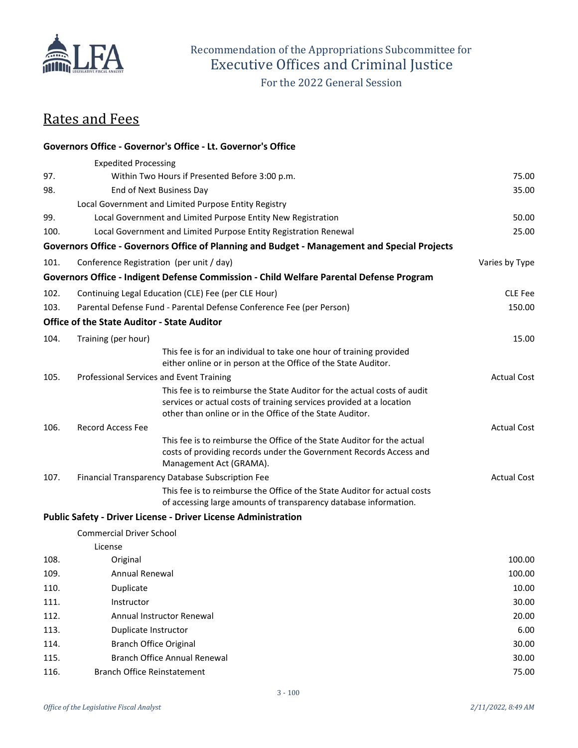

For the 2022 General Session

|      | Governors Office - Governor's Office - Lt. Governor's Office                                                                                                                                                 |                    |
|------|--------------------------------------------------------------------------------------------------------------------------------------------------------------------------------------------------------------|--------------------|
|      | <b>Expedited Processing</b>                                                                                                                                                                                  |                    |
| 97.  | Within Two Hours if Presented Before 3:00 p.m.                                                                                                                                                               | 75.00              |
| 98.  | End of Next Business Day                                                                                                                                                                                     | 35.00              |
|      | Local Government and Limited Purpose Entity Registry                                                                                                                                                         |                    |
| 99.  | Local Government and Limited Purpose Entity New Registration                                                                                                                                                 | 50.00              |
| 100. | Local Government and Limited Purpose Entity Registration Renewal                                                                                                                                             | 25.00              |
|      | Governors Office - Governors Office of Planning and Budget - Management and Special Projects                                                                                                                 |                    |
| 101. | Conference Registration (per unit / day)                                                                                                                                                                     | Varies by Type     |
|      | Governors Office - Indigent Defense Commission - Child Welfare Parental Defense Program                                                                                                                      |                    |
| 102. | Continuing Legal Education (CLE) Fee (per CLE Hour)                                                                                                                                                          | CLE Fee            |
| 103. | Parental Defense Fund - Parental Defense Conference Fee (per Person)                                                                                                                                         | 150.00             |
|      | <b>Office of the State Auditor - State Auditor</b>                                                                                                                                                           |                    |
| 104. | Training (per hour)                                                                                                                                                                                          | 15.00              |
|      | This fee is for an individual to take one hour of training provided<br>either online or in person at the Office of the State Auditor.                                                                        |                    |
| 105. | Professional Services and Event Training                                                                                                                                                                     | <b>Actual Cost</b> |
|      | This fee is to reimburse the State Auditor for the actual costs of audit<br>services or actual costs of training services provided at a location<br>other than online or in the Office of the State Auditor. |                    |
| 106. | <b>Record Access Fee</b>                                                                                                                                                                                     | <b>Actual Cost</b> |
|      | This fee is to reimburse the Office of the State Auditor for the actual<br>costs of providing records under the Government Records Access and<br>Management Act (GRAMA).                                     |                    |
| 107. | Financial Transparency Database Subscription Fee                                                                                                                                                             | <b>Actual Cost</b> |
|      | This fee is to reimburse the Office of the State Auditor for actual costs<br>of accessing large amounts of transparency database information.                                                                |                    |
|      | <b>Public Safety - Driver License - Driver License Administration</b>                                                                                                                                        |                    |
|      | <b>Commercial Driver School</b>                                                                                                                                                                              |                    |
|      | License                                                                                                                                                                                                      |                    |
| 108. | Original                                                                                                                                                                                                     | 100.00             |
| 109. | Annual Renewal                                                                                                                                                                                               | 100.00             |
| 110. | Duplicate                                                                                                                                                                                                    | 10.00              |
| 111. | Instructor                                                                                                                                                                                                   | 30.00              |
| 112. | Annual Instructor Renewal                                                                                                                                                                                    | 20.00              |
| 113. | Duplicate Instructor                                                                                                                                                                                         | 6.00               |
| 114. | <b>Branch Office Original</b>                                                                                                                                                                                | 30.00              |
| 115. | <b>Branch Office Annual Renewal</b>                                                                                                                                                                          | 30.00              |
| 116. | <b>Branch Office Reinstatement</b>                                                                                                                                                                           | 75.00              |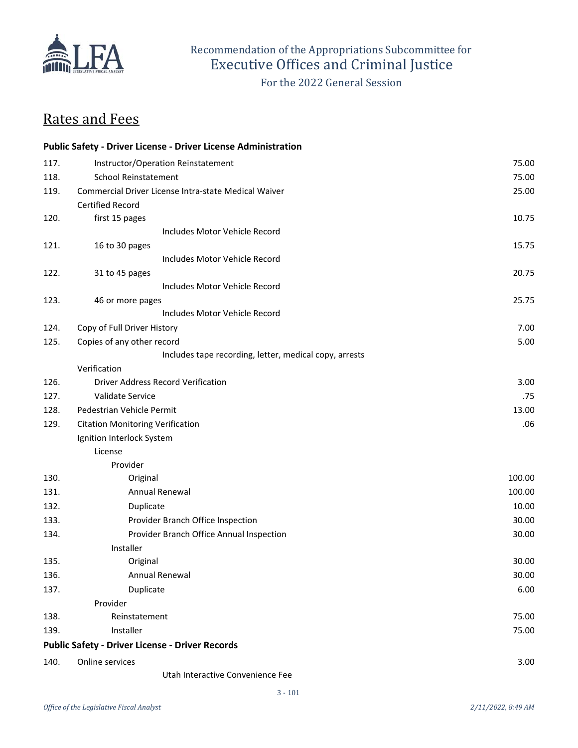

For the 2022 General Session

|      | <b>Public Safety - Driver License - Driver License Administration</b> |        |
|------|-----------------------------------------------------------------------|--------|
| 117. | Instructor/Operation Reinstatement                                    | 75.00  |
| 118. | <b>School Reinstatement</b>                                           | 75.00  |
| 119. | Commercial Driver License Intra-state Medical Waiver                  | 25.00  |
|      | <b>Certified Record</b>                                               |        |
| 120. | first 15 pages                                                        | 10.75  |
|      | Includes Motor Vehicle Record                                         |        |
| 121. | 16 to 30 pages                                                        | 15.75  |
|      | Includes Motor Vehicle Record                                         |        |
| 122. | 31 to 45 pages                                                        | 20.75  |
|      | Includes Motor Vehicle Record                                         |        |
| 123. | 46 or more pages                                                      | 25.75  |
|      | Includes Motor Vehicle Record                                         |        |
| 124. | Copy of Full Driver History                                           | 7.00   |
| 125. | Copies of any other record                                            | 5.00   |
|      | Includes tape recording, letter, medical copy, arrests                |        |
|      | Verification                                                          |        |
| 126. | Driver Address Record Verification                                    | 3.00   |
| 127. | Validate Service                                                      | .75    |
| 128. | Pedestrian Vehicle Permit                                             | 13.00  |
| 129. | <b>Citation Monitoring Verification</b>                               | .06    |
|      | Ignition Interlock System                                             |        |
|      | License                                                               |        |
|      | Provider                                                              |        |
| 130. | Original                                                              | 100.00 |
| 131. | Annual Renewal                                                        | 100.00 |
| 132. | Duplicate                                                             | 10.00  |
| 133. | Provider Branch Office Inspection                                     | 30.00  |
| 134. | Provider Branch Office Annual Inspection                              | 30.00  |
|      | Installer                                                             |        |
| 135. | Original                                                              | 30.00  |
| 136. | Annual Renewal                                                        | 30.00  |
| 137. | Duplicate                                                             | 6.00   |
|      | Provider                                                              |        |
| 138. | Reinstatement                                                         | 75.00  |
| 139. | Installer                                                             | 75.00  |
|      | <b>Public Safety - Driver License - Driver Records</b>                |        |
| 140. | Online services                                                       | 3.00   |
|      | Utah Interactive Convenience Fee                                      |        |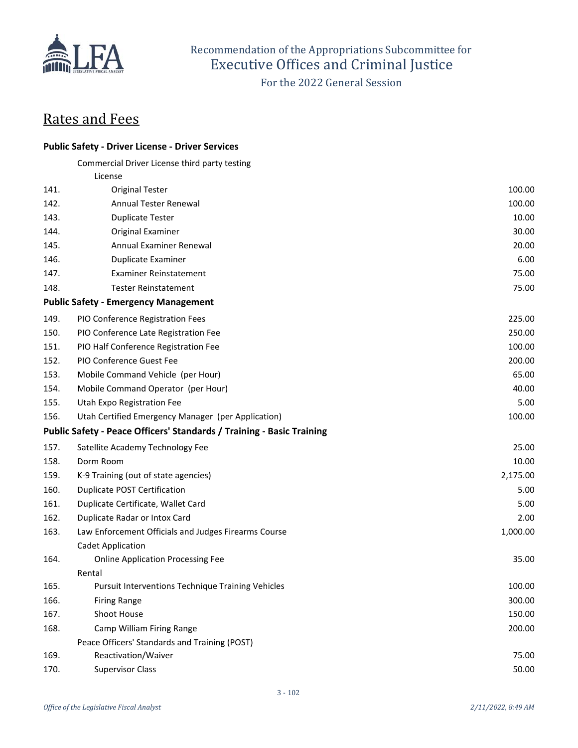

For the 2022 General Session

|      | <b>Public Safety - Driver License - Driver Services</b>                      |          |
|------|------------------------------------------------------------------------------|----------|
|      | Commercial Driver License third party testing                                |          |
|      | License                                                                      |          |
| 141. | <b>Original Tester</b>                                                       | 100.00   |
| 142. | Annual Tester Renewal                                                        | 100.00   |
| 143. | <b>Duplicate Tester</b>                                                      | 10.00    |
| 144. | Original Examiner                                                            | 30.00    |
| 145. | Annual Examiner Renewal                                                      | 20.00    |
| 146. | Duplicate Examiner                                                           | 6.00     |
| 147. | <b>Examiner Reinstatement</b>                                                | 75.00    |
| 148. | <b>Tester Reinstatement</b>                                                  | 75.00    |
|      | <b>Public Safety - Emergency Management</b>                                  |          |
| 149. | PIO Conference Registration Fees                                             | 225.00   |
| 150. | PIO Conference Late Registration Fee                                         | 250.00   |
| 151. | PIO Half Conference Registration Fee                                         | 100.00   |
| 152. | PIO Conference Guest Fee                                                     | 200.00   |
| 153. | Mobile Command Vehicle (per Hour)                                            | 65.00    |
| 154. | Mobile Command Operator (per Hour)                                           | 40.00    |
| 155. | Utah Expo Registration Fee                                                   | 5.00     |
| 156. | Utah Certified Emergency Manager (per Application)                           | 100.00   |
|      | <b>Public Safety - Peace Officers' Standards / Training - Basic Training</b> |          |
| 157. | Satellite Academy Technology Fee                                             | 25.00    |
| 158. | Dorm Room                                                                    | 10.00    |
| 159. | K-9 Training (out of state agencies)                                         | 2,175.00 |
| 160. | <b>Duplicate POST Certification</b>                                          | 5.00     |
| 161. | Duplicate Certificate, Wallet Card                                           | 5.00     |
| 162. | Duplicate Radar or Intox Card                                                | 2.00     |
| 163. | Law Enforcement Officials and Judges Firearms Course                         | 1,000.00 |
|      | <b>Cadet Application</b>                                                     |          |
| 164. | <b>Online Application Processing Fee</b>                                     | 35.00    |
|      | Rental                                                                       |          |
| 165. | <b>Pursuit Interventions Technique Training Vehicles</b>                     | 100.00   |
| 166. | <b>Firing Range</b>                                                          | 300.00   |
| 167. | Shoot House                                                                  | 150.00   |
| 168. | Camp William Firing Range                                                    | 200.00   |
|      | Peace Officers' Standards and Training (POST)                                |          |
| 169. | Reactivation/Waiver                                                          | 75.00    |
| 170. | <b>Supervisor Class</b>                                                      | 50.00    |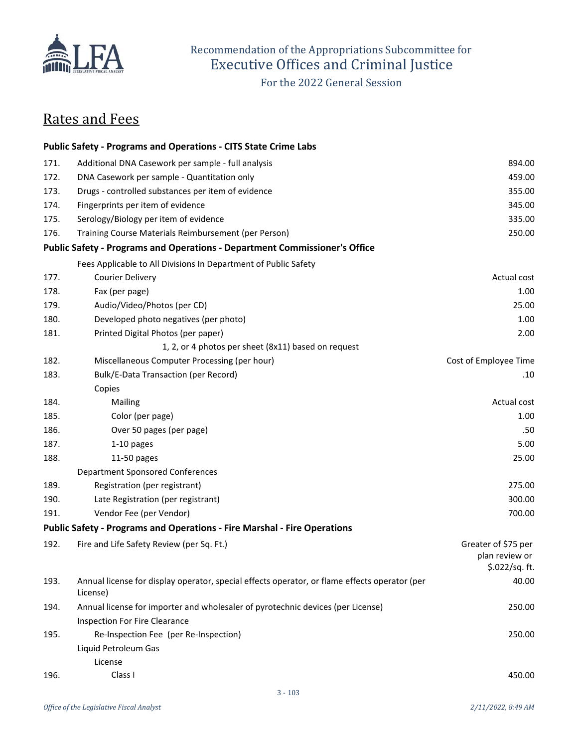

For the 2022 General Session

|      | <b>Public Safety - Programs and Operations - CITS State Crime Labs</b>                                    |                       |
|------|-----------------------------------------------------------------------------------------------------------|-----------------------|
| 171. | Additional DNA Casework per sample - full analysis                                                        | 894.00                |
| 172. | DNA Casework per sample - Quantitation only                                                               | 459.00                |
| 173. | Drugs - controlled substances per item of evidence                                                        | 355.00                |
| 174. | Fingerprints per item of evidence                                                                         | 345.00                |
| 175. | Serology/Biology per item of evidence                                                                     | 335.00                |
| 176. | Training Course Materials Reimbursement (per Person)                                                      | 250.00                |
|      | Public Safety - Programs and Operations - Department Commissioner's Office                                |                       |
|      | Fees Applicable to All Divisions In Department of Public Safety                                           |                       |
| 177. | Courier Delivery                                                                                          | Actual cost           |
| 178. | Fax (per page)                                                                                            | 1.00                  |
| 179. | Audio/Video/Photos (per CD)                                                                               | 25.00                 |
| 180. | Developed photo negatives (per photo)                                                                     | 1.00                  |
| 181. | Printed Digital Photos (per paper)                                                                        | 2.00                  |
|      | 1, 2, or 4 photos per sheet (8x11) based on request                                                       |                       |
| 182. | Miscellaneous Computer Processing (per hour)                                                              | Cost of Employee Time |
| 183. | Bulk/E-Data Transaction (per Record)                                                                      | .10                   |
|      | Copies                                                                                                    |                       |
| 184. | Mailing                                                                                                   | Actual cost           |
| 185. | Color (per page)                                                                                          | 1.00                  |
| 186. | Over 50 pages (per page)                                                                                  | .50                   |
| 187. | 1-10 pages                                                                                                | 5.00                  |
| 188. | 11-50 pages                                                                                               | 25.00                 |
|      | <b>Department Sponsored Conferences</b>                                                                   |                       |
| 189. | Registration (per registrant)                                                                             | 275.00                |
| 190. | Late Registration (per registrant)                                                                        | 300.00                |
| 191. | Vendor Fee (per Vendor)                                                                                   | 700.00                |
|      | <b>Public Safety - Programs and Operations - Fire Marshal - Fire Operations</b>                           |                       |
| 192. | Fire and Life Safety Review (per Sq. Ft.)                                                                 | Greater of \$75 per   |
|      |                                                                                                           | plan review or        |
|      |                                                                                                           | \$.022/sq. ft.        |
| 193. | Annual license for display operator, special effects operator, or flame effects operator (per<br>License) | 40.00                 |
| 194. | Annual license for importer and wholesaler of pyrotechnic devices (per License)                           | 250.00                |
|      | Inspection For Fire Clearance                                                                             |                       |
| 195. | Re-Inspection Fee (per Re-Inspection)                                                                     | 250.00                |
|      | Liquid Petroleum Gas                                                                                      |                       |
|      | License                                                                                                   |                       |
| 196. | Class I                                                                                                   | 450.00                |
|      |                                                                                                           |                       |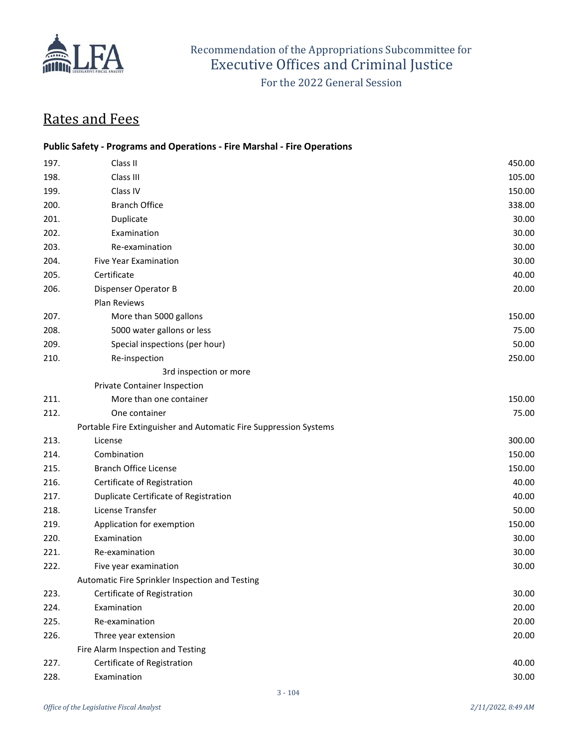

For the 2022 General Session

|      | <b>Public Safety - Programs and Operations - Fire Marshal - Fire Operations</b> |        |
|------|---------------------------------------------------------------------------------|--------|
| 197. | Class II                                                                        | 450.00 |
| 198. | Class III                                                                       | 105.00 |
| 199. | Class IV                                                                        | 150.00 |
| 200. | <b>Branch Office</b>                                                            | 338.00 |
| 201. | Duplicate                                                                       | 30.00  |
| 202. | Examination                                                                     | 30.00  |
| 203. | Re-examination                                                                  | 30.00  |
| 204. | <b>Five Year Examination</b>                                                    | 30.00  |
| 205. | Certificate                                                                     | 40.00  |
| 206. | Dispenser Operator B                                                            | 20.00  |
|      | <b>Plan Reviews</b>                                                             |        |
| 207. | More than 5000 gallons                                                          | 150.00 |
| 208. | 5000 water gallons or less                                                      | 75.00  |
| 209. | Special inspections (per hour)                                                  | 50.00  |
| 210. | Re-inspection                                                                   | 250.00 |
|      | 3rd inspection or more                                                          |        |
|      | Private Container Inspection                                                    |        |
| 211. | More than one container                                                         | 150.00 |
| 212. | One container                                                                   | 75.00  |
|      | Portable Fire Extinguisher and Automatic Fire Suppression Systems               |        |
| 213. | License                                                                         | 300.00 |
| 214. | Combination                                                                     | 150.00 |
| 215. | <b>Branch Office License</b>                                                    | 150.00 |
| 216. | Certificate of Registration                                                     | 40.00  |
| 217. | Duplicate Certificate of Registration                                           | 40.00  |
| 218. | License Transfer                                                                | 50.00  |
| 219. | Application for exemption                                                       | 150.00 |
| 220. | Examination                                                                     | 30.00  |
| 221. | Re-examination                                                                  | 30.00  |
| 222. | Five year examination                                                           | 30.00  |
|      | Automatic Fire Sprinkler Inspection and Testing                                 |        |
| 223. | Certificate of Registration                                                     | 30.00  |
| 224. | Examination                                                                     | 20.00  |
| 225. | Re-examination                                                                  | 20.00  |
| 226. | Three year extension                                                            | 20.00  |
|      | Fire Alarm Inspection and Testing                                               |        |
| 227. | Certificate of Registration                                                     | 40.00  |
| 228. | Examination                                                                     | 30.00  |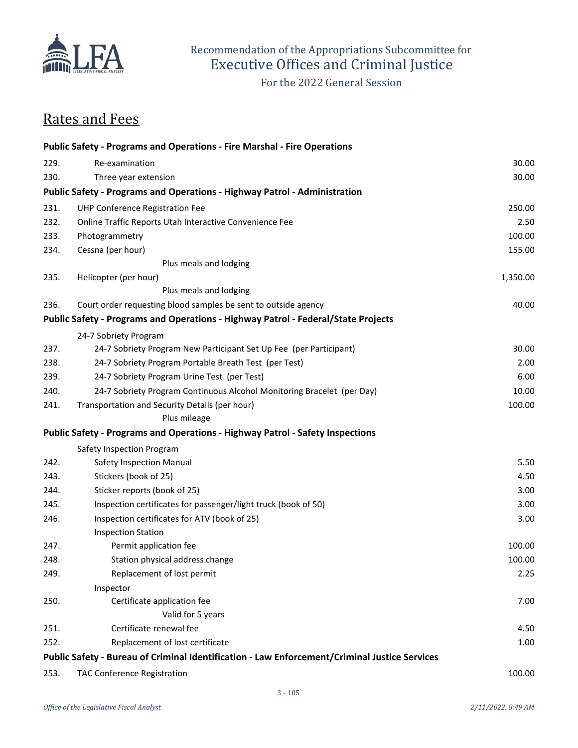

For the 2022 General Session

|      | <b>Public Safety - Programs and Operations - Fire Marshal - Fire Operations</b>               |          |
|------|-----------------------------------------------------------------------------------------------|----------|
| 229. | Re-examination                                                                                | 30.00    |
| 230. | Three year extension                                                                          | 30.00    |
|      | <b>Public Safety - Programs and Operations - Highway Patrol - Administration</b>              |          |
| 231. | UHP Conference Registration Fee                                                               | 250.00   |
| 232. | Online Traffic Reports Utah Interactive Convenience Fee                                       | 2.50     |
| 233. | Photogrammetry                                                                                | 100.00   |
| 234. | Cessna (per hour)                                                                             | 155.00   |
|      | Plus meals and lodging                                                                        |          |
| 235. | Helicopter (per hour)                                                                         | 1,350.00 |
|      | Plus meals and lodging                                                                        |          |
| 236. | Court order requesting blood samples be sent to outside agency                                | 40.00    |
|      | Public Safety - Programs and Operations - Highway Patrol - Federal/State Projects             |          |
|      | 24-7 Sobriety Program                                                                         |          |
| 237. | 24-7 Sobriety Program New Participant Set Up Fee (per Participant)                            | 30.00    |
| 238. | 24-7 Sobriety Program Portable Breath Test (per Test)                                         | 2.00     |
| 239. | 24-7 Sobriety Program Urine Test (per Test)                                                   | 6.00     |
| 240. | 24-7 Sobriety Program Continuous Alcohol Monitoring Bracelet (per Day)                        | 10.00    |
| 241. | Transportation and Security Details (per hour)                                                | 100.00   |
|      | Plus mileage                                                                                  |          |
|      | Public Safety - Programs and Operations - Highway Patrol - Safety Inspections                 |          |
|      | Safety Inspection Program                                                                     |          |
| 242. | <b>Safety Inspection Manual</b>                                                               | 5.50     |
| 243. | Stickers (book of 25)                                                                         | 4.50     |
| 244. | Sticker reports (book of 25)                                                                  | 3.00     |
| 245. | Inspection certificates for passenger/light truck (book of 50)                                | 3.00     |
| 246. | Inspection certificates for ATV (book of 25)                                                  | 3.00     |
|      | <b>Inspection Station</b>                                                                     |          |
| 247. | Permit application fee                                                                        | 100.00   |
| 248. | Station physical address change                                                               | 100.00   |
| 249. | Replacement of lost permit                                                                    | 2.25     |
|      | Inspector                                                                                     |          |
| 250. | Certificate application fee                                                                   | 7.00     |
|      | Valid for 5 years                                                                             |          |
| 251. | Certificate renewal fee                                                                       | 4.50     |
| 252. | Replacement of lost certificate                                                               | 1.00     |
|      | Public Safety - Bureau of Criminal Identification - Law Enforcement/Criminal Justice Services |          |
| 253. | <b>TAC Conference Registration</b>                                                            | 100.00   |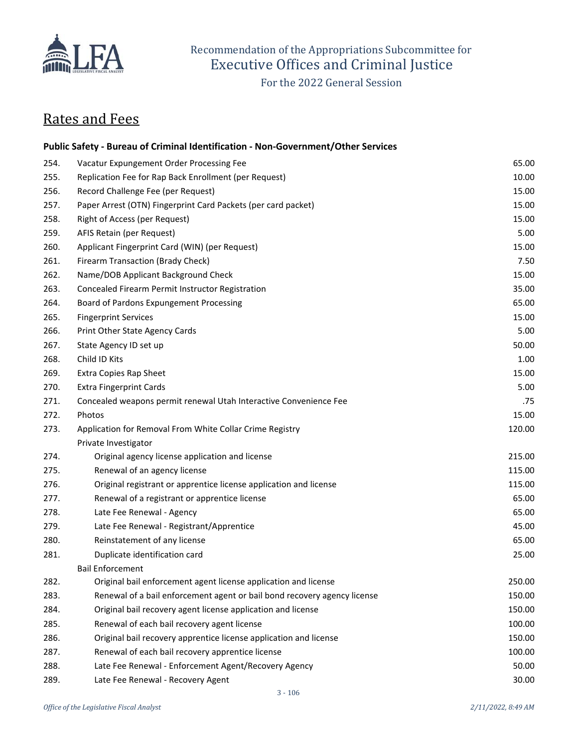

For the 2022 General Session

|      | Public Safety - Bureau of Criminal Identification - Non-Government/Other Services |        |
|------|-----------------------------------------------------------------------------------|--------|
| 254. | Vacatur Expungement Order Processing Fee                                          | 65.00  |
| 255. | Replication Fee for Rap Back Enrollment (per Request)                             | 10.00  |
| 256. | Record Challenge Fee (per Request)                                                | 15.00  |
| 257. | Paper Arrest (OTN) Fingerprint Card Packets (per card packet)                     | 15.00  |
| 258. | Right of Access (per Request)                                                     | 15.00  |
| 259. | AFIS Retain (per Request)                                                         | 5.00   |
| 260. | Applicant Fingerprint Card (WIN) (per Request)                                    | 15.00  |
| 261. | Firearm Transaction (Brady Check)                                                 | 7.50   |
| 262. | Name/DOB Applicant Background Check                                               | 15.00  |
| 263. | Concealed Firearm Permit Instructor Registration                                  | 35.00  |
| 264. | Board of Pardons Expungement Processing                                           | 65.00  |
| 265. | <b>Fingerprint Services</b>                                                       | 15.00  |
| 266. | Print Other State Agency Cards                                                    | 5.00   |
| 267. | State Agency ID set up                                                            | 50.00  |
| 268. | Child ID Kits                                                                     | 1.00   |
| 269. | <b>Extra Copies Rap Sheet</b>                                                     | 15.00  |
| 270. | <b>Extra Fingerprint Cards</b>                                                    | 5.00   |
| 271. | Concealed weapons permit renewal Utah Interactive Convenience Fee                 | .75    |
| 272. | Photos                                                                            | 15.00  |
| 273. | Application for Removal From White Collar Crime Registry                          | 120.00 |
|      | Private Investigator                                                              |        |
| 274. | Original agency license application and license                                   | 215.00 |
| 275. | Renewal of an agency license                                                      | 115.00 |
| 276. | Original registrant or apprentice license application and license                 | 115.00 |
| 277. | Renewal of a registrant or apprentice license                                     | 65.00  |
| 278. | Late Fee Renewal - Agency                                                         | 65.00  |
| 279. | Late Fee Renewal - Registrant/Apprentice                                          | 45.00  |
| 280. | Reinstatement of any license                                                      | 65.00  |
| 281. | Duplicate identification card                                                     | 25.00  |
|      | <b>Bail Enforcement</b>                                                           |        |
| 282. | Original bail enforcement agent license application and license                   | 250.00 |
| 283. | Renewal of a bail enforcement agent or bail bond recovery agency license          | 150.00 |
| 284. | Original bail recovery agent license application and license                      | 150.00 |
| 285. | Renewal of each bail recovery agent license                                       | 100.00 |
| 286. | Original bail recovery apprentice license application and license                 | 150.00 |
| 287. | Renewal of each bail recovery apprentice license                                  | 100.00 |
| 288. | Late Fee Renewal - Enforcement Agent/Recovery Agency                              | 50.00  |
| 289. | Late Fee Renewal - Recovery Agent                                                 | 30.00  |